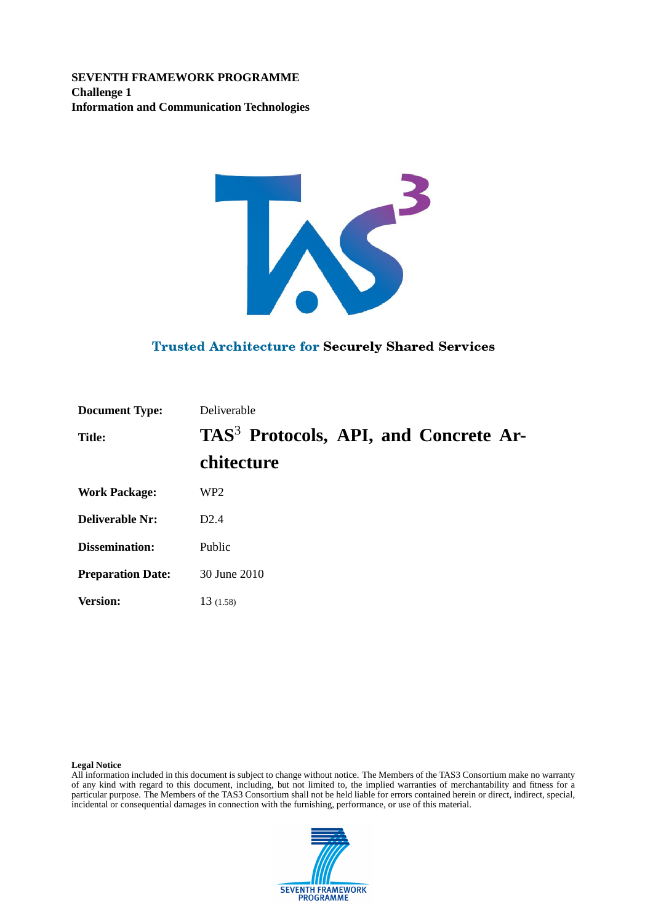**SEVENTH FRAMEWORK PROGRAMME Challenge 1 Information and Communication Technologies**



### **Trusted Architecture for Securely Shared Services**

| <b>Document Type:</b>    | Deliverable                                       |  |  |  |
|--------------------------|---------------------------------------------------|--|--|--|
| <b>Title:</b>            | TAS <sup>3</sup> Protocols, API, and Concrete Ar- |  |  |  |
|                          | chitecture                                        |  |  |  |
| <b>Work Package:</b>     | WP <sub>2</sub>                                   |  |  |  |
| <b>Deliverable Nr:</b>   | D2.4                                              |  |  |  |
| <b>Dissemination:</b>    | Public                                            |  |  |  |
| <b>Preparation Date:</b> | 30 June 2010                                      |  |  |  |
| <b>Version:</b>          | 13(1.58)                                          |  |  |  |

#### **Legal Notice**

All information included in this document is subject to change without notice. The Members of the TAS3 Consortium make no warranty of any kind with regard to this document, including, but not limited to, the implied warranties of merchantability and fitness for a particular purpose. The Members of the TAS3 Consortium shall not be held liable for errors contained herein or direct, indirect, special, incidental or consequential damages in connection with the furnishing, performance, or use of this material.

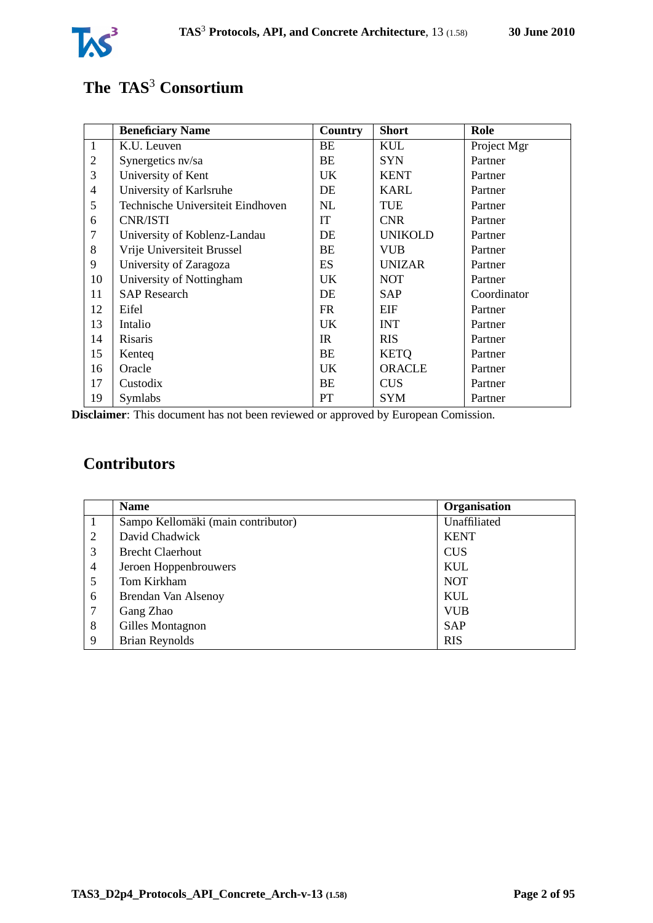

# **The TAS**<sup>3</sup> **Consortium**

|                | <b>Beneficiary Name</b>           | Country   | <b>Short</b>   | Role        |
|----------------|-----------------------------------|-----------|----------------|-------------|
| $\mathbf{1}$   | K.U. Leuven                       | BE        | <b>KUL</b>     | Project Mgr |
| $\mathfrak{2}$ | Synergetics nv/sa                 | ВE        | <b>SYN</b>     | Partner     |
| 3              | University of Kent                | UK        | <b>KENT</b>    | Partner     |
| $\overline{4}$ | University of Karlsruhe           | DE        | <b>KARL</b>    | Partner     |
| 5              | Technische Universiteit Eindhoven | NL        | TUE            | Partner     |
| 6              | CNR/ISTI                          | <b>IT</b> | <b>CNR</b>     | Partner     |
| $\tau$         | University of Koblenz-Landau      | DE        | <b>UNIKOLD</b> | Partner     |
| 8              | Vrije Universiteit Brussel        | BE        | <b>VUB</b>     | Partner     |
| 9              | University of Zaragoza            | <b>ES</b> | <b>UNIZAR</b>  | Partner     |
| 10             | University of Nottingham          | UK        | <b>NOT</b>     | Partner     |
| 11             | <b>SAP</b> Research               | DE        | <b>SAP</b>     | Coordinator |
| 12             | Eifel                             | FR.       | EIF            | Partner     |
| 13             | Intalio                           | UK        | <b>INT</b>     | Partner     |
| 14             | Risaris                           | IR.       | <b>RIS</b>     | Partner     |
| 15             | Kenteq                            | BE        | <b>KETQ</b>    | Partner     |
| 16             | Oracle                            | UK        | <b>ORACLE</b>  | Partner     |
| 17             | Custodix                          | BE        | <b>CUS</b>     | Partner     |
| 19             | Symlabs                           | PT        | <b>SYM</b>     | Partner     |

**Disclaimer**: This document has not been reviewed or approved by European Comission.

# **Contributors**

|   | <b>Name</b>                        | Organisation |
|---|------------------------------------|--------------|
|   | Sampo Kellomäki (main contributor) | Unaffiliated |
| 2 | David Chadwick                     | <b>KENT</b>  |
| 3 | <b>Brecht Claerhout</b>            | <b>CUS</b>   |
| 4 | Jeroen Hoppenbrouwers              | <b>KUL</b>   |
| 5 | Tom Kirkham                        | <b>NOT</b>   |
| 6 | Brendan Van Alsenoy                | <b>KUL</b>   |
| 7 | Gang Zhao                          | <b>VUB</b>   |
| 8 | Gilles Montagnon                   | <b>SAP</b>   |
| 9 | <b>Brian Reynolds</b>              | <b>RIS</b>   |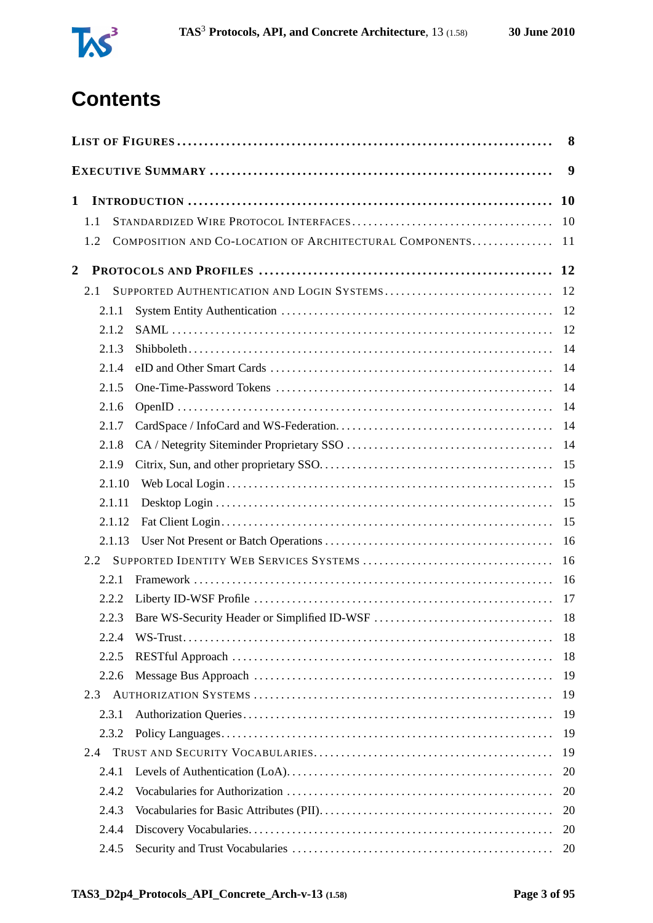

# **Contents**

|                |                                                                | 8         |
|----------------|----------------------------------------------------------------|-----------|
|                |                                                                | 9         |
| $\mathbf{1}$   |                                                                | <b>10</b> |
|                | 1.1                                                            | 10        |
|                | COMPOSITION AND CO-LOCATION OF ARCHITECTURAL COMPONENTS<br>1.2 | 11        |
|                |                                                                |           |
| $\overline{2}$ |                                                                |           |
|                | SUPPORTED AUTHENTICATION AND LOGIN SYSTEMS<br>2.1              | 12        |
|                | 2.1.1                                                          | 12        |
|                | 2.1.2                                                          | 12        |
|                | 2.1.3                                                          | 14        |
|                | 2.1.4                                                          | 14        |
|                | 2.1.5                                                          | 14        |
|                | 2.1.6                                                          | 14        |
|                | 2.1.7                                                          | 14        |
|                | 2.1.8                                                          | 14        |
|                | 2.1.9                                                          | 15        |
|                | 2.1.10                                                         | 15        |
|                | 2.1.11                                                         | 15        |
|                | 2.1.12                                                         | 15        |
|                | 2.1.13                                                         | 16        |
|                | 2.2                                                            | 16        |
|                | 2.2.1                                                          | 16        |
|                | 2.2.2                                                          | 17        |
|                | 2.2.3                                                          |           |
|                | 2.2.4                                                          | 18        |
|                | 2.2.5                                                          | 18        |
|                | 2.2.6                                                          | 19        |
|                | 2.3                                                            | 19        |
|                | 2.3.1                                                          | 19        |
|                | 2.3.2                                                          | 19        |
|                | 2.4                                                            | 19        |
|                | 2.4.1                                                          | 20        |
|                | 2.4.2                                                          | 20        |
|                | 2.4.3                                                          | 20        |
|                | 2.4.4                                                          | 20        |
|                |                                                                |           |
|                | 2.4.5                                                          | 20        |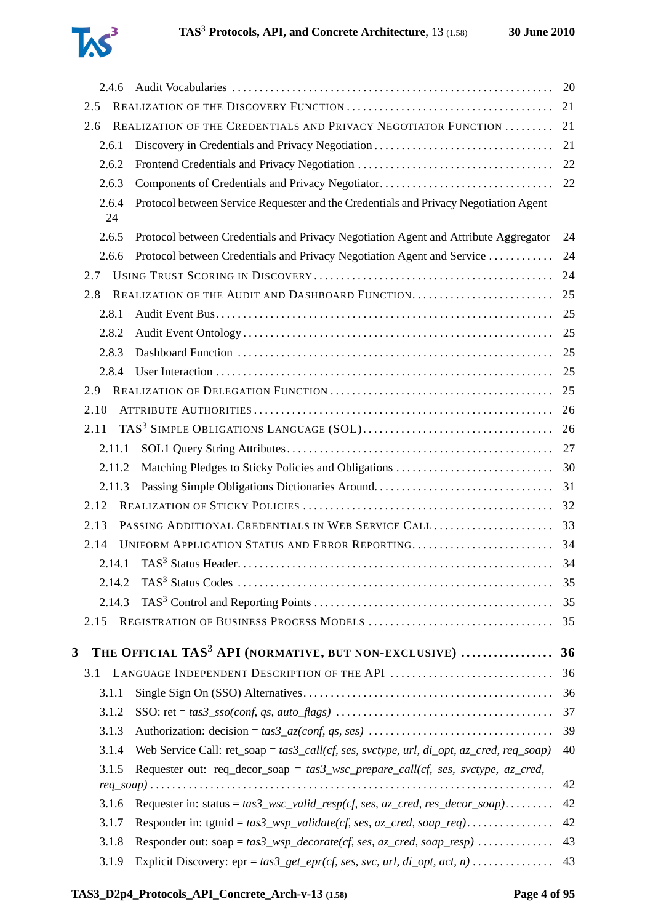

|   | 2.4.6       |                                                                                                                                                 | 20       |
|---|-------------|-------------------------------------------------------------------------------------------------------------------------------------------------|----------|
|   | 2.5         |                                                                                                                                                 | 21       |
|   | 2.6         | REALIZATION OF THE CREDENTIALS AND PRIVACY NEGOTIATOR FUNCTION                                                                                  | 21       |
|   | 2.6.1       |                                                                                                                                                 | 21       |
|   | 2.6.2       |                                                                                                                                                 | 22       |
|   | 2.6.3       |                                                                                                                                                 |          |
|   | 2.6.4<br>24 | Protocol between Service Requester and the Credentials and Privacy Negotiation Agent                                                            |          |
|   | 2.6.5       | Protocol between Credentials and Privacy Negotiation Agent and Attribute Aggregator                                                             | 24       |
|   | 2.6.6       | Protocol between Credentials and Privacy Negotiation Agent and Service                                                                          | 24       |
|   | 2.7         |                                                                                                                                                 | 24       |
|   | 2.8         | REALIZATION OF THE AUDIT AND DASHBOARD FUNCTION                                                                                                 | 25       |
|   | 2.8.1       |                                                                                                                                                 | 25       |
|   | 2.8.2       |                                                                                                                                                 | 25       |
|   | 2.8.3       |                                                                                                                                                 | 25       |
|   | 2.8.4       |                                                                                                                                                 | 25       |
|   | 2.9         |                                                                                                                                                 | 25       |
|   | 2.10        |                                                                                                                                                 | 26       |
|   | 2.11        |                                                                                                                                                 | 26       |
|   | 2.11.1      |                                                                                                                                                 |          |
|   | 2.11.2      |                                                                                                                                                 |          |
|   | 2.11.3      | Passing Simple Obligations Dictionaries Around                                                                                                  | 31       |
|   | 2.12        |                                                                                                                                                 | 32       |
|   | 2.13        | PASSING ADDITIONAL CREDENTIALS IN WEB SERVICE CALL                                                                                              | 33       |
|   | 2.14        | UNIFORM APPLICATION STATUS AND ERROR REPORTING                                                                                                  | 34       |
|   | 2.14.1      |                                                                                                                                                 | 34       |
|   | 2.14.2      |                                                                                                                                                 | 35       |
|   | 2.14.3      |                                                                                                                                                 |          |
|   | 2.15        |                                                                                                                                                 | 35       |
| 3 |             | THE OFFICIAL TAS <sup>3</sup> API (NORMATIVE, BUT NON-EXCLUSIVE)                                                                                | 36       |
|   | 3.1         |                                                                                                                                                 | 36       |
|   | 3.1.1       |                                                                                                                                                 | 36       |
|   | 3.1.2       |                                                                                                                                                 | 37       |
|   | 3.1.3       |                                                                                                                                                 | 39       |
|   | 3.1.4       | Web Service Call: ret_soap = $\text{tas3\_call}(cf, \text{ses}, \text{svctype}, \text{url}, \text{di\_opt}, \text{az\_cred}, \text{req\_soap})$ | 40       |
|   | 3.1.5       | Requester out: req_decor_soap = $tas3_wsc\_prepare\_call(cf, ses, svctype, az\_cred,$                                                           |          |
|   |             |                                                                                                                                                 | 42<br>42 |
|   | 3.1.6       | Requester in: status = $tas3_wsc\_valid\_resp(cf, ses, az\_cred, res\_decor\_soap)$                                                             |          |
|   | 3.1.7       |                                                                                                                                                 | 42<br>43 |
|   | 3.1.8       | Responder out: $\text{soap} = \text{tas3\_wsp\_decorate}(\text{cf, ses, az\_cred, soap\_resp}) \dots \dots \dots$                               |          |
|   | 3.1.9       |                                                                                                                                                 | 43       |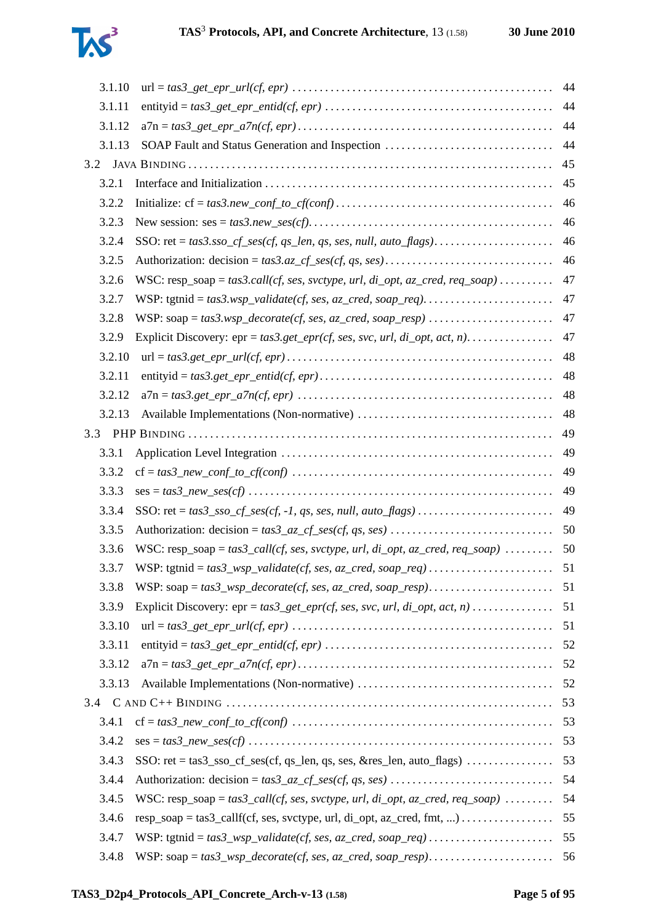

| 3.1.10 |                                                                                                                                  | 44 |
|--------|----------------------------------------------------------------------------------------------------------------------------------|----|
| 3.1.11 |                                                                                                                                  | 44 |
| 3.1.12 |                                                                                                                                  | 44 |
| 3.1.13 | SOAP Fault and Status Generation and Inspection                                                                                  | 44 |
| 3.2    |                                                                                                                                  | 45 |
| 3.2.1  |                                                                                                                                  | 45 |
| 3.2.2  |                                                                                                                                  | 46 |
| 3.2.3  |                                                                                                                                  | 46 |
| 3.2.4  |                                                                                                                                  | 46 |
| 3.2.5  |                                                                                                                                  | 46 |
| 3.2.6  | WSC: $resp\_soap = tas3. call(cf, ses, svctype, url, di\_opt, az\_cred, req\_soap)$                                              | 47 |
| 3.2.7  |                                                                                                                                  | 47 |
| 3.2.8  |                                                                                                                                  | 47 |
| 3.2.9  |                                                                                                                                  | 47 |
| 3.2.10 |                                                                                                                                  | 48 |
| 3.2.11 |                                                                                                                                  | 48 |
| 3.2.12 |                                                                                                                                  | 48 |
| 3.2.13 |                                                                                                                                  | 48 |
|        |                                                                                                                                  | 49 |
| 3.3.1  |                                                                                                                                  | 49 |
| 3.3.2  |                                                                                                                                  | 49 |
| 3.3.3  |                                                                                                                                  | 49 |
| 3.3.4  |                                                                                                                                  | 49 |
| 3.3.5  |                                                                                                                                  | 50 |
| 3.3.6  | WSC: resp_soap = $tas3\_call(cf, ses, svctype, url, di\_opt, az\_cred, req\_soap)$                                               | 50 |
| 3.3.7  |                                                                                                                                  | 51 |
| 3.3.8  |                                                                                                                                  |    |
| 3.3.9  | Explicit Discovery: $epr = tas3\_get\_epr(cf, ses, svc, url, di\_opt, act, n)$                                                   | 51 |
| 3.3.10 |                                                                                                                                  | 51 |
| 3.3.11 |                                                                                                                                  | 52 |
| 3.3.12 |                                                                                                                                  | 52 |
| 3.3.13 |                                                                                                                                  | 52 |
|        |                                                                                                                                  |    |
| 3.4.1  |                                                                                                                                  | 53 |
| 3.4.2  | $ses = tas3\_new\_ses(cf) \dots \dots \dots \dots \dots \dots \dots \dots \dots \dots \dots \dots \dots \dots \dots \dots \dots$ | 53 |
| 3.4.3  | SSO: $ret = tas3\_sso_c f_ses(cf, qs_len, qs, ses, & res_len, auto_flags)$                                                       | 53 |
| 3.4.4  |                                                                                                                                  | 54 |
| 3.4.5  | WSC: resp_soap = $tas3\_call(cf, ses, svctype, url, di\_opt, az\_cred, req\_soap)$                                               | 54 |
| 3.4.6  | $resp\_soap = tas3\_callf(cf, ses, svctype, url, di\_opt, az\_cred, fmt, ) \dots \dots \dots \dots$                              | 55 |
| 3.4.7  |                                                                                                                                  | 55 |
| 3.4.8  |                                                                                                                                  | 56 |
|        |                                                                                                                                  |    |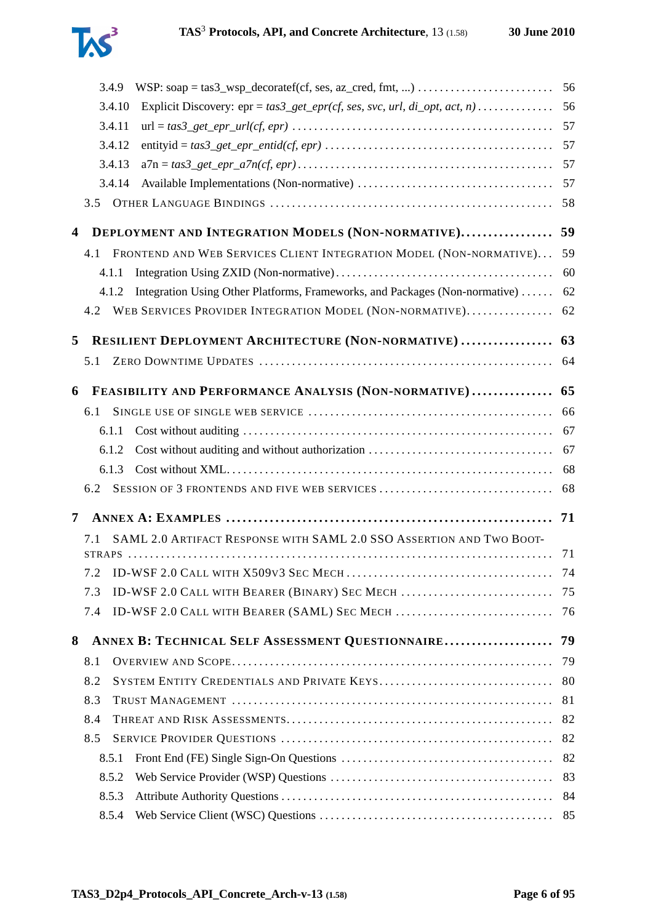|   | 3.4.9  |                                                                                | 56 |
|---|--------|--------------------------------------------------------------------------------|----|
|   | 3.4.10 | Explicit Discovery: $epr = tas3\_get\_epr(cf, ses, src, url, di\_opt, act, n)$ | 56 |
|   | 3.4.11 |                                                                                | 57 |
|   | 3.4.12 |                                                                                | 57 |
|   | 3.4.13 |                                                                                | 57 |
|   | 3.4.14 |                                                                                | 57 |
|   | 3.5    |                                                                                | 58 |
| 4 |        | DEPLOYMENT AND INTEGRATION MODELS (NON-NORMATIVE)                              | 59 |
|   | 4.1    | FRONTEND AND WEB SERVICES CLIENT INTEGRATION MODEL (NON-NORMATIVE)             | 59 |
|   | 4.1.1  |                                                                                | 60 |
|   | 4.1.2  | Integration Using Other Platforms, Frameworks, and Packages (Non-normative)    | 62 |
|   | 4.2    | WEB SERVICES PROVIDER INTEGRATION MODEL (NON-NORMATIVE)                        | 62 |
| 5 |        | RESILIENT DEPLOYMENT ARCHITECTURE (NON-NORMATIVE)                              | 63 |
|   | 5.1    |                                                                                | 64 |
|   |        |                                                                                |    |
| 6 |        | FEASIBILITY AND PERFORMANCE ANALYSIS (NON-NORMATIVE)                           | 65 |
|   | 6.1    |                                                                                | 66 |
|   | 6.1.1  |                                                                                | 67 |
|   | 6.1.2  | Cost without auditing and without authorization                                | 67 |
|   | 6.1.3  |                                                                                | 68 |
|   | 6.2    | SESSION OF 3 FRONTENDS AND FIVE WEB SERVICES                                   | 68 |
| 7 |        |                                                                                | 71 |
|   | 7.1    | SAML 2.0 ARTIFACT RESPONSE WITH SAML 2.0 SSO ASSERTION AND TWO BOOT-           |    |
|   |        |                                                                                | 71 |
|   |        |                                                                                | 74 |
|   | 7.3    | ID-WSF 2.0 CALL WITH BEARER (BINARY) SEC MECH                                  | 75 |
|   | 7.4    |                                                                                |    |
| 8 |        | ANNEX B: TECHNICAL SELF ASSESSMENT QUESTIONNAIRE                               | 79 |
|   | 8.1    |                                                                                | 79 |
|   | 8.2    | SYSTEM ENTITY CREDENTIALS AND PRIVATE KEYS                                     | 80 |
|   | 8.3    |                                                                                | 81 |
|   | 8.4    |                                                                                | 82 |
|   | 8.5    |                                                                                | 82 |
|   | 8.5.1  |                                                                                | 82 |
|   | 8.5.2  |                                                                                | 83 |
|   | 8.5.3  |                                                                                | 84 |
|   | 8.5.4  |                                                                                | 85 |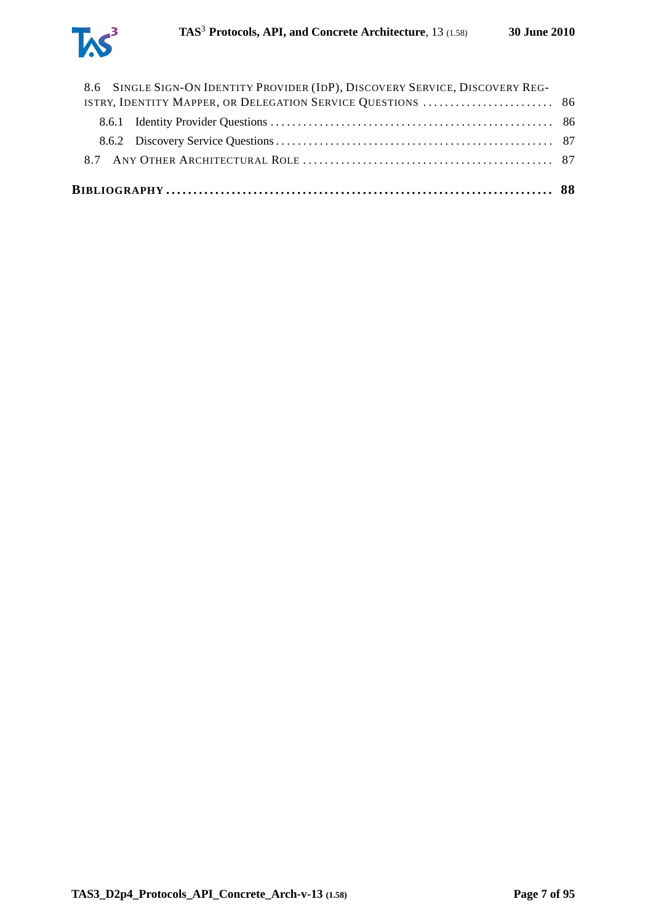

| 8.6 SINGLE SIGN-ON IDENTITY PROVIDER (IDP), DISCOVERY SERVICE, DISCOVERY REG- |  |
|-------------------------------------------------------------------------------|--|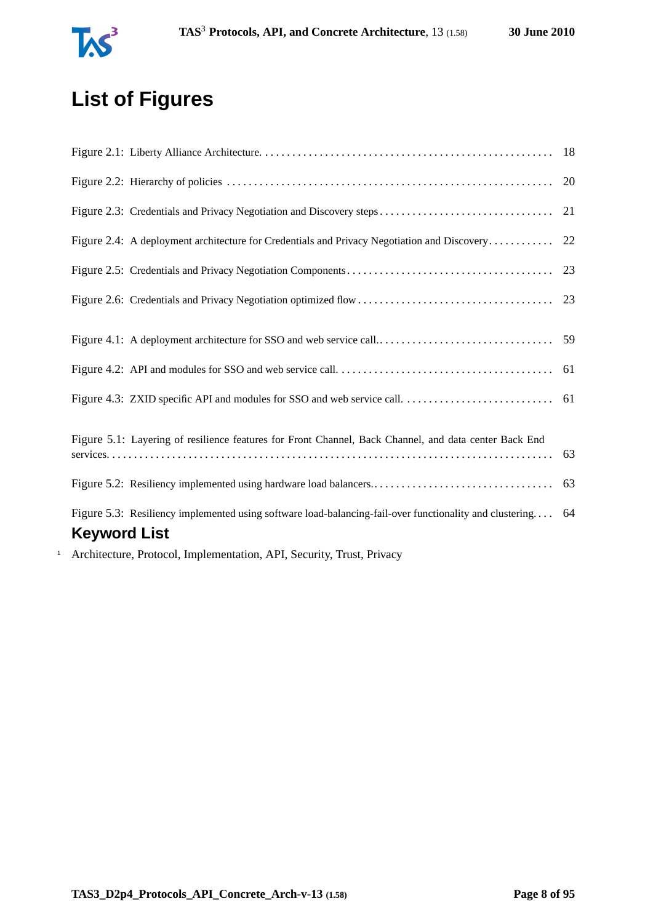

# **List of Figures**

<span id="page-7-0"></span>

|                                                                                                            | 20 |
|------------------------------------------------------------------------------------------------------------|----|
| Figure 2.3: Credentials and Privacy Negotiation and Discovery steps                                        | 21 |
|                                                                                                            |    |
|                                                                                                            | 23 |
|                                                                                                            |    |
|                                                                                                            |    |
|                                                                                                            |    |
|                                                                                                            |    |
| Figure 4.3: ZXID specific API and modules for SSO and web service call                                     | 61 |
|                                                                                                            |    |
| Figure 5.1: Layering of resilience features for Front Channel, Back Channel, and data center Back End      | 63 |
|                                                                                                            |    |
| Figure 5.3: Resiliency implemented using software load-balancing-fail-over functionality and clustering 64 |    |
| <b>Keyword List</b>                                                                                        |    |
| Architecture Protocol Implementation ADI Cocurity Trust Privacy                                            |    |

<sup>1</sup> Architecture, Protocol, Implementation, API, Security, Trust, Privacy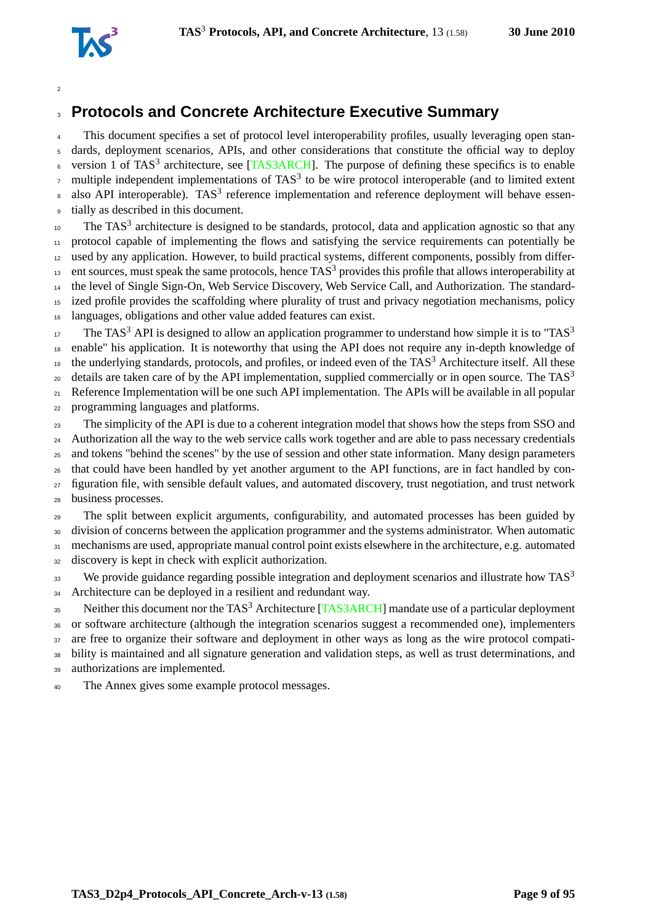

# **Protocols and Concrete Architecture Executive Summary**

This document specifies a set of protocol level interoperability profiles, usually leveraging open stan- dards, deployment scenarios, APIs, and other considerations that constitute the official way to deploy <sup>6</sup> version 1 of TAS<sup>3</sup> architecture, see [\[TAS3ARCH\]](#page-92-0). The purpose of defining these specifics is to enable  $\sigma$  multiple independent implementations of TAS<sup>3</sup> to be wire protocol interoperable (and to limited extent  $\alpha$  also API interoperable). TAS<sup>3</sup> reference implementation and reference deployment will behave essen-tially as described in this document.

 $10<sub>10</sub>$  The TAS<sup>3</sup> architecture is designed to be standards, protocol, data and application agnostic so that any protocol capable of implementing the flows and satisfying the service requirements can potentially be used by any application. However, to build practical systems, different components, possibly from differ- ent sources, must speak the same protocols, hence TAS<sup>3</sup> provides this profile that allows interoperability at the level of Single Sign-On, Web Service Discovery, Web Service Call, and Authorization. The standard- ized profile provides the scaffolding where plurality of trust and privacy negotiation mechanisms, policy languages, obligations and other value added features can exist.

The TAS<sup>3</sup> API is designed to allow an application programmer to understand how simple it is to "TAS<sup>3</sup> enable" his application. It is noteworthy that using the API does not require any in-depth knowledge of the underlying standards, protocols, and profiles, or indeed even of the TAS<sup>3</sup> Architecture itself. All these details are taken care of by the API implementation, supplied commercially or in open source. The  $TAS<sup>3</sup>$  Reference Implementation will be one such API implementation. The APIs will be available in all popular programming languages and platforms.

 The simplicity of the API is due to a coherent integration model that shows how the steps from SSO and <sup>24</sup> Authorization all the way to the web service calls work together and are able to pass necessary credentials and tokens "behind the scenes" by the use of session and other state information. Many design parameters that could have been handled by yet another argument to the API functions, are in fact handled by con- figuration file, with sensible default values, and automated discovery, trust negotiation, and trust network business processes.

 The split between explicit arguments, configurability, and automated processes has been guided by division of concerns between the application programmer and the systems administrator. When automatic mechanisms are used, appropriate manual control point exists elsewhere in the architecture, e.g. automated

discovery is kept in check with explicit authorization.

We provide guidance regarding possible integration and deployment scenarios and illustrate how  $TAS<sup>3</sup>$  34 Architecture can be deployed in a resilient and redundant way.

35 Neither this document nor the TAS<sup>3</sup> Architecture [\[TAS3ARCH\]](#page-92-0) mandate use of a particular deployment or software architecture (although the integration scenarios suggest a recommended one), implementers 37 are free to organize their software and deployment in other ways as long as the wire protocol compati- bility is maintained and all signature generation and validation steps, as well as trust determinations, and authorizations are implemented.

The Annex gives some example protocol messages.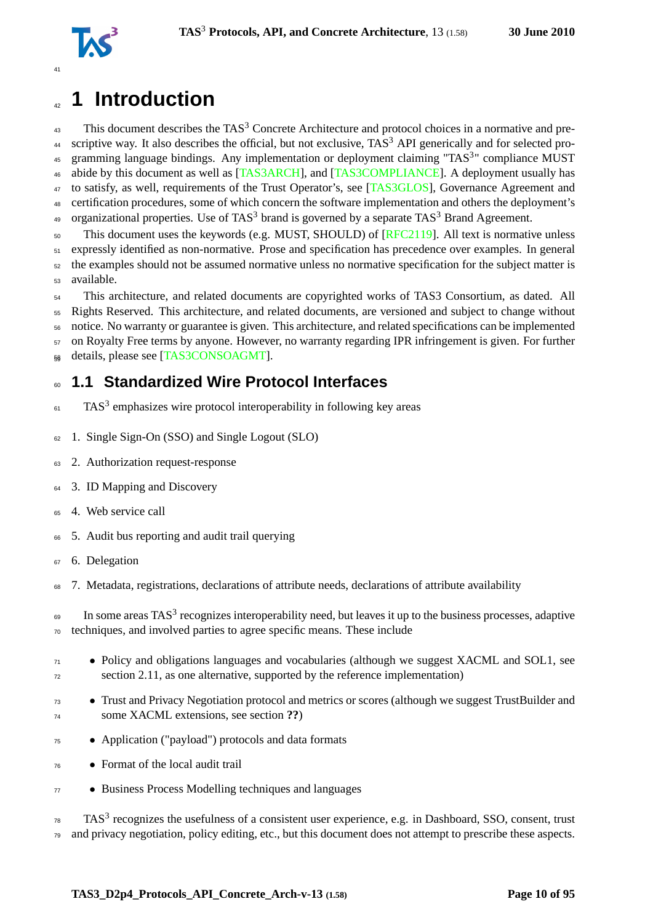

# <span id="page-9-0"></span><sup>42</sup> **1 Introduction**

 $43$  This document describes the TAS<sup>3</sup> Concrete Architecture and protocol choices in a normative and pre-<sup>44</sup> scriptive way. It also describes the official, but not exclusive,  $TAS<sup>3</sup>$  API generically and for selected pro-45 gramming language bindings. Any implementation or deployment claiming "TAS<sup>3</sup>" compliance MUST 46 abide by this document as well as [\[TAS3ARCH\]](#page-92-0), and [\[TAS3COMPLIANCE\]](#page-92-1). A deployment usually has 47 to satisfy, as well, requirements of the Trust Operator's, see [\[TAS3GLOS\]](#page-93-0), Governance Agreement and <sup>48</sup> certification procedures, some of which concern the software implementation and others the deployment's <sup>49</sup> organizational properties. Use of TAS<sup>3</sup> brand is governed by a separate TAS<sup>3</sup> Brand Agreement.

<sub>50</sub> This document uses the keywords (e.g. MUST, SHOULD) of [\[RFC2119\]](#page-91-0). All text is normative unless expressly identified as non-normative. Prose and specification has precedence over examples. In general the examples should not be assumed normative unless no normative specification for the subject matter is available.

<sup>54</sup> This architecture, and related documents are copyrighted works of TAS3 Consortium, as dated. All <sup>55</sup> Rights Reserved. This architecture, and related documents, are versioned and subject to change without <sup>56</sup> notice. No warranty or guarantee is given. This architecture, and related specifications can be implemented <sup>57</sup> on Royalty Free terms by anyone. However, no warranty regarding IPR infringement is given. For further 58 details, please see [\[TAS3CONSOAGMT\]](#page-92-2).

# <span id="page-9-1"></span><sup>60</sup> **1.1 Standardized Wire Protocol Interfaces**

- $F_{61}$  TAS<sup>3</sup> emphasizes wire protocol interoperability in following key areas
- <sup>62</sup> 1. Single Sign-On (SSO) and Single Logout (SLO)
- <sup>63</sup> 2. Authorization request-response
- <sup>64</sup> 3. ID Mapping and Discovery
- <sup>65</sup> 4. Web service call
- <sup>66</sup> 5. Audit bus reporting and audit trail querying
- <sup>67</sup> 6. Delegation
- <sup>68</sup> 7. Metadata, registrations, declarations of attribute needs, declarations of attribute availability

 $\epsilon_{\text{9}}$  In some areas TAS<sup>3</sup> recognizes interoperability need, but leaves it up to the business processes, adaptive <sup>70</sup> techniques, and involved parties to agree specific means. These include

- <sup>71</sup> Policy and obligations languages and vocabularies (although we suggest XACML and SOL1, see <sup>72</sup> section [2.11,](#page-25-1) as one alternative, supported by the reference implementation)
- Trust and Privacy Negotiation protocol and metrics or scores (although we suggest TrustBuilder and some XACML extensions, see section **??**)
- <sup>75</sup> Application ("payload") protocols and data formats
- <sup>76</sup> Format of the local audit trail
- <sup>77</sup> Business Process Modelling techniques and languages

 $78$  TAS<sup>3</sup> recognizes the usefulness of a consistent user experience, e.g. in Dashboard, SSO, consent, trust  $79$  and privacy negotiation, policy editing, etc., but this document does not attempt to prescribe these aspects.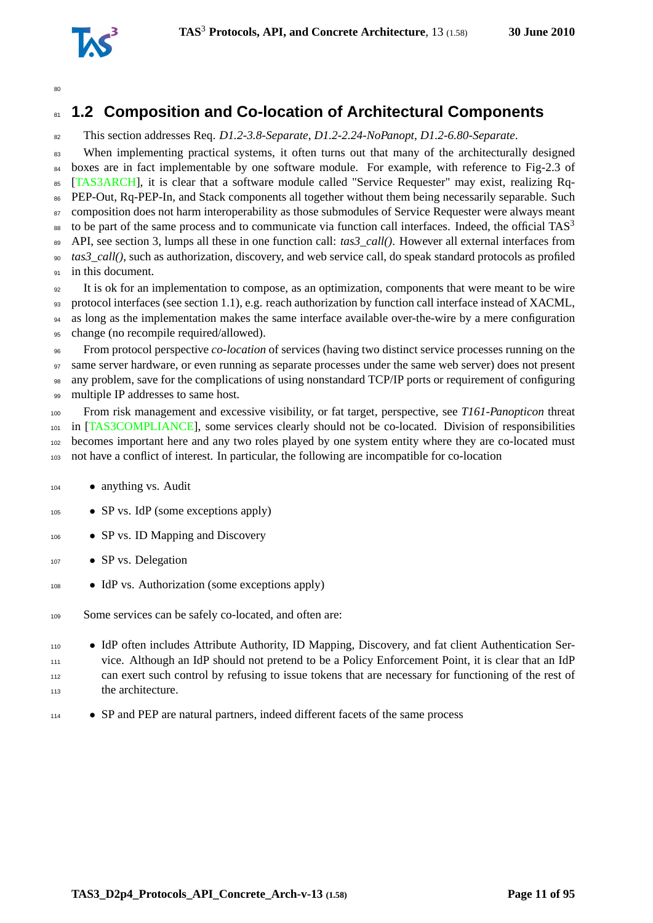

# <span id="page-10-0"></span>**1.2 Composition and Co-location of Architectural Components**

This section addresses Req. *D1.2-3.8-Separate*, *D1.2-2.24-NoPanopt*, *D1.2-6.80-Separate*.

When implementing practical systems, it often turns out that many of the architecturally designed <sup>84</sup> boxes are in fact implementable by one software module. For example, with reference to Fig-2.3 of [\[TAS3ARCH\]](#page-92-0), it is clear that a software module called "Service Requester" may exist, realizing Rq- PEP-Out, Rq-PEP-In, and Stack components all together without them being necessarily separable. Such <sup>87</sup> composition does not harm interoperability as those submodules of Service Requester were always meant to be part of the same process and to communicate via function call interfaces. Indeed, the official  $TAS<sup>3</sup>$  API, see section [3,](#page-35-0) lumps all these in one function call: *tas3\_call()*. However all external interfaces from *tas3\_call()*, such as authorization, discovery, and web service call, do speak standard protocols as profiled 91 in this document.

 It is ok for an implementation to compose, as an optimization, components that were meant to be wire protocol interfaces (see section [1.1\)](#page-9-1), e.g. reach authorization by function call interface instead of XACML, 94 as long as the implementation makes the same interface available over-the-wire by a mere configuration change (no recompile required/allowed).

 From protocol perspective *co-location* of services (having two distinct service processes running on the same server hardware, or even running as separate processes under the same web server) does not present any problem, save for the complications of using nonstandard TCP/IP ports or requirement of configuring 99 multiple IP addresses to same host.

 From risk management and excessive visibility, or fat target, perspective, see *T161-Panopticon* threat in [\[TAS3COMPLIANCE\]](#page-92-1), some services clearly should not be co-located. Division of responsibilities becomes important here and any two roles played by one system entity where they are co-located must not have a conflict of interest. In particular, the following are incompatible for co-location

- anything vs. Audit
- SP vs. IdP (some exceptions apply)
- 106 SP vs. ID Mapping and Discovery
- SP vs. Delegation
- IdP vs. Authorization (some exceptions apply)
- 109 Some services can be safely co-located, and often are:
- IdP often includes Attribute Authority, ID Mapping, Discovery, and fat client Authentication Ser- vice. Although an IdP should not pretend to be a Policy Enforcement Point, it is clear that an IdP can exert such control by refusing to issue tokens that are necessary for functioning of the rest of the architecture.
- <sup>114</sup> SP and PEP are natural partners, indeed different facets of the same process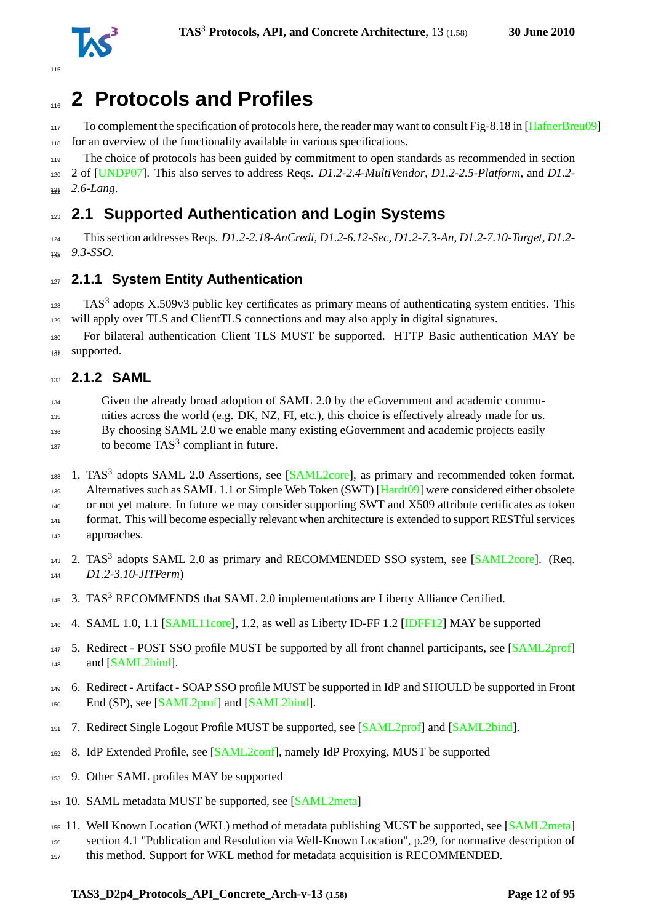

# <span id="page-11-0"></span>**2 Protocols and Profiles**

117 To complement the specification of protocols here, the reader may want to consult Fig-8.18 in [\[HafnerBreu09\]](#page-88-0) for an overview of the functionality available in various specifications.

The choice of protocols has been guided by commitment to open standards as recommended in section

 2 of [\[UNDP07\]](#page-94-1). This also serves to address Reqs. *D1.2-2.4-MultiVendor*, *D1.2-2.5-Platform*, and *D1.2-* 131 2.6-Lang.

# <span id="page-11-1"></span>**2.1 Supported Authentication and Login Systems**

 This section addresses Reqs. *D1.2-2.18-AnCredi*, *D1.2-6.12-Sec*, *D1.2-7.3-An*, *D1.2-7.10-Target*, *D1.2- 9.3-SSO*. <sup>126</sup>

# <span id="page-11-2"></span>**2.1.1 System Entity Authentication**

 TAS<sup>3</sup> adopts X.509v3 public key certificates as primary means of authenticating system entities. This will apply over TLS and ClientTLS connections and may also apply in digital signatures.

 For bilateral authentication Client TLS MUST be supported. HTTP Basic authentication MAY be 132 supported.

### <span id="page-11-3"></span>**2.1.2 SAML**

Given the already broad adoption of SAML 2.0 by the eGovernment and academic commu-

nities across the world (e.g. DK, NZ, FI, etc.), this choice is effectively already made for us.

By choosing SAML 2.0 we enable many existing eGovernment and academic projects easily

 $_{137}$  to become TAS<sup>3</sup> compliant in future.

138 1. TAS<sup>3</sup> adopts SAML 2.0 Assertions, see [\[SAML2core\]](#page-91-1), as primary and recommended token format.

139 Alternatives such as SAML 1.1 or Simple Web Token (SWT) [\[Hardt09\]](#page-88-1) were considered either obsolete

140 or not yet mature. In future we may consider supporting SWT and X509 attribute certificates as token

 format. This will become especially relevant when architecture is extended to support RESTful services approaches.

- 
- 143 2. TAS<sup>3</sup> adopts SAML 2.0 as primary and RECOMMENDED SSO system, see [\[SAML2core\]](#page-91-1). (Req. *D1.2-3.10-JITPerm*)
- 3. TAS<sup>3</sup> RECOMMENDS that SAML 2.0 implementations are Liberty Alliance Certified.
- 4. SAML 1.0, 1.1 [\[SAML11core\]](#page-91-2), 1.2, as well as Liberty ID-FF 1.2 [\[IDFF12\]](#page-89-0) MAY be supported
- 5. Redirect POST SSO profile MUST be supported by all front channel participants, see [\[SAML2prof\]](#page-91-3) and [\[SAML2bind\]](#page-92-3).
- 6. Redirect Artifact SOAP SSO profile MUST be supported in IdP and SHOULD be supported in Front 150 End (SP), see [\[SAML2prof\]](#page-91-3) and [\[SAML2bind\]](#page-92-3).
- 151 7. Redirect Single Logout Profile MUST be supported, see [\[SAML2prof\]](#page-91-3) and [\[SAML2bind\]](#page-92-3).
- 8. IdP Extended Profile, see [\[SAML2conf\]](#page-92-4), namely IdP Proxying, MUST be supported
- 9. Other SAML profiles MAY be supported
- 10. SAML metadata MUST be supported, see [\[SAML2meta\]](#page-92-5)
- 11. Well Known Location (WKL) method of metadata publishing MUST be supported, see [\[SAML2meta\]](#page-92-5)
- section 4.1 "Publication and Resolution via Well-Known Location", p.29, for normative description of
- this method. Support for WKL method for metadata acquisition is RECOMMENDED.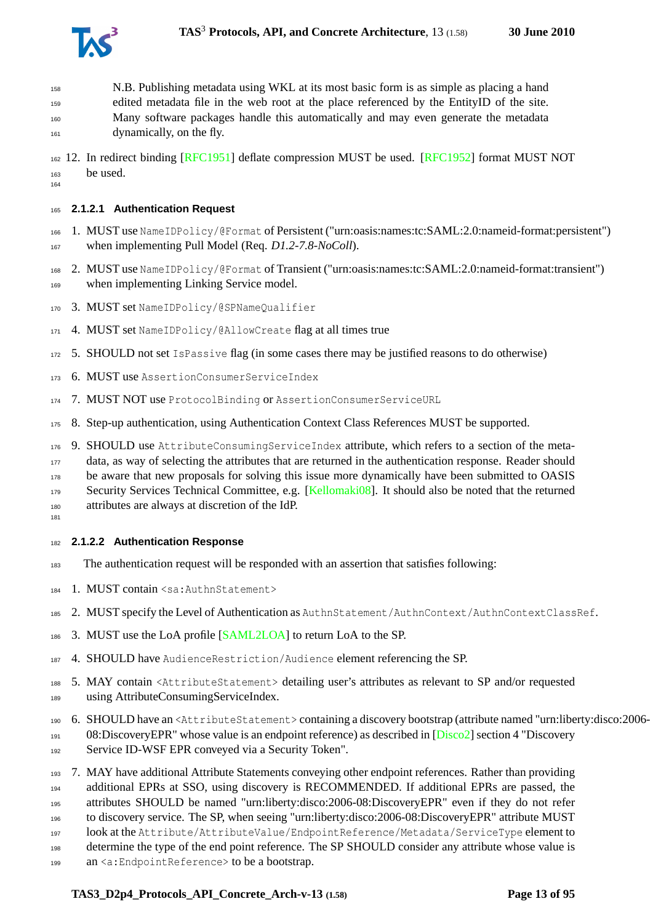

 N.B. Publishing metadata using WKL at its most basic form is as simple as placing a hand edited metadata file in the web root at the place referenced by the EntityID of the site. Many software packages handle this automatically and may even generate the metadata dynamically, on the fly.

 12. In redirect binding [\[RFC1951\]](#page-91-4) deflate compression MUST be used. [\[RFC1952\]](#page-91-5) format MUST NOT be used.

#### **2.1.2.1 Authentication Request**

 1. MUST use NameIDPolicy/@Format of Persistent ("urn:oasis:names:tc:SAML:2.0:nameid-format:persistent") when implementing Pull Model (Req. *D1.2-7.8-NoColl*).

 2. MUST use NameIDPolicy/@Format of Transient ("urn:oasis:names:tc:SAML:2.0:nameid-format:transient") when implementing Linking Service model.

- 3. MUST set NameIDPolicy/@SPNameQualifier
- 4. MUST set NameIDPolicy/@AllowCreate flag at all times true

5. SHOULD not set IsPassive flag (in some cases there may be justified reasons to do otherwise)

- 6. MUST use AssertionConsumerServiceIndex
- 7. MUST NOT use ProtocolBinding or AssertionConsumerServiceURL
- 8. Step-up authentication, using Authentication Context Class References MUST be supported.
- 9. SHOULD use AttributeConsumingServiceIndex attribute, which refers to a section of the meta-

data, as way of selecting the attributes that are returned in the authentication response. Reader should

be aware that new proposals for solving this issue more dynamically have been submitted to OASIS

Security Services Technical Committee, e.g. [\[Kellomaki08\]](#page-89-1). It should also be noted that the returned

attributes are always at discretion of the IdP.

#### **2.1.2.2 Authentication Response**

- The authentication request will be responded with an assertion that satisfies following:
- 184 1. MUST contain <sa: AuthnStatement>
- 2. MUST specify the Level of Authentication as AuthnStatement/AuthnContext/AuthnContextClassRef.
- 186 3. MUST use the LoA profile [\[SAML2LOA\]](#page-91-6) to return LoA to the SP.
- 4. SHOULD have AudienceRestriction/Audience element referencing the SP.
- 5. MAY contain <AttributeStatement> detailing user's attributes as relevant to SP and/or requested
- using AttributeConsumingServiceIndex.
- 6. SHOULD have an <AttributeStatement> containing a discovery bootstrap (attribute named "urn:liberty:disco:2006-
- 08:DiscoveryEPR" whose value is an endpoint reference) as described in  $[Disco2]$  section 4 "Discovery 192 Service ID-WSF EPR conveyed via a Security Token".
- 7. MAY have additional Attribute Statements conveying other endpoint references. Rather than providing additional EPRs at SSO, using discovery is RECOMMENDED. If additional EPRs are passed, the attributes SHOULD be named "urn:liberty:disco:2006-08:DiscoveryEPR" even if they do not refer
- to discovery service. The SP, when seeing "urn:liberty:disco:2006-08:DiscoveryEPR" attribute MUST

look at the Attribute/AttributeValue/EndpointReference/Metadata/ServiceType element to

determine the type of the end point reference. The SP SHOULD consider any attribute whose value is

199 an <a: Endpoint Reference > to be a bootstrap.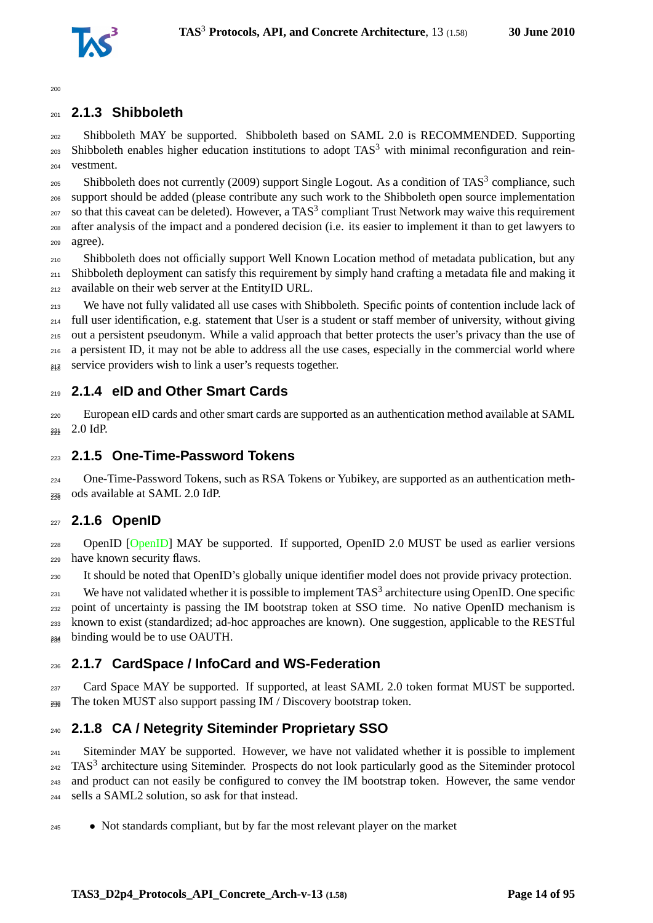

### <span id="page-13-0"></span>**2.1.3 Shibboleth**

 Shibboleth MAY be supported. Shibboleth based on SAML 2.0 is RECOMMENDED. Supporting 203 Shibboleth enables higher education institutions to adopt  $TAS<sup>3</sup>$  with minimal reconfiguration and rein-vestment.

205 Shibboleth does not currently (2009) support Single Logout. As a condition of TAS<sup>3</sup> compliance, such support should be added (please contribute any such work to the Shibboleth open source implementation 207 so that this caveat can be deleted). However, a TAS<sup>3</sup> compliant Trust Network may waive this requirement after analysis of the impact and a pondered decision (i.e. its easier to implement it than to get lawyers to agree).

 Shibboleth does not officially support Well Known Location method of metadata publication, but any Shibboleth deployment can satisfy this requirement by simply hand crafting a metadata file and making it available on their web server at the EntityID URL.

 We have not fully validated all use cases with Shibboleth. Specific points of contention include lack of full user identification, e.g. statement that User is a student or staff member of university, without giving out a persistent pseudonym. While a valid approach that better protects the user's privacy than the use of a persistent ID, it may not be able to address all the use cases, especially in the commercial world where  $_{24\overline{8}}$  service providers wish to link a user's requests together.

### <span id="page-13-1"></span>**2.1.4 eID and Other Smart Cards**

 European eID cards and other smart cards are supported as an authentication method available at SAML 223 2.0 IdP.

### <span id="page-13-2"></span>**2.1.5 One-Time-Password Tokens**

 One-Time-Password Tokens, such as RSA Tokens or Yubikey, are supported as an authentication meth- $_{235}$  ods available at SAML 2.0 IdP.

#### <span id="page-13-3"></span>**2.1.6 OpenID**

228 OpenID [\[OpenID\]](#page-90-0) MAY be supported. If supported, OpenID 2.0 MUST be used as earlier versions have known security flaws.

It should be noted that OpenID's globally unique identifier model does not provide privacy protection.

 $^{231}$  We have not validated whether it is possible to implement TAS<sup>3</sup> architecture using OpenID. One specific point of uncertainty is passing the IM bootstrap token at SSO time. No native OpenID mechanism is known to exist (standardized; ad-hoc approaches are known). One suggestion, applicable to the RESTful <sup>234</sup> binding would be to use OAUTH.

### <span id="page-13-4"></span>**2.1.7 CardSpace / InfoCard and WS-Federation**

237 Card Space MAY be supported. If supported, at least SAML 2.0 token format MUST be supported.  $_{238}$  The token MUST also support passing IM / Discovery bootstrap token.

## <span id="page-13-5"></span>**2.1.8 CA / Netegrity Siteminder Proprietary SSO**

<sup>241</sup> Siteminder MAY be supported. However, we have not validated whether it is possible to implement TAS<sup>3</sup> architecture using Siteminder. Prospects do not look particularly good as the Siteminder protocol and product can not easily be configured to convey the IM bootstrap token. However, the same vendor sells a SAML2 solution, so ask for that instead.

• Not standards compliant, but by far the most relevant player on the market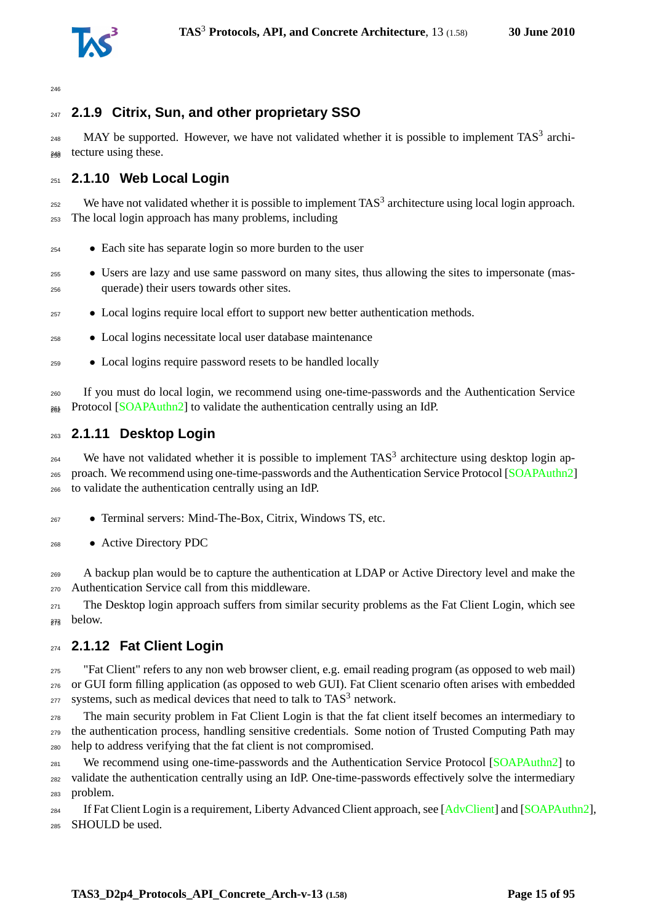

# <span id="page-14-0"></span>**2.1.9 Citrix, Sun, and other proprietary SSO**

 $_{248}$  MAY be supported. However, we have not validated whether it is possible to implement TAS<sup>3</sup> archi-<sub>249</sub> tecture using these.

# <span id="page-14-1"></span>**2.1.10 Web Local Login**

 $_{252}$  We have not validated whether it is possible to implement TAS<sup>3</sup> architecture using local login approach. The local login approach has many problems, including

- Each site has separate login so more burden to the user
- Users are lazy and use same password on many sites, thus allowing the sites to impersonate (mas-querade) their users towards other sites.
- Local logins require local effort to support new better authentication methods.
- Local logins necessitate local user database maintenance
- Local logins require password resets to be handled locally

 If you must do local login, we recommend using one-time-passwords and the Authentication Service  $_{26\%}$  Protocol [\[SOAPAuthn2\]](#page-92-6) to validate the authentication centrally using an IdP.

### <span id="page-14-2"></span>**2.1.11 Desktop Login**

 $_{264}$  We have not validated whether it is possible to implement TAS<sup>3</sup> architecture using desktop login ap- proach. We recommend using one-time-passwords and the Authentication Service Protocol [\[SOAPAuthn2\]](#page-92-6) to validate the authentication centrally using an IdP.

- Terminal servers: Mind-The-Box, Citrix, Windows TS, etc.
- Active Directory PDC

 A backup plan would be to capture the authentication at LDAP or Active Directory level and make the Authentication Service call from this middleware.

<sup>271</sup> The Desktop login approach suffers from similar security problems as the Fat Client Login, which see below.

## <span id="page-14-3"></span>**2.1.12 Fat Client Login**

 "Fat Client" refers to any non web browser client, e.g. email reading program (as opposed to web mail) or GUI form filling application (as opposed to web GUI). Fat Client scenario often arises with embedded systems, such as medical devices that need to talk to  $TAS<sup>3</sup>$  network.

 The main security problem in Fat Client Login is that the fat client itself becomes an intermediary to the authentication process, handling sensitive credentials. Some notion of Trusted Computing Path may help to address verifying that the fat client is not compromised.

<sup>281</sup> We recommend using one-time-passwords and the Authentication Service Protocol [\[SOAPAuthn2\]](#page-92-6) to validate the authentication centrally using an IdP. One-time-passwords effectively solve the intermediary problem.

<sup>284</sup> If Fat Client Login is a requirement, Liberty Advanced Client approach, see [\[AdvClient\]](#page-87-1) and [\[SOAPAuthn2\]](#page-92-6), SHOULD be used.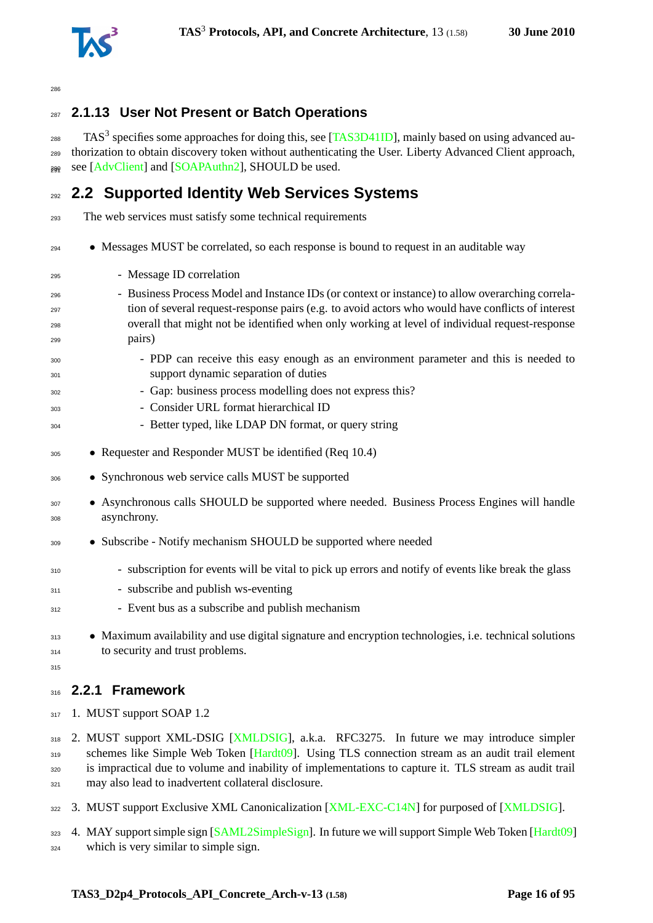

# <span id="page-15-0"></span>**2.1.13 User Not Present or Batch Operations**

 $_{288}$  TAS<sup>3</sup> specifies some approaches for doing this, see [\[TAS3D41ID\]](#page-93-1), mainly based on using advanced au- thorization to obtain discovery token without authenticating the User. Liberty Advanced Client approach,  $_{299}$  see [\[AdvClient\]](#page-87-1) and [\[SOAPAuthn2\]](#page-92-6), SHOULD be used.

# <span id="page-15-1"></span>**2.2 Supported Identity Web Services Systems**

The web services must satisfy some technical requirements

- Messages MUST be correlated, so each response is bound to request in an auditable way
- Message ID correlation
- Business Process Model and Instance IDs (or context or instance) to allow overarching correla- tion of several request-response pairs (e.g. to avoid actors who would have conflicts of interest overall that might not be identified when only working at level of individual request-response pairs)
- PDP can receive this easy enough as an environment parameter and this is needed to support dynamic separation of duties
- Gap: business process modelling does not express this?
- Consider URL format hierarchical ID
- Better typed, like LDAP DN format, or query string
- Requester and Responder MUST be identified (Req 10.4)
- Synchronous web service calls MUST be supported
- <sup>307</sup> Asynchronous calls SHOULD be supported where needed. Business Process Engines will handle asynchrony.
- Subscribe Notify mechanism SHOULD be supported where needed
- subscription for events will be vital to pick up errors and notify of events like break the glass
- subscribe and publish ws-eventing
- Event bus as a subscribe and publish mechanism
- <sup>313</sup> Maximum availability and use digital signature and encryption technologies, i.e. technical solutions to security and trust problems.
- <span id="page-15-2"></span>

### **2.2.1 Framework**

317 1. MUST support SOAP 1.2

 2. MUST support XML-DSIG [\[XMLDSIG\]](#page-94-2), a.k.a. RFC3275. In future we may introduce simpler 319 schemes like Simple Web Token [\[Hardt09\]](#page-88-1). Using TLS connection stream as an audit trail element is impractical due to volume and inability of implementations to capture it. TLS stream as audit trail may also lead to inadvertent collateral disclosure.

322 3. MUST support Exclusive XML Canonicalization [\[XML-EXC-C14N\]](#page-94-3) for purposed of [\[XMLDSIG\]](#page-94-2).

323 4. MAY support simple sign [\[SAML2SimpleSign\]](#page-92-7). In future we will support Simple Web Token [\[Hardt09\]](#page-88-1)

which is very similar to simple sign.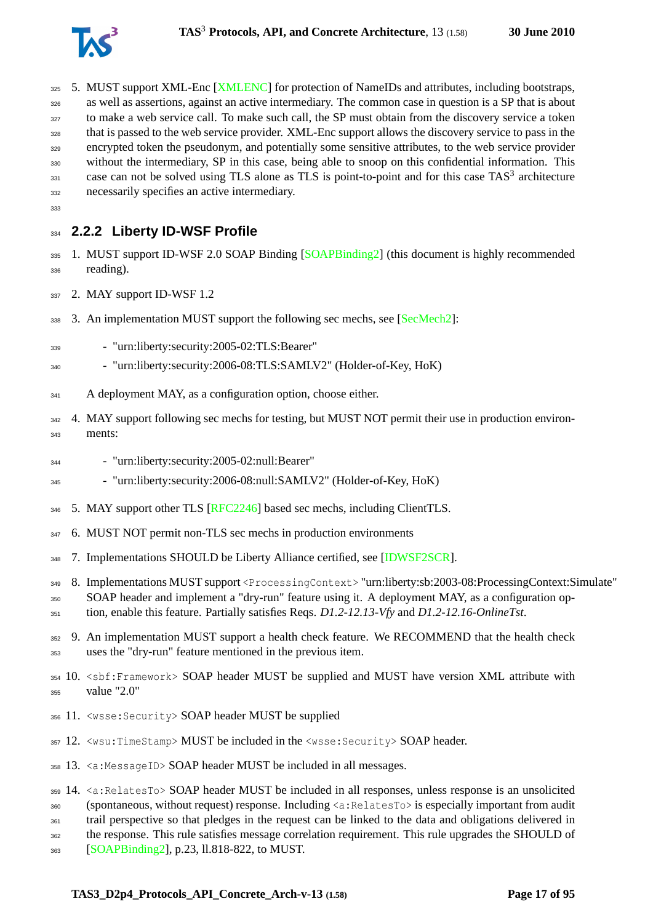- 325 5. MUST support XML-Enc [\[XMLENC\]](#page-94-4) for protection of NameIDs and attributes, including bootstraps, as well as assertions, against an active intermediary. The common case in question is a SP that is about to make a web service call. To make such call, the SP must obtain from the discovery service a token that is passed to the web service provider. XML-Enc support allows the discovery service to pass in the encrypted token the pseudonym, and potentially some sensitive attributes, to the web service provider without the intermediary, SP in this case, being able to snoop on this confidential information. This  $\cos$  case can not be solved using TLS alone as TLS is point-to-point and for this case TAS<sup>3</sup> architecture necessarily specifies an active intermediary.
- <span id="page-16-0"></span>

# **2.2.2 Liberty ID-WSF Profile**

- 335 1. MUST support ID-WSF 2.0 SOAP Binding [\[SOAPBinding2\]](#page-92-8) (this document is highly recommended reading).
- 337 2. MAY support ID-WSF 1.2
- 338 3. An implementation MUST support the following sec mechs, see [\[SecMech2\]](#page-92-9):
- "urn:liberty:security:2005-02:TLS:Bearer"
- "urn:liberty:security:2006-08:TLS:SAMLV2" (Holder-of-Key, HoK)
- A deployment MAY, as a configuration option, choose either.
- 342 4. MAY support following sec mechs for testing, but MUST NOT permit their use in production environ-ments:
- "urn:liberty:security:2005-02:null:Bearer"
- "urn:liberty:security:2006-08:null:SAMLV2" (Holder-of-Key, HoK)
- 346 5. MAY support other TLS [\[RFC2246\]](#page-91-7) based sec mechs, including ClientTLS.
- 6. MUST NOT permit non-TLS sec mechs in production environments
- 7. Implementations SHOULD be Liberty Alliance certified, see [\[IDWSF2SCR\]](#page-89-2).
- 8. Implementations MUST support <ProcessingContext> "urn:liberty:sb:2003-08:ProcessingContext:Simulate"
- SOAP header and implement a "dry-run" feature using it. A deployment MAY, as a configuration op-tion, enable this feature. Partially satisfies Reqs. *D1.2-12.13-Vfy* and *D1.2-12.16-OnlineTst*.
- 352 9. An implementation MUST support a health check feature. We RECOMMEND that the health check uses the "dry-run" feature mentioned in the previous item.
- 354 10. <sbf:Framework> SOAP header MUST be supplied and MUST have version XML attribute with value "2.0"
- 11. <wsse:Security> SOAP header MUST be supplied
- 12. <wsu:TimeStamp> MUST be included in the <wsse:Security> SOAP header.
- 13. <a:MessageID> SOAP header MUST be included in all messages.

 14. <a:RelatesTo> SOAP header MUST be included in all responses, unless response is an unsolicited (spontaneous, without request) response. Including <a:RelatesTo> is especially important from audit trail perspective so that pledges in the request can be linked to the data and obligations delivered in the response. This rule satisfies message correlation requirement. This rule upgrades the SHOULD of

[\[SOAPBinding2\]](#page-92-8), p.23, ll.818-822, to MUST.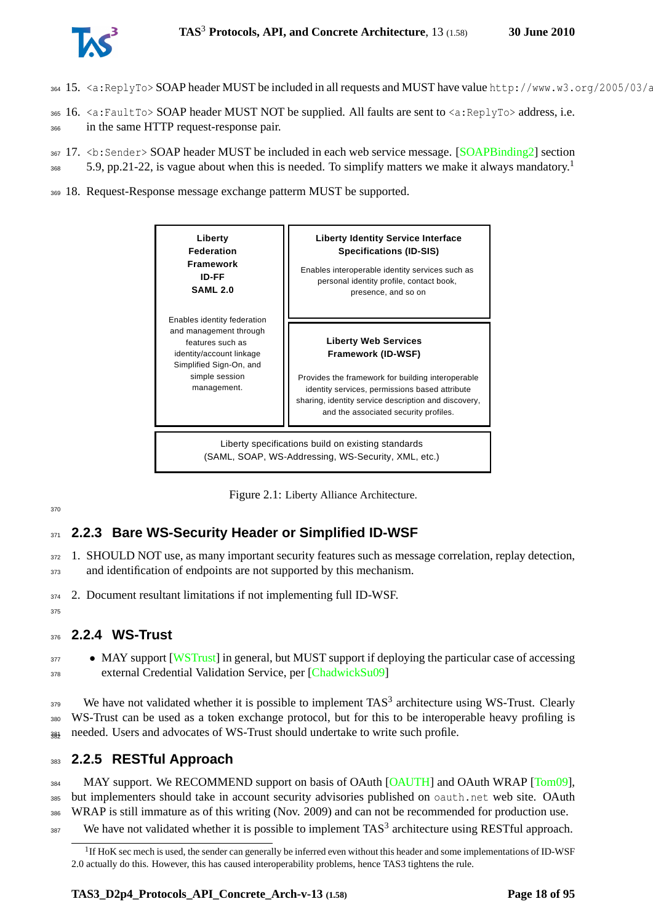

- 364 15.  $\lt a:\text{ReplyTo}>SORP$  header MUST be included in all requests and MUST have value http://www.w3.org/2005/03/a
- <sup>365</sup> 16. <a:FaultTo> SOAP header MUST NOT be supplied. All faults are sent to <a:ReplyTo> address, i.e.
- <sup>366</sup> in the same HTTP request-response pair.
- 367 17. <b: Sender> SOAP header MUST be included in each web service message. [\[SOAPBinding2\]](#page-92-8) section
- 5.9, pp.2[1](#page-17-4)-22, is vague about when this is needed. To simplify matters we make it always mandatory.<sup>1</sup> 368
- <sup>369</sup> 18. Request-Response message exchange patterm MUST be supported.



<span id="page-17-3"></span>Figure 2.1: Liberty Alliance Architecture.

## <span id="page-17-0"></span><sup>371</sup> **2.2.3 Bare WS-Security Header or Simplified ID-WSF**

- 372 1. SHOULD NOT use, as many important security features such as message correlation, replay detection, 373 and identification of endpoints are not supported by this mechanism.
- <sup>374</sup> 2. Document resultant limitations if not implementing full ID-WSF.
- <span id="page-17-1"></span>375

# <sup>376</sup> **2.2.4 WS-Trust**

<sup>377</sup> • MAY support [\[WSTrust\]](#page-94-5) in general, but MUST support if deploying the particular case of accessing <sup>378</sup> external Credential Validation Service, per [\[ChadwickSu09\]](#page-88-3)

 $379$  We have not validated whether it is possible to implement TAS<sup>3</sup> architecture using WS-Trust. Clearly <sup>380</sup> WS-Trust can be used as a token exchange protocol, but for this to be interoperable heavy profiling is  $\frac{383}{384}$  needed. Users and advocates of WS-Trust should undertake to write such profile.

# <span id="page-17-2"></span><sup>383</sup> **2.2.5 RESTful Approach**

384 MAY support. We RECOMMEND support on basis of OAuth [\[OAUTH\]](#page-90-1) and OAuth WRAP [\[Tom09\]](#page-93-2), <sup>385</sup> but implementers should take in account security advisories published on oauth.net web site. OAuth <sup>386</sup> WRAP is still immature as of this writing (Nov. 2009) and can not be recommended for production use. 387 We have not validated whether it is possible to implement  $TAS<sup>3</sup>$  architecture using RESTful approach.

<span id="page-17-4"></span><sup>&</sup>lt;sup>1</sup>If HoK sec mech is used, the sender can generally be inferred even without this header and some implementations of ID-WSF 2.0 actually do this. However, this has caused interoperability problems, hence TAS3 tightens the rule.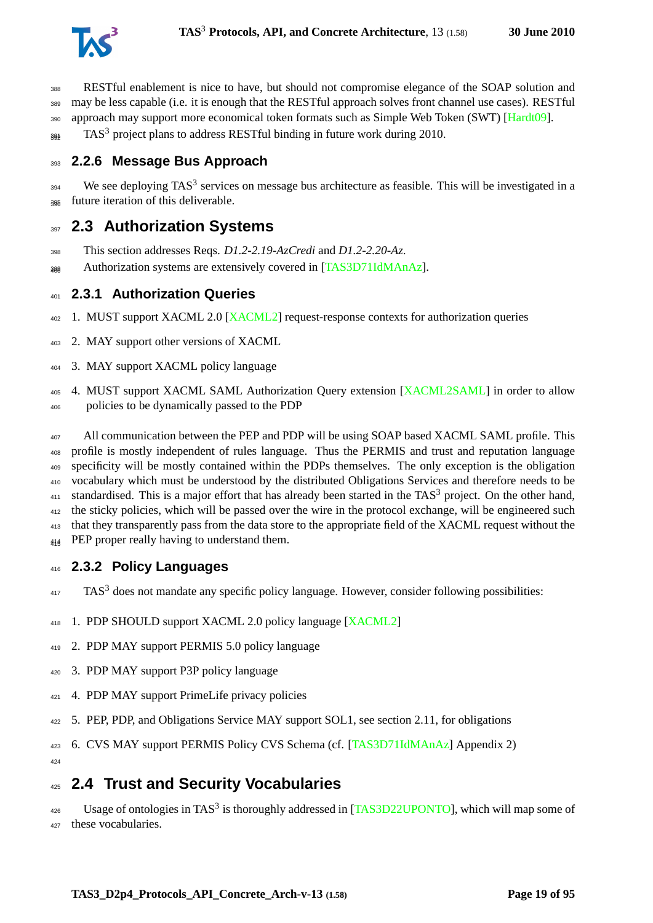

 RESTful enablement is nice to have, but should not compromise elegance of the SOAP solution and may be less capable (i.e. it is enough that the RESTful approach solves front channel use cases). RESTful 390 approach may support more economical token formats such as Simple Web Token (SWT) [\[Hardt09\]](#page-88-1).

<span id="page-18-0"></span> $_{392}$  TAS<sup>3</sup> project plans to address RESTful binding in future work during 2010.

# **2.2.6 Message Bus Approach**

 We see deploying TAS<sup>3</sup> services on message bus architecture as feasible. This will be investigated in a future iteration of this deliverable.

# <span id="page-18-1"></span>**2.3 Authorization Systems**

- This section addresses Reqs. *D1.2-2.19-AzCredi* and *D1.2-2.20-Az*.
- <span id="page-18-2"></span> $_{\text{200}}$  Authorization systems are extensively covered in [\[TAS3D71IdMAnAz\]](#page-93-3).

### **2.3.1 Authorization Queries**

- 1. MUST support XACML 2.0 [\[XACML2\]](#page-94-6) request-response contexts for authorization queries
- 2. MAY support other versions of XACML
- 3. MAY support XACML policy language

405 4. MUST support XACML SAML Authorization Query extension [\[XACML2SAML\]](#page-94-7) in order to allow policies to be dynamically passed to the PDP

<sup>407</sup> All communication between the PEP and PDP will be using SOAP based XACML SAML profile. This profile is mostly independent of rules language. Thus the PERMIS and trust and reputation language specificity will be mostly contained within the PDPs themselves. The only exception is the obligation vocabulary which must be understood by the distributed Obligations Services and therefore needs to be standardised. This is a major effort that has already been started in the TAS<sup>3</sup> project. On the other hand, <sup>412</sup> the sticky policies, which will be passed over the wire in the protocol exchange, will be engineered such that they transparently pass from the data store to the appropriate field of the XACML request without the <sup>414</sup> PEP proper really having to understand them.

## <span id="page-18-3"></span>**2.3.2 Policy Languages**

TAS<sup>3</sup> does not mandate any specific policy language. However, consider following possibilities:

- 1. PDP SHOULD support XACML 2.0 policy language [\[XACML2\]](#page-94-6)
- 2. PDP MAY support PERMIS 5.0 policy language
- 3. PDP MAY support P3P policy language
- 4. PDP MAY support PrimeLife privacy policies
- 5. PEP, PDP, and Obligations Service MAY support SOL1, see section [2.11,](#page-25-1) for obligations
- 6. CVS MAY support PERMIS Policy CVS Schema (cf. [\[TAS3D71IdMAnAz\]](#page-93-3) Appendix 2)

<span id="page-18-4"></span>

# **2.4 Trust and Security Vocabularies**

 $^{426}$  Usage of ontologies in TAS<sup>3</sup> is thoroughly addressed in [\[TAS3D22UPONTO\]](#page-93-4), which will map some of these vocabularies.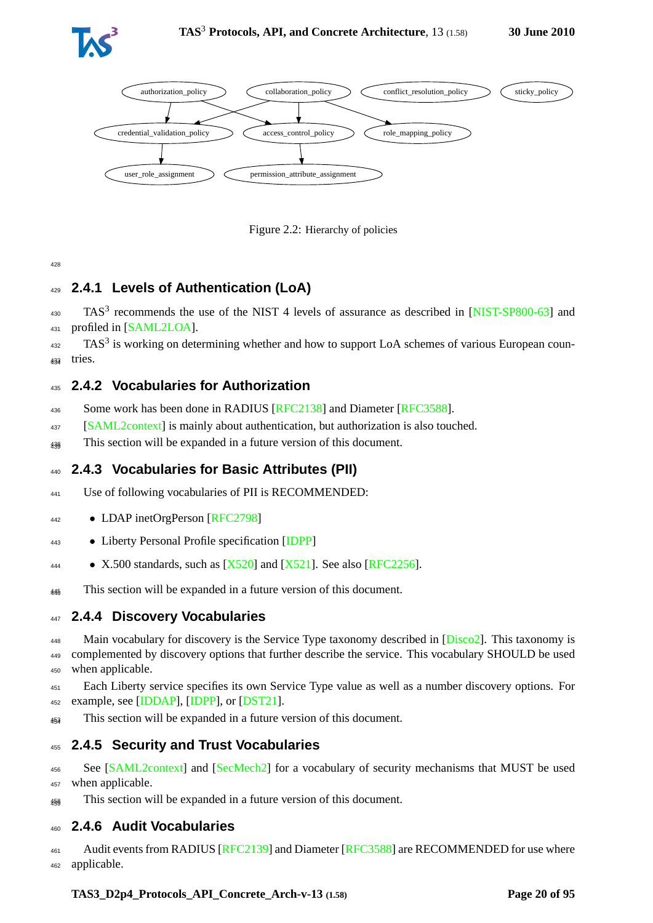



<span id="page-19-6"></span>Figure 2.2: Hierarchy of policies

# <span id="page-19-0"></span><sup>429</sup> **2.4.1 Levels of Authentication (LoA)**

 $430$  TAS<sup>3</sup> recommends the use of the NIST 4 levels of assurance as described in [\[NIST-SP800-63\]](#page-90-2) and <sup>431</sup> profiled in [\[SAML2LOA\]](#page-91-6).

 $432$  TAS<sup>3</sup> is working on determining whether and how to support LoA schemes of various European coun-<sup>433</sup> tries. <sup>434</sup>

### <span id="page-19-1"></span><sup>435</sup> **2.4.2 Vocabularies for Authorization**

- 436 Some work has been done in RADIUS [\[RFC2138\]](#page-91-8) and Diameter [\[RFC3588\]](#page-91-9).
- <sup>437</sup> [\[SAML2context\]](#page-92-10) is mainly about authentication, but authorization is also touched.
- <span id="page-19-2"></span><sub>438</sub> This section will be expanded in a future version of this document.

## <sup>440</sup> **2.4.3 Vocabularies for Basic Attributes (PII)**

- <sup>441</sup> Use of following vocabularies of PII is RECOMMENDED:
- <sup>442</sup> LDAP inetOrgPerson [\[RFC2798\]](#page-91-10)
- <sup>443</sup> Liberty Personal Profile specification [\[IDPP\]](#page-89-3)
- $\bullet$  X.500 standards, such as  $[X520]$  and  $[X521]$ . See also  $[RFC2256]$ .
- <span id="page-19-3"></span><sup>445</sup> This section will be expanded in a future version of this document.

### <sup>447</sup> **2.4.4 Discovery Vocabularies**

448 Main vocabulary for discovery is the Service Type taxonomy described in [\[Disco2\]](#page-88-2). This taxonomy is <sup>449</sup> complemented by discovery options that further describe the service. This vocabulary SHOULD be used <sup>450</sup> when applicable.

<sup>451</sup> Each Liberty service specifies its own Service Type value as well as a number discovery options. For <sup>452</sup> example, see [\[IDDAP\]](#page-89-4), [\[IDPP\]](#page-89-3), or [\[DST21\]](#page-88-4).

<span id="page-19-4"></span><sup>453</sup> This section will be expanded in a future version of this document. <sup>454</sup>

## <sup>455</sup> **2.4.5 Security and Trust Vocabularies**

<sup>456</sup> See [\[SAML2context\]](#page-92-10) and [\[SecMech2\]](#page-92-9) for a vocabulary of security mechanisms that MUST be used <sup>457</sup> when applicable.

<span id="page-19-5"></span><sub>458</sub> This section will be expanded in a future version of this document.

### <sup>460</sup> **2.4.6 Audit Vocabularies**

461 Audit events from RADIUS [\[RFC2139\]](#page-91-12) and Diameter [\[RFC3588\]](#page-91-9) are RECOMMENDED for use where <sup>462</sup> applicable.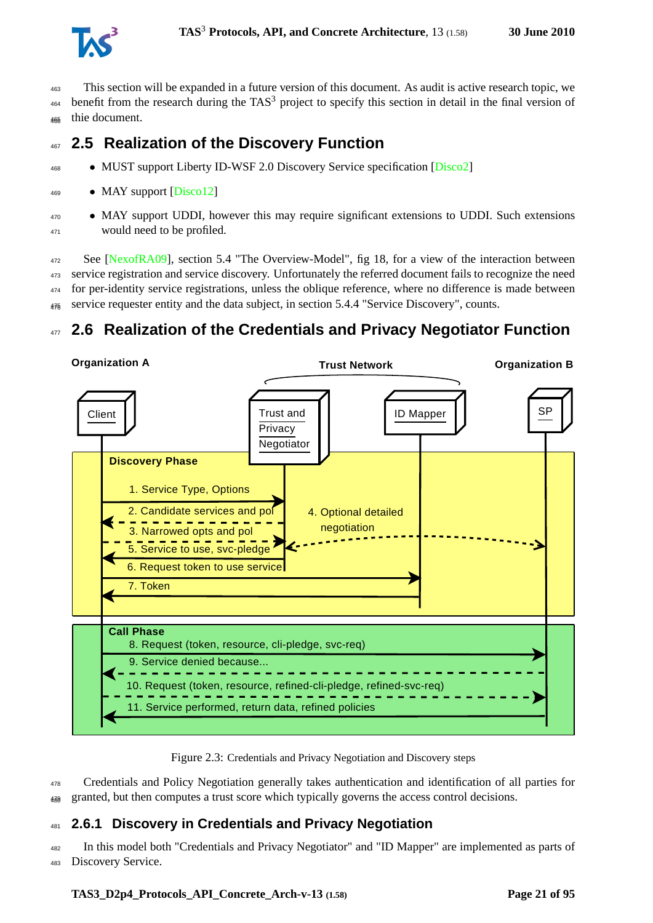

<sup>463</sup> This section will be expanded in a future version of this document. As audit is active research topic, we  $464$  benefit from the research during the TAS<sup>3</sup> project to specify this section in detail in the final version of <sup>465</sup> thie document. <sup>466</sup>

# <span id="page-20-0"></span><sup>467</sup> **2.5 Realization of the Discovery Function**

- <sup>468</sup> MUST support Liberty ID-WSF 2.0 Discovery Service specification [\[Disco2\]](#page-88-2)
- <sup>469</sup> MAY support [\[Disco12\]](#page-88-5)
- <sup>470</sup> MAY support UDDI, however this may require significant extensions to UDDI. Such extensions <sup>471</sup> would need to be profiled.

 See [\[NexofRA09\]](#page-90-3), section 5.4 "The Overview-Model", fig 18, for a view of the interaction between service registration and service discovery. Unfortunately the referred document fails to recognize the need for per-identity service registrations, unless the oblique reference, where no difference is made between  $_{476}$  service requester entity and the data subject, in section 5.4.4 "Service Discovery", counts.

# <span id="page-20-1"></span><sup>477</sup> **2.6 Realization of the Credentials and Privacy Negotiator Function**



<span id="page-20-3"></span>Figure 2.3: Credentials and Privacy Negotiation and Discovery steps

<sup>478</sup> Credentials and Policy Negotiation generally takes authentication and identification of all parties for  $_{488}$  granted, but then computes a trust score which typically governs the access control decisions.

# <span id="page-20-2"></span><sup>481</sup> **2.6.1 Discovery in Credentials and Privacy Negotiation**

<sup>482</sup> In this model both "Credentials and Privacy Negotiator" and "ID Mapper" are implemented as parts of <sup>483</sup> Discovery Service.

#### **TAS3\_D2p4\_Protocols\_API\_Concrete\_Arch-v-13 (1.58) Page 21 of [95](#page-94-0)**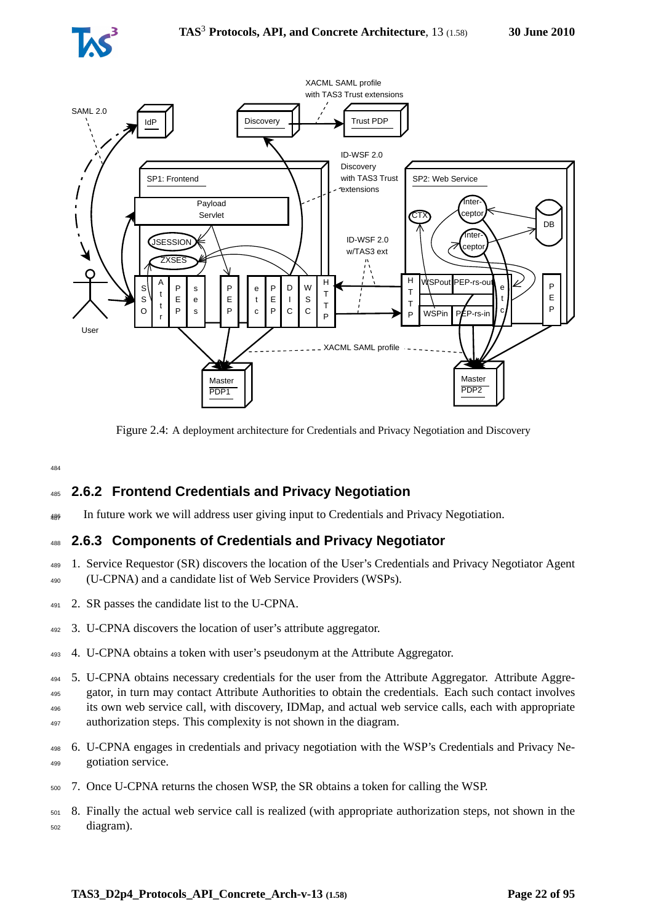



<span id="page-21-2"></span>Figure 2.4: A deployment architecture for Credentials and Privacy Negotiation and Discovery

# <span id="page-21-0"></span><sup>485</sup> **2.6.2 Frontend Credentials and Privacy Negotiation**

<span id="page-21-1"></span><sup>486</sup> In future work we will address user giving input to Credentials and Privacy Negotiation. <sup>487</sup>

## <sup>488</sup> **2.6.3 Components of Credentials and Privacy Negotiator**

- <sup>489</sup> 1. Service Requestor (SR) discovers the location of the User's Credentials and Privacy Negotiator Agent <sup>490</sup> (U-CPNA) and a candidate list of Web Service Providers (WSPs).
- <sup>491</sup> 2. SR passes the candidate list to the U-CPNA.
- <sup>492</sup> 3. U-CPNA discovers the location of user's attribute aggregator.
- <sup>493</sup> 4. U-CPNA obtains a token with user's pseudonym at the Attribute Aggregator.
- <sup>494</sup> 5. U-CPNA obtains necessary credentials for the user from the Attribute Aggregator. Attribute Aggre-<sup>495</sup> gator, in turn may contact Attribute Authorities to obtain the credentials. Each such contact involves <sup>496</sup> its own web service call, with discovery, IDMap, and actual web service calls, each with appropriate 497 authorization steps. This complexity is not shown in the diagram.
- <sup>498</sup> 6. U-CPNA engages in credentials and privacy negotiation with the WSP's Credentials and Privacy Ne-<sup>499</sup> gotiation service.
- <sup>500</sup> 7. Once U-CPNA returns the chosen WSP, the SR obtains a token for calling the WSP.
- <sup>501</sup> 8. Finally the actual web service call is realized (with appropriate authorization steps, not shown in the <sup>502</sup> diagram).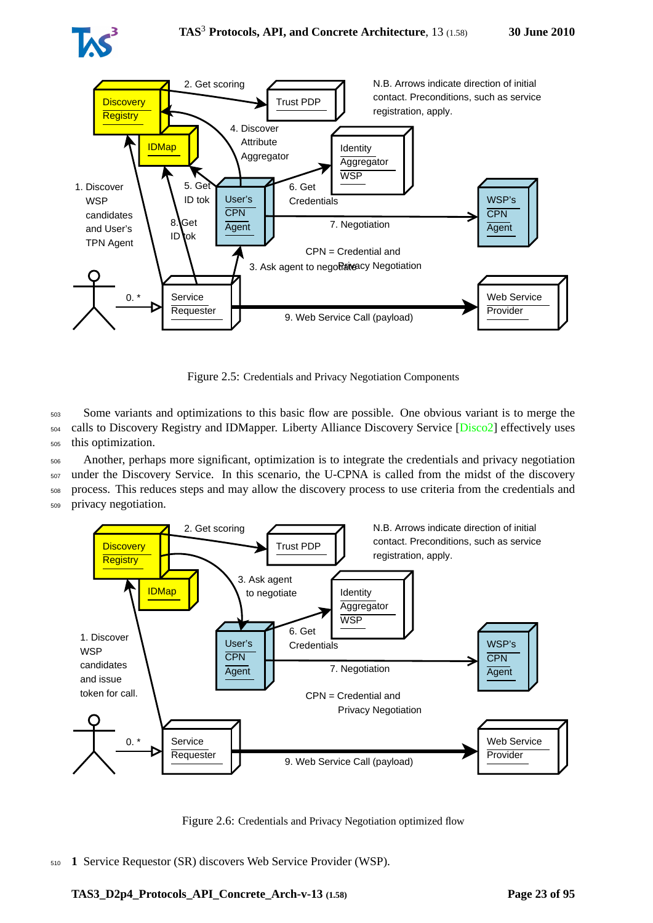



<span id="page-22-0"></span>Figure 2.5: Credentials and Privacy Negotiation Components

<sup>503</sup> Some variants and optimizations to this basic flow are possible. One obvious variant is to merge the <sup>504</sup> calls to Discovery Registry and IDMapper. Liberty Alliance Discovery Service [\[Disco2\]](#page-88-2) effectively uses <sup>505</sup> this optimization.

<sup>506</sup> Another, perhaps more significant, optimization is to integrate the credentials and privacy negotiation <sup>507</sup> under the Discovery Service. In this scenario, the U-CPNA is called from the midst of the discovery <sup>508</sup> process. This reduces steps and may allow the discovery process to use criteria from the credentials and

<sup>509</sup> privacy negotiation.



<span id="page-22-1"></span>Figure 2.6: Credentials and Privacy Negotiation optimized flow

<sup>510</sup> **1** Service Requestor (SR) discovers Web Service Provider (WSP).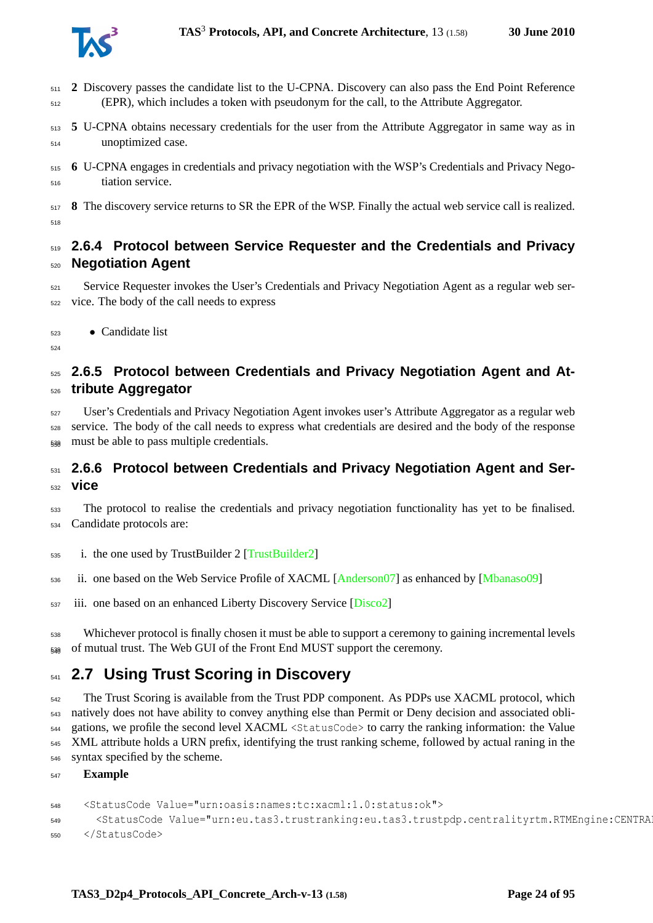

- **2** Discovery passes the candidate list to the U-CPNA. Discovery can also pass the End Point Reference (EPR), which includes a token with pseudonym for the call, to the Attribute Aggregator.
- **5** U-CPNA obtains necessary credentials for the user from the Attribute Aggregator in same way as in unoptimized case.
- **6** U-CPNA engages in credentials and privacy negotiation with the WSP's Credentials and Privacy Nego-tiation service.
- **8** The discovery service returns to SR the EPR of the WSP. Finally the actual web service call is realized.

# <span id="page-23-0"></span> **2.6.4 Protocol between Service Requester and the Credentials and Privacy Negotiation Agent**

- Service Requester invokes the User's Credentials and Privacy Negotiation Agent as a regular web ser-vice. The body of the call needs to express
- Candidate list
- <span id="page-23-1"></span>

# **2.6.5 Protocol between Credentials and Privacy Negotiation Agent and At-tribute Aggregator**

 User's Credentials and Privacy Negotiation Agent invokes user's Attribute Aggregator as a regular web service. The body of the call needs to express what credentials are desired and the body of the response must be able to pass multiple credentials.

# <span id="page-23-2"></span> **2.6.6 Protocol between Credentials and Privacy Negotiation Agent and Ser-vice**

- 533 The protocol to realise the credentials and privacy negotiation functionality has yet to be finalised. Candidate protocols are:
- i. the one used by TrustBuilder 2 [\[TrustBuilder2\]](#page-93-5)
- ii. one based on the Web Service Profile of XACML [\[Anderson07\]](#page-87-2) as enhanced by [\[Mbanaso09\]](#page-90-4)
- <sup>537</sup> iii. one based on an enhanced Liberty Discovery Service [\[Disco2\]](#page-88-2)
- Whichever protocol is finally chosen it must be able to support a ceremony to gaining incremental levels  $_{538}$  of mutual trust. The Web GUI of the Front End MUST support the ceremony.

# <span id="page-23-3"></span>**2.7 Using Trust Scoring in Discovery**

<sup>542</sup> The Trust Scoring is available from the Trust PDP component. As PDPs use XACML protocol, which natively does not have ability to convey anything else than Permit or Deny decision and associated obli- gations, we profile the second level XACML <StatusCode> to carry the ranking information: the Value XML attribute holds a URN prefix, identifying the trust ranking scheme, followed by actual raning in the syntax specified by the scheme.

**Example**

```
548 <StatusCode Value="urn:oasis:names:tc:xacml:1.0:status:ok">
549 <StatusCode Value="urn:eu.tas3.trustranking:eu.tas3.trustpdp.centralityrtm.RTMEngine:CENTRALITY score, id, rater, ratee, value, pagerank FROM 'Entity', 'Feedback':0.960922"/>
550 </StatusCode>
```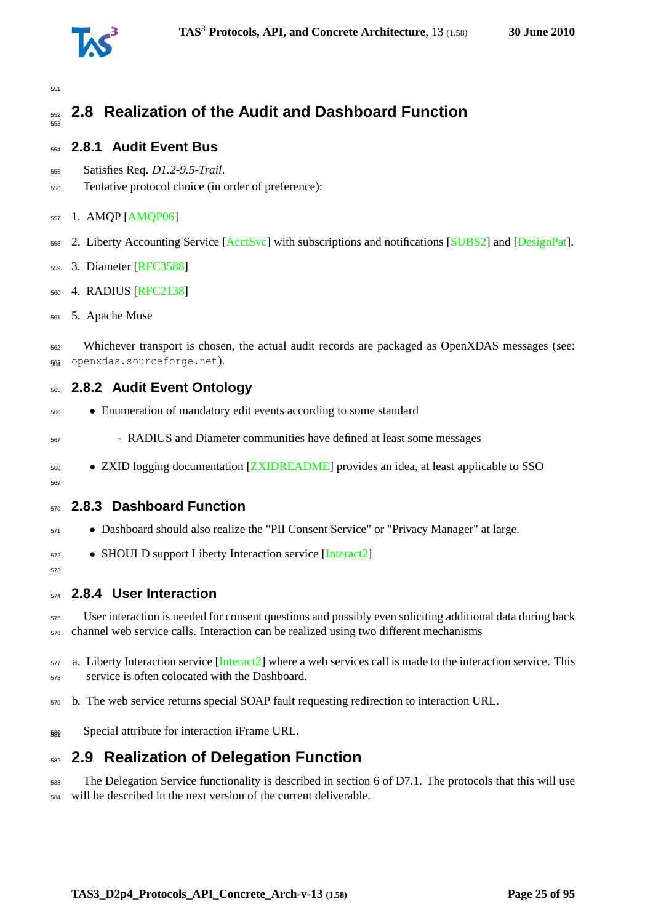

#### <span id="page-24-0"></span> **2.8 Realization of the Audit and Dashboard Function**

### <span id="page-24-1"></span>**2.8.1 Audit Event Bus**

- Satisfies Req. *D1.2-9.5-Trail*.
- Tentative protocol choice (in order of preference):

#### 1. AMQP [\[AMQP06\]](#page-87-3)

2. Liberty Accounting Service [\[AcctSvc\]](#page-87-4) with subscriptions and notifications [\[SUBS2\]](#page-92-11) and [\[DesignPat\]](#page-88-6).

- 3. Diameter [\[RFC3588\]](#page-91-9)
- 4. RADIUS [\[RFC2138\]](#page-91-8)
- 5. Apache Muse

 Whichever transport is chosen, the actual audit records are packaged as OpenXDAS messages (see: openxdas.sourceforge.net). <sup>564</sup>

### <span id="page-24-2"></span>**2.8.2 Audit Event Ontology**

- Enumeration of mandatory edit events according to some standard
- RADIUS and Diameter communities have defined at least some messages
- <sup>568</sup> ZXID logging documentation [\[ZXIDREADME\]](#page-94-10) provides an idea, at least applicable to SSO

#### <span id="page-24-3"></span>

### **2.8.3 Dashboard Function**

- Dashboard should also realize the "PII Consent Service" or "Privacy Manager" at large.
- SHOULD support Liberty Interaction service [\[Interact2\]](#page-89-5)

# <span id="page-24-4"></span>

### **2.8.4 User Interaction**

 User interaction is needed for consent questions and possibly even soliciting additional data during back channel web service calls. Interaction can be realized using two different mechanisms

- 577 a. Liberty Interaction service [\[Interact2\]](#page-89-5) where a web services call is made to the interaction service. This service is often colocated with the Dashboard.
- b. The web service returns special SOAP fault requesting redirection to interaction URL.
- Special attribute for interaction iFrame URL. <sup>581</sup>

# <span id="page-24-5"></span>**2.9 Realization of Delegation Function**

 The Delegation Service functionality is described in section 6 of D7.1. The protocols that this will use will be described in the next version of the current deliverable.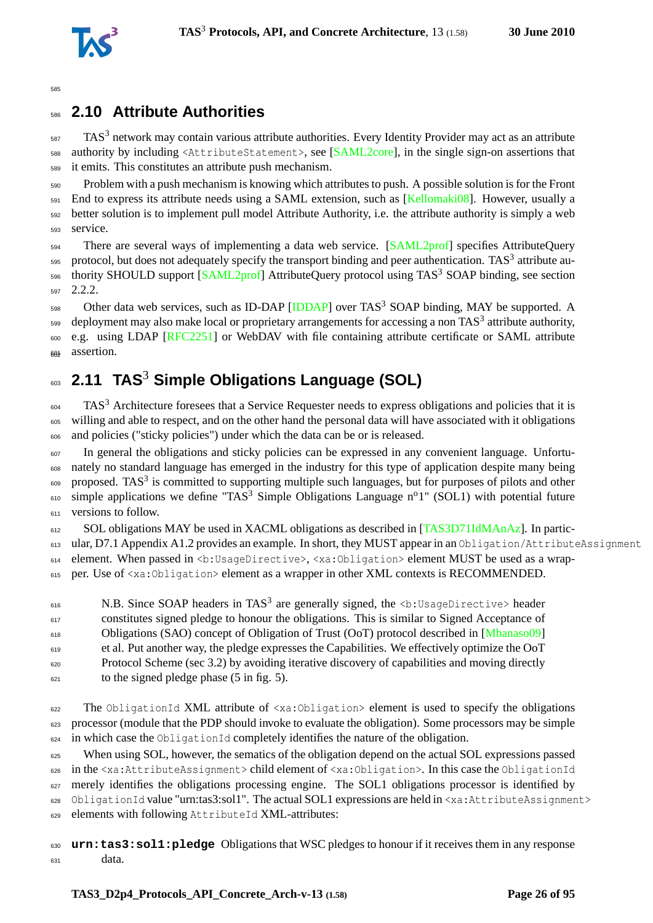

# <span id="page-25-0"></span><sup>586</sup> **2.10 Attribute Authorities**

 $587$  TAS<sup>3</sup> network may contain various attribute authorities. Every Identity Provider may act as an attribute <sup>588</sup> authority by including <AttributeStatement>, see [\[SAML2core\]](#page-91-1), in the single sign-on assertions that <sup>589</sup> it emits. This constitutes an attribute push mechanism.

 Problem with a push mechanism is knowing which attributes to push. A possible solution is for the Front End to express its attribute needs using a SAML extension, such as [\[Kellomaki08\]](#page-89-1). However, usually a better solution is to implement pull model Attribute Authority, i.e. the attribute authority is simply a web <sup>593</sup> service.

<sub>594</sub> There are several ways of implementing a data web service. [\[SAML2prof\]](#page-91-3) specifies AttributeQuery  $595$  protocol, but does not adequately specify the transport binding and peer authentication. TAS<sup>3</sup> attribute au-596 thority SHOULD support [\[SAML2prof\]](#page-91-3) AttributeQuery protocol using TAS<sup>3</sup> SOAP binding, see section <sup>597</sup> [2.2.2.](#page-16-0)

598 Other data web services, such as ID-DAP [\[IDDAP\]](#page-89-4) over TAS<sup>3</sup> SOAP binding, MAY be supported. A  $_{599}$  deployment may also make local or proprietary arrangements for accessing a non TAS<sup>3</sup> attribute authority, e.g. using LDAP [\[RFC2251\]](#page-91-13) or WebDAV with file containing attribute certificate or SAML attribute 603 assertion.

# <span id="page-25-1"></span>**2.11 TAS**<sup>3</sup> <sup>603</sup> **Simple Obligations Language (SOL)**

 $F_{604}$  TAS<sup>3</sup> Architecture foresees that a Service Requester needs to express obligations and policies that it is <sup>605</sup> willing and able to respect, and on the other hand the personal data will have associated with it obligations <sup>606</sup> and policies ("sticky policies") under which the data can be or is released.

<sup>607</sup> In general the obligations and sticky policies can be expressed in any convenient language. Unfortu-<sup>608</sup> nately no standard language has emerged in the industry for this type of application despite many being 609 proposed. TAS<sup>3</sup> is committed to supporting multiple such languages, but for purposes of pilots and other  $\epsilon$ <sup>10</sup> simple applications we define "TAS<sup>3</sup> Simple Obligations Language n<sup>o</sup>1" (SOL1) with potential future  $611$  versions to follow.

612 SOL obligations MAY be used in XACML obligations as described in [\[TAS3D71IdMAnAz\]](#page-93-3). In partic-

613 ular, D7.1 Appendix A1.2 provides an example. In short, they MUST appear in an Obligation/AttributeAssignment

614 element. When passed in <br />b:UsageDirective>, <xa:Obligation> element MUST be used as a wrap-

<sup>615</sup> per. Use of <xa:Obligation> element as a wrapper in other XML contexts is RECOMMENDED.

616 M.B. Since SOAP headers in TAS<sup>3</sup> are generally signed, the <b:UsageDirective> header <sup>617</sup> constitutes signed pledge to honour the obligations. This is similar to Signed Acceptance of <sup>618</sup> Obligations (SAO) concept of Obligation of Trust (OoT) protocol described in [\[Mbanaso09\]](#page-90-4) <sup>619</sup> et al. Put another way, the pledge expresses the Capabilities. We effectively optimize the OoT Protocol Scheme (sec 3.2) by avoiding iterative discovery of capabilities and moving directly  $\epsilon_{621}$  to the signed pledge phase (5 in fig. 5).

<sup>622</sup> The ObligationId XML attribute of <xa:Obligation> element is used to specify the obligations <sup>623</sup> processor (module that the PDP should invoke to evaluate the obligation). Some processors may be simple  $624$  in which case the ObligationId completely identifies the nature of the obligation.

<sup>625</sup> When using SOL, however, the sematics of the obligation depend on the actual SOL expressions passed <sup>626</sup> in the <xa:AttributeAssignment> child element of <xa:Obligation>. In this case the ObligationId 627 merely identifies the obligations processing engine. The SOL1 obligations processor is identified by 628 ObligationId value "urn:tas3:sol1". The actual SOL1 expressions are held in <xa:AttributeAssignment>

<sup>629</sup> elements with following AttributeId XML-attributes:

<sup>630</sup> **urn:tas3:sol1:pledge** Obligations that WSC pledges to honour if it receives them in any response  $\theta$ <sub>631</sub> data.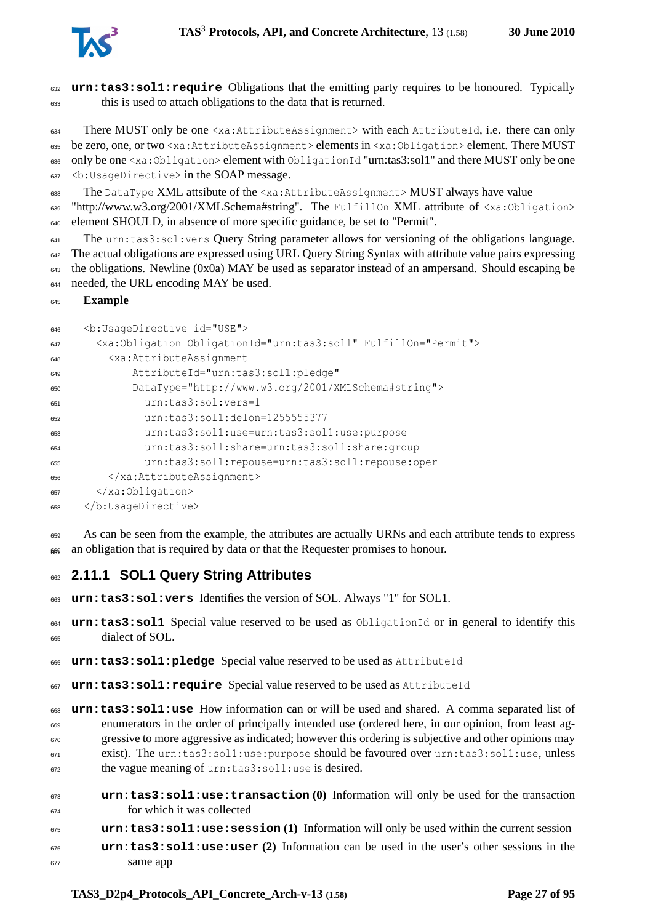

 **urn:tas3:sol1:require** Obligations that the emitting party requires to be honoured. Typically this is used to attach obligations to the data that is returned.

 There MUST only be one <xa:AttributeAssignment> with each AttributeId, i.e. there can only be zero, one, or two <xa:AttributeAssignment> elements in <xa:Obligation> element. There MUST 636 only be one <xa:Obligation> element with ObligationId "urn:tas3:sol1" and there MUST only be one 637 <b: UsageDirective> in the SOAP message.

The DataType XML attsibute of the <xa:AttributeAssignment> MUST always have value

639 "http://www.w3.org/2001/XMLSchema#string". The FulfillOn XML attribute of <xa:Obligation> element SHOULD, in absence of more specific guidance, be set to "Permit".

 The urn: tas3:sol:vers Query String parameter allows for versioning of the obligations language. The actual obligations are expressed using URL Query String Syntax with attribute value pairs expressing the obligations. Newline (0x0a) MAY be used as separator instead of an ampersand. Should escaping be needed, the URL encoding MAY be used.

```
645 Example
```

```
646 <b:UsageDirective id="USE">
647 <xa:Obligation ObligationId="urn:tas3:sol1" FulfillOn="Permit">
648 <xa:AttributeAssignment
649 AttributeId="urn:tas3:sol1:pledge"
650 DataType="http://www.w3.org/2001/XMLSchema#string">
651 urn:tas3:sol:vers=1
652 urn:tas3:sol1:delon=1255555377
653 urn:tas3:sol1:use=urn:tas3:sol1:use:purpose
654 urn:tas3:sol1:share=urn:tas3:sol1:share:group
655 urn:tas3:sol1:repouse=urn:tas3:sol1:repouse:oper
656 </xa:AttributeAssignment>
657 </xa:Obligation>
658 </b:UsageDirective>
```
As can be seen from the example, the attributes are actually URNs and each attribute tends to express an obligation that is required by data or that the Requester promises to honour.

## <span id="page-26-0"></span>**2.11.1 SOL1 Query String Attributes**

```
663 urn:tas3:sol:vers Identifies the version of SOL. Always "1" for SOL1.
```
 **urn:tas3:sol1** Special value reserved to be used as ObligationId or in general to identify this dialect of SOL.

```
666 urn:tas3:sol1:pledge Special value reserved to be used as AttributeId
```
**urn:tas3:sol1:require** Special value reserved to be used as AttributeId

 **urn:tas3:sol1:use** How information can or will be used and shared. A comma separated list of enumerators in the order of principally intended use (ordered here, in our opinion, from least ag-<sup>670</sup> gressive to more aggressive as indicated; however this ordering is subjective and other opinions may exist). The urn:tas3:sol1:use:purpose should be favoured over urn:tas3:sol1:use, unless the vague meaning of urn:tas3:sol1:use is desired.

- **urn:tas3:sol1:use:transaction (0)** Information will only be used for the transaction for which it was collected
- **urn:tas3:sol1:use:session (1)** Information will only be used within the current session
- **urn:tas3:sol1:use:user (2)** Information can be used in the user's other sessions in the same app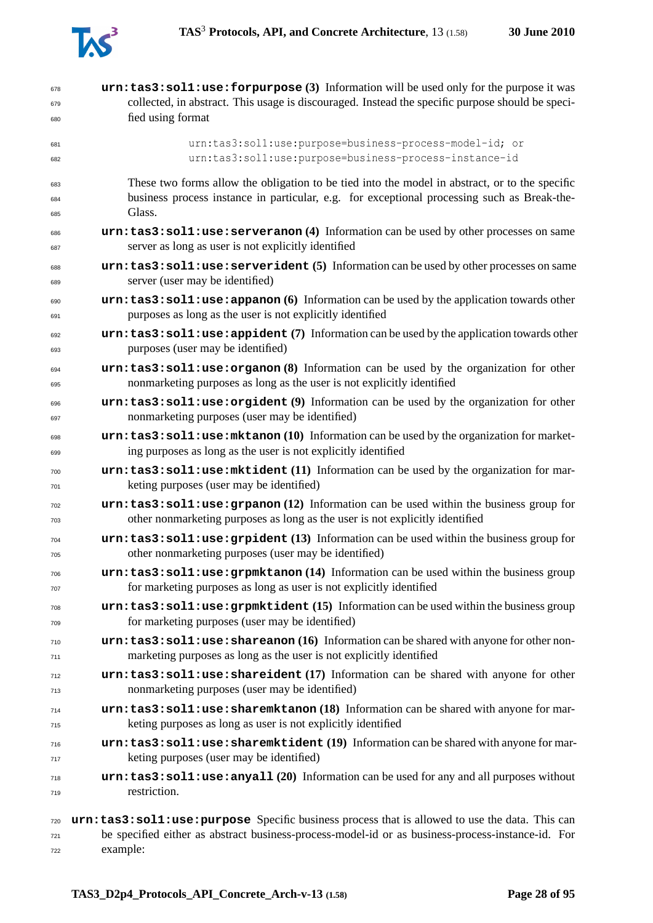

| 678               | urn: tas3: soll: use: forpurpose (3) Information will be used only for the purpose it was                                                                         |
|-------------------|-------------------------------------------------------------------------------------------------------------------------------------------------------------------|
| 679               | collected, in abstract. This usage is discouraged. Instead the specific purpose should be speci-                                                                  |
| 680               | fied using format                                                                                                                                                 |
|                   |                                                                                                                                                                   |
| 681               | urn:tas3:sol1:use:purpose=business-process-model-id; or                                                                                                           |
| 682               | urn:tas3:sol1:use:purpose=business-process-instance-id                                                                                                            |
| 683               | These two forms allow the obligation to be tied into the model in abstract, or to the specific                                                                    |
| 684               | business process instance in particular, e.g. for exceptional processing such as Break-the-                                                                       |
| 685               | Glass.                                                                                                                                                            |
| 686               | urn: tas3: soll: use: serveranon (4) Information can be used by other processes on same                                                                           |
| 687               | server as long as user is not explicitly identified                                                                                                               |
| 688               | urn: tas3: soll: use: serverident (5) Information can be used by other processes on same                                                                          |
| 689               | server (user may be identified)                                                                                                                                   |
| 690               | $urn:$ tas3: sol1: use: appanon (6) Information can be used by the application towards other                                                                      |
| 691               | purposes as long as the user is not explicitly identified                                                                                                         |
| 692               | urn: tas3: soll: use: appident (7) Information can be used by the application towards other<br>purposes (user may be identified)                                  |
| 693<br>694<br>695 | urn: tas3: soll: use: organon (8) Information can be used by the organization for other<br>nonmarketing purposes as long as the user is not explicitly identified |
| 696               | urn: tas3: soll: use: orgident (9) Information can be used by the organization for other                                                                          |
| 697               | nonmarketing purposes (user may be identified)                                                                                                                    |
| 698               | urn:tas3:sol1:use:mktanon (10) Information can be used by the organization for market-                                                                            |
| 699               | ing purposes as long as the user is not explicitly identified                                                                                                     |
| 700               | urn: tas3: soll: use: mktident (11) Information can be used by the organization for mar-                                                                          |
| 701               | keting purposes (user may be identified)                                                                                                                          |
| 702               | $urn:$ tas3: sol1: use: $graph(12)$ Information can be used within the business group for                                                                         |
| 703               | other nonmarketing purposes as long as the user is not explicitly identified                                                                                      |
| 704               | urn: tas3: soll: use: grpident (13) Information can be used within the business group for                                                                         |
| 705               | other nonmarketing purposes (user may be identified)                                                                                                              |
| 706               | urn: tas3: soll: use: grpmktanon (14) Information can be used within the business group                                                                           |
| 707               | for marketing purposes as long as user is not explicitly identified                                                                                               |
| 708               | urn: tas3: soll: use: grpmktident (15) Information can be used within the business group                                                                          |
| 709               | for marketing purposes (user may be identified)                                                                                                                   |
| 710               | $urn:$ tas3: soll: use: shareanon (16) Information can be shared with anyone for other non-                                                                       |
| 711               | marketing purposes as long as the user is not explicitly identified                                                                                               |
| 712               | urn: tas3: soll: use: shareident (17) Information can be shared with anyone for other                                                                             |
| 713               | nonmarketing purposes (user may be identified)                                                                                                                    |
| 714               | urn: tas3: soll: use: sharemktanon (18) Information can be shared with anyone for mar-                                                                            |
| 715               | keting purposes as long as user is not explicitly identified                                                                                                      |
| 716               | urn:tas3:sol1:use:sharemktident (19) Information can be shared with anyone for mar-                                                                               |
| 717               | keting purposes (user may be identified)                                                                                                                          |
| 718               | $urn:$ tas3: sol1: use: any all $(20)$ Information can be used for any and all purposes without                                                                   |
| 719               | restriction.                                                                                                                                                      |
| 720               | urn: tas3: sol1: use: purpose Specific business process that is allowed to use the data. This can                                                                 |
| 721               | be specified either as abstract business-process-model-id or as business-process-instance-id. For                                                                 |

example: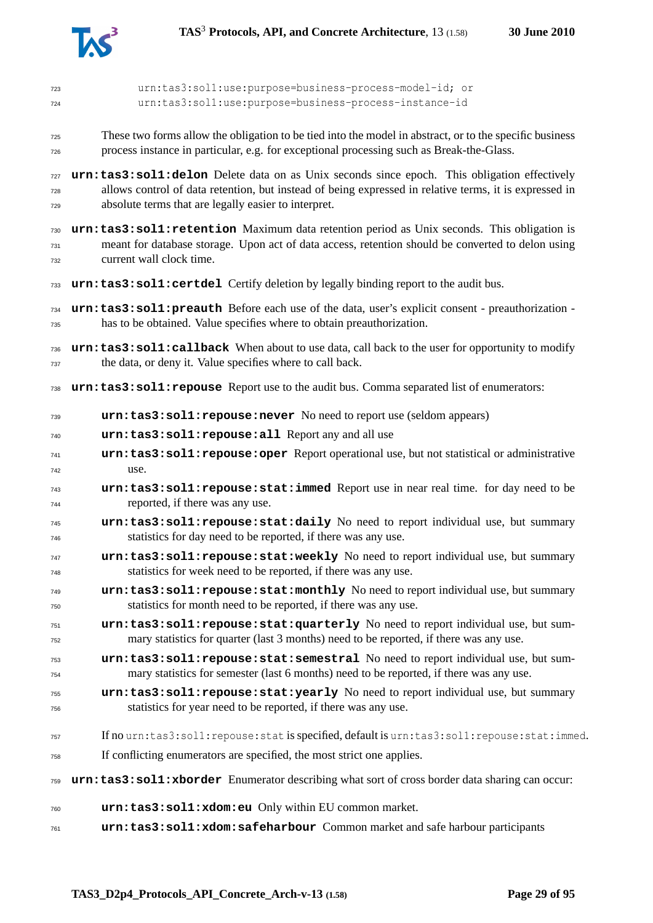

| 723<br>724 | urn:tas3:sol1:use:purpose=business-process-model-id; or<br>urn:tas3:sol1:use:purpose=business-process-instance-id                                                              |
|------------|--------------------------------------------------------------------------------------------------------------------------------------------------------------------------------|
|            | These two forms allow the obligation to be tied into the model in abstract, or to the specific business                                                                        |
| 725<br>726 | process instance in particular, e.g. for exceptional processing such as Break-the-Glass.                                                                                       |
| 727        | urn: tas3: sol1: delon Delete data on as Unix seconds since epoch. This obligation effectively                                                                                 |
| 728        | allows control of data retention, but instead of being expressed in relative terms, it is expressed in                                                                         |
| 729        | absolute terms that are legally easier to interpret.                                                                                                                           |
| 730        | urn: tas3: sol1: retention Maximum data retention period as Unix seconds. This obligation is                                                                                   |
| 731<br>732 | meant for database storage. Upon act of data access, retention should be converted to delon using<br>current wall clock time.                                                  |
| 733        | urn: tas3: sol1: certdel Certify deletion by legally binding report to the audit bus.                                                                                          |
| 734<br>735 | urn: tas3: sol1: preauth Before each use of the data, user's explicit consent - preauthorization -<br>has to be obtained. Value specifies where to obtain preauthorization.    |
| 736        | urn: tas3: sol1: callback When about to use data, call back to the user for opportunity to modify                                                                              |
| 737        | the data, or deny it. Value specifies where to call back.                                                                                                                      |
| 738        | urn: tas3: sol1: repouse Report use to the audit bus. Comma separated list of enumerators:                                                                                     |
| 739        | urn: tas3: sol1: repouse: never No need to report use (seldom appears)                                                                                                         |
| 740        | urn:tas3:sol1:repouse:all Report any and all use                                                                                                                               |
| 741<br>742 | urn: tas3: soll: repouse: oper Report operational use, but not statistical or administrative<br>use.                                                                           |
| 743        | urn: tas3: soll: repouse: stat: immed Report use in near real time. for day need to be                                                                                         |
| 744        | reported, if there was any use.                                                                                                                                                |
| 745<br>746 | urn:tas3:sol1:repouse:stat:daily No need to report individual use, but summary<br>statistics for day need to be reported, if there was any use.                                |
| 747<br>748 | urn:tas3:sol1:repouse:stat:weekly No need to report individual use, but summary<br>statistics for week need to be reported, if there was any use.                              |
| 749<br>750 | urn: tas3: soll: repouse: stat: monthly No need to report individual use, but summary<br>statistics for month need to be reported, if there was any use.                       |
| 751<br>752 | urn: tas3: soll: repouse: stat: quarterly No need to report individual use, but sum-<br>mary statistics for quarter (last 3 months) need to be reported, if there was any use. |
| 753        | urn:tas3:sol1:repouse:stat:semestral No need to report individual use, but sum-                                                                                                |
| 754        | mary statistics for semester (last 6 months) need to be reported, if there was any use.                                                                                        |
| 755        | urn: tas3: soll: repouse: stat: yearly No need to report individual use, but summary                                                                                           |
| 756        | statistics for year need to be reported, if there was any use.                                                                                                                 |
| 757        | If no urn:tas3:soll:repouse:statis specified, default is urn:tas3:soll:repouse:stat:immed.                                                                                     |
| 758        | If conflicting enumerators are specified, the most strict one applies.                                                                                                         |
| 759        | urn: tas3: sol1: xborder Enumerator describing what sort of cross border data sharing can occur:                                                                               |
| 760        | urn: tas3: sol1: xdom: eu Only within EU common market.                                                                                                                        |
| 761        | urn:tas3:sol1:xdom:safeharbour Common market and safe harbour participants                                                                                                     |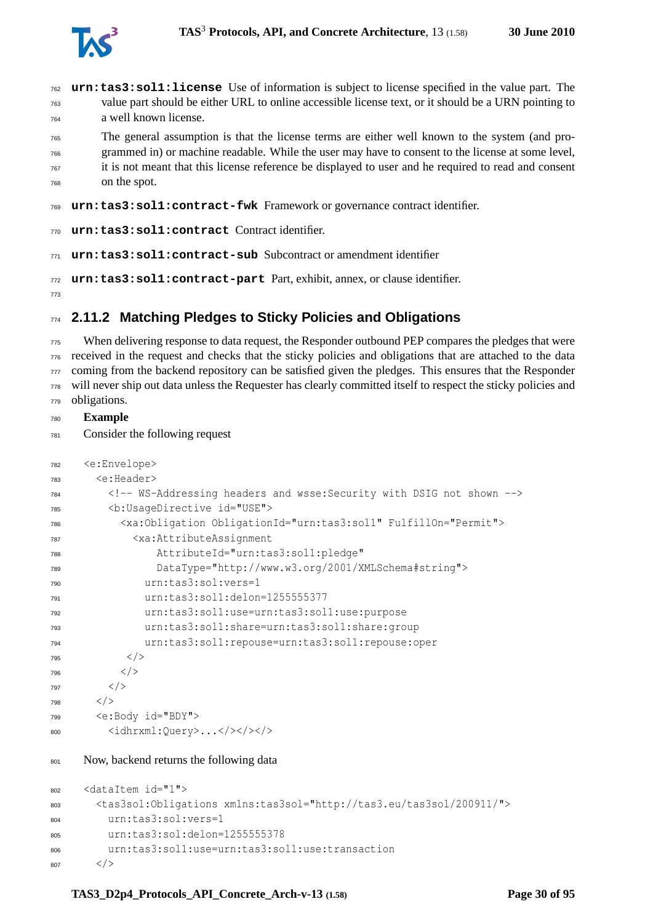

- **urn:tas3:sol1:license** Use of information is subject to license specified in the value part. The value part should be either URL to online accessible license text, or it should be a URN pointing to a well known license.
- The general assumption is that the license terms are either well known to the system (and pro- grammed in) or machine readable. While the user may have to consent to the license at some level, it is not meant that this license reference be displayed to user and he required to read and consent on the spot.

```
769 urn:tas3:sol1:contract-fwk Framework or governance contract identifier.
```

```
770 urn:tas3:sol1:contract Contract identifier.
```

```
771 urn:tas3:sol1:contract-sub Subcontract or amendment identifier
```

```
772 urn:tas3:sol1:contract-part Part, exhibit, annex, or clause identifier.
```

```
773
```
# **2.11.2 Matching Pledges to Sticky Policies and Obligations**

 When delivering response to data request, the Responder outbound PEP compares the pledges that were received in the request and checks that the sticky policies and obligations that are attached to the data coming from the backend repository can be satisfied given the pledges. This ensures that the Responder will never ship out data unless the Requester has clearly committed itself to respect the sticky policies and obligations.

- **Example**
- Consider the following request

```
782 <e:Envelope>
783 <e:Header>
784 <!-- WS-Addressing headers and wsse:Security with DSIG not shown -->
785 <b:UsageDirective id="USE">
786 <xa:Obligation ObligationId="urn:tas3:sol1" FulfillOn="Permit">
787 <xa:AttributeAssignment
788 AttributeId="urn:tas3:sol1:pledge"
789 DataType="http://www.w3.org/2001/XMLSchema#string">
790 urn:tas3:sol:vers=1
791 urn:tas3:sol1:delon=1255555377
792 urn:tas3:sol1:use=urn:tas3:sol1:use:purpose
793 urn:tas3:sol1:share=urn:tas3:sol1:share:group
794 urn:tas3:sol1:repouse=urn:tas3:sol1:repouse:oper
795 \langle / >796 < / >797 < /798 < />
799 <e:Body id="BDY">
800 <idhrxml:Query>...</>></>
801 Now, backend returns the following data
802 <dataItem id="1">
      803 <tas3sol:Obligations xmlns:tas3sol="http://tas3.eu/tas3sol/200911/">
804 urn:tas3:sol:vers=1
805 urn:tas3:sol:delon=1255555378
806 urn:tas3:sol1:use=urn:tas3:sol1:use:transaction
807 \langle
```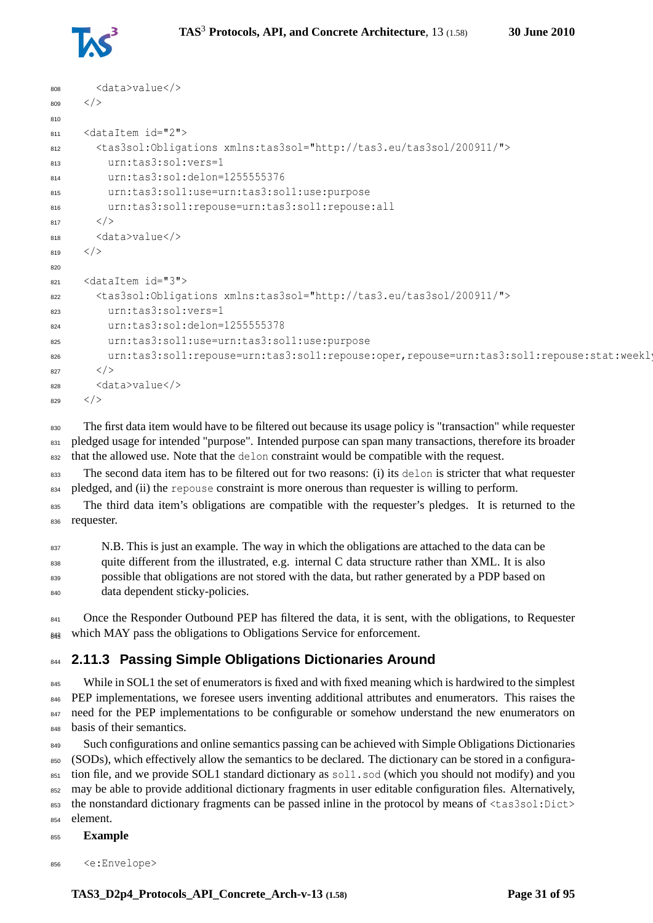

```
808 <data>value</>
809 \leq810
811 <dataItem id="2">
812 <tas3sol:Obligations xmlns:tas3sol="http://tas3.eu/tas3sol/200911/">
813 urn:tas3:sol:vers=1
814 urn:tas3:sol:delon=1255555376
815 urn:tas3:sol1:use=urn:tas3:sol1:use:purpose
816 urn:tas3:sol1:repouse=urn:tas3:sol1:repouse:all
817 < />
818 <data>value</>
819 </>
820
821 <dataItem id="3">
822 <tas3sol:Obligations xmlns:tas3sol="http://tas3.eu/tas3sol/200911/">
823 urn:tas3:sol:vers=1
824 urn:tas3:sol:delon=1255555378
825 urn:tas3:sol1:use=urn:tas3:sol1:use:purpose
826 urn:tas3:sol1:repouse=urn:tas3:sol1:repouse:oper,repouse=urn:tas3:sol1:repouse:stat:weekl
827 </>
\langle828 <data>value</>
829 < />
```
830 The first data item would have to be filtered out because its usage policy is "transaction" while requester 831 pledged usage for intended "purpose". Intended purpose can span many transactions, therefore its broader 832 that the allowed use. Note that the delon constraint would be compatible with the request.

833 The second data item has to be filtered out for two reasons: (i) its delon is stricter that what requester 834 pledged, and (ii) the repouse constraint is more onerous than requester is willing to perform.

835 The third data item's obligations are compatible with the requester's pledges. It is returned to the <sup>836</sup> requester.

837 N.B. This is just an example. The way in which the obligations are attached to the data can be <sup>838</sup> quite different from the illustrated, e.g. internal C data structure rather than XML. It is also possible that obligations are not stored with the data, but rather generated by a PDP based on 840 data dependent sticky-policies.

841 Once the Responder Outbound PEP has filtered the data, it is sent, with the obligations, to Requester  $_{843}$  which MAY pass the obligations to Obligations Service for enforcement.

# <span id="page-30-0"></span>**844 2.11.3 Passing Simple Obligations Dictionaries Around**

<sup>845</sup> While in SOL1 the set of enumerators is fixed and with fixed meaning which is hardwired to the simplest 846 PEP implementations, we foresee users inventing additional attributes and enumerators. This raises the <sup>847</sup> need for the PEP implementations to be configurable or somehow understand the new enumerators on <sup>848</sup> basis of their semantics.

849 Such configurations and online semantics passing can be achieved with Simple Obligations Dictionaries 850 (SODs), which effectively allow the semantics to be declared. The dictionary can be stored in a configura- $851$  tion file, and we provide SOL1 standard dictionary as  $\frac{1.50d}{1.50d}$  (which you should not modify) and you <sup>852</sup> may be able to provide additional dictionary fragments in user editable configuration files. Alternatively, <sup>853</sup> the nonstandard dictionary fragments can be passed inline in the protocol by means of <tas3sol:Dict> <sup>854</sup> element.

<sup>855</sup> **Example**

<sup>856</sup> <e:Envelope>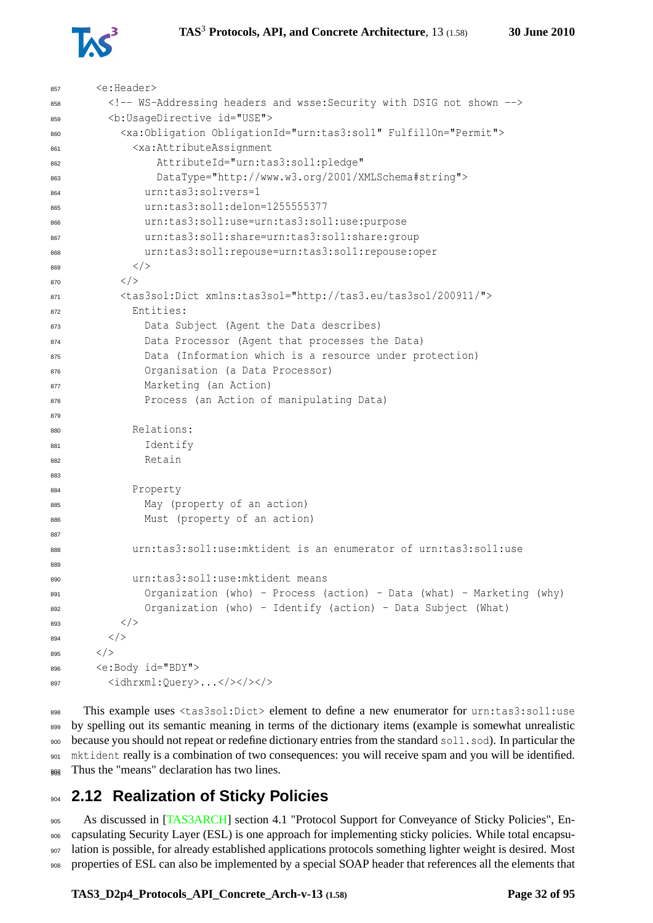

<e:Header>

```
858 <!-- WS-Addressing headers and wsse:Security with DSIG not shown -->
859 <b:UsageDirective id="USE">
860 <xa:Obligation ObligationId="urn:tas3:sol1" FulfillOn="Permit">
861 <xa:AttributeAssignment
862 AttributeId="urn:tas3:sol1:pledge"
              863 DataType="http://www.w3.org/2001/XMLSchema#string">
864 urn:tas3:sol:vers=1
865 urn:tas3:sol1:delon=1255555377
866 urn:tas3:sol1:use=urn:tas3:sol1:use:purpose
867 urn:tas3:sol1:share=urn:tas3:sol1:share:group
868 urn:tas3:sol1:repouse=urn:tas3:sol1:repouse:oper
869 < /870 < /871 <tas3sol:Dict xmlns:tas3sol="http://tas3.eu/tas3sol/200911/">
872 Entities:
873 Data Subject (Agent the Data describes)
874 Data Processor (Agent that processes the Data)
875 Data (Information which is a resource under protection)
876 Organisation (a Data Processor)
877 Marketing (an Action)
878 Process (an Action of manipulating Data)
879
880 Relations:
881 Identify
882 Retain
883
884 Property
885 May (property of an action)
886 Must (property of an action)
887
888 urn:tas3:sol1:use:mktident is an enumerator of urn:tas3:sol1:use
889
890 urn:tas3:sol1:use:mktident means
891 Organization (who) - Process (action) - Data (what) - Marketing (why)
            Organization (who) - Identify (action) - Data Subject (What)
893 < />
894 < />
895 \langle/>
896 <e:Body id="BDY">
897 <idhrxml:Query>...</></>></>></>
```
898 This example uses <tas3sol:Dict> element to define a new enumerator for urn:tas3:sol1:use by spelling out its semantic meaning in terms of the dictionary items (example is somewhat unrealistic because you should not repeat or redefine dictionary entries from the standard sol1.sod). In particular the mktident really is a combination of two consequences: you will receive spam and you will be identified.  $_{903}$  Thus the "means" declaration has two lines.

# <span id="page-31-0"></span>**2.12 Realization of Sticky Policies**

 As discussed in [\[TAS3ARCH\]](#page-92-0) section 4.1 "Protocol Support for Conveyance of Sticky Policies", En- capsulating Security Layer (ESL) is one approach for implementing sticky policies. While total encapsu- lation is possible, for already established applications protocols something lighter weight is desired. Most properties of ESL can also be implemented by a special SOAP header that references all the elements that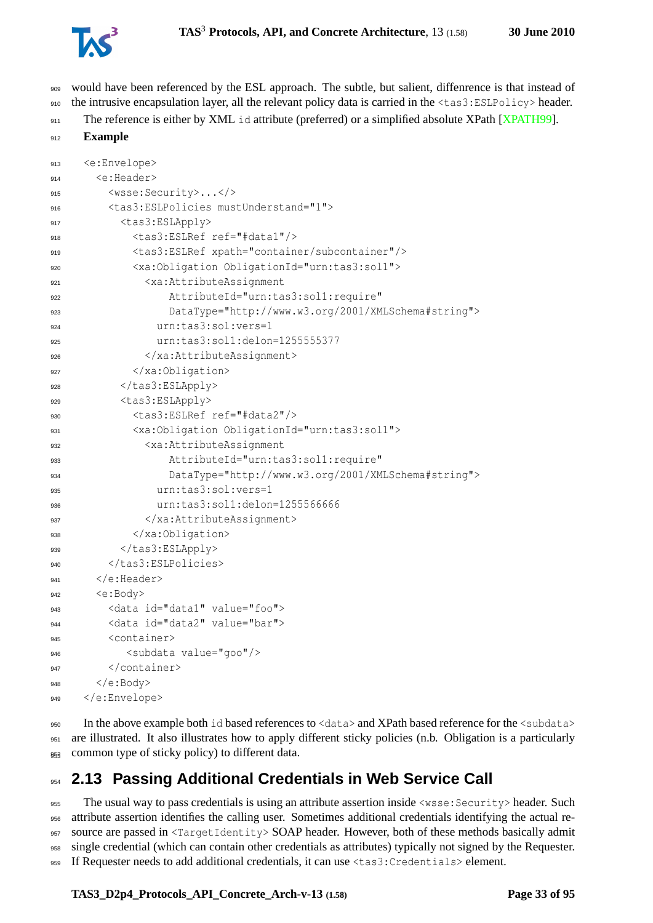

- would have been referenced by the ESL approach. The subtle, but salient, diffenrence is that instead of the intrusive encapsulation layer, all the relevant policy data is carried in the <tas3:ESLPolicy> header.
- 911 The reference is either by XML id attribute (preferred) or a simplified absolute XPath [\[XPATH99\]](#page-94-11).

```
912 Example
```

```
913 <e:Envelope>
914 <e:Header>
915 <wsse:Security>...</>
916 <tas3:ESLPolicies mustUnderstand="1">
917 <tas3:ESLApply>
918 <tas3:ESLRef ref="#data1"/>
919 <tas3:ESLRef xpath="container/subcontainer"/>
920 <xa:Obligation ObligationId="urn:tas3:sol1">
             921 <xa:AttributeAssignment
922 AttributeId="urn:tas3:sol1:require"
923 DataType="http://www.w3.org/2001/XMLSchema#string">
924 urn:tas3:sol:vers=1
925 urn:tas3:sol1:delon=1255555377
926 </xa:AttributeAssignment>
927 </xa:Obligation>
928 </tas3:ESLApply>
929 <tas3:ESLApply>
930 <tas3:ESLRef ref="#data2"/>
931 <xa:Obligation ObligationId="urn:tas3:sol1">
932 <xa:AttributeAssignment
                933 AttributeId="urn:tas3:sol1:require"
934 DataType="http://www.w3.org/2001/XMLSchema#string">
935 urn:tas3:sol:vers=1
936 urn:tas3:sol1:delon=1255566666
937 </xa:AttributeAssignment>
           938 </xa:Obligation>
939 </tas3:ESLApply>
940 </tas3:ESLPolicies>
\left\langle \epsilon \right\rangle </e:Header>
942 <e:Body>
        943 <data id="data1" value="foo">
944 <data id="data2" value="bar">
        <container>
946 <subdata value="goo"/>
947 </container>
\langle e:\text{Body}\rangle949 </e:Envelope>
```
 In the above example both id based references to <data> and XPath based reference for the <subdata> are illustrated. It also illustrates how to apply different sticky policies (n.b. Obligation is a particularly 953 common type of sticky policy) to different data.

# <span id="page-32-0"></span>**2.13 Passing Additional Credentials in Web Service Call**

 The usual way to pass credentials is using an attribute assertion inside <wsse:Security> header. Such attribute assertion identifies the calling user. Sometimes additional credentials identifying the actual re- source are passed in <TargetIdentity> SOAP header. However, both of these methods basically admit single credential (which can contain other credentials as attributes) typically not signed by the Requester. If Requester needs to add additional credentials, it can use <tas3:Credentials> element.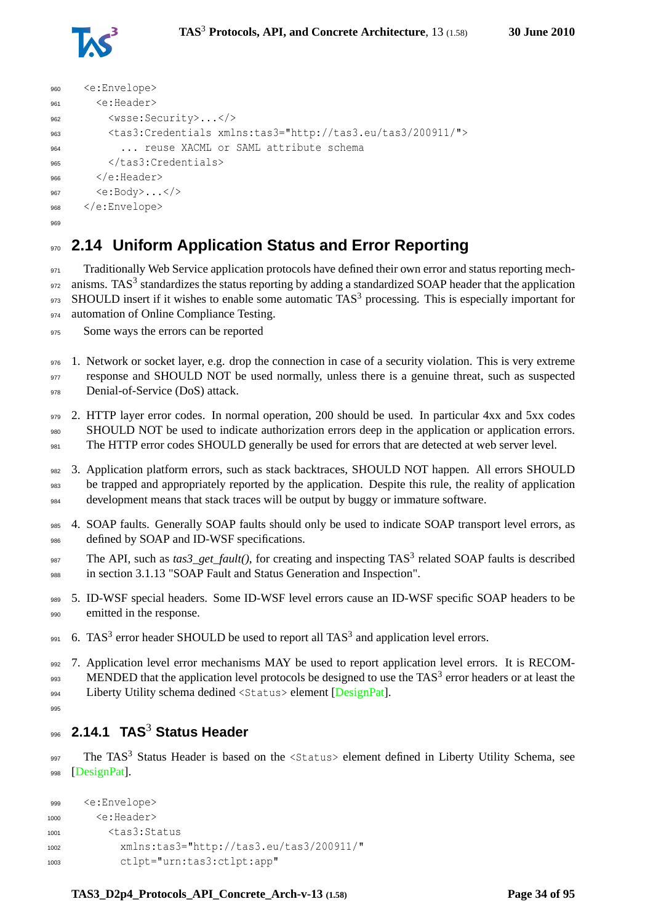

```
960 <e:Envelope>
961 <e:Header>
962 <wsse:Security>...</>
963 <tas3:Credentials xmlns:tas3="http://tas3.eu/tas3/200911/">
964 ... reuse XACML or SAML attribute schema
965 </tas3:Credentials>
      </e:Header>
967 <e:Body>...</>
968 </e:Envelope>
969
```
# <span id="page-33-0"></span><sup>970</sup> **2.14 Uniform Application Status and Error Reporting**

971 Traditionally Web Service application protocols have defined their own error and status reporting mech-972 anisms. TAS<sup>3</sup> standardizes the status reporting by adding a standardized SOAP header that the application 973 SHOULD insert if it wishes to enable some automatic TAS<sup>3</sup> processing. This is especially important for 974 automation of Online Compliance Testing.

<sup>975</sup> Some ways the errors can be reported

<sup>976</sup> 1. Network or socket layer, e.g. drop the connection in case of a security violation. This is very extreme 977 response and SHOULD NOT be used normally, unless there is a genuine threat, such as suspected 978 Denial-of-Service (DoS) attack.

979 2. HTTP layer error codes. In normal operation, 200 should be used. In particular 4xx and 5xx codes <sup>980</sup> SHOULD NOT be used to indicate authorization errors deep in the application or application errors. <sup>981</sup> The HTTP error codes SHOULD generally be used for errors that are detected at web server level.

982 3. Application platform errors, such as stack backtraces, SHOULD NOT happen. All errors SHOULD be trapped and appropriately reported by the application. Despite this rule, the reality of application <sup>984</sup> development means that stack traces will be output by buggy or immature software.

- 985 4. SOAP faults. Generally SOAP faults should only be used to indicate SOAP transport level errors, as defined by SOAP and ID-WSF specifications.
- 987 The API, such as  $\text{tas3\_get\_fault}$ ), for creating and inspecting TAS<sup>3</sup> related SOAP faults is described <sup>988</sup> in section 3.1.13 "SOAP Fault and Status Generation and Inspection".
- 989 5. ID-WSF special headers. Some ID-WSF level errors cause an ID-WSF specific SOAP headers to be emitted in the response.
- 991 6. TAS<sup>3</sup> error header SHOULD be used to report all TAS<sup>3</sup> and application level errors.

992 7. Application level error mechanisms MAY be used to report application level errors. It is RECOM-993 MENDED that the application level protocols be designed to use the TAS<sup>3</sup> error headers or at least the <sup>994</sup> Liberty Utility schema dedined <Status> element [\[DesignPat\]](#page-88-6).

<span id="page-33-1"></span>005

# **2.14.1 TAS**<sup>3</sup> <sup>996</sup> **Status Header**

997 The TAS<sup>3</sup> Status Header is based on the <Status> element defined in Liberty Utility Schema, see 998 [\[DesignPat\]](#page-88-6).

```
999 <e:Envelope>
1000 <e:Header>
1001 \left\langle \text{task} \right\rangle1002 xmlns:tas3="http://tas3.eu/tas3/200911/"
1003 ctlpt="urn:tas3:ctlpt:app"
```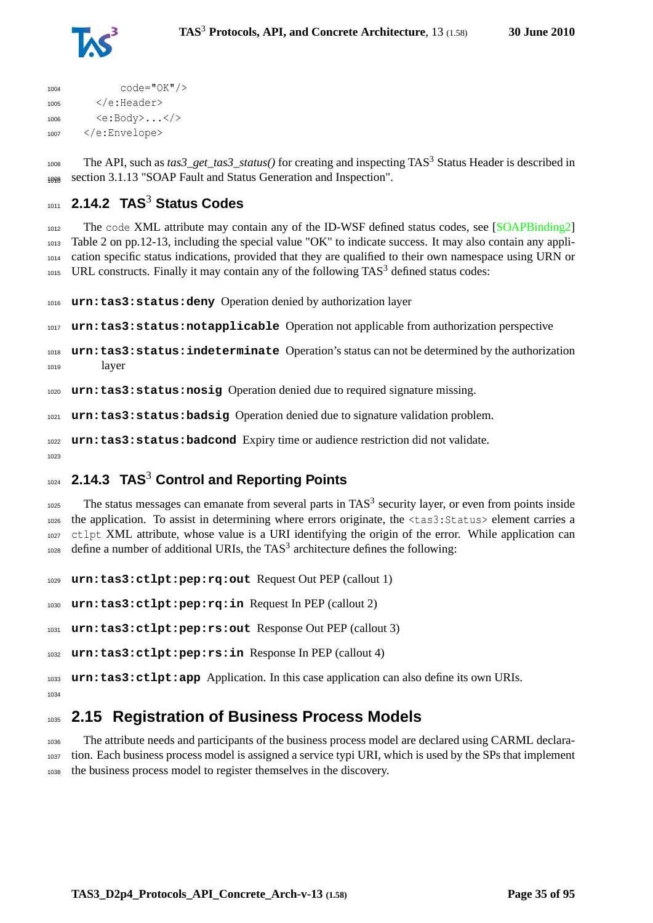

```
1004 code="OK"/>
1005 \langle/e·Header>
1006 <e:Body>...</>
1007 </e:Envelope>
```
1008 The API, such as  $\text{tas3\_get\_tas3\_status}$  () for creating and inspecting TAS<sup>3</sup> Status Header is described in 1009 section 3.1.13 "SOAP Fault and Status Generation and Inspection".

# <span id="page-34-0"></span>**2.14.2 TAS**<sup>3</sup> **Status Codes**

1012 The code XML attribute may contain any of the ID-WSF defined status codes, see [\[SOAPBinding2\]](#page-92-8) Table 2 on pp.12-13, including the special value "OK" to indicate success. It may also contain any appli- cation specific status indications, provided that they are qualified to their own namespace using URN or URL constructs. Finally it may contain any of the following TAS<sup>3</sup> defined status codes:

**urn:tas3:status:deny** Operation denied by authorization layer

**urn:tas3:status:notapplicable** Operation not applicable from authorization perspective

 **urn:tas3:status:indeterminate** Operation's status can not be determined by the authorization layer

**urn:tas3:status:nosig** Operation denied due to required signature missing.

**urn:tas3:status:badsig** Operation denied due to signature validation problem.

 **urn:tas3:status:badcond** Expiry time or audience restriction did not validate. 

# <span id="page-34-1"></span>**2.14.3 TAS**<sup>3</sup> **Control and Reporting Points**

 The status messages can emanate from several parts in TAS<sup>3</sup> security layer, or even from points inside the application. To assist in determining where errors originate, the <tas3:Status> element carries a ctlpt XML attribute, whose value is a URI identifying the origin of the error. While application can define a number of additional URIs, the TAS<sup>3</sup> architecture defines the following:

**urn:tas3:ctlpt:pep:rq:out** Request Out PEP (callout 1)

**urn:tas3:ctlpt:pep:rq:in** Request In PEP (callout 2)

**urn:tas3:ctlpt:pep:rs:out** Response Out PEP (callout 3)

**urn:tas3:ctlpt:pep:rs:in** Response In PEP (callout 4)

**urn:tas3:ctlpt:app** Application. In this case application can also define its own URIs.

# <span id="page-34-2"></span>**2.15 Registration of Business Process Models**

 The attribute needs and participants of the business process model are declared using CARML declara- tion. Each business process model is assigned a service typi URI, which is used by the SPs that implement the business process model to register themselves in the discovery.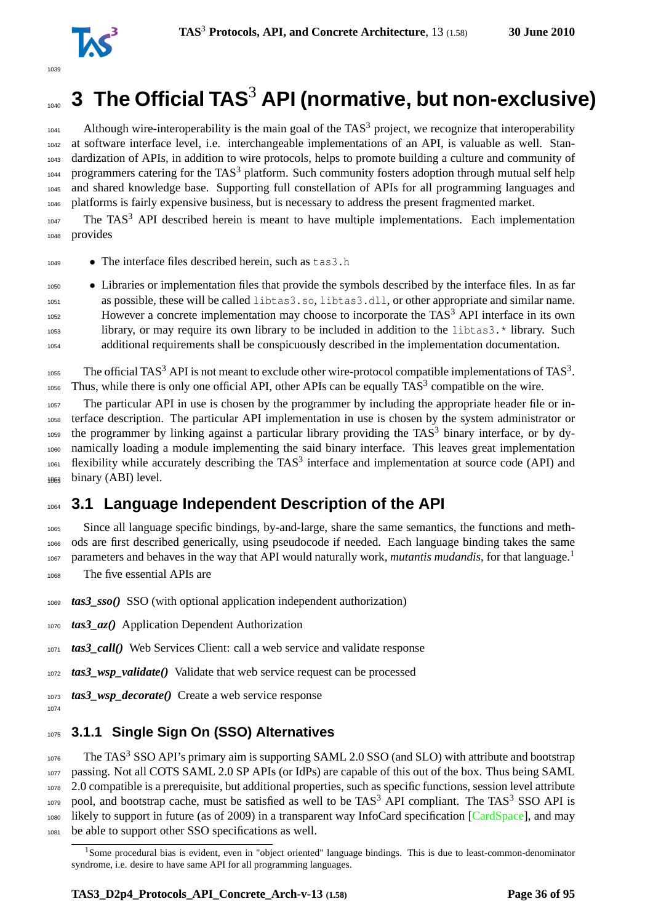

# <span id="page-35-0"></span>**3 The Official TAS<sup>3</sup> API (normative, but non-exclusive)**

 Although wire-interoperability is the main goal of the TAS<sup>3</sup> project, we recognize that interoperability at software interface level, i.e. interchangeable implementations of an API, is valuable as well. Stan- dardization of APIs, in addition to wire protocols, helps to promote building a culture and community of 1044 programmers catering for the TAS<sup>3</sup> platform. Such community fosters adoption through mutual self help and shared knowledge base. Supporting full constellation of APIs for all programming languages and platforms is fairly expensive business, but is necessary to address the present fragmented market.

 The TAS<sup>3</sup> API described herein is meant to have multiple implementations. Each implementation provides

• The interface files described herein, such as tas3.h

 • Libraries or implementation files that provide the symbols described by the interface files. In as far as possible, these will be called libtas3.so, libtas3.dll, or other appropriate and similar name.  $_{1052}$  However a concrete implementation may choose to incorporate the TAS<sup>3</sup> API interface in its own library, or may require its own library to be included in addition to the libtas3.\* library. Such additional requirements shall be conspicuously described in the implementation documentation.

1055 The official TAS<sup>3</sup> API is not meant to exclude other wire-protocol compatible implementations of TAS<sup>3</sup>. 1056 Thus, while there is only one official API, other APIs can be equally  $TAS<sup>3</sup>$  compatible on the wire.

 The particular API in use is chosen by the programmer by including the appropriate header file or in- terface description. The particular API implementation in use is chosen by the system administrator or 1059 the programmer by linking against a particular library providing the TAS<sup>3</sup> binary interface, or by dy- namically loading a module implementing the said binary interface. This leaves great implementation flexibility while accurately describing the TAS<sup>3</sup> interface and implementation at source code (API) and  $_{1063}$  binary (ABI) level.

# <span id="page-35-1"></span>**3.1 Language Independent Description of the API**

 Since all language specific bindings, by-and-large, share the same semantics, the functions and meth- ods are first described generically, using pseudocode if needed. Each language binding takes the same parameters and behaves in the way that API would naturally work, *mutantis mudandis*, for that language.[1](#page-35-3) The five essential APIs are

*tas3\_sso()* SSO (with optional application independent authorization)

*tas3\_az()* Application Dependent Authorization

*tas3\_call()* Web Services Client: call a web service and validate response

*tas3\_wsp\_validate()* Validate that web service request can be processed

*tas3\_wsp\_decorate()* Create a web service response

<span id="page-35-2"></span>

## **3.1.1 Single Sign On (SSO) Alternatives**

 The TAS<sup>3</sup> SSO API's primary aim is supporting SAML 2.0 SSO (and SLO) with attribute and bootstrap passing. Not all COTS SAML 2.0 SP APIs (or IdPs) are capable of this out of the box. Thus being SAML 2.0 compatible is a prerequisite, but additional properties, such as specific functions, session level attribute 1079 pool, and bootstrap cache, must be satisfied as well to be  $TAS<sup>3</sup>$  API compliant. The TAS<sup>3</sup> SSO API is likely to support in future (as of 2009) in a transparent way InfoCard specification [\[CardSpace\]](#page-87-5), and may be able to support other SSO specifications as well.

<span id="page-35-3"></span><sup>&</sup>lt;sup>1</sup>Some procedural bias is evident, even in "object oriented" language bindings. This is due to least-common-denominator syndrome, i.e. desire to have same API for all programming languages.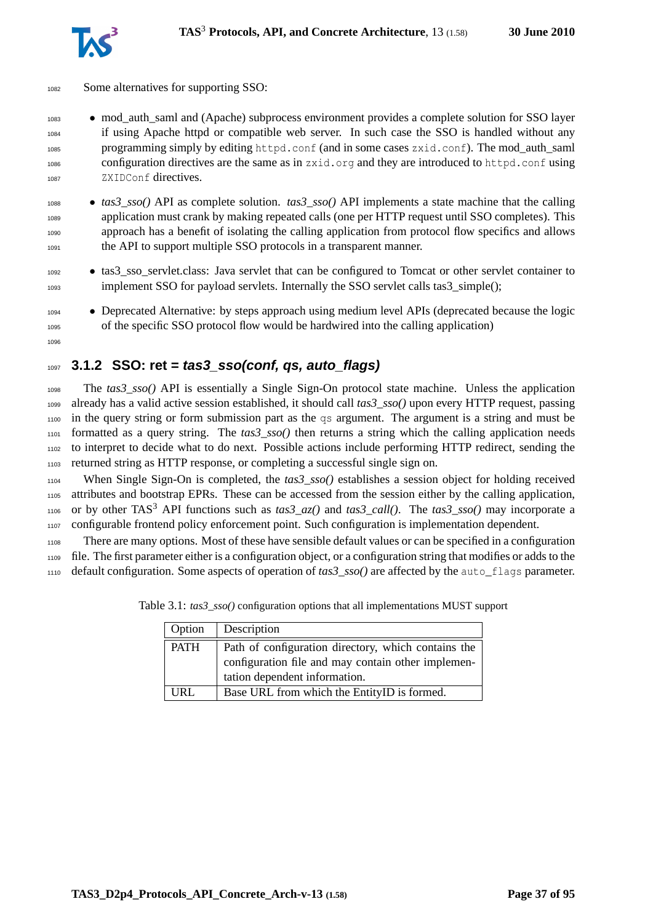

- Some alternatives for supporting SSO:
- mod\_auth\_saml and (Apache) subprocess environment provides a complete solution for SSO layer if using Apache httpd or compatible web server. In such case the SSO is handled without any programming simply by editing httpd.conf (and in some cases zxid.conf). The mod\_auth\_saml configuration directives are the same as in zxid.org and they are introduced to httpd.conf using ZXIDConf directives.
- *tas3\_sso()* API as complete solution. *tas3\_sso()* API implements a state machine that the calling application must crank by making repeated calls (one per HTTP request until SSO completes). This approach has a benefit of isolating the calling application from protocol flow specifics and allows the API to support multiple SSO protocols in a transparent manner.
- tas3\_sso\_servlet.class: Java servlet that can be configured to Tomcat or other servlet container to 1093 implement SSO for payload servlets. Internally the SSO servlet calls tas3\_simple();
- **Deprecated Alternative: by steps approach using medium level APIs (deprecated because the logic** of the specific SSO protocol flow would be hardwired into the calling application)

## **3.1.2 SSO: ret = tas3\_sso(conf, qs, auto\_flags)**

 The *tas3\_sso()* API is essentially a Single Sign-On protocol state machine. Unless the application already has a valid active session established, it should call *tas3\_sso()* upon every HTTP request, passing in the query string or form submission part as the qs argument. The argument is a string and must be formatted as a query string. The *tas3\_sso()* then returns a string which the calling application needs to interpret to decide what to do next. Possible actions include performing HTTP redirect, sending the returned string as HTTP response, or completing a successful single sign on.

 When Single Sign-On is completed, the *tas3\_sso()* establishes a session object for holding received attributes and bootstrap EPRs. These can be accessed from the session either by the calling application, <sup>1106</sup> or by other TAS<sup>3</sup> API functions such as  $\text{tas3\_az}()$  and  $\text{ tas3\_call}()$ . The  $\text{tas3\_ss}o()$  may incorporate a configurable frontend policy enforcement point. Such configuration is implementation dependent.

 There are many options. Most of these have sensible default values or can be specified in a configuration file. The first parameter either is a configuration object, or a configuration string that modifies or adds to the 1110 default configuration. Some aspects of operation of  $\text{tas3}_{\text{}}\text{ }\text{ss0}$  are affected by the auto flags parameter.

| Option      | Description                                                                                                                                |
|-------------|--------------------------------------------------------------------------------------------------------------------------------------------|
| <b>PATH</b> | Path of configuration directory, which contains the<br>configuration file and may contain other implemen-<br>tation dependent information. |
| URL         | Base URL from which the EntityID is formed.                                                                                                |

Table 3.1: *tas3\_sso()* configuration options that all implementations MUST support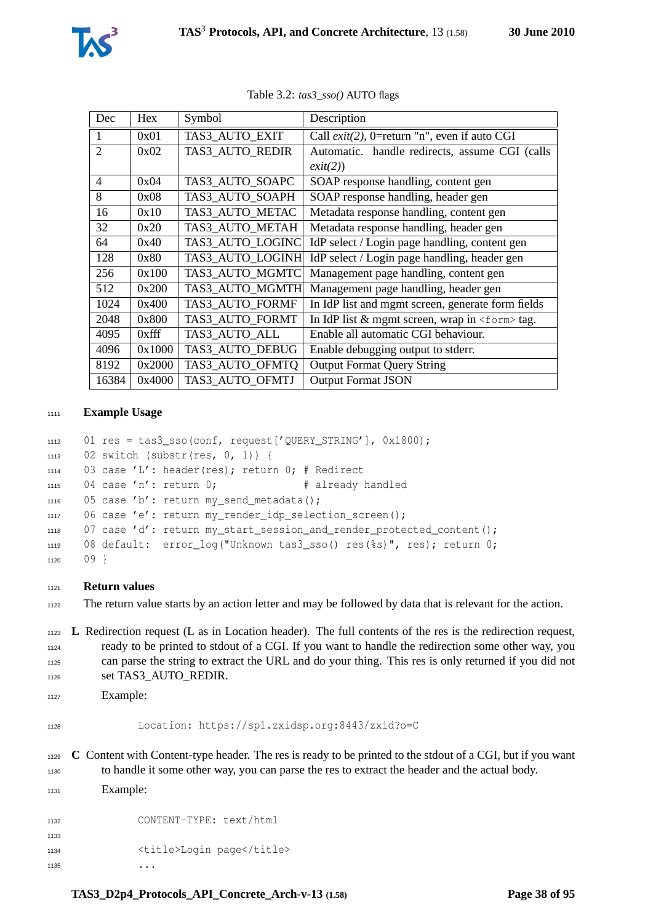

| Dec                      | Hex      | Symbol           | Description                                           |
|--------------------------|----------|------------------|-------------------------------------------------------|
| 1                        | 0x01     | TAS3 AUTO EXIT   | Call $exit(2)$ , 0=return "n", even if auto CGI       |
| $\overline{2}$           | 0x02     | TAS3 AUTO REDIR  | Automatic. handle redirects, assume CGI (calls        |
|                          |          |                  | exit(2))                                              |
| $\overline{\mathcal{A}}$ | 0x04     | TAS3 AUTO SOAPC  | SOAP response handling, content gen                   |
| 8                        | 0x08     | TAS3_AUTO_SOAPH  | SOAP response handling, header gen                    |
| 16                       | 0x10     | TAS3 AUTO METAC  | Metadata response handling, content gen               |
| 32                       | 0x20     | TAS3 AUTO METAH  | Metadata response handling, header gen                |
| 64                       | 0x40     | TAS3 AUTO LOGINC | IdP select / Login page handling, content gen         |
| 128                      | 0x80     | TAS3 AUTO LOGINH | IdP select / Login page handling, header gen          |
| 256                      | 0x100    | TAS3 AUTO MGMTC  | Management page handling, content gen                 |
| 512                      | 0x200    | TAS3 AUTO MGMTH  | Management page handling, header gen                  |
| 1024                     | 0x400    | TAS3 AUTO FORMF  | In IdP list and mgmt screen, generate form fields     |
| 2048                     | 0x800    | TAS3 AUTO FORMT  | In IdP list & mgmt screen, wrap in <form> tag.</form> |
| 4095                     | $0x$ fff | TAS3 AUTO ALL    | Enable all automatic CGI behaviour.                   |
| 4096                     | 0x1000   | TAS3 AUTO DEBUG  | Enable debugging output to stderr.                    |
| 8192                     | 0x2000   | TAS3_AUTO_OFMTQ  | <b>Output Format Query String</b>                     |
| 16384                    | 0x4000   | TAS3_AUTO_OFMTJ  | <b>Output Format JSON</b>                             |

Table 3.2: *tas3\_sso()* AUTO flags

#### **Example Usage**

```
1112 01 res = tas3_sso(conf, request['QUERY_STRING'], 0x1800);
1113 02 switch (substr(res, 0, 1)) {
1114 03 case 'L': header(res); return 0; # Redirect
1115 04 case 'n': return 0; # already handled
1116 05 case 'b': return my send metadata();
1117 06 case 'e': return my_render_idp_selection_screen();
1118 07 case 'd': return my_start_session_and_render_protected_content();
1119 08 default: error_log("Unknown tas3_sso() res(%s)", res); return 0;
1120 \t 09
```
#### **Return values**

The return value starts by an action letter and may be followed by data that is relevant for the action.

 **L** Redirection request (L as in Location header). The full contents of the res is the redirection request, ready to be printed to stdout of a CGI. If you want to handle the redirection some other way, you can parse the string to extract the URL and do your thing. This res is only returned if you did not 1126 set TAS3\_AUTO\_REDIR.

```
1127 Example:
```

```
1128 Location: https://sp1.zxidsp.org:8443/zxid?o=C
```
 **C** Content with Content-type header. The res is ready to be printed to the stdout of a CGI, but if you want to handle it some other way, you can parse the res to extract the header and the actual body. Example:

 CONTENT-TYPE: text/html 1134 <title>Login page</title>  $\cdots$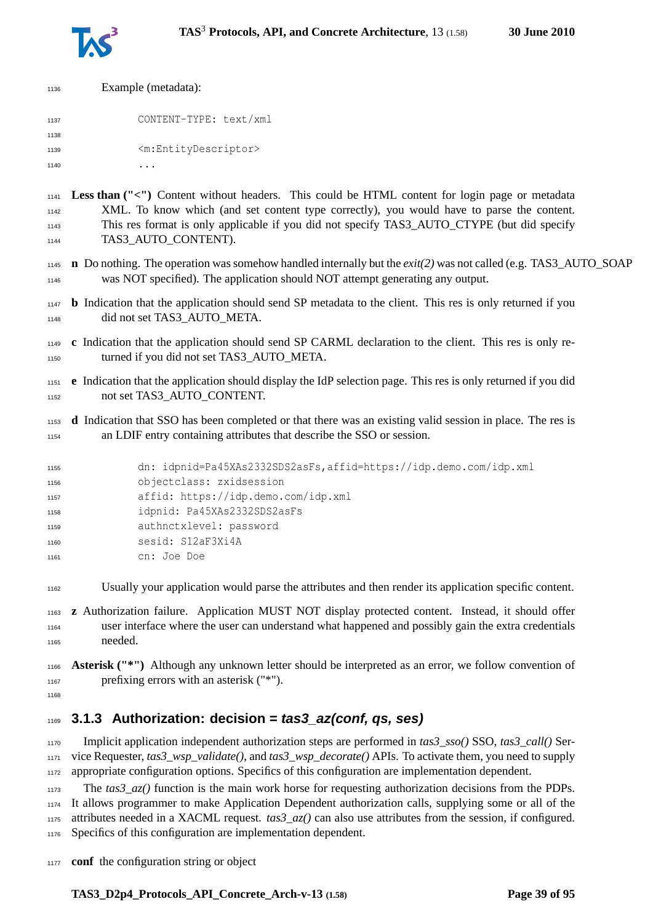

| 1136 | Example (metadata):                       |
|------|-------------------------------------------|
| 1137 | CONTENT-TYPE: text/xml                    |
| 1138 |                                           |
| 1139 | <m:entitydescriptor></m:entitydescriptor> |
| 1140 |                                           |
|      |                                           |

 **Less than ("<")** Content without headers. This could be HTML content for login page or metadata XML. To know which (and set content type correctly), you would have to parse the content. This res format is only applicable if you did not specify TAS3\_AUTO\_CTYPE (but did specify 1144 TAS3 AUTO CONTENT).

- **n** Do nothing. The operation was somehow handled internally but the *exit(2)* was not called (e.g. TAS3\_AUTO\_SOAP was NOT specified). The application should NOT attempt generating any output.
- **b** Indication that the application should send SP metadata to the client. This res is only returned if you 1148 did not set TAS3 AUTO META.
- **c** Indication that the application should send SP CARML declaration to the client. This res is only re-1150 turned if you did not set TAS3 AUTO META.
- **e** Indication that the application should display the IdP selection page. This res is only returned if you did not set TAS3\_AUTO\_CONTENT.
- **d** Indication that SSO has been completed or that there was an existing valid session in place. The res is an LDIF entry containing attributes that describe the SSO or session.

| 1155 | dn: idpnid=Pa45XAs2332SDS2asFs, affid=https://idp.demo.com/idp.xml |
|------|--------------------------------------------------------------------|
| 1156 | objectclass: zxidsession                                           |
| 1157 | affid: https://idp.demo.com/idp.xml                                |
| 1158 | idpnid: Pa45XAs2332SDS2asFs                                        |
| 1159 | authnctxlevel: password                                            |
| 1160 | sesid: S12aF3Xi4A                                                  |
| 1161 | cn: Joe Doe                                                        |
|      |                                                                    |

Usually your application would parse the attributes and then render its application specific content.

 **z** Authorization failure. Application MUST NOT display protected content. Instead, it should offer user interface where the user can understand what happened and possibly gain the extra credentials needed.

 **Asterisk ("\*")** Although any unknown letter should be interpreted as an error, we follow convention of prefixing errors with an asterisk ("\*").

## **3.1.3 Authorization: decision = tas3\_az(conf, qs, ses)**

 Implicit application independent authorization steps are performed in *tas3\_sso()* SSO, *tas3\_call()* Ser- vice Requester, *tas3\_wsp\_validate()*, and *tas3\_wsp\_decorate()* APIs. To activate them, you need to supply appropriate configuration options. Specifics of this configuration are implementation dependent.

 The *tas3\_az()* function is the main work horse for requesting authorization decisions from the PDPs. It allows programmer to make Application Dependent authorization calls, supplying some or all of the attributes needed in a XACML request. *tas3\_az()* can also use attributes from the session, if configured. Specifics of this configuration are implementation dependent.

**conf** the configuration string or object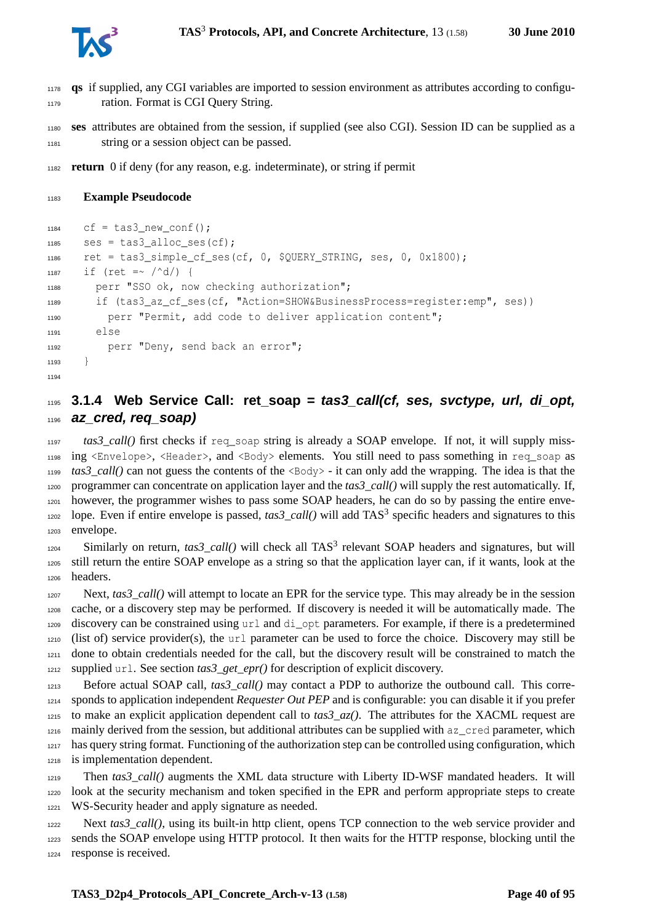**qs** if supplied, any CGI variables are imported to session environment as attributes according to configu-ration. Format is CGI Query String.

 **ses** attributes are obtained from the session, if supplied (see also CGI). Session ID can be supplied as a string or a session object can be passed.

**return** 0 if deny (for any reason, e.g. indeterminate), or string if permit

#### **Example Pseudocode**

```
1184 cf = tas3 new conf();
1185 ses = tas3_alloc_ses(cf);
1186 ret = tas3_simple_cf_ses(cf, 0, $QUERY_STRING, ses, 0, 0x1800);
1187 if (ret =~ /\text{d}/) {
1188 perr "SSO ok, now checking authorization";
1189 if (tas3 az cf ses(cf, "Action=SHOW&BusinessProcess=register:emp", ses))
1190 perr "Permit, add code to deliver application content";
1191 else
1192 perr "Deny, send back an error";
1193 }
1194
```
## **3.1.4 Web Service Call: ret\_soap = tas3\_call(cf, ses, svctype, url, di\_opt, az\_cred, req\_soap)**

 *tas3\_call()* first checks if req\_soap string is already a SOAP envelope. If not, it will supply miss- ing <Envelope>, <Header>, and <Body> elements. You still need to pass something in req\_soap as  $t_{1199}$  *tas3 call()* can not guess the contents of the  $\langle Body\rangle$  - it can only add the wrapping. The idea is that the programmer can concentrate on application layer and the *tas3\_call()* will supply the rest automatically. If, however, the programmer wishes to pass some SOAP headers, he can do so by passing the entire enve-1202 lope. Even if entire envelope is passed,  $\text{tas3\_call}()$  will add TAS<sup>3</sup> specific headers and signatures to this envelope.

 $S_{1204}$  Similarly on return,  $\text{tas3\_call}()$  will check all TAS<sup>3</sup> relevant SOAP headers and signatures, but will still return the entire SOAP envelope as a string so that the application layer can, if it wants, look at the headers.

1207 Next, *tas3* call() will attempt to locate an EPR for the service type. This may already be in the session cache, or a discovery step may be performed. If discovery is needed it will be automatically made. The discovery can be constrained using url and di\_opt parameters. For example, if there is a predetermined (list of) service provider(s), the url parameter can be used to force the choice. Discovery may still be done to obtain credentials needed for the call, but the discovery result will be constrained to match the supplied url. See section *tas3\_get\_epr()* for description of explicit discovery.

1213 Before actual SOAP call, *tas3\_call()* may contact a PDP to authorize the outbound call. This corre- sponds to application independent *Requester Out PEP* and is configurable: you can disable it if you prefer 1215 to make an explicit application dependent call to  $\text{tas3}_{-}az()$ . The attributes for the XACML request are mainly derived from the session, but additional attributes can be supplied with az\_cred parameter, which has query string format. Functioning of the authorization step can be controlled using configuration, which is implementation dependent.

 Then *tas3\_call()* augments the XML data structure with Liberty ID-WSF mandated headers. It will look at the security mechanism and token specified in the EPR and perform appropriate steps to create WS-Security header and apply signature as needed.

1222 Next *tas3* call(), using its built-in http client, opens TCP connection to the web service provider and sends the SOAP envelope using HTTP protocol. It then waits for the HTTP response, blocking until the response is received.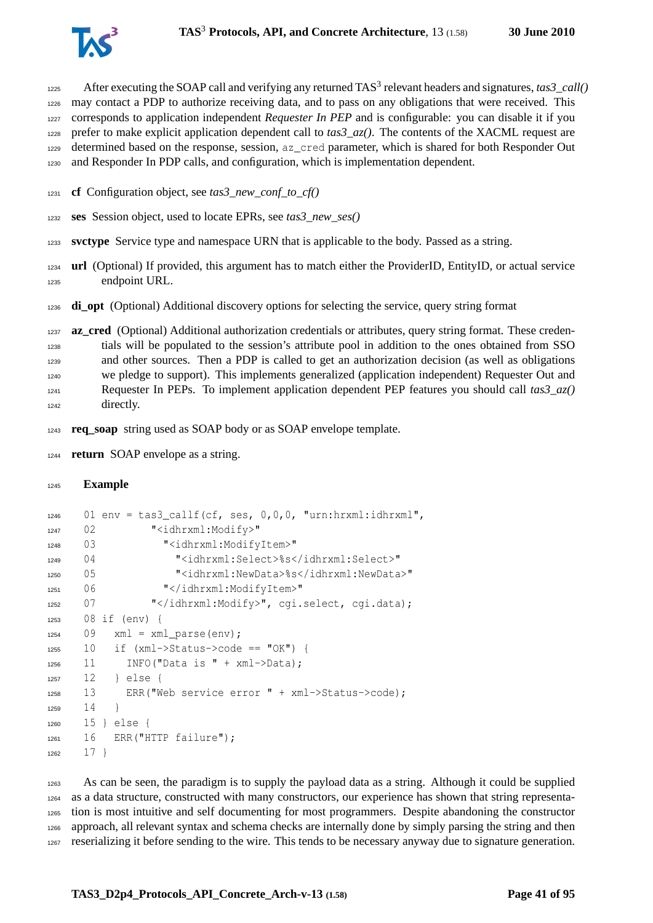

After executing the SOAP call and verifying any returned  $TAS<sup>3</sup>$  relevant headers and signatures,  $\text{tas3\_call}()$  may contact a PDP to authorize receiving data, and to pass on any obligations that were received. This corresponds to application independent *Requester In PEP* and is configurable: you can disable it if you prefer to make explicit application dependent call to *tas3\_az()*. The contents of the XACML request are determined based on the response, session, az\_cred parameter, which is shared for both Responder Out and Responder In PDP calls, and configuration, which is implementation dependent.

- **cf** Configuration object, see *tas3\_new\_conf\_to\_cf()*
- **ses** Session object, used to locate EPRs, see *tas3\_new\_ses()*
- **svctype** Service type and namespace URN that is applicable to the body. Passed as a string.
- **url** (Optional) If provided, this argument has to match either the ProviderID, EntityID, or actual service endpoint URL.
- **di\_opt** (Optional) Additional discovery options for selecting the service, query string format
- **az\_cred** (Optional) Additional authorization credentials or attributes, query string format. These creden- tials will be populated to the session's attribute pool in addition to the ones obtained from SSO and other sources. Then a PDP is called to get an authorization decision (as well as obligations we pledge to support). This implements generalized (application independent) Requester Out and Requester In PEPs. To implement application dependent PEP features you should call *tas3\_az()* directly.
- **req\_soap** string used as SOAP body or as SOAP envelope template.
- **return** SOAP envelope as a string.

```
1245 Example
```

```
1246 01 env = tas3 callf(cf, ses, 0,0,0, "urn:hrxml:idhrxml",
1247 02 "<idhrxml:Modify>"
1248 03 "<idhrxml:ModifyItem>"
1249 04 "<idhrxml:Select>%s</idhrxml:Select>"
1250 05 "<idhrxml:NewData>%s</idhrxml:NewData>"
1251 06 "</idhrxml:ModifyItem>"
1252 07 "</idhrxml:Modify>", cgi.select, cgi.data);
1253 08 if (env) {
1254 09 xml = xml parse(env);
1255 10 if (xml->Status->code == "OK") {
1256 11 INFO("Data is " + xml->Data);
1257 12 } else {
1258 13 ERR("Web service error " + xml->Status->code);
1259 14
1260 15 } else {
1261 16 ERR("HTTP failure");
1262 17 }
```
 As can be seen, the paradigm is to supply the payload data as a string. Although it could be supplied as a data structure, constructed with many constructors, our experience has shown that string representa- tion is most intuitive and self documenting for most programmers. Despite abandoning the constructor approach, all relevant syntax and schema checks are internally done by simply parsing the string and then reserializing it before sending to the wire. This tends to be necessary anyway due to signature generation.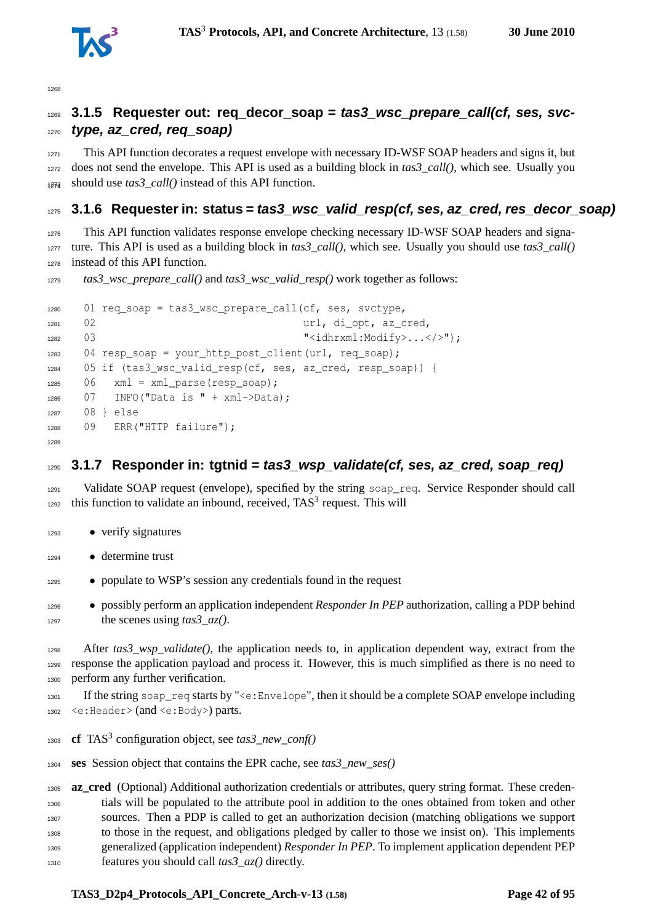

## **3.1.5 Requester out: req\_decor\_soap = tas3\_wsc\_prepare\_call(cf, ses, svc-type, az\_cred, req\_soap)**

 This API function decorates a request envelope with necessary ID-WSF SOAP headers and signs it, but does not send the envelope. This API is used as a building block in *tas3\_call()*, which see. Usually you should use  $\text{tas3\_call}()$  instead of this API function.

#### **3.1.6 Requester in: status = tas3\_wsc\_valid\_resp(cf, ses, az\_cred, res\_decor\_soap)**

 This API function validates response envelope checking necessary ID-WSF SOAP headers and signa-1277 ture. This API is used as a building block in *tas3\_call()*, which see. Usually you should use *tas3\_call()* instead of this API function.

*tas3\_wsc\_prepare\_call()* and *tas3\_wsc\_valid\_resp()* work together as follows:

```
1280 01 req_soap = tas3_wsc_prepare_call(cf, ses, svctype,
1281 02 url, di opt, az cred,
1282 03 September 2008 2010 12:00 November 2010 12:00 November 2010 12:00 November 2010 12:00 November 2010 12:00 November 2010 12:00 November 2010 12:00 November 2010 12:00 November 2010 12:00 November 2010 12:00 November
1283 04 resp_soap = your_http_post_client(url, req_soap);
1284 05 if (tas3_wsc_valid_resp(cf, ses, az_cred, resp_soap)) {
1285 06 xml = xml_parse(resp_soap);
1286 07 INFO("Data is " + xml->Data);
1287 08 } else
1288 09 ERR("HTTP failure");
1289
```
#### **3.1.7 Responder in: tgtnid = tas3\_wsp\_validate(cf, ses, az\_cred, soap\_req)**

1291 Validate SOAP request (envelope), specified by the string soap\_req. Service Responder should call this function to validate an inbound, received,  $TAS<sup>3</sup>$  request. This will

- verify signatures
- determine trust
- populate to WSP's session any credentials found in the request
- possibly perform an application independent *Responder In PEP* authorization, calling a PDP behind the scenes using *tas3\_az()*.

 After *tas3\_wsp\_validate()*, the application needs to, in application dependent way, extract from the response the application payload and process it. However, this is much simplified as there is no need to perform any further verification.

 If the string soap\_req starts by "<e:Envelope", then it should be a complete SOAP envelope including <e:Header> (and <e:Body>) parts.

- **cf** TAS<sup>3</sup> configuration object, see *tas3\_new\_conf()*
- **ses** Session object that contains the EPR cache, see *tas3\_new\_ses()*

**az\_cred** (Optional) Additional authorization credentials or attributes, query string format. These creden- tials will be populated to the attribute pool in addition to the ones obtained from token and other sources. Then a PDP is called to get an authorization decision (matching obligations we support to those in the request, and obligations pledged by caller to those we insist on). This implements generalized (application independent) *Responder In PEP*. To implement application dependent PEP features you should call *tas3\_az()* directly.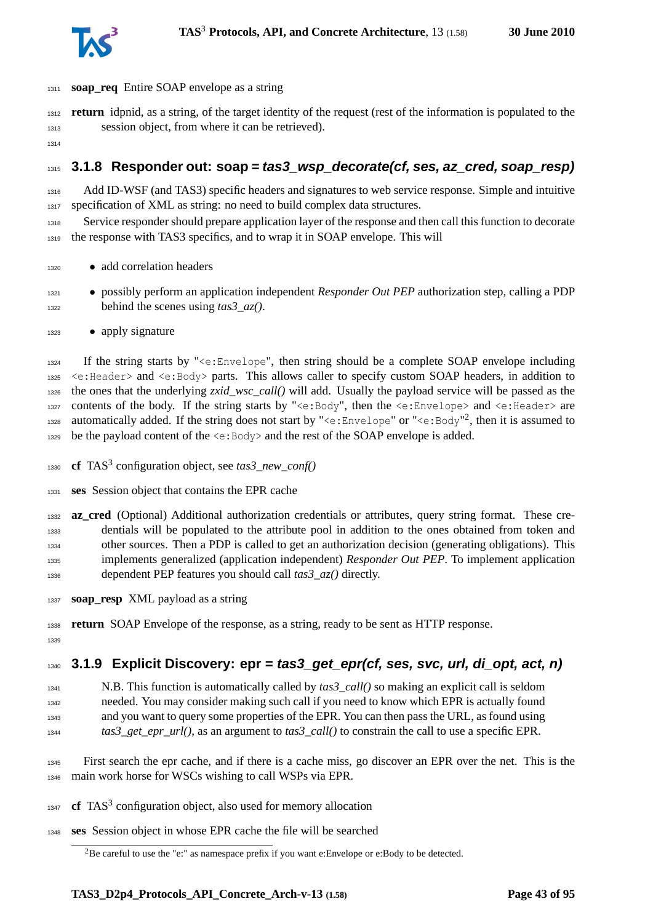

- **soap\_req** Entire SOAP envelope as a string
- **return** idpnid, as a string, of the target identity of the request (rest of the information is populated to the session object, from where it can be retrieved).
- 

## **3.1.8 Responder out: soap = tas3\_wsp\_decorate(cf, ses, az\_cred, soap\_resp)**

 Add ID-WSF (and TAS3) specific headers and signatures to web service response. Simple and intuitive specification of XML as string: no need to build complex data structures.

 Service responder should prepare application layer of the response and then call this function to decorate the response with TAS3 specifics, and to wrap it in SOAP envelope. This will

- add correlation headers
- possibly perform an application independent *Responder Out PEP* authorization step, calling a PDP behind the scenes using *tas3\_az()*.
- apply signature

 If the string starts by "<e:Envelope", then string should be a complete SOAP envelope including <e:Header> and <e:Body> parts. This allows caller to specify custom SOAP headers, in addition to the ones that the underlying *zxid\_wsc\_call()* will add. Usually the payload service will be passed as the 1327 contents of the body. If the string starts by " $\leq e:\text{Body}$ ", then the  $\leq e:\text{Expected}e$  and  $\leq e:\text{Header}$  are assumed to anomatically added. If the string does not start by "<e:Envelope" or "<e:Body"<sup>[2](#page-42-0)</sup>, then it is assumed to 1329 be the payload content of the  $\leq e:$  Body> and the rest of the SOAP envelope is added.

1330 **cf** TAS<sup>3</sup> configuration object, see *tas3\_new\_conf*()

**ses** Session object that contains the EPR cache

- **az cred** (Optional) Additional authorization credentials or attributes, query string format. These cre- dentials will be populated to the attribute pool in addition to the ones obtained from token and other sources. Then a PDP is called to get an authorization decision (generating obligations). This implements generalized (application independent) *Responder Out PEP*. To implement application dependent PEP features you should call *tas3\_az()* directly.
- **soap\_resp** XML payload as a string

**return** SOAP Envelope of the response, as a string, ready to be sent as HTTP response.

## **3.1.9 Explicit Discovery: epr = tas3\_get\_epr(cf, ses, svc, url, di\_opt, act, n)**

- N.B. This function is automatically called by *tas3\_call()* so making an explicit call is seldom needed. You may consider making such call if you need to know which EPR is actually found and you want to query some properties of the EPR. You can then pass the URL, as found using *tas3\_get\_epr\_url()*, as an argument to *tas3\_call()* to constrain the call to use a specific EPR.
- First search the epr cache, and if there is a cache miss, go discover an EPR over the net. This is the main work horse for WSCs wishing to call WSPs via EPR.
- **cf** TAS<sup>3</sup> configuration object, also used for memory allocation
- **ses** Session object in whose EPR cache the file will be searched

<span id="page-42-0"></span><sup>&</sup>lt;sup>2</sup>Be careful to use the "e:" as namespace prefix if you want e:Envelope or e:Body to be detected.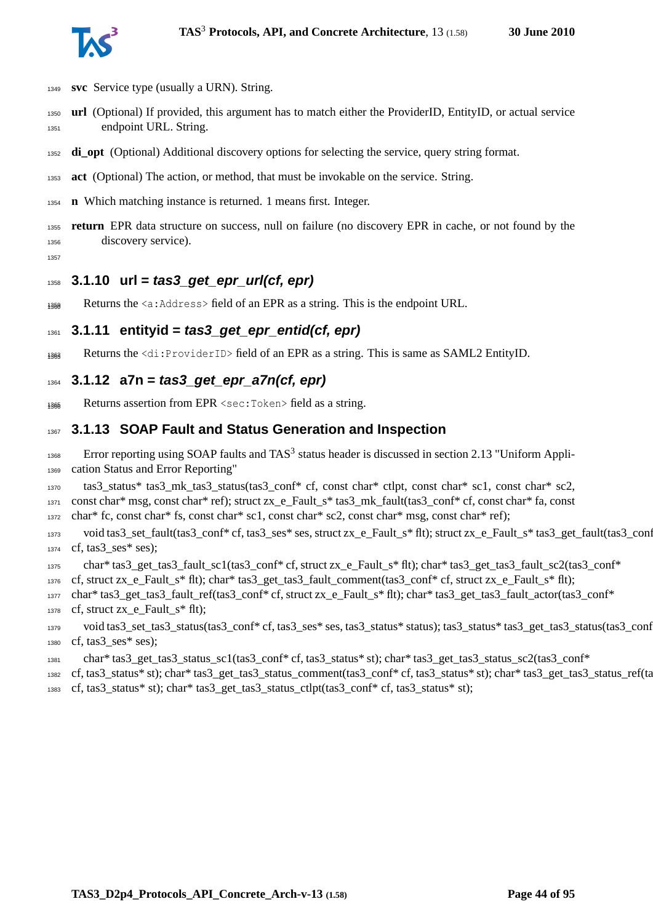

- **svc** Service type (usually a URN). String.
- **url** (Optional) If provided, this argument has to match either the ProviderID, EntityID, or actual service endpoint URL. String.
- **di\_opt** (Optional) Additional discovery options for selecting the service, query string format.
- **act** (Optional) The action, or method, that must be invokable on the service. String.
- **n** Which matching instance is returned. 1 means first. Integer.
- **return** EPR data structure on success, null on failure (no discovery EPR in cache, or not found by the discovery service).
- 

#### **3.1.10 url = tas3\_get\_epr\_url(cf, epr)**

1359 Returns the  $\langle a:$  Address  $\rangle$  field of an EPR as a string. This is the endpoint URL.

#### **3.1.11 entityid = tas3\_get\_epr\_entid(cf, epr)**

1363 Returns the  $\langle di:ProviderID \rangle$  field of an EPR as a string. This is same as SAML2 EntityID.

#### **3.1.12 a7n = tas3\_get\_epr\_a7n(cf, epr)**

Returns assertion from EPR <sec:Token> field as a string.

#### **3.1.13 SOAP Fault and Status Generation and Inspection**

 Error reporting using SOAP faults and TAS<sup>3</sup> status header is discussed in section 2.13 "Uniform Appli-cation Status and Error Reporting"

tas3\_status\* tas3\_mk\_tas3\_status(tas3\_conf\* cf, const char\* ctlpt, const char\* sc1, const char\* sc2,

1371 const char\* msg, const char\* ref); struct zx e Fault s\* tas3 mk fault(tas3 conf\* cf, const char\* fa, const

char\* fc, const char\* fs, const char\* sc1, const char\* sc2, const char\* msg, const char\* ref);

 void tas3\_set\_fault(tas3\_conf\* cf, tas3\_ses\* ses, struct zx\_e\_Fault\_s\* flt); struct zx\_e\_Fault\_s\* tas3\_get\_fault(tas3\_conf\* cf, tas3 ses\* ses);

char\* tas3\_get\_tas3\_fault\_sc1(tas3\_conf\* cf, struct zx\_e\_Fault\_s\* flt); char\* tas3\_get\_tas3\_fault\_sc2(tas3\_conf\*

1376 cf, struct zx\_e\_Fault\_s\* flt); char\* tas3\_get\_tas3\_fault\_comment(tas3\_conf\* cf, struct zx\_e\_Fault\_s\* flt);

- char\* tas3\_get\_tas3\_fault\_ref(tas3\_conf\* cf, struct zx\_e\_Fault\_s\* flt); char\* tas3\_get\_tas3\_fault\_actor(tas3\_conf\* cf, struct zx\_e\_Fault\_s\* flt);
- void tas3\_set\_tas3\_status(tas3\_conf\* cf, tas3\_ses\* ses, tas3\_status\* status); tas3\_status\* tas3\_get\_tas3\_status(tas3\_conf\* cf, tas3\_ses\* ses);
- char\* tas3\_get\_tas3\_status\_sc1(tas3\_conf\* cf, tas3\_status\* st); char\* tas3\_get\_tas3\_status\_sc2(tas3\_conf\*

 cf, tas3\_status\* st); char\* tas3\_get\_tas3\_status\_comment(tas3\_conf\* cf, tas3\_status\* st); char\* tas3\_get\_tas3\_status\_ref(tas3\_conf\* cf, tas3\_status\* st); char\* tas3\_get\_tas3\_status\_ctlpt(tas3\_conf\* cf, tas3\_status\* st);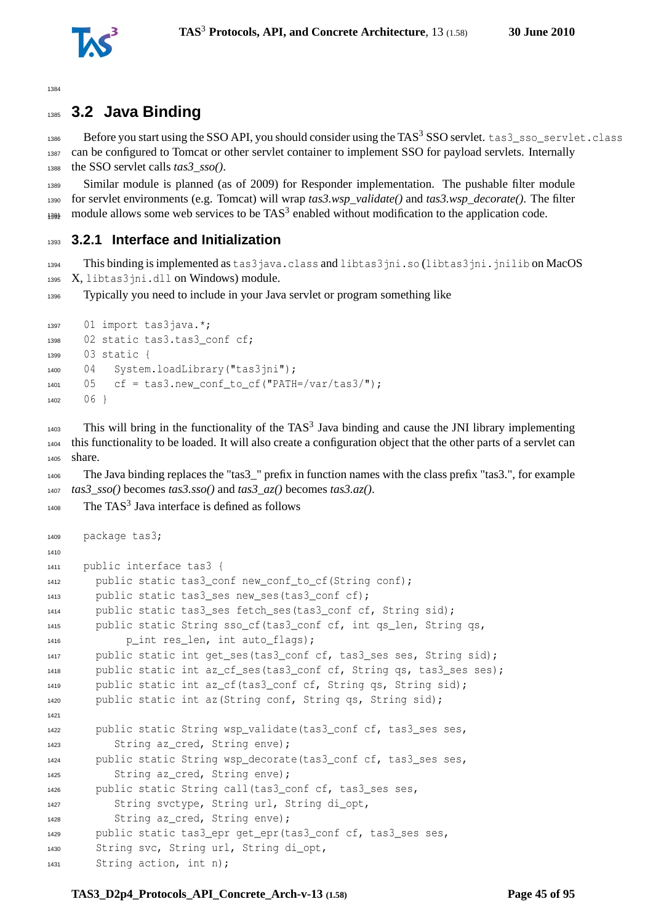

# **3.2 Java Binding**

1386 Before you start using the SSO API, you should consider using the TAS<sup>3</sup> SSO servlet. tas3\_sso\_servlet.class can be configured to Tomcat or other servlet container to implement SSO for payload servlets. Internally the SSO servlet calls *tas3\_sso()*.

 Similar module is planned (as of 2009) for Responder implementation. The pushable filter module for servlet environments (e.g. Tomcat) will wrap *tas3.wsp\_validate()* and *tas3.wsp\_decorate()*. The filter  $_{1392}$  module allows some web services to be TAS<sup>3</sup> enabled without modification to the application code.

## **3.2.1 Interface and Initialization**

 This binding is implemented as tas3java.class and libtas3jni.so (libtas3jni.jnilib on MacOS X, libtas3jni.dll on Windows) module.

Typically you need to include in your Java servlet or program something like

```
1397 01 import tas3java.*;
1398 02 static tas3.tas3_conf cf;
1399 03 static {
1400 04 System.loadLibrary("tas3jni");
1401 05 cf = tas3.new conf to cf("PATH=/var/tas3/");
1402 06 }
```
 $_{1403}$  This will bring in the functionality of the TAS<sup>3</sup> Java binding and cause the JNI library implementing this functionality to be loaded. It will also create a configuration object that the other parts of a servlet can share.

 The Java binding replaces the "tas3\_" prefix in function names with the class prefix "tas3.", for example *tas3\_sso()* becomes *tas3.sso()* and *tas3\_az()* becomes *tas3.az()*.

```
1408 The TAS<sup>3</sup> Java interface is defined as follows
```

```
1409 package tas3;
1410
1411 public interface tas3 {
1412 public static tas3_conf new_conf_to_cf(String conf);
       public static tas3 ses new ses(tas3 conf cf);
1414 public static tas3_ses fetch_ses(tas3_conf cf, String sid);
1415 public static String sso_cf(tas3_conf cf, int qs_len, String qs,
1416 p_int res_len, int auto_flags);
1417 public static int get ses(tas3 conf cf, tas3 ses ses, String sid);
1418 public static int az_cf_ses(tas3_conf cf, String qs, tas3_ses ses);
1419 public static int az cf(tas3 conf cf, String qs, String sid);
1420 public static int az(String conf, String qs, String sid);
1421
1422 public static String wsp validate(tas3 conf cf, tas3 ses ses,
1423 String az cred, String enve);
1424 public static String wsp_decorate(tas3_conf cf, tas3_ses ses,
          String az_cred, String enve);
1426 public static String call(tas3_conf cf, tas3_ses ses,
1427 String svctype, String url, String di_opt,
1428 String az_cred, String enve);
1429 public static tas3_epr get_epr(tas3_conf cf, tas3_ses ses,
1430 String svc, String url, String di_opt,
1431 String action, int n);
```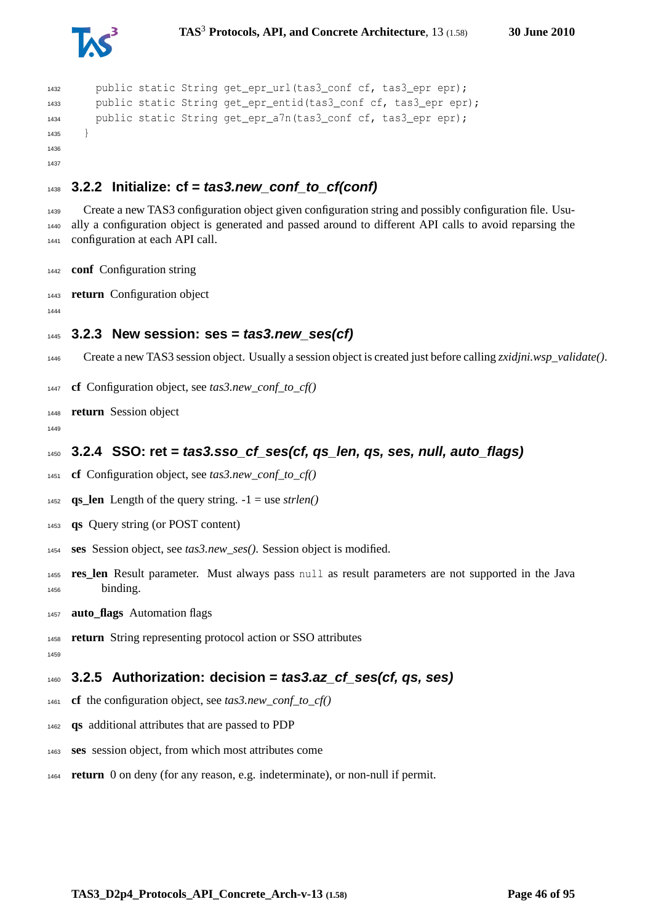



```
1432 public static String get_epr_url(tas3_conf cf, tas3_epr epr);
1433 public static String get_epr_entid(tas3_conf cf, tas3_epr epr);
1434 public static String get_epr_a7n(tas3 conf cf, tas3 epr epr);
1435 }
1436
1437
```
## **3.2.2 Initialize: cf = tas3.new\_conf\_to\_cf(conf)**

 Create a new TAS3 configuration object given configuration string and possibly configuration file. Usu- ally a configuration object is generated and passed around to different API calls to avoid reparsing the configuration at each API call.

**conf** Configuration string

**return** Configuration object

#### **3.2.3 New session: ses = tas3.new\_ses(cf)**

- Create a new TAS3 session object. Usually a session object is created just before calling *zxidjni.wsp\_validate()*.
- **cf** Configuration object, see *tas3.new\_conf\_to\_cf()*

**return** Session object

## **3.2.4 SSO: ret = tas3.sso\_cf\_ses(cf, qs\_len, qs, ses, null, auto\_flags)**

**cf** Configuration object, see *tas3.new\_conf\_to\_cf()*

1452 **qs** len Length of the query string.  $-1 =$  use *strlen()* 

- **qs** Query string (or POST content)
- **ses** Session object, see *tas3.new\_ses()*. Session object is modified.
- **res\_len** Result parameter. Must always pass null as result parameters are not supported in the Java binding.
- **auto\_flags** Automation flags
- **return** String representing protocol action or SSO attributes
- 

**3.2.5 Authorization: decision = tas3.az\_cf\_ses(cf, qs, ses)**

- **cf** the configuration object, see *tas3.new\_conf\_to\_cf()*
- **qs** additional attributes that are passed to PDP
- **ses** session object, from which most attributes come
- **return** 0 on deny (for any reason, e.g. indeterminate), or non-null if permit.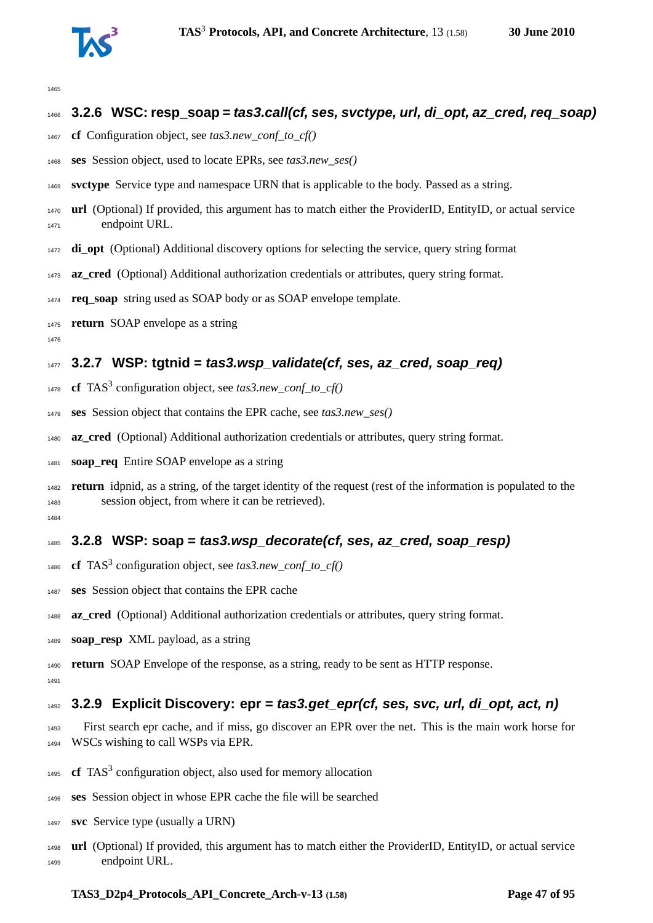

#### **3.2.6 WSC: resp\_soap = tas3.call(cf, ses, svctype, url, di\_opt, az\_cred, req\_soap)**

- **cf** Configuration object, see *tas3.new\_conf\_to\_cf()*
- **ses** Session object, used to locate EPRs, see *tas3.new\_ses()*
- **svctype** Service type and namespace URN that is applicable to the body. Passed as a string.
- **url** (Optional) If provided, this argument has to match either the ProviderID, EntityID, or actual service endpoint URL.
- **di\_opt** (Optional) Additional discovery options for selecting the service, query string format
- **az\_cred** (Optional) Additional authorization credentials or attributes, query string format.
- **req\_soap** string used as SOAP body or as SOAP envelope template.
- **return** SOAP envelope as a string
- 

## **3.2.7 WSP: tgtnid = tas3.wsp\_validate(cf, ses, az\_cred, soap\_req)**

- **cf** TAS<sup>3</sup> configuration object, see *tas3.new\_conf\_to\_cf()*
- **ses** Session object that contains the EPR cache, see *tas3.new\_ses()*
- **az\_cred** (Optional) Additional authorization credentials or attributes, query string format.
- **soap\_req** Entire SOAP envelope as a string
- **return** idpnid, as a string, of the target identity of the request (rest of the information is populated to the session object, from where it can be retrieved).

## **3.2.8 WSP: soap = tas3.wsp\_decorate(cf, ses, az\_cred, soap\_resp)**

- 1486 **cf** TAS<sup>3</sup> configuration object, see  $\text{tas3.}new\_conf\_to\_cf()$
- **ses** Session object that contains the EPR cache
- **az\_cred** (Optional) Additional authorization credentials or attributes, query string format.
- **soap\_resp** XML payload, as a string

 **return** SOAP Envelope of the response, as a string, ready to be sent as HTTP response. 

## **3.2.9 Explicit Discovery: epr = tas3.get\_epr(cf, ses, svc, url, di\_opt, act, n)**

- First search epr cache, and if miss, go discover an EPR over the net. This is the main work horse for WSCs wishing to call WSPs via EPR.
- 1495 **cf** TAS<sup>3</sup> configuration object, also used for memory allocation
- **ses** Session object in whose EPR cache the file will be searched
- **svc** Service type (usually a URN)
- **url** (Optional) If provided, this argument has to match either the ProviderID, EntityID, or actual service endpoint URL.

#### **TAS3\_D2p4\_Protocols\_API\_Concrete\_Arch-v-13 (1.58) Page 47 of [95](#page-94-0)**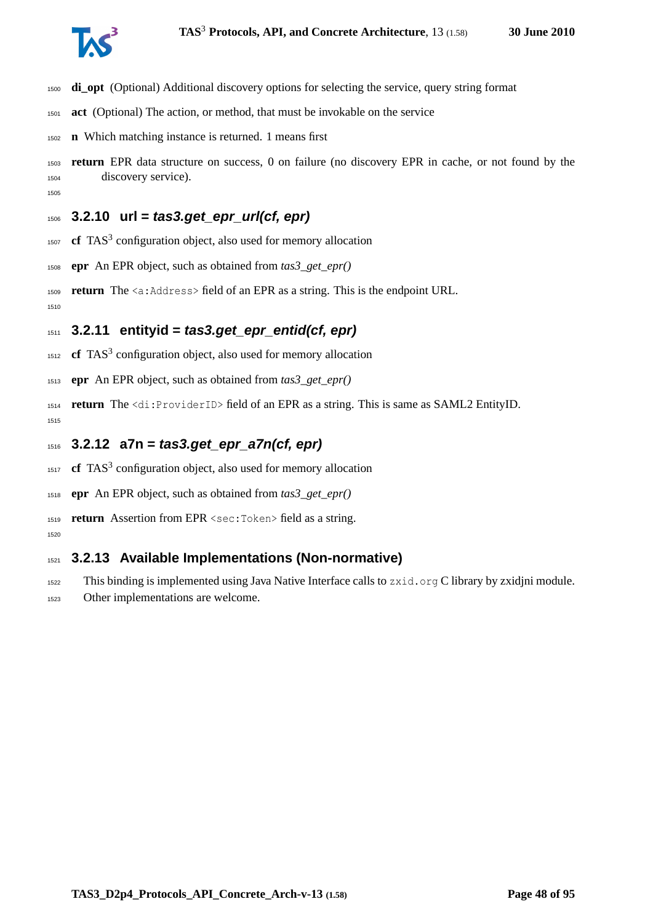

- **di\_opt** (Optional) Additional discovery options for selecting the service, query string format
- **act** (Optional) The action, or method, that must be invokable on the service
- **n** Which matching instance is returned. 1 means first
- **return** EPR data structure on success, 0 on failure (no discovery EPR in cache, or not found by the discovery service).

## **3.2.10 url = tas3.get\_epr\_url(cf, epr)**

- **cf** TAS<sup>3</sup> configuration object, also used for memory allocation
- **epr** An EPR object, such as obtained from *tas3\_get\_epr()*
- **return** The <a:Address> field of an EPR as a string. This is the endpoint URL.

## **3.2.11 entityid = tas3.get\_epr\_entid(cf, epr)**

- **cf** TAS<sup>3</sup> configuration object, also used for memory allocation
- **epr** An EPR object, such as obtained from *tas3\_get\_epr()*
- **return** The <di:ProviderID> field of an EPR as a string. This is same as SAML2 EntityID.
- **3.2.12 a7n = tas3.get\_epr\_a7n(cf, epr)**
- **cf** TAS<sup>3</sup> configuration object, also used for memory allocation
- **epr** An EPR object, such as obtained from *tas3\_get\_epr()*
- **return** Assertion from EPR <sec:Token> field as a string.
- 

## **3.2.13 Available Implementations (Non-normative)**

- This binding is implemented using Java Native Interface calls to zxid.org C library by zxidjni module.
- Other implementations are welcome.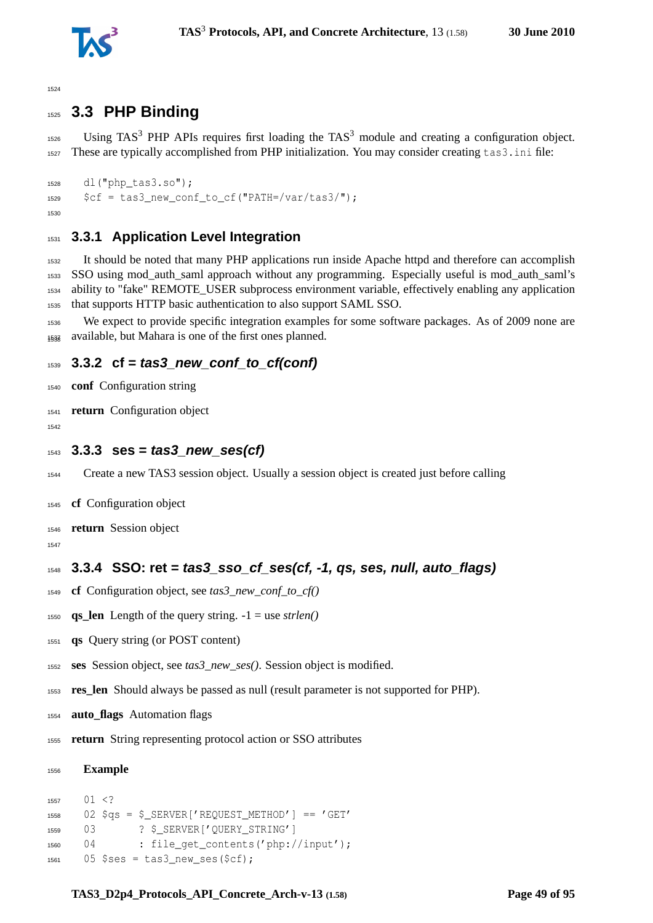

# **3.3 PHP Binding**

 $_{1526}$  Using TAS<sup>3</sup> PHP APIs requires first loading the TAS<sup>3</sup> module and creating a configuration object. These are typically accomplished from PHP initialization. You may consider creating tas3.ini file:

```
1528 dl("php_tas3.so");
1529 $cf = tas3 new conf to cf("PATH=/var/tas3/");
1530
```
#### **3.3.1 Application Level Integration**

 It should be noted that many PHP applications run inside Apache httpd and therefore can accomplish SSO using mod\_auth\_saml approach without any programming. Especially useful is mod\_auth\_saml's ability to "fake" REMOTE\_USER subprocess environment variable, effectively enabling any application that supports HTTP basic authentication to also support SAML SSO.

 We expect to provide specific integration examples for some software packages. As of 2009 none are available, but Mahara is one of the first ones planned. <sup>1538</sup>

#### **3.3.2 cf = tas3\_new\_conf\_to\_cf(conf)**

- **conf** Configuration string
- **return** Configuration object
- 
- **3.3.3 ses = tas3\_new\_ses(cf)**
- Create a new TAS3 session object. Usually a session object is created just before calling
- **cf** Configuration object
- **return** Session object
- 

## **3.3.4 SSO: ret = tas3\_sso\_cf\_ses(cf, -1, qs, ses, null, auto\_flags)**

- **cf** Configuration object, see *tas3\_new\_conf\_to\_cf()*
- **qs\_len** Length of the query string. -1 = use *strlen()*
- **qs** Query string (or POST content)
- **ses** Session object, see *tas3\_new\_ses()*. Session object is modified.
- **res\_len** Should always be passed as null (result parameter is not supported for PHP).
- **auto\_flags** Automation flags
- **return** String representing protocol action or SSO attributes

#### **Example**

```
1557 01 <?
1558 02 $qs = $ SERVER['REQUEST_METHOD'] == 'GET'
1559 03 ? $ SERVER['QUERY_STRING']
1560 04 : file_get_contents('php://input');
1561 05 $ses = tas3_new\_ses(Scf);
```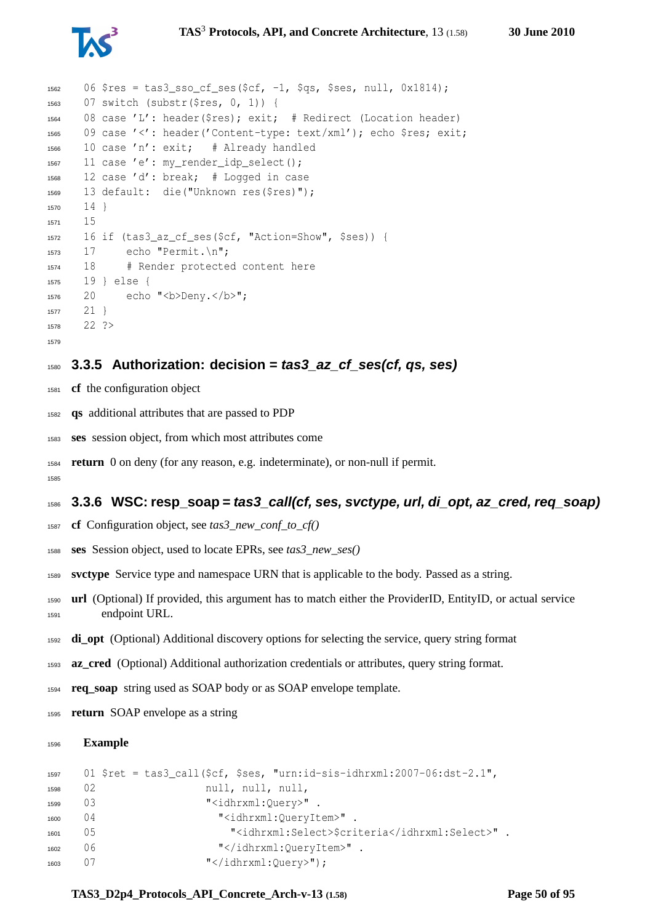

```
1562 06 $res = tas3 sso cf ses($cf, -1, $qs, $ses, null, 0x1814);
1563 07 switch (substr($res, 0, 1)) {
1564 08 case 'L': header($res); exit; # Redirect (Location header)
1565 09 case '<': header('Content-type: text/xml'); echo $res; exit;
1566 10 case 'n': exit; # Already handled
1567 11 case 'e': my_render_idp_select();
1568 12 case 'd': break; # Logged in case
1569 13 default: die("Unknown res($res)");
1570 141571 15
1572 16 if (tas3_az_cf_ses($cf, "Action=Show", $ses)) {
1573 17 echo "Permit.\n";
1574 18 # Render protected content here
1575 19 } else {
1576 20 echo "<br/>b>Deny.</b>";
1577 21 }
1578 22 ?>
1579
```
#### **3.3.5 Authorization: decision = tas3\_az\_cf\_ses(cf, qs, ses)**

- **cf** the configuration object
- **qs** additional attributes that are passed to PDP
- **ses** session object, from which most attributes come
- **return** 0 on deny (for any reason, e.g. indeterminate), or non-null if permit.

#### **3.3.6 WSC: resp\_soap = tas3\_call(cf, ses, svctype, url, di\_opt, az\_cred, req\_soap)**

- **cf** Configuration object, see *tas3\_new\_conf\_to\_cf()*
- **ses** Session object, used to locate EPRs, see *tas3\_new\_ses()*
- **svctype** Service type and namespace URN that is applicable to the body. Passed as a string.
- **url** (Optional) If provided, this argument has to match either the ProviderID, EntityID, or actual service endpoint URL.
- **di\_opt** (Optional) Additional discovery options for selecting the service, query string format
- **az\_cred** (Optional) Additional authorization credentials or attributes, query string format.
- **req\_soap** string used as SOAP body or as SOAP envelope template.
- **return** SOAP envelope as a string

#### **Example**

```
1597 01 $ret = tas3_call($cf, $ses, "urn:id-sis-idhrxml:2007-06:dst-2.1",
1598 02 null, null, null, null,
1599 03 "<idhrxml:Ouery>".
1600 04 "<idhrxml:QueryItem>".
1601 05 "<idhrxml:Select>$criteria</idhrxml:Select>" .
1602 06 "</idhrxml:QueryItem>" .
1603 07 "</idhrxml:Query>");
```
#### **TAS3\_D2p4\_Protocols\_API\_Concrete\_Arch-v-13 (1.58) Page 50 of [95](#page-94-0)**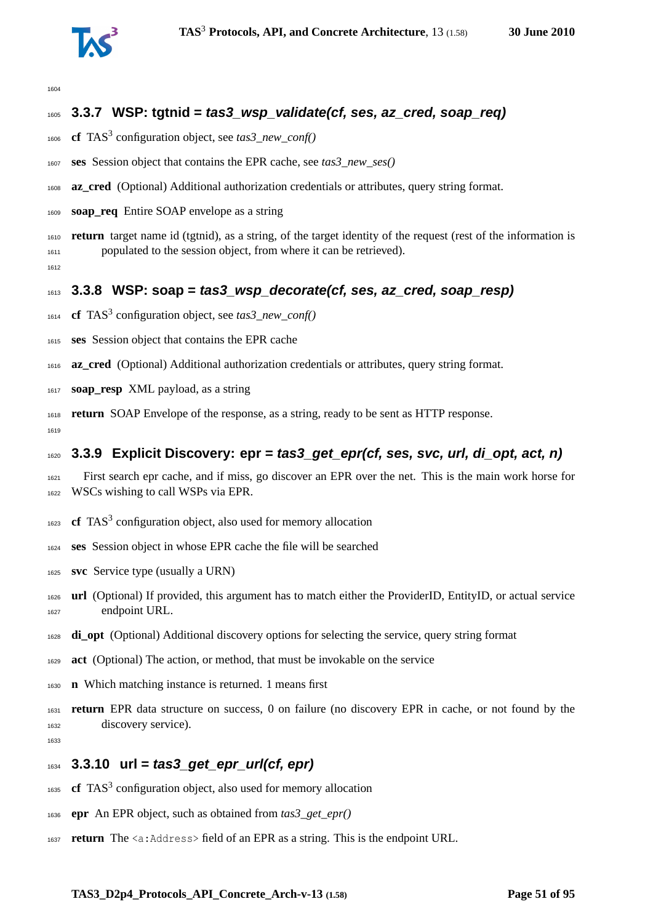

## **3.3.7 WSP: tgtnid = tas3\_wsp\_validate(cf, ses, az\_cred, soap\_req)**

- 1606 **cf** TAS<sup>3</sup> configuration object, see *tas3\_new\_conf()*
- **ses** Session object that contains the EPR cache, see *tas3\_new\_ses()*
- **az\_cred** (Optional) Additional authorization credentials or attributes, query string format.
- **soap\_req** Entire SOAP envelope as a string
- **return** target name id (tgtnid), as a string, of the target identity of the request (rest of the information is populated to the session object, from where it can be retrieved).

#### **3.3.8 WSP: soap = tas3\_wsp\_decorate(cf, ses, az\_cred, soap\_resp)**

- **cf** TAS<sup>3</sup> configuration object, see *tas3\_new\_conf()*
- **ses** Session object that contains the EPR cache
- **az\_cred** (Optional) Additional authorization credentials or attributes, query string format.
- **soap\_resp** XML payload, as a string
- **return** SOAP Envelope of the response, as a string, ready to be sent as HTTP response.

#### **3.3.9 Explicit Discovery: epr = tas3\_get\_epr(cf, ses, svc, url, di\_opt, act, n)**

- First search epr cache, and if miss, go discover an EPR over the net. This is the main work horse for WSCs wishing to call WSPs via EPR.
- 1623 **cf** TAS<sup>3</sup> configuration object, also used for memory allocation
- **ses** Session object in whose EPR cache the file will be searched
- **svc** Service type (usually a URN)
- **url** (Optional) If provided, this argument has to match either the ProviderID, EntityID, or actual service endpoint URL.
- **di\_opt** (Optional) Additional discovery options for selecting the service, query string format
- **act** (Optional) The action, or method, that must be invokable on the service
- **n** Which matching instance is returned. 1 means first
- **return** EPR data structure on success, 0 on failure (no discovery EPR in cache, or not found by the discovery service).

## **3.3.10 url = tas3\_get\_epr\_url(cf, epr)**

- 1635 **cf** TAS<sup>3</sup> configuration object, also used for memory allocation
- **epr** An EPR object, such as obtained from *tas3\_get\_epr()*
- **return** The <a:Address> field of an EPR as a string. This is the endpoint URL.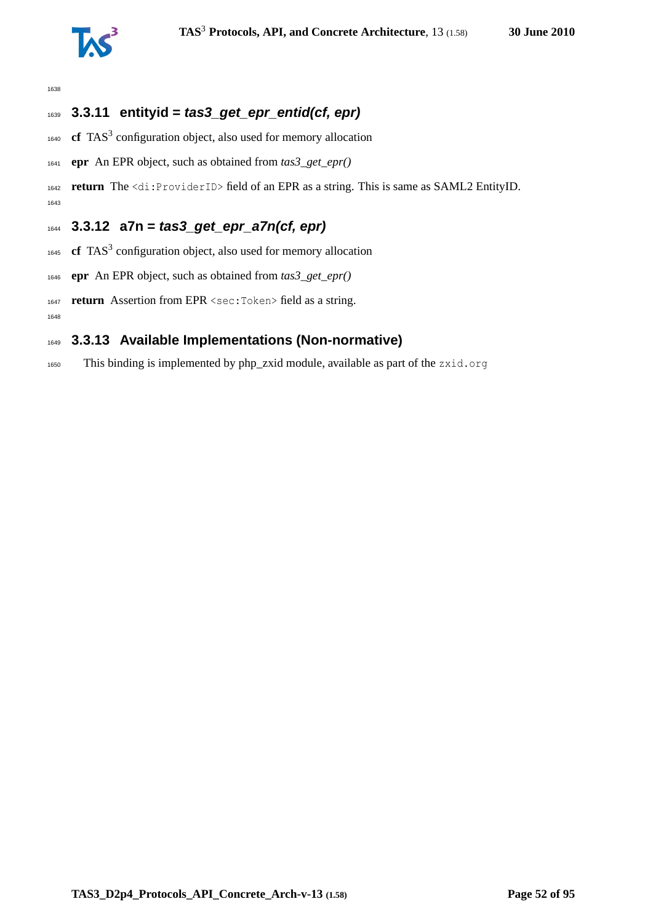

## **3.3.11 entityid = tas3\_get\_epr\_entid(cf, epr)**

- **cf** TAS<sup>3</sup> configuration object, also used for memory allocation
- **epr** An EPR object, such as obtained from *tas3\_get\_epr()*

 **return** The <di:ProviderID> field of an EPR as a string. This is same as SAML2 EntityID. 

#### **3.3.12 a7n = tas3\_get\_epr\_a7n(cf, epr)**

- **cf** TAS<sup>3</sup> configuration object, also used for memory allocation
- **epr** An EPR object, such as obtained from *tas3\_get\_epr()*
- **return** Assertion from EPR <sec:Token> field as a string.

## **3.3.13 Available Implementations (Non-normative)**

This binding is implemented by php\_zxid module, available as part of the zxid.org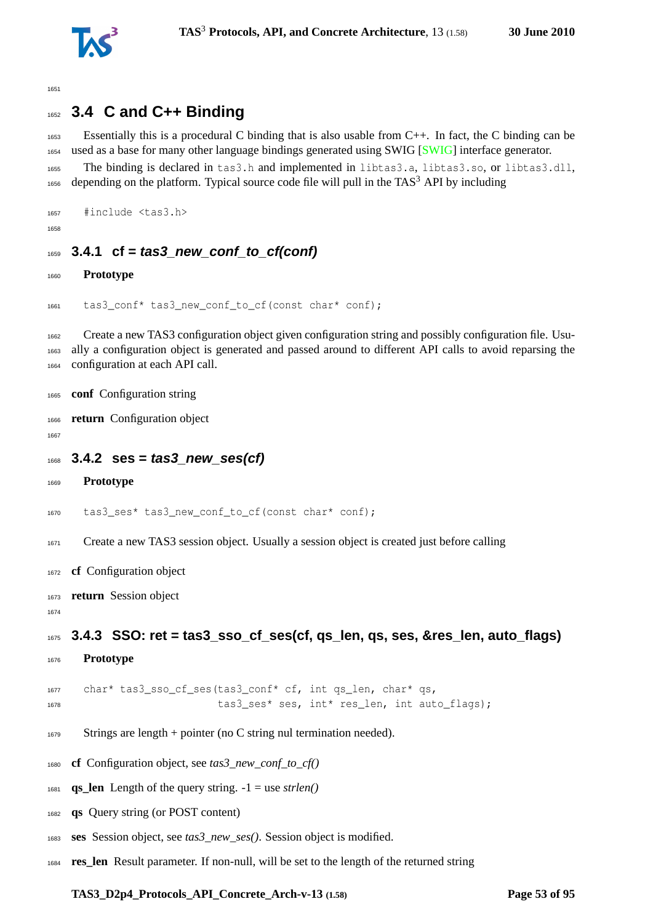

# **3.4 C and C++ Binding**

 Essentially this is a procedural C binding that is also usable from C++. In fact, the C binding can be used as a base for many other language bindings generated using SWIG [\[SWIG\]](#page-92-0) interface generator. The binding is declared in tas3.h and implemented in libtas3.a, libtas3.so, or libtas3.dll, depending on the platform. Typical source code file will pull in the TAS<sup>3</sup> API by including

```
1657 #include <tas3.h>
```
## **3.4.1 cf = tas3\_new\_conf\_to\_cf(conf)**

**Prototype**

```
1661 tas3 conf* tas3 new conf to cf(const char* conf);
```
 Create a new TAS3 configuration object given configuration string and possibly configuration file. Usu- ally a configuration object is generated and passed around to different API calls to avoid reparsing the configuration at each API call.

```
1665 conf Configuration string
```
**return** Configuration object

```
1668 3.4.2 ses = tas3_new_ses(cf)
```

```
1669 Prototype
```

```
1670 tas3_ses* tas3_new_conf_to_cf(const char* conf);
```
Create a new TAS3 session object. Usually a session object is created just before calling

- **cf** Configuration object
- **return** Session object

```
1675 3.4.3 SSO: ret = tas3_sso_cf_ses(cf, qs_len, qs, ses, &res_len, auto_flags)
```
**Prototype**

```
1677 char* tas3 sso cf ses(tas3 conf* cf, int qs len, char* qs,
1678 tas3 ses* ses, int* res len, int auto flags);
```
- Strings are length + pointer (no C string nul termination needed).
- **cf** Configuration object, see *tas3\_new\_conf\_to\_cf()*
- $_{1681}$  **qs\_len** Length of the query string.  $-1 =$  use *strlen()*
- **qs** Query string (or POST content)
- **ses** Session object, see *tas3\_new\_ses()*. Session object is modified.
- **res\_len** Result parameter. If non-null, will be set to the length of the returned string

**TAS3\_D2p4\_Protocols\_API\_Concrete\_Arch-v-13 (1.58) Page 53 of [95](#page-94-0)**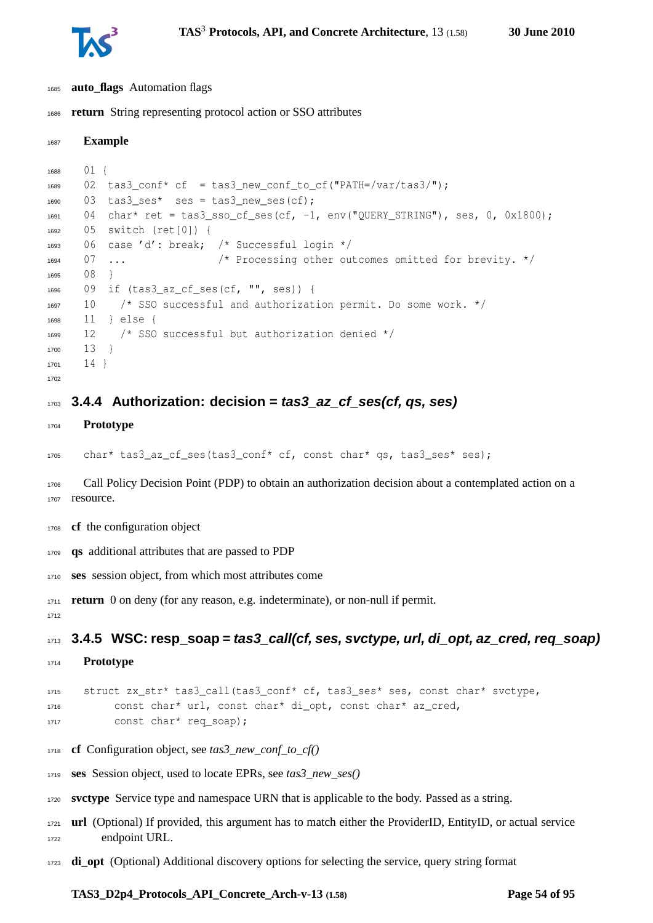

- **auto\_flags** Automation flags
- **return** String representing protocol action or SSO attributes

```
1687 Example
1688 01 {
1689 02 tas3_conf* cf = tas3_new_conf_to_cf("PATH=/var/tas3/");
1690 03 tas3 ses* ses = tas3 new ses(cf);
1691 04 char* ret = tas3_sso_cf_ses(cf, -1, env("QUERY_STRING"), ses, 0, 0x1800);
1692 05 switch (ret[0]) {
1693 06 case 'd': break; /* Successful login */
1694 07 ... /* Processing other outcomes omitted for brevity. */
1695 08 }
1696 09 if (tas3_az_cf_ses(cf, "", ses)) {
1697 10 /* SSO successful and authorization permit. Do some work. */
1698 11 } else {
1699 12 /* SSO successful but authorization denied */
1700 13 }
1701 141702
```
#### **3.4.4 Authorization: decision = tas3\_az\_cf\_ses(cf, qs, ses)**

**Prototype**

char\* tas3\_az\_cf\_ses(tas3\_conf\* cf, const char\* qs, tas3\_ses\* ses);

 Call Policy Decision Point (PDP) to obtain an authorization decision about a contemplated action on a 1707 resource.

- **cf** the configuration object
- **qs** additional attributes that are passed to PDP
- **ses** session object, from which most attributes come

**return** 0 on deny (for any reason, e.g. indeterminate), or non-null if permit.

**3.4.5 WSC: resp\_soap = tas3\_call(cf, ses, svctype, url, di\_opt, az\_cred, req\_soap)**

**Prototype**

```
1715 struct zx_str* tas3_call(tas3_conf* cf, tas3_ses* ses, const char* svctype,
1716 const char* url, const char* di_opt, const char* az_cred,
1717 const char* req_soap);
```
- **cf** Configuration object, see *tas3\_new\_conf\_to\_cf()*
- **ses** Session object, used to locate EPRs, see *tas3\_new\_ses()*
- **svctype** Service type and namespace URN that is applicable to the body. Passed as a string.
- **url** (Optional) If provided, this argument has to match either the ProviderID, EntityID, or actual service endpoint URL.
- **di\_opt** (Optional) Additional discovery options for selecting the service, query string format

#### **TAS3\_D2p4\_Protocols\_API\_Concrete\_Arch-v-13 (1.58) Page 54 of [95](#page-94-0)**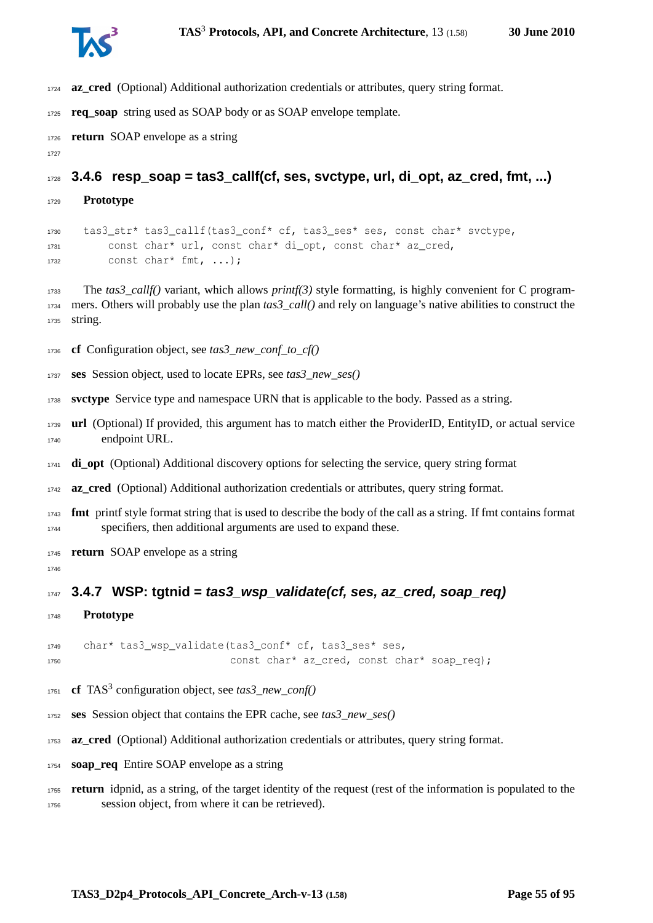

- **az\_cred** (Optional) Additional authorization credentials or attributes, query string format.
- **req\_soap** string used as SOAP body or as SOAP envelope template.
- **return** SOAP envelope as a string
- 

**3.4.6** resp soap = tas3 callf(cf, ses, svctype, url, di opt, az cred, fmt, ...)

**Prototype**

 tas3\_str\* tas3\_callf(tas3\_conf\* cf, tas3\_ses\* ses, const char\* svctype, const char\* url, const char\* di\_opt, const char\* az\_cred, const char\* fmt, ...);

 The *tas3\_callf()* variant, which allows *printf(3)* style formatting, is highly convenient for C program- mers. Others will probably use the plan *tas3\_call()* and rely on language's native abilities to construct the string.

- **cf** Configuration object, see *tas3\_new\_conf\_to\_cf()*
- **ses** Session object, used to locate EPRs, see *tas3\_new\_ses()*
- **svctype** Service type and namespace URN that is applicable to the body. Passed as a string.
- **url** (Optional) If provided, this argument has to match either the ProviderID, EntityID, or actual service endpoint URL.
- **di\_opt** (Optional) Additional discovery options for selecting the service, query string format
- **az\_cred** (Optional) Additional authorization credentials or attributes, query string format.
- **fmt** printf style format string that is used to describe the body of the call as a string. If fmt contains format specifiers, then additional arguments are used to expand these.
- **return** SOAP envelope as a string
- 

#### **3.4.7 WSP: tgtnid = tas3\_wsp\_validate(cf, ses, az\_cred, soap\_req)**

**Prototype**

1749 char\* tas3 wsp\_validate(tas3 conf\* cf, tas3 ses\* ses, 1750 const char\* az\_cred, const char\* soap\_req);

- **cf** TAS<sup>3</sup> configuration object, see *tas3\_new\_conf()*
- **ses** Session object that contains the EPR cache, see *tas3\_new\_ses()*
- **az\_cred** (Optional) Additional authorization credentials or attributes, query string format.
- **soap\_req** Entire SOAP envelope as a string
- **return** idpnid, as a string, of the target identity of the request (rest of the information is populated to the session object, from where it can be retrieved).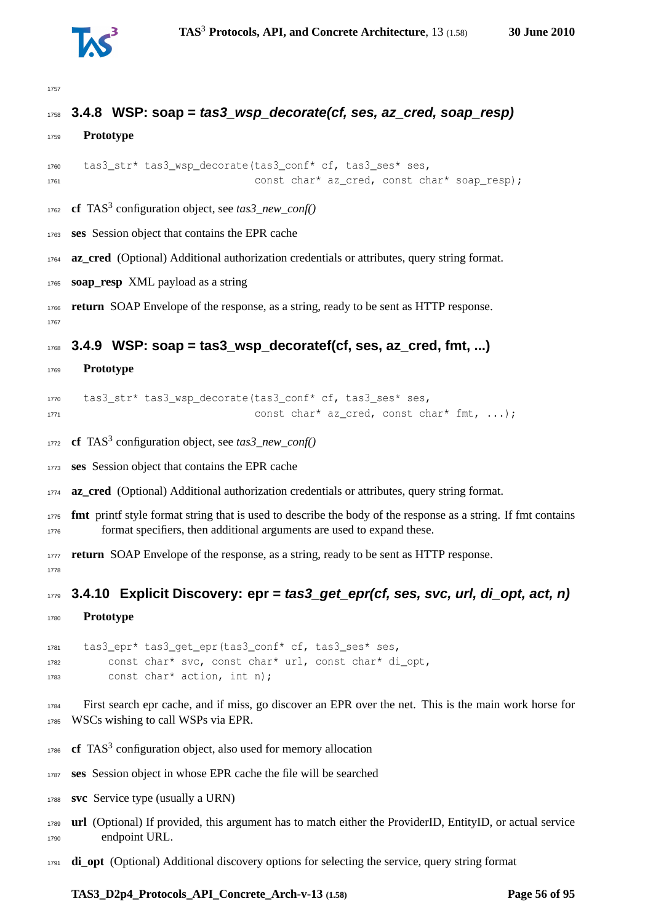

## **3.4.8 WSP: soap = tas3\_wsp\_decorate(cf, ses, az\_cred, soap\_resp)**

```
1759 Prototype
```

```
1760 tas3_str* tas3_wsp_decorate(tas3_conf* cf, tas3_ses* ses,
1761 const char* az_cred, const char* soap_resp);
```
- **cf** TAS<sup>3</sup> configuration object, see *tas3\_new\_conf()*
- **ses** Session object that contains the EPR cache

**az\_cred** (Optional) Additional authorization credentials or attributes, query string format.

**soap\_resp** XML payload as a string

 **return** SOAP Envelope of the response, as a string, ready to be sent as HTTP response. 

#### **3.4.9 WSP: soap = tas3\_wsp\_decoratef(cf, ses, az\_cred, fmt, ...)**

**Prototype**

```
1770 tas3_str* tas3_wsp_decorate(tas3_conf* cf, tas3_ses* ses,
1771 const char* az_cred, const char* fmt, ...);
```
**cf** TAS<sup>3</sup> configuration object, see *tas3\_new\_conf()* 

**ses** Session object that contains the EPR cache

**az\_cred** (Optional) Additional authorization credentials or attributes, query string format.

 **fmt** printf style format string that is used to describe the body of the response as a string. If fmt contains format specifiers, then additional arguments are used to expand these.

**return** SOAP Envelope of the response, as a string, ready to be sent as HTTP response. 

**3.4.10 Explicit Discovery: epr = tas3\_get\_epr(cf, ses, svc, url, di\_opt, act, n)**

**Prototype**

 tas3\_epr\* tas3\_get\_epr(tas3\_conf\* cf, tas3\_ses\* ses, const char\* svc, const char\* url, const char\* di\_opt, const char\* action, int n);

 First search epr cache, and if miss, go discover an EPR over the net. This is the main work horse for WSCs wishing to call WSPs via EPR.

- **cf** TAS<sup>3</sup> configuration object, also used for memory allocation
- **ses** Session object in whose EPR cache the file will be searched
- **svc** Service type (usually a URN)
- **url** (Optional) If provided, this argument has to match either the ProviderID, EntityID, or actual service endpoint URL.
- **di\_opt** (Optional) Additional discovery options for selecting the service, query string format

#### **TAS3\_D2p4\_Protocols\_API\_Concrete\_Arch-v-13 (1.58) Page 56 of [95](#page-94-0)**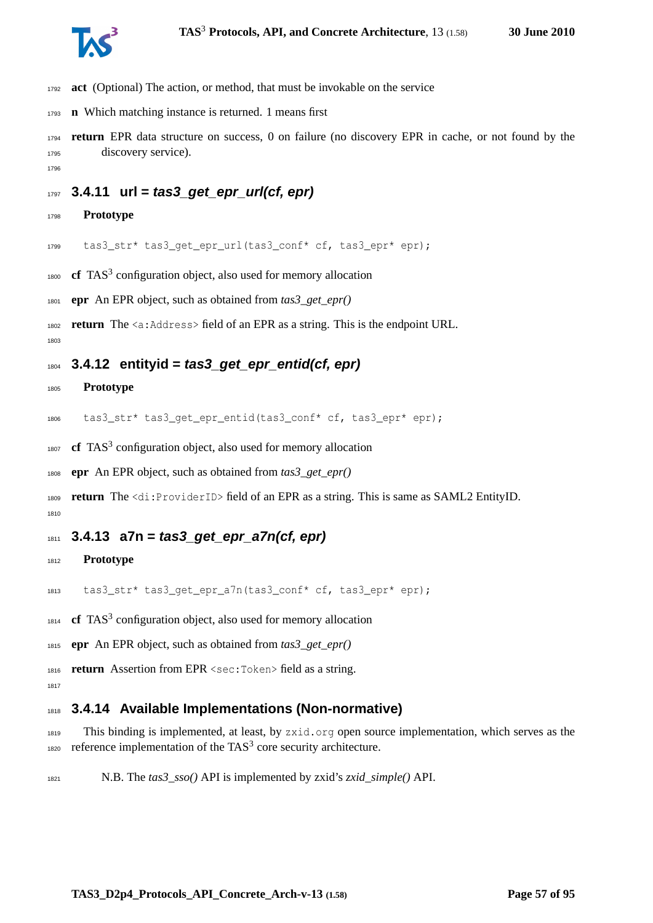

- **act** (Optional) The action, or method, that must be invokable on the service
- **n** Which matching instance is returned. 1 means first
- **return** EPR data structure on success, 0 on failure (no discovery EPR in cache, or not found by the discovery service).
- 

#### **3.4.11 url = tas3\_get\_epr\_url(cf, epr)**

**Prototype**

tas3\_str\* tas3\_get\_epr\_url(tas3\_conf\* cf, tas3\_epr\* epr);

1800 **cf** TAS<sup>3</sup> configuration object, also used for memory allocation

**epr** An EPR object, such as obtained from *tas3\_get\_epr()*

**return** The <a:Address> field of an EPR as a string. This is the endpoint URL.

#### **3.4.12 entityid = tas3\_get\_epr\_entid(cf, epr)**

#### **Prototype**

1806 tas3 str\* tas3 get epr entid(tas3 conf\* cf, tas3 epr\* epr);

1807 **cf** TAS<sup>3</sup> configuration object, also used for memory allocation

**epr** An EPR object, such as obtained from *tas3\_get\_epr()*

 **return** The <di:ProviderID> field of an EPR as a string. This is same as SAML2 EntityID. 

#### **3.4.13 a7n = tas3\_get\_epr\_a7n(cf, epr)**

#### **Prototype**

tas3\_str\* tas3\_get\_epr\_a7n(tas3\_conf\* cf, tas3\_epr\* epr);

**cf** TAS<sup>3</sup> configuration object, also used for memory allocation

**epr** An EPR object, such as obtained from *tas3\_get\_epr()*

**return** Assertion from EPR <sec:Token> field as a string.

#### **3.4.14 Available Implementations (Non-normative)**

 This binding is implemented, at least, by zxid.org open source implementation, which serves as the 1820 reference implementation of the TAS<sup>3</sup> core security architecture.

N.B. The *tas3\_sso()* API is implemented by zxid's *zxid\_simple()* API.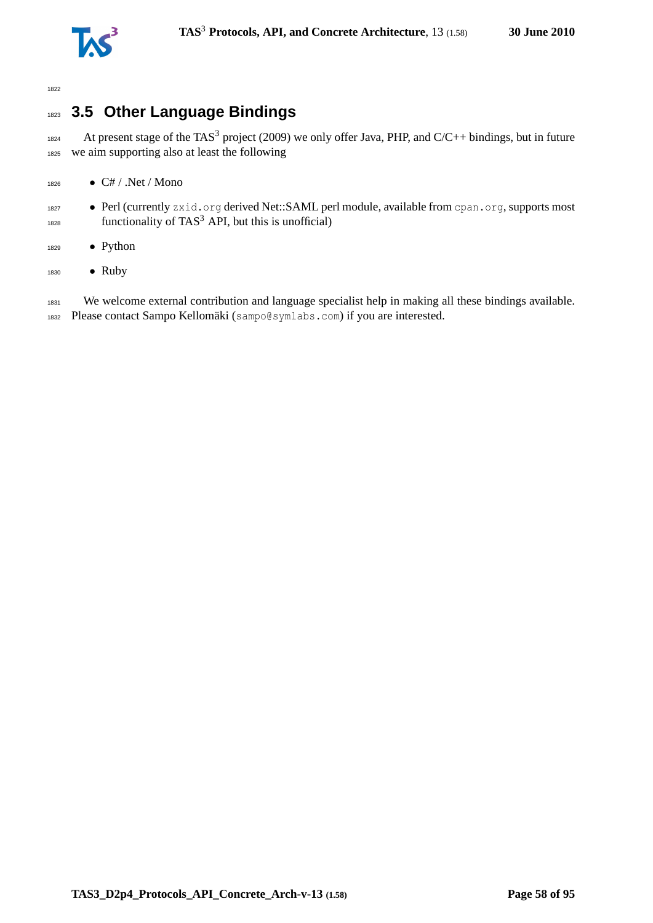

# <sup>1823</sup> **3.5 Other Language Bindings**

1824 At present stage of the TAS<sup>3</sup> project (2009) we only offer Java, PHP, and C/C++ bindings, but in future <sup>1825</sup> we aim supporting also at least the following

- $1826$  C# / .Net / Mono
- 1827 Perl (currently zxid.org derived Net::SAML perl module, available from cpan.org, supports most  $f_{1828}$  functionality of TAS<sup>3</sup> API, but this is unofficial)
- <sup>1829</sup> Python
- 1830 Ruby

1831 We welcome external contribution and language specialist help in making all these bindings available. <sup>1832</sup> Please contact Sampo Kellomäki (sampo@symlabs.com) if you are interested.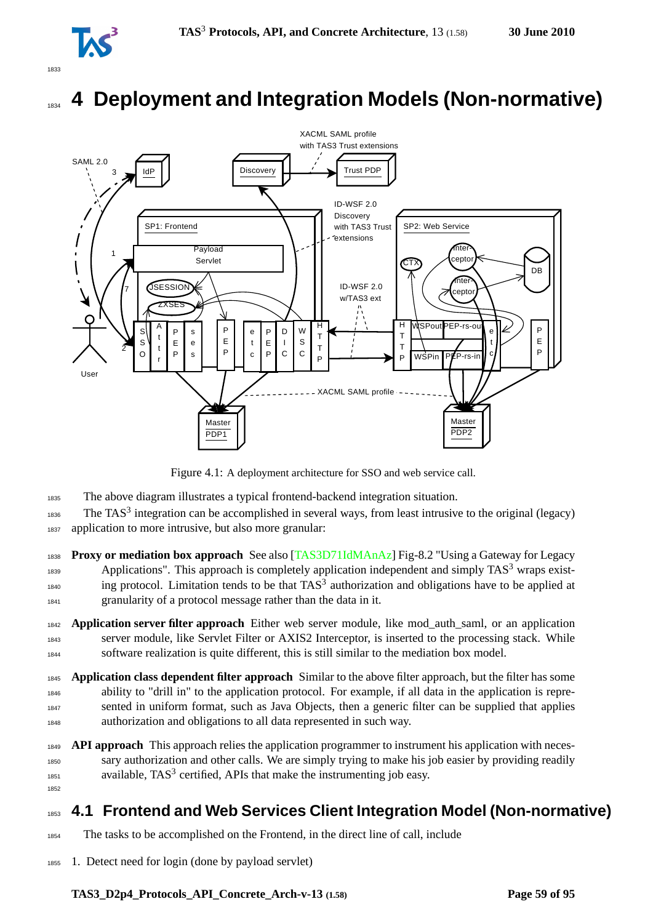

# <sup>1834</sup> **4 Deployment and Integration Models (Non-normative)**



Figure 4.1: A deployment architecture for SSO and web service call.

- <sup>1835</sup> The above diagram illustrates a typical frontend-backend integration situation.
- 1836 The TAS<sup>3</sup> integration can be accomplished in several ways, from least intrusive to the original (legacy) <sup>1837</sup> application to more intrusive, but also more granular:
- <sup>1838</sup> **Proxy or mediation box approach** See also [\[TAS3D71IdMAnAz\]](#page-93-0) Fig-8.2 "Using a Gateway for Legacy Applications". This approach is completely application independent and simply  $TAS<sup>3</sup>$  wraps exist- $\frac{1840}{1840}$  ing protocol. Limitation tends to be that TAS<sup>3</sup> authorization and obligations have to be applied at <sup>1841</sup> granularity of a protocol message rather than the data in it.
- <sup>1842</sup> **Application server filter approach** Either web server module, like mod\_auth\_saml, or an application <sup>1843</sup> server module, like Servlet Filter or AXIS2 Interceptor, is inserted to the processing stack. While <sup>1844</sup> software realization is quite different, this is still similar to the mediation box model.
- <sup>1845</sup> **Application class dependent filter approach** Similar to the above filter approach, but the filter has some <sup>1846</sup> ability to "drill in" to the application protocol. For example, if all data in the application is repre-<sup>1847</sup> sented in uniform format, such as Java Objects, then a generic filter can be supplied that applies <sup>1848</sup> authorization and obligations to all data represented in such way.
- <sup>1849</sup> **API approach** This approach relies the application programmer to instrument his application with neces-<sup>1850</sup> sary authorization and other calls. We are simply trying to make his job easier by providing readily  $1851$  available,  $TAS^3$  certified, APIs that make the instrumenting job easy. 1852

# <sup>1853</sup> **4.1 Frontend and Web Services Client Integration Model (Non-normative)**

- <sup>1854</sup> The tasks to be accomplished on the Frontend, in the direct line of call, include
- <sup>1855</sup> 1. Detect need for login (done by payload servlet)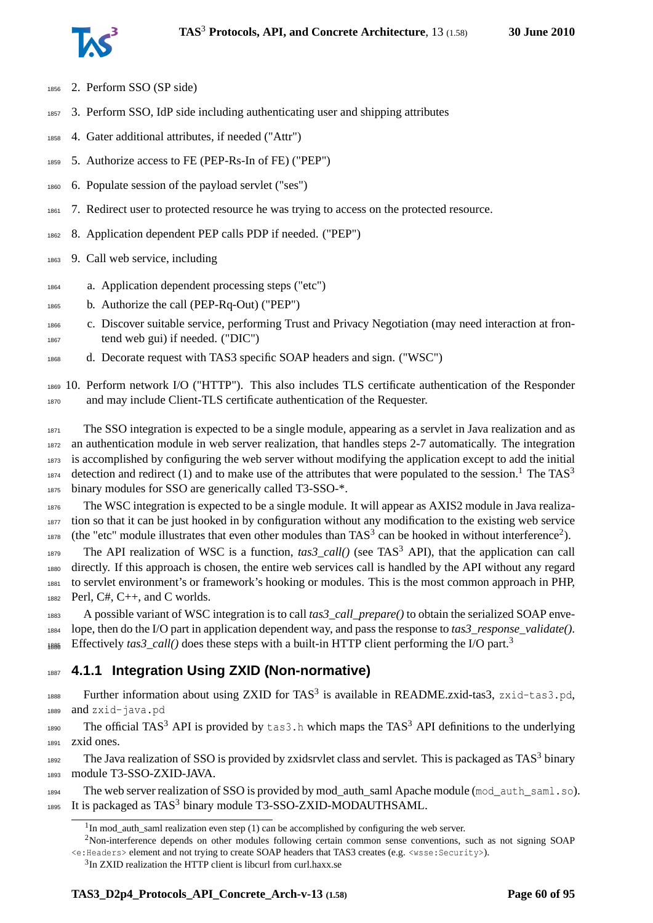

- 2. Perform SSO (SP side)
- 3. Perform SSO, IdP side including authenticating user and shipping attributes
- 4. Gater additional attributes, if needed ("Attr")
- 5. Authorize access to FE (PEP-Rs-In of FE) ("PEP")
- 6. Populate session of the payload servlet ("ses")
- 1861 7. Redirect user to protected resource he was trying to access on the protected resource.
- 8. Application dependent PEP calls PDP if needed. ("PEP")
- 9. Call web service, including
- a. Application dependent processing steps ("etc")
- b. Authorize the call (PEP-Rq-Out) ("PEP")
- c. Discover suitable service, performing Trust and Privacy Negotiation (may need interaction at fron-tend web gui) if needed. ("DIC")
- d. Decorate request with TAS3 specific SOAP headers and sign. ("WSC")

 10. Perform network I/O ("HTTP"). This also includes TLS certificate authentication of the Responder and may include Client-TLS certificate authentication of the Requester.

 The SSO integration is expected to be a single module, appearing as a servlet in Java realization and as an authentication module in web server realization, that handles steps 2-7 automatically. The integration is accomplished by configuring the web server without modifying the application except to add the initial detection and redirect ([1](#page-59-0)) and to make use of the attributes that were populated to the session.<sup>1</sup> The TAS<sup>3</sup> binary modules for SSO are generically called T3-SSO-\*.

 The WSC integration is expected to be a single module. It will appear as AXIS2 module in Java realiza- tion so that it can be just hooked in by configuration without any modification to the existing web service 1878 (the "etc" module illustrates that even other modules than  $TAS^3$  can be hooked in without interference<sup>[2](#page-59-1)</sup>).

The API realization of WSC is a function,  $\text{tas3\_call}()$  (see TAS<sup>3</sup> API), that the application can call directly. If this approach is chosen, the entire web services call is handled by the API without any regard to servlet environment's or framework's hooking or modules. This is the most common approach in PHP, Perl, C#, C++, and C worlds.

 A possible variant of WSC integration is to call *tas3\_call\_prepare()* to obtain the serialized SOAP enve- lope, then do the I/O part in application dependent way, and pass the response to *tas3\_response\_validate()*. Effectively *tas[3](#page-59-2)\_call()* does these steps with a built-in HTTP client performing the I/O part.<sup>3</sup> 1886

## **4.1.1 Integration Using ZXID (Non-normative)**

1888 Further information about using ZXID for TAS<sup>3</sup> is available in README.zxid-tas3, zxid-tas3.pd, and zxid-java.pd

1890 The official TAS<sup>3</sup> API is provided by  $\tan 3$ . h which maps the TAS<sup>3</sup> API definitions to the underlying zxid ones.

1892 The Java realization of SSO is provided by zxidsrvlet class and servlet. This is packaged as TAS<sup>3</sup> binary module T3-SSO-ZXID-JAVA.

 The web server realization of SSO is provided by mod\_auth\_saml Apache module (mod\_auth\_saml.so). 1895 It is packaged as  $TAS<sup>3</sup>$  binary module T3-SSO-ZXID-MODAUTHSAML.

<span id="page-59-1"></span><span id="page-59-0"></span>In mod\_auth\_saml realization even step (1) can be accomplished by configuring the web server.

Non-interference depends on other modules following certain common sense conventions, such as not signing SOAP <e:Headers> element and not trying to create SOAP headers that TAS3 creates (e.g. <wsse:Security>).

<span id="page-59-2"></span><sup>&</sup>lt;sup>3</sup>In ZXID realization the HTTP client is libcurl from curl.haxx.se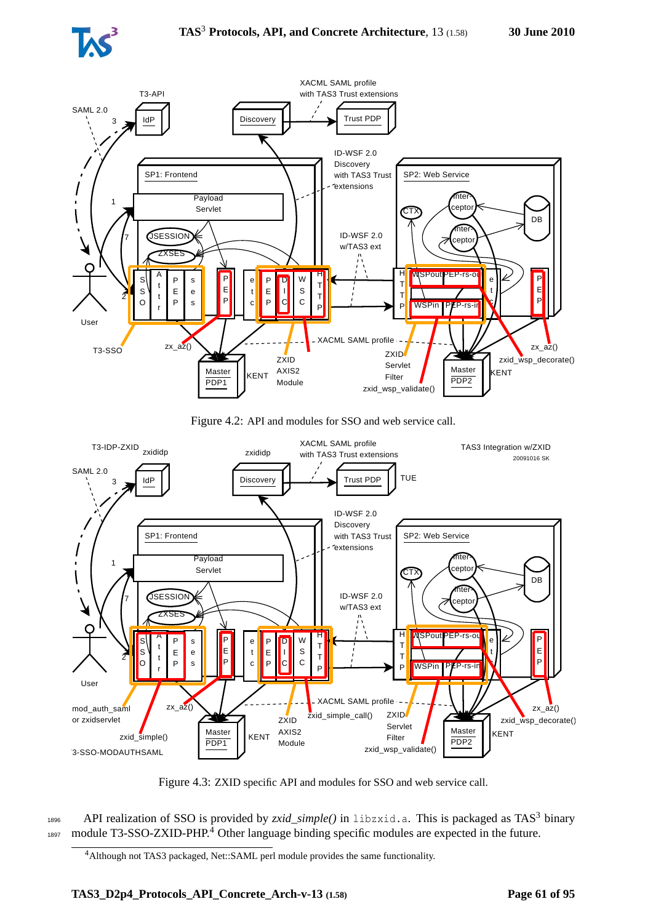



Figure 4.2: API and modules for SSO and web service call.



Figure 4.3: ZXID specific API and modules for SSO and web service call.

1896 API realization of SSO is provided by *zxid\_simple()* in libzxid.a. This is packaged as TAS<sup>3</sup> binary 1897 module T3-SSO-ZXID-PHP.<sup>[4](#page-60-0)</sup> Other language binding specific modules are expected in the future.

<span id="page-60-0"></span><sup>4</sup>Although not TAS3 packaged, Net::SAML perl module provides the same functionality.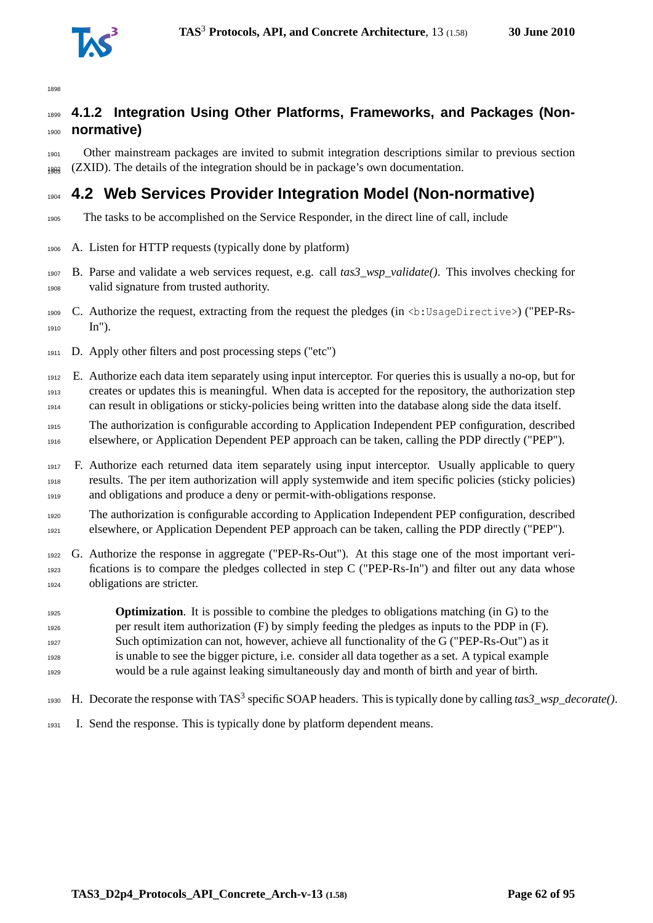

## **4.1.2 Integration Using Other Platforms, Frameworks, and Packages (Non-normative)**

 Other mainstream packages are invited to submit integration descriptions similar to previous section 1908 (ZXID). The details of the integration should be in package's own documentation.

# **4.2 Web Services Provider Integration Model (Non-normative)**

- The tasks to be accomplished on the Service Responder, in the direct line of call, include
- A. Listen for HTTP requests (typically done by platform)
- B. Parse and validate a web services request, e.g. call *tas3\_wsp\_validate()*. This involves checking for valid signature from trusted authority.
- 1909 C. Authorize the request, extracting from the request the pledges (in <b:UsageDirective>) ("PEP-Rs-In").
- D. Apply other filters and post processing steps ("etc")
- E. Authorize each data item separately using input interceptor. For queries this is usually a no-op, but for creates or updates this is meaningful. When data is accepted for the repository, the authorization step can result in obligations or sticky-policies being written into the database along side the data itself.
- The authorization is configurable according to Application Independent PEP configuration, described elsewhere, or Application Dependent PEP approach can be taken, calling the PDP directly ("PEP").
- F. Authorize each returned data item separately using input interceptor. Usually applicable to query results. The per item authorization will apply systemwide and item specific policies (sticky policies) and obligations and produce a deny or permit-with-obligations response.
- The authorization is configurable according to Application Independent PEP configuration, described elsewhere, or Application Dependent PEP approach can be taken, calling the PDP directly ("PEP").
- G. Authorize the response in aggregate ("PEP-Rs-Out"). At this stage one of the most important veri- fications is to compare the pledges collected in step C ("PEP-Rs-In") and filter out any data whose obligations are stricter.
- **Optimization**. It is possible to combine the pledges to obligations matching (in G) to the per result item authorization (F) by simply feeding the pledges as inputs to the PDP in (F). Such optimization can not, however, achieve all functionality of the G ("PEP-Rs-Out") as it is unable to see the bigger picture, i.e. consider all data together as a set. A typical example would be a rule against leaking simultaneously day and month of birth and year of birth.
- 1930 H. Decorate the response with TAS<sup>3</sup> specific SOAP headers. This is typically done by calling *tas3\_wsp\_decorate()*.
- I. Send the response. This is typically done by platform dependent means.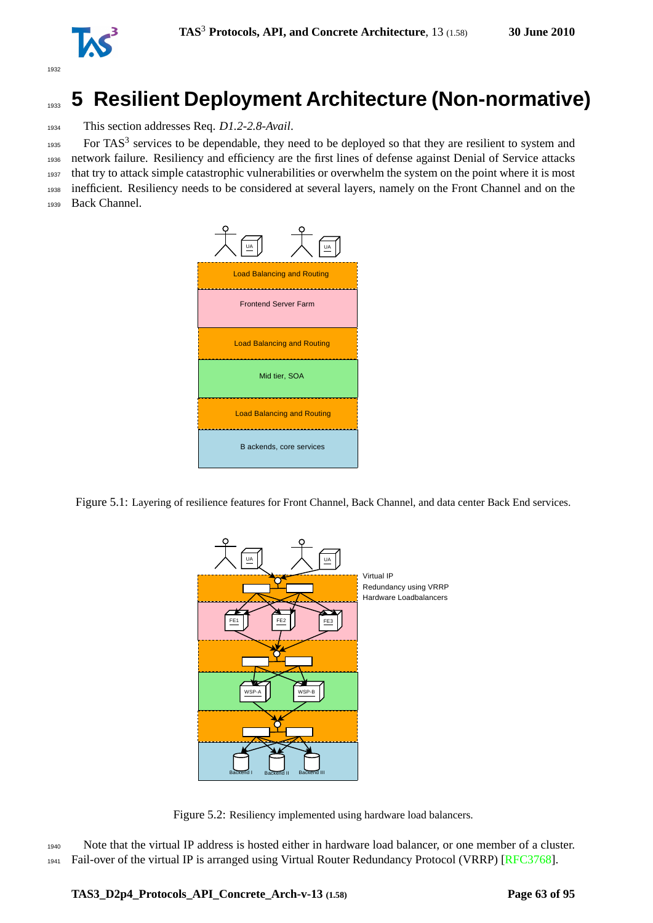

# <sup>1933</sup> **5 Resilient Deployment Architecture (Non-normative)**

<sup>1934</sup> This section addresses Req. *D1.2-2.8-Avail*.

 For TAS<sup>3</sup> services to be dependable, they need to be deployed so that they are resilient to system and network failure. Resiliency and efficiency are the first lines of defense against Denial of Service attacks that try to attack simple catastrophic vulnerabilities or overwhelm the system on the point where it is most inefficient. Resiliency needs to be considered at several layers, namely on the Front Channel and on the Back Channel.



Figure 5.1: Layering of resilience features for Front Channel, Back Channel, and data center Back End services.



Figure 5.2: Resiliency implemented using hardware load balancers.

<sup>1940</sup> Note that the virtual IP address is hosted either in hardware load balancer, or one member of a cluster. <sup>1941</sup> Fail-over of the virtual IP is arranged using Virtual Router Redundancy Protocol (VRRP) [\[RFC3768\]](#page-91-0).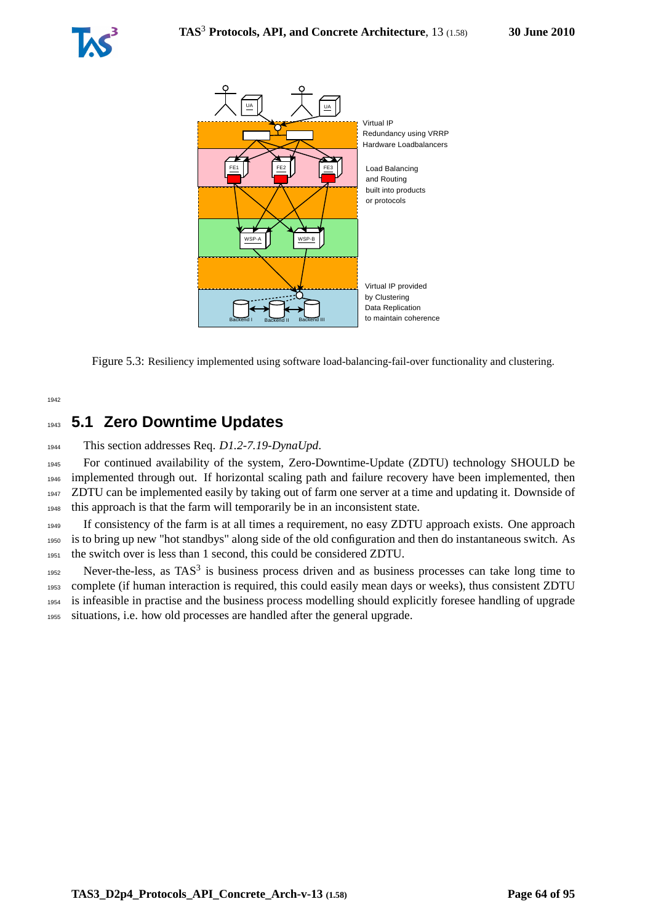



Figure 5.3: Resiliency implemented using software load-balancing-fail-over functionality and clustering.

1942

# <sup>1943</sup> **5.1 Zero Downtime Updates**

<sup>1944</sup> This section addresses Req. *D1.2-7.19-DynaUpd*.

 For continued availability of the system, Zero-Downtime-Update (ZDTU) technology SHOULD be implemented through out. If horizontal scaling path and failure recovery have been implemented, then ZDTU can be implemented easily by taking out of farm one server at a time and updating it. Downside of this approach is that the farm will temporarily be in an inconsistent state.

<sup>1949</sup> If consistency of the farm is at all times a requirement, no easy ZDTU approach exists. One approach <sup>1950</sup> is to bring up new "hot standbys" along side of the old configuration and then do instantaneous switch. As <sup>1951</sup> the switch over is less than 1 second, this could be considered ZDTU.

Never-the-less, as  $TAS<sup>3</sup>$  is business process driven and as business processes can take long time to complete (if human interaction is required, this could easily mean days or weeks), thus consistent ZDTU is infeasible in practise and the business process modelling should explicitly foresee handling of upgrade situations, i.e. how old processes are handled after the general upgrade.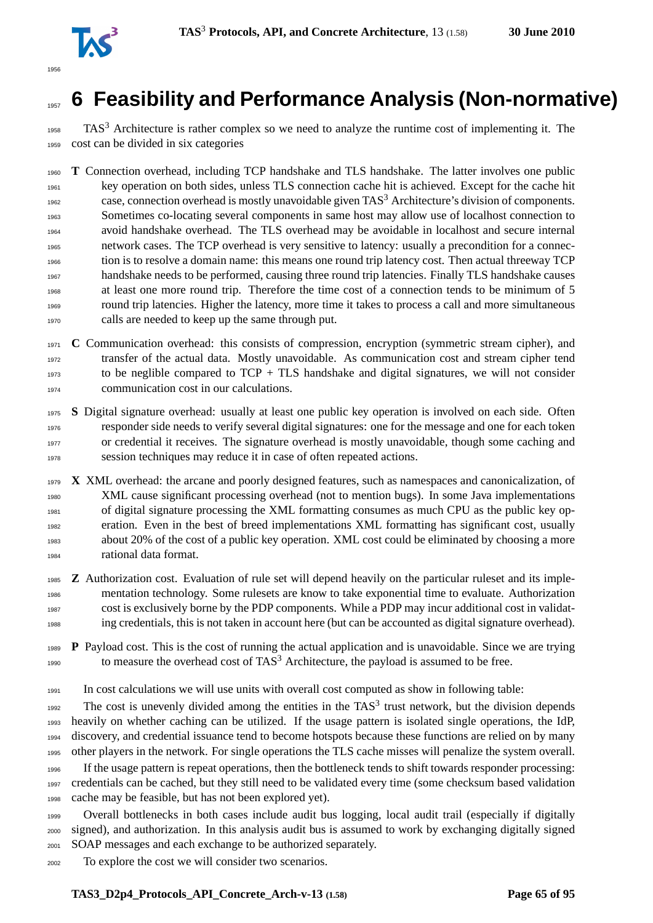

# **6 Feasibility and Performance Analysis (Non-normative)**

 TAS<sup>3</sup> Architecture is rather complex so we need to analyze the runtime cost of implementing it. The cost can be divided in six categories

 **T** Connection overhead, including TCP handshake and TLS handshake. The latter involves one public key operation on both sides, unless TLS connection cache hit is achieved. Except for the cache hit <sup>1962</sup> case, connection overhead is mostly unavoidable given  $TAS<sup>3</sup>$  Architecture's division of components. Sometimes co-locating several components in same host may allow use of localhost connection to avoid handshake overhead. The TLS overhead may be avoidable in localhost and secure internal network cases. The TCP overhead is very sensitive to latency: usually a precondition for a connec- tion is to resolve a domain name: this means one round trip latency cost. Then actual threeway TCP handshake needs to be performed, causing three round trip latencies. Finally TLS handshake causes at least one more round trip. Therefore the time cost of a connection tends to be minimum of 5 round trip latencies. Higher the latency, more time it takes to process a call and more simultaneous calls are needed to keep up the same through put.

 **C** Communication overhead: this consists of compression, encryption (symmetric stream cipher), and transfer of the actual data. Mostly unavoidable. As communication cost and stream cipher tend to be neglible compared to  $TCP + TLS$  handshake and digital signatures, we will not consider communication cost in our calculations.

 **S** Digital signature overhead: usually at least one public key operation is involved on each side. Often responder side needs to verify several digital signatures: one for the message and one for each token or credential it receives. The signature overhead is mostly unavoidable, though some caching and session techniques may reduce it in case of often repeated actions.

- **X** XML overhead: the arcane and poorly designed features, such as namespaces and canonicalization, of XML cause significant processing overhead (not to mention bugs). In some Java implementations of digital signature processing the XML formatting consumes as much CPU as the public key op- eration. Even in the best of breed implementations XML formatting has significant cost, usually about 20% of the cost of a public key operation. XML cost could be eliminated by choosing a more rational data format.
- **Z** Authorization cost. Evaluation of rule set will depend heavily on the particular ruleset and its imple- mentation technology. Some rulesets are know to take exponential time to evaluate. Authorization cost is exclusively borne by the PDP components. While a PDP may incur additional cost in validat-ing credentials, this is not taken in account here (but can be accounted as digital signature overhead).
- **P** Payload cost. This is the cost of running the actual application and is unavoidable. Since we are trying 1990 to measure the overhead cost of  $TAS<sup>3</sup>$  Architecture, the payload is assumed to be free.

In cost calculations we will use units with overall cost computed as show in following table:

The cost is unevenly divided among the entities in the  $TAS<sup>3</sup>$  trust network, but the division depends heavily on whether caching can be utilized. If the usage pattern is isolated single operations, the IdP, discovery, and credential issuance tend to become hotspots because these functions are relied on by many other players in the network. For single operations the TLS cache misses will penalize the system overall. If the usage pattern is repeat operations, then the bottleneck tends to shift towards responder processing: credentials can be cached, but they still need to be validated every time (some checksum based validation cache may be feasible, but has not been explored yet).

 Overall bottlenecks in both cases include audit bus logging, local audit trail (especially if digitally signed), and authorization. In this analysis audit bus is assumed to work by exchanging digitally signed SOAP messages and each exchange to be authorized separately.

To explore the cost we will consider two scenarios.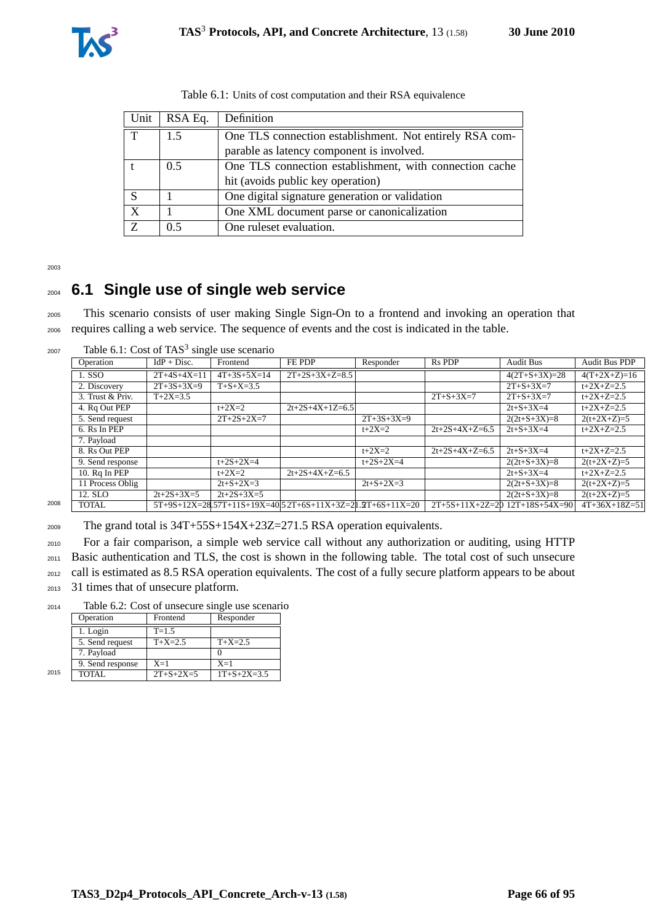| Unit | RSA Eq.       | Definition                                              |
|------|---------------|---------------------------------------------------------|
| T    | 1.5           | One TLS connection establishment. Not entirely RSA com- |
|      |               | parable as latency component is involved.               |
|      | $0.5^{\circ}$ | One TLS connection establishment, with connection cache |
|      |               | hit (avoids public key operation)                       |
| S    |               | One digital signature generation or validation          |
| X    |               | One XML document parse or canonicalization              |
| Z    | 0.5           | One rules evaluation.                                   |

Table 6.1: Units of cost computation and their RSA equivalence

2003

## <sup>2004</sup> **6.1 Single use of single web service**

<sup>2005</sup> This scenario consists of user making Single Sign-On to a frontend and invoking an operation that <sup>2006</sup> requires calling a web service. The sequence of events and the cost is indicated in the table.

 $2007$  Table 6.1: Cost of TAS<sup>3</sup> single use scenario

| Operation        | $IdP + Disc.$ | Frontend          | FE PDP                                         | Responder    | <b>Rs PDP</b>                                                                    | <b>Audit Bus</b>  | Audit Bus PDP                      |
|------------------|---------------|-------------------|------------------------------------------------|--------------|----------------------------------------------------------------------------------|-------------------|------------------------------------|
| 1. SSO           | $2T+4S+4X=11$ | $4T+3S+5X=14$     | $2T+2S+3X+Z=8.5$                               |              |                                                                                  | $4(2T+S+3X)=28$   | $4(T+2X+Z)=16$                     |
| 2. Discovery     | $2T+3S+3X=9$  | $T + S + X = 3.5$ |                                                |              |                                                                                  | $2T + S + 3X = 7$ | $t+2X+Z=2.5$                       |
| 3. Trust & Priv. | $T+2X=3.5$    |                   |                                                |              | $2T + S + 3X = 7$                                                                | $2T + S + 3X = 7$ | $t+2X+Z=2.5$                       |
| 4. Rq Out PEP    |               | $t + 2X = 2$      |                                                |              |                                                                                  | $2t + S + 3X = 4$ | $t+2X+Z=2.5$                       |
| 5. Send request  |               | $2T+2S+2X=7$      |                                                | $2T+3S+3X=9$ |                                                                                  | $2(2t+S+3X)=8$    | $2(t+2X+Z)=5$                      |
| 6. Rs In PEP     |               |                   |                                                | $t + 2X = 2$ | $2t+2S+4X+Z=6.5$                                                                 | $2t + S + 3X = 4$ | $t+2X+Z=2.5$                       |
| 7. Payload       |               |                   |                                                |              |                                                                                  |                   |                                    |
| 8. Rs Out PEP    |               |                   |                                                | $t + 2X = 2$ | $2t+2S+4X+Z=6.5$                                                                 | $2t + S + 3X = 4$ | $t+2X+Z=2.5$                       |
| 9. Send response |               | $t+2S+2X=4$       |                                                | $t+2S+2X=4$  |                                                                                  | $2(2t+S+3X)=8$    | $2(t+2X+Z)=5$                      |
| 10. Rq In PEP    |               | $t + 2X = 2$      | $2t+2S+4X+Z=6.5$                               |              |                                                                                  | $2t + S + 3X = 4$ | $t+2X+Z=2.5$                       |
| 11 Process Oblig |               | $2t + S + 2X = 3$ |                                                | $2t+S+2X=3$  |                                                                                  | $2(2t+S+3X)=8$    | $2(t+2X+Z)=5$                      |
| 12. SLO          | $2t+2S+3X=5$  | $2t+2S+3X=5$      |                                                |              |                                                                                  | $2(2t+S+3X)=8$    | $2(t+2X+Z)=5$                      |
| <b>TOTAL</b>     |               |                   |                                                |              |                                                                                  |                   | $4T+36X+18Z=51$                    |
|                  |               |                   | racio 6.11. Cost of 1115 single asc securities |              | $2t+2S+4X+1Z=6.5$<br>$5T+9S+12X=28.57T+11S+19X=40.52T+6S+11X+3Z=21.2T+6S+11X=20$ |                   | $2T+5S+11X+2Z=20$ $12T+18S+54X=90$ |

<sup>2009</sup> The grand total is 34T+55S+154X+23Z=271.5 RSA operation equivalents.

<sup>2010</sup> For a fair comparison, a simple web service call without any authorization or auditing, using HTTP

<sup>2011</sup> Basic authentication and TLS, the cost is shown in the following table. The total cost of such unsecure

<sup>2012</sup> call is estimated as 8.5 RSA operation equivalents. The cost of a fully secure platform appears to be about

<sup>2013</sup> 31 times that of unsecure platform.

<sup>2014</sup> Table 6.2: Cost of unsecure single use scenario

|      | Operation        | Frontend          | Responder           |
|------|------------------|-------------------|---------------------|
|      | 1. Login         | $T = 1.5$         |                     |
|      | 5. Send request  | $T+X=2.5$         | $T+X=2.5$           |
|      | 7. Payload       |                   |                     |
|      | 9. Send response | $X=1$             | $X=1$               |
| 2015 | TOTAL            | $2T + S + 2X = 5$ | $1T + S + 2X = 3.5$ |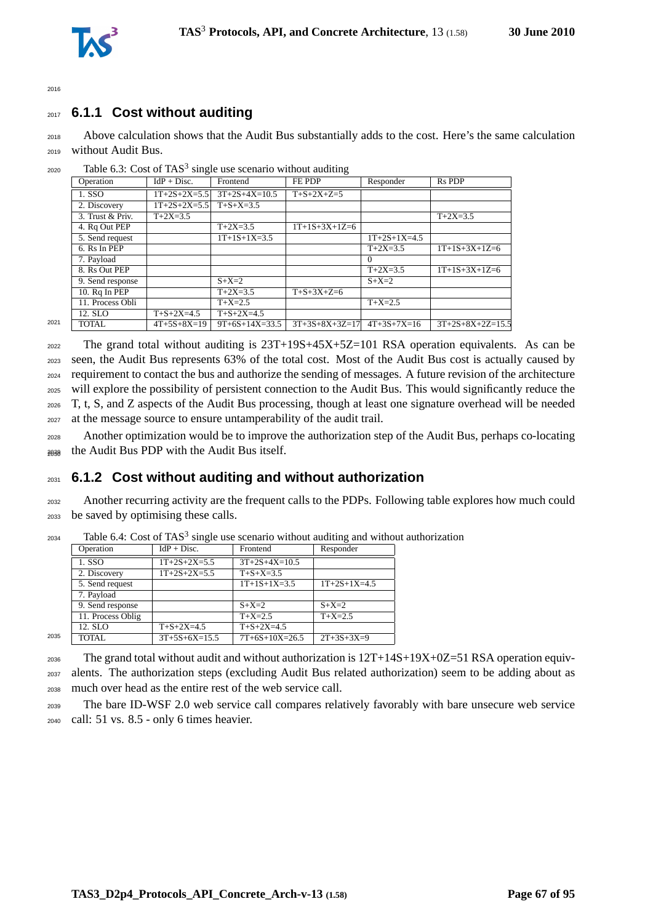



#### <sup>2017</sup> **6.1.1 Cost without auditing**

<sup>2018</sup> Above calculation shows that the Audit Bus substantially adds to the cost. Here's the same calculation <sup>2019</sup> without Audit Bus.

|      | Operation        | $IdP + Disc.$         | Frontend           | FE PDP           | Responder      | <b>Rs PDP</b>      |
|------|------------------|-----------------------|--------------------|------------------|----------------|--------------------|
|      | 1. SSO           | $1T+2S+2X=5.5$        | $3T+2S+4X=10.5$    | $T+S+2X+Z=5$     |                |                    |
|      | 2. Discovery     | $1T+2S+2X=5.5$        | $T + S + X = 3.5$  |                  |                |                    |
|      | 3. Trust & Priv. | $\overline{T+2X}=3.5$ |                    |                  |                | $T+2X=3.5$         |
|      | 4. Rq Out PEP    |                       | $T+2X=3.5$         | $1T+1S+3X+1Z=6$  |                |                    |
|      | 5. Send request  |                       | $1T+1S+1X=3.5$     |                  | $1T+2S+1X=4.5$ |                    |
|      | 6. Rs In PEP     |                       |                    |                  | $T+2X=3.5$     | $1T+1S+3X+1Z=6$    |
|      | 7. Payload       |                       |                    |                  | 0              |                    |
|      | 8. Rs Out PEP    |                       |                    |                  | $T+2X=3.5$     | $1T+1S+3X+1Z=6$    |
|      | 9. Send response |                       | $S+X=2$            |                  | $S+X=2$        |                    |
|      | 10. Rq In PEP    |                       | $T+2X=3.5$         | $T+S+3X+Z=6$     |                |                    |
|      | 11. Process Obli |                       | $T+X=2.5$          |                  | $T+X=2.5$      |                    |
|      | 12. SLO          | $T + S + 2X = 4.5$    | $T + S + 2X = 4.5$ |                  |                |                    |
| 2021 | TOTAL            | $4T+5S+8X=19$         | $9T+6S+14X=33.5$   | $3T+3S+8X+3Z=17$ | $4T+3S+7X=16$  | $3T+2S+8X+2Z=15.5$ |

 $2020$  Table 6.3: Cost of TAS<sup>3</sup> single use scenario without auditing

 The grand total without auditing is 23T+19S+45X+5Z=101 RSA operation equivalents. As can be seen, the Audit Bus represents 63% of the total cost. Most of the Audit Bus cost is actually caused by requirement to contact the bus and authorize the sending of messages. A future revision of the architecture will explore the possibility of persistent connection to the Audit Bus. This would significantly reduce the T, t, S, and Z aspects of the Audit Bus processing, though at least one signature overhead will be needed at the message source to ensure untamperability of the audit trail.

<sup>2028</sup> Another optimization would be to improve the authorization step of the Audit Bus, perhaps co-locating <sup>2029</sup> the Audit Bus PDP with the Audit Bus itself. <sup>2030</sup>

#### <sup>2031</sup> **6.1.2 Cost without auditing and without authorization**

<sup>2032</sup> Another recurring activity are the frequent calls to the PDPs. Following table explores how much could <sup>2033</sup> be saved by optimising these calls.

|      |                   |                    |                    | ັ              |
|------|-------------------|--------------------|--------------------|----------------|
|      | Operation         | $IdP + Disc.$      | Frontend           | Responder      |
|      | 1. SSO            | $1T+2S+2X=5.5$     | $3T+2S+4X=10.5$    |                |
|      | 2. Discovery      | $1T+2S+2X=5.5$     | $T + S + X = 3.5$  |                |
|      | 5. Send request   |                    | $1T+1S+1X=3.5$     | $1T+2S+1X=4.5$ |
|      | 7. Payload        |                    |                    |                |
|      | 9. Send response  |                    | $S+X=2$            | $S+X=2$        |
|      | 11. Process Oblig |                    | $T+X=2.5$          | $T+X=2.5$      |
|      | 12. SLO           | $T + S + 2X = 4.5$ | $T + S + 2X = 4.5$ |                |
| 2035 | <b>TOTAL</b>      | $3T+5S+6X=15.5$    | $7T+6S+10X=26.5$   | $2T+3S+3X=9$   |
|      |                   |                    |                    |                |

 $2034$  Table 6.4: Cost of TAS<sup>3</sup> single use scenario without auditing and without authorization

<sup>2036</sup> The grand total without audit and without authorization is 12T+14S+19X+0Z=51 RSA operation equiv-<sup>2037</sup> alents. The authorization steps (excluding Audit Bus related authorization) seem to be adding about as <sup>2038</sup> much over head as the entire rest of the web service call.

<sup>2039</sup> The bare ID-WSF 2.0 web service call compares relatively favorably with bare unsecure web service <sup>2040</sup> call: 51 vs. 8.5 - only 6 times heavier.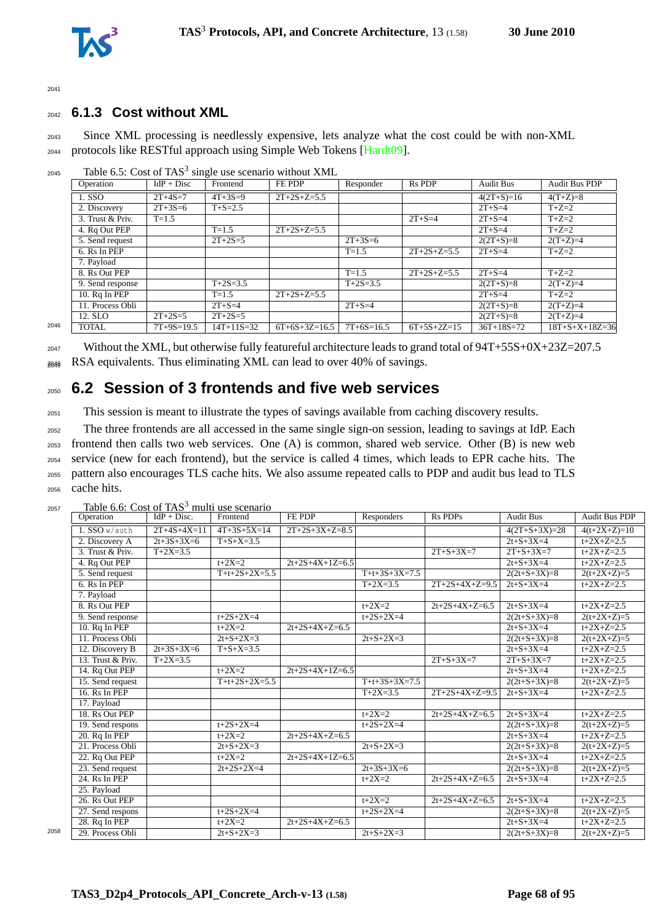

 $204$ <sup>2</sup>

#### <sup>2042</sup> **6.1.3 Cost without XML**

<sup>2043</sup> Since XML processing is needlessly expensive, lets analyze what the cost could be with non-XML <sup>2044</sup> protocols like RESTful approach using Simple Web Tokens [\[Hardt09\]](#page-88-0).

|      | Operation        | $IdP + Disc$  | Frontend      | FE PDP          | Responder     | <b>Rs PDP</b> | <b>Audit Bus</b> | Audit Bus PDP            |
|------|------------------|---------------|---------------|-----------------|---------------|---------------|------------------|--------------------------|
|      | 1. SSO           | $2T + 4S = 7$ | $4T + 3S = 9$ | $2T+2S+Z=5.5$   |               |               | $4(2T+S)=16$     | $4(T+Z)=8$               |
|      | 2. Discovery     | $2T + 3S = 6$ | $T + S = 2.5$ |                 |               |               | $2T + S = 4$     | $T+Z=2$                  |
|      | 3. Trust & Priv. | $T = 1.5$     |               |                 |               | $2T + S = 4$  | $2T + S = 4$     | $T+Z=2$                  |
|      | 4. Rq Out PEP    |               | $T = 1.5$     | $2T+2S+Z=5.5$   |               |               | $2T + S = 4$     | $T+Z=2$                  |
|      | 5. Send request  |               | $2T+2S=5$     |                 | $2T + 3S = 6$ |               | $2(2T+S)=8$      | $2(T+Z)=4$               |
|      | 6. Rs In PEP     |               |               |                 | $T = 1.5$     | $2T+2S+Z=5.5$ | $2T + S = 4$     | $T+Z=2$                  |
|      | 7. Pavload       |               |               |                 |               |               |                  |                          |
|      | 8. Rs Out PEP    |               |               |                 | $T = 1.5$     | $2T+2S+Z=5.5$ | $2T + S = 4$     | $T+Z=2$                  |
|      | 9. Send response |               | $T+2S=3.5$    |                 | $T+2S=3.5$    |               | $2(2T+S)=8$      | $2(T+Z)=4$               |
|      | 10. Rq In PEP    |               | $T = 1.5$     | $2T+2S+Z=5.5$   |               |               | $2T + S = 4$     | $T+Z=2$                  |
|      | 11. Process Obli |               | $2T + S = 4$  |                 | $2T + S = 4$  |               | $2(2T+S)=8$      | $2(T+Z)=4$               |
|      | 12. SLO          | $2T+2S=5$     | $2T+2S=5$     |                 |               |               | $2(2T+S)=8$      | $2(T+Z)=4$               |
| 2046 | <b>TOTAL</b>     | $7T+9S=19.5$  | $14T+11S=32$  | $6T+6S+3Z=16.5$ | $7T+6S=16.5$  | $6T+5S+2Z=15$ | $36T+18S=72$     | $18T + S + X + 18Z = 36$ |

 $_{2045}$  Table 6.5: Cost of TAS<sup>3</sup> single use scenario without XML

<sup>2047</sup> Without the XML, but otherwise fully featureful architecture leads to grand total of 94T+55S+0X+23Z=207.5  $_{\text{2048}}$  RSA equivalents. Thus eliminating XML can lead to over 40% of savings.

# <sup>2050</sup> **6.2 Session of 3 frontends and five web services**

<sup>2051</sup> This session is meant to illustrate the types of savings available from caching discovery results.

 The three frontends are all accessed in the same single sign-on session, leading to savings at IdP. Each frontend then calls two web services. One (A) is common, shared web service. Other (B) is new web service (new for each frontend), but the service is called 4 times, which leads to EPR cache hits. The pattern also encourages TLS cache hits. We also assume repeated calls to PDP and audit bus lead to TLS cache hits.

|      | Operation         | $IdP + Disc.$ | Frontend          | FE PDP            | Responders        | Rs PDPs           | <b>Audit Bus</b>  | <b>Audit Bus PDP</b>   |
|------|-------------------|---------------|-------------------|-------------------|-------------------|-------------------|-------------------|------------------------|
|      | 1. SSO w/auth     | $2T+4S+4X=11$ | $4T+3S+5X=14$     | $2T+2S+3X+Z=8.5$  |                   |                   | $4(2T+S+3X)=28$   | $4(t+2X+Z)=10$         |
|      | 2. Discovery A    | $2t+3S+3X=6$  | $T + S + X = 3.5$ |                   |                   |                   | $2t + S + 3X = 4$ | $t+2X+Z=2.5$           |
|      | 3. Trust & Priv.  | $T+2X=3.5$    |                   |                   |                   | $2T + S + 3X = 7$ | $2T + S + 3X = 7$ | $t+2X+Z=2.5$           |
|      | 4. Rq Out PEP     |               | $t+2X=2$          | $2t+2S+4X+1Z=6.5$ |                   |                   | $2t + S + 3X = 4$ | $t+2X+Z=2.5$           |
|      | 5. Send request   |               | $T+t+2S+2X=5.5$   |                   | $T+t+3S+3X=7.5$   |                   | $2(2t+S+3X)=8$    | $2(t+2X+Z)=5$          |
|      | $6.$ Rs In PEP    |               |                   |                   | $T+2X=3.5$        | $2T+2S+4X+Z=9.5$  | $2t + S + 3X = 4$ | $t+2X+Z=2.5$           |
|      | 7. Payload        |               |                   |                   |                   |                   |                   |                        |
|      | 8. Rs Out PEP     |               |                   |                   | $t + 2X = 2$      | $2t+2S+4X+Z=6.5$  | $2t + S + 3X = 4$ | $t+2X+Z=2.5$           |
|      | 9. Send response  |               | $t+2S+2X=4$       |                   | $t+2S+2X=4$       |                   | $2(2t+S+3X)=8$    | $2(t+2X+Z)=5$          |
|      | 10. Rq In PEP     |               | $t+2X=2$          | $2t+2S+4X+Z=6.5$  |                   |                   | $2t + S + 3X = 4$ | $\frac{1}{1+2X+Z=2.5}$ |
|      | 11. Process Obli  |               | $2t + S + 2X = 3$ |                   | $2t + S + 2X = 3$ |                   | $2(2t+S+3X)=8$    | $2(t+2X+Z)=5$          |
|      | 12. Discovery B   | $2t+3S+3X=6$  | $T + S + X = 3.5$ |                   |                   |                   | $2t + S + 3X = 4$ | $t+2X+Z=2.5$           |
|      | 13. Trust & Priv. | $T+2X=3.5$    |                   |                   |                   | $2T + S + 3X = 7$ | $2T + S + 3X = 7$ | $t+2X+Z=2.5$           |
|      | 14. Rq Out PEP    |               | $t + 2X = 2$      | $2t+2S+4X+1Z=6.5$ |                   |                   | $2t + S + 3X = 4$ | $t+2X+Z=2.5$           |
|      | 15. Send request  |               | $T+t+2S+2X=5.5$   |                   | $T+t+3S+3X=7.5$   |                   | $2(2t+S+3X)=8$    | $2(t+2X+Z)=5$          |
|      | $16.$ Rs In PEP   |               |                   |                   | $T+2X=3.5$        | $2T+2S+4X+Z=9.5$  | $2t + S + 3X = 4$ | $t+2X+Z=2.5$           |
|      | 17. Payload       |               |                   |                   |                   |                   |                   |                        |
|      | 18. Rs Out PEP    |               |                   |                   | $t + 2X = 2$      | $2t+2S+4X+Z=6.5$  | $2t + S + 3X = 4$ | $t+2X+Z=2.5$           |
|      | 19. Send respons  |               | $t+2S+2X=4$       |                   | $t+2S+2X=4$       |                   | $2(2t+S+3X)=8$    | $2(t+2X+Z)=5$          |
|      | 20. Rq In PEP     |               | $t+2X=2$          | $2t+2S+4X+Z=6.5$  |                   |                   | $2t + S + 3X = 4$ | $t+2X+Z=2.5$           |
|      | 21. Process Obli  |               | $2t+S+2X=3$       |                   | $2t + S + 2X = 3$ |                   | $2(2t+S+3X)=8$    | $2(t+2X+Z)=5$          |
|      | 22. Rq Out PEP    |               | $t + 2X = 2$      | $2t+2S+4X+1Z=6.5$ |                   |                   | $2t + S + 3X = 4$ | $t+2X+Z=2.5$           |
|      | 23. Send request  |               | $2t+2S+2X=4$      |                   | $2t+3S+3X=6$      |                   | $2(2t+S+3X)=8$    | $2(t+2X+Z)=5$          |
|      | 24. Rs In PEP     |               |                   |                   | $t + 2X = 2$      | $2t+2S+4X+Z=6.5$  | $2t + S + 3X = 4$ | $t+2X+Z=2.5$           |
|      | 25. Payload       |               |                   |                   |                   |                   |                   |                        |
|      | 26. Rs Out PEP    |               |                   |                   | $t + 2X = 2$      | $2t+2S+4X+Z=6.5$  | $2t + S + 3X = 4$ | $t+2X+Z=2.5$           |
|      | 27. Send respons  |               | $t+2S+2X=4$       |                   | $t+2S+2X=4$       |                   | $2(2t+S+3X)=8$    | $2(t+2X+Z)=5$          |
|      | 28. Rq In PEP     |               | $t+2X=2$          | $2t+2S+4X+Z=6.5$  |                   |                   | $2t + S + 3X = 4$ | $t+2X+Z=2.5$           |
| 2058 | 29. Process Obli  |               | $2t + S + 2X = 3$ |                   | $2t + S + 2X = 3$ |                   | $2(2t+S+3X)=8$    | $2(t+2X+Z)=5$          |

 $2057$  Table 6.6: Cost of TAS<sup>3</sup> multi use scenario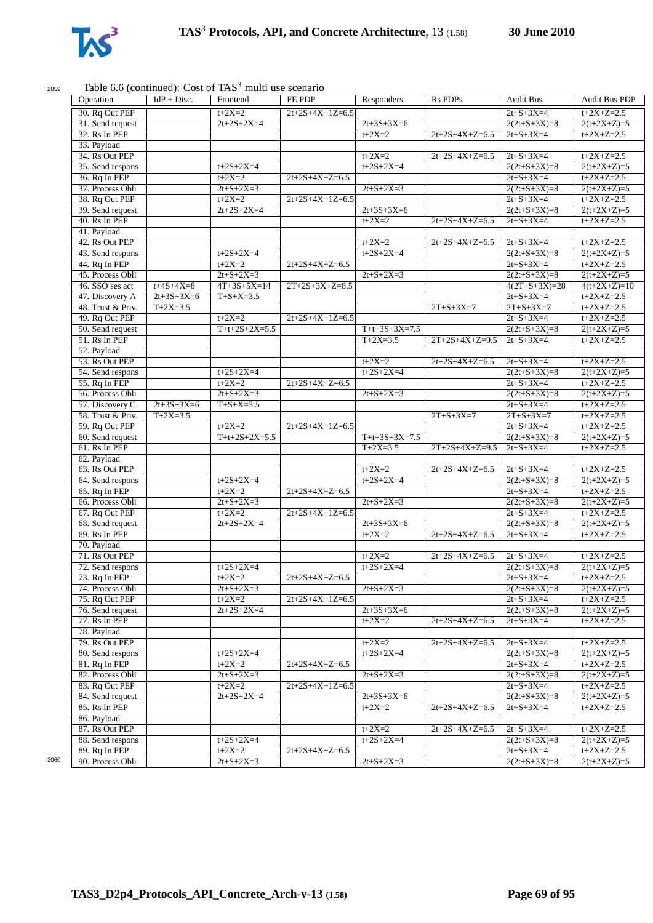

## $2059$  Table 6.6 (continued): Cost of TAS<sup>3</sup> multi use

| Operation         | $IdP + Disc.$     | Frontend          | FE PDP            | Responders        | <b>Rs PDPs</b>    | <b>Audit Bus</b>       | Audit Bus PDP  |
|-------------------|-------------------|-------------------|-------------------|-------------------|-------------------|------------------------|----------------|
| 30. Rq Out PEP    |                   | $t+2X=2$          | $2t+2S+4X+1Z=6.5$ |                   |                   | $2t + S + 3X = 4$      | $t+2X+Z=2.5$   |
| 31. Send request  |                   | $2t+2S+2X=4$      |                   | $2t+3S+3X=6$      |                   | $2(2t+S+3X)=8$         | $2(t+2X+Z)=5$  |
| 32. Rs In PEP     |                   |                   |                   | $t + 2X = 2$      | $2t+2S+4X+Z=6.5$  | $2t + S + 3X = 4$      | $t+2X+Z=2.5$   |
| 33. Payload       |                   |                   |                   |                   |                   |                        |                |
| 34. Rs Out PEP    |                   |                   |                   | $t + 2X = 2$      | $2t+2S+4X+Z=6.5$  | $2t + S + 3X = 4$      | $t+2X+Z=2.5$   |
| 35. Send respons  |                   | $t+2S+2X=4$       |                   | $t+2S+2X=4$       |                   | $2(2t+S+3X)=8$         | $2(t+2X+Z)=5$  |
| 36. Rq In PEP     |                   | $t+2X=2$          | $2t+2S+4X+Z=6.5$  |                   |                   | $2t + S + 3X = 4$      | $t+2X+Z=2.5$   |
| 37. Process Obli  |                   | $2t + S + 2X = 3$ |                   | $2t + S + 2X = 3$ |                   | $2(2t+S+3X)=8$         | $2(t+2X+Z)=5$  |
| 38. Rq Out PEP    |                   | $t+2X=2$          | $2t+2S+4X+1Z=6.5$ |                   |                   | $2t + S + 3X = 4$      | $t+2X+Z=2.5$   |
| 39. Send request  |                   | $2t+2S+2X=4$      |                   | $2t+3S+3X=6$      |                   | $2(2t+S+3X)=8$         | $2(t+2X+Z)=5$  |
| 40. Rs In PEP     |                   |                   |                   | $t + 2X = 2$      | $2t+2S+4X+Z=6.5$  | $2t + S + 3X = 4$      | $t+2X+Z=2.5$   |
|                   |                   |                   |                   |                   |                   |                        |                |
| 41. Payload       |                   |                   |                   |                   |                   |                        |                |
| 42. Rs Out PEP    |                   |                   |                   | $t+2X=2$          | $2t+2S+4X+Z=6.5$  | $2t + S + 3X = 4$      | $t+2X+Z=2.5$   |
| 43. Send respons  |                   | $t+2S+2X=4$       |                   | $t+2S+2X=4$       |                   | $2(2t+S+3X)=8$         | $2(t+2X+Z)=5$  |
| 44. Rq In PEP     |                   | $t+2X=2$          | $2t+2S+4X+Z=6.5$  |                   |                   | $2t + S + 3X = 4$      | $t+2X+Z=2.5$   |
| 45. Process Obli  |                   | $2t + S + 2X = 3$ |                   | $2t + S + 2X = 3$ |                   | $2(2t+S+3X)=8$         | $2(t+2X+Z)=5$  |
| 46. SSO ses act   | $t + 4S + 4X = 8$ | $4T+3S+5X=14$     | $2T+2S+3X+Z=8.5$  |                   |                   | $\sqrt{4(2T+S+3X)}=28$ | $4(t+2X+Z)=10$ |
| 47. Discovery A   | $2t+3S+3X=6$      | $T + S + X = 3.5$ |                   |                   |                   | $2t + S + 3X = 4$      | $t+2X+Z=2.5$   |
| 48. Trust & Priv. | $T+2X=3.5$        |                   |                   |                   | $2T + S + 3X = 7$ | $2T + S + 3X = 7$      | $t+2X+Z=2.5$   |
| 49. Rq Out PEP    |                   | $t+2X=2$          | $2t+2S+4X+1Z=6.5$ |                   |                   | $2t + S + 3X = 4$      | $t+2X+Z=2.5$   |
| 50. Send request  |                   | $T+t+2S+2X=5.5$   |                   | $T+t+3S+3X=7.5$   |                   | $2(2t+S+3X)=8$         | $2(t+2X+Z)=5$  |
| 51. Rs In PEP     |                   |                   |                   | $T+2X=3.5$        | $2T+2S+4X+Z=9.5$  | $2t + S + 3X = 4$      | $t+2X+Z=2.5$   |
| 52. Payload       |                   |                   |                   |                   |                   |                        |                |
| 53. Rs Out PEP    |                   |                   |                   | $t + 2X = 2$      | $2t+2S+4X+Z=6.5$  | $2t + S + 3X = 4$      | $t+2X+Z=2.5$   |
| 54. Send respons  |                   | $t+2S+2X=4$       |                   | $t+2S+2X=4$       |                   | $2(2t+S+3X)=8$         | $2(t+2X+Z)=5$  |
| $55. Rq$ In PEP   |                   | $t+2X=2$          | $2t+2S+4X+Z=6.5$  |                   |                   | $2t + S + 3X = 4$      | $t+2X+Z=2.5$   |
|                   |                   |                   |                   |                   |                   |                        |                |
| 56. Process Obli  |                   | $2t + S + 2X = 3$ |                   | $2t + S + 2X = 3$ |                   | $2(2t+S+3X)=8$         | $2(t+2X+Z)=5$  |
| 57. Discovery C   | $2t+3S+3X=6$      | $T + S + X = 3.5$ |                   |                   |                   | $2t + S + 3X = 4$      | $t+2X+Z=2.5$   |
| 58. Trust & Priv. | $T+2X=3.5$        |                   |                   |                   | $2T + S + 3X = 7$ | $2T + S + 3X = 7$      | $t+2X+Z=2.5$   |
| 59. Rq Out PEP    |                   | $t + 2X = 2$      | $2t+2S+4X+1Z=6.5$ |                   |                   | $2t + S + 3X = 4$      | $t+2X+Z=2.5$   |
| 60. Send request  |                   | $T+t+2S+2X=5.5$   |                   | $T+t+3S+3X=7.5$   |                   | $2(2t+S+3X)=8$         | $2(t+2X+Z)=5$  |
| 61. Rs In PEP     |                   |                   |                   | $T+2X=3.5$        | $2T+2S+4X+Z=9.5$  | $2t + S + 3X = 4$      | $t+2X+Z=2.5$   |
| 62. Payload       |                   |                   |                   |                   |                   |                        |                |
| 63. Rs Out PEP    |                   |                   |                   | $t+2X=2$          | $2t+2S+4X+Z=6.5$  | $2t + S + 3X = 4$      | $t+2X+Z=2.5$   |
| 64. Send respons  |                   | $t+2S+2X=4$       |                   | $t+2S+2X=4$       |                   | $2(2t+S+3X)=8$         | $2(t+2X+Z)=5$  |
| 65. Rq In PEP     |                   | $t+2X=2$          | $2t+2S+4X+Z=6.5$  |                   |                   | $2t + S + 3X = 4$      | $t+2X+Z=2.5$   |
| 66. Process Obli  |                   | $2t + S + 2X = 3$ |                   | $2t + S + 2X = 3$ |                   | $2(2t+S+3X)=8$         | $2(t+2X+Z)=5$  |
| 67. Rq Out PEP    |                   | $t+2X=2$          | $2t+2S+4X+1Z=6.5$ |                   |                   | $2t + S + 3X = 4$      | $t+2X+Z=2.5$   |
| 68. Send request  |                   | $2t+2S+2X=4$      |                   | $2t+3S+3X=6$      |                   | $2(2t+S+3X)=8$         | $2(t+2X+Z)=5$  |
| 69. Rs In PEP     |                   |                   |                   | $t + 2X = 2$      | $2t+2S+4X+Z=6.5$  | $2t + S + 3X = 4$      | $t+2X+Z=2.5$   |
| 70. Payload       |                   |                   |                   |                   |                   |                        |                |
| 71. Rs Out PEP    |                   |                   |                   | $t+2X=2$          |                   |                        | $t+2X+Z=2.5$   |
|                   |                   |                   |                   |                   | $2t+2S+4X+Z=6.5$  | $2t + S + 3X = 4$      |                |
| 72. Send respons  |                   | $t+2S+2X=4$       |                   | $t+2S+2X=4$       |                   | $2(2t+S+3X)=8$         | $2(t+2X+Z)=5$  |
| 73. Rq In PEP     |                   | $t+2X=2$          | $2t+2S+4X+Z=6.5$  |                   |                   | $2t + S + 3X = 4$      | $t+2X+Z=2.5$   |
| 74. Process Obli  |                   | $2t + S + 2X = 3$ |                   | $2t + S + 2X = 3$ |                   | $2(2t+S+3X)=8$         | $2(t+2X+Z)=5$  |
| 75. Rq Out PEP    |                   | $t + 2X = 2$      | $2t+2S+4X+1Z=6.5$ |                   |                   | $2t + S + 3X = 4$      | $t+2X+Z=2.5$   |
| 76. Send request  |                   | $2t+2S+2X=4$      |                   | $2t+3S+3X=6$      |                   | $2(2t+S+3X)=8$         | $2(t+2X+Z)=5$  |
| 77. Rs In PEP     |                   |                   |                   | $t+2X=2$          | $2t+2S+4X+Z=6.5$  | $2t + S + 3X = 4$      | $t+2X+Z=2.5$   |
| 78. Payload       |                   |                   |                   |                   |                   |                        |                |
| 79. Rs Out PEP    |                   |                   |                   | $t + 2X = 2$      | $2t+2S+4X+Z=6.5$  | $2t + S + 3X = 4$      | $t+2X+Z=2.5$   |
| 80. Send respons  |                   | $t+2S+2X=4$       |                   | $t+2S+2X=4$       |                   | $2(2t+S+3X)=8$         | $2(t+2X+Z)=5$  |
| 81. Rq In PEP     |                   | $t+2X=2$          | $2t+2S+4X+Z=6.5$  |                   |                   | $2t + S + 3X = 4$      | $t+2X+Z=2.5$   |
| 82. Process Obli  |                   | $2t + S + 2X = 3$ |                   | $2t + S + 2X = 3$ |                   | $2(2t+S+3X)=8$         | $2(t+2X+Z)=5$  |
| 83. Rq Out PEP    |                   | $t + 2X = 2$      | $2t+2S+4X+1Z=6.5$ |                   |                   | $2t + S + 3X = 4$      | $t+2X+Z=2.5$   |
| 84. Send request  |                   | $2t+2S+2X=4$      |                   | $2t+3S+3X=6$      |                   | $2(2t+S+3X)=8$         | $2(t+2X+Z)=5$  |
|                   |                   |                   |                   |                   |                   |                        |                |
| 85. Rs In PEP     |                   |                   |                   | $t + 2X = 2$      | $2t+2S+4X+Z=6.5$  | $2t + S + 3X = 4$      | $t+2X+Z=2.5$   |
| 86. Payload       |                   |                   |                   |                   |                   |                        |                |
| 87. Rs Out PEP    |                   |                   |                   | $t + 2X = 2$      | $2t+2S+4X+Z=6.5$  | $2t + S + 3X = 4$      | $t+2X+Z=2.5$   |
| 88. Send respons  |                   | $t+2S+2X=4$       |                   | $t+2S+2X=4$       |                   | $2(2t+S+3X)=8$         | $2(t+2X+Z)=5$  |
| 89. Rq In PEP     |                   | $t + 2X = 2$      | $2t+2S+4X+Z=6.5$  |                   |                   | $2t + S + 3X = 4$      | $t+2X+Z=2.5$   |
| 90. Process Obli  |                   | $2t + S + 2X = 3$ |                   | $2t + S + 2X = 3$ |                   | $2(2t+S+3X)=8$         | $2(t+2X+Z)=5$  |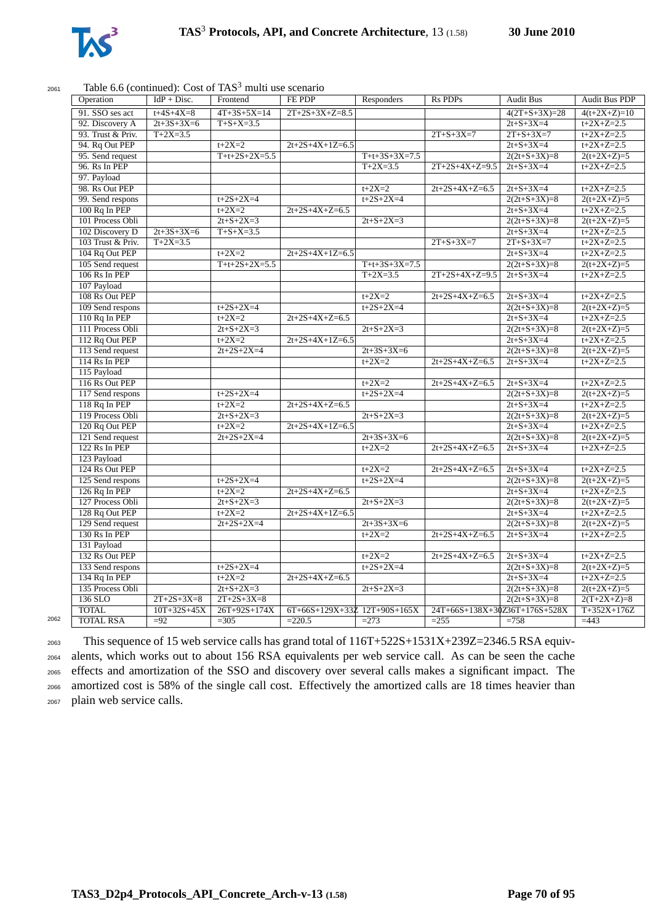

#### $2061$  Table 6.6 (continued): Cost of TAS<sup>3</sup> multi use scenario

| Operation                         | $IdP + Disc.$     | Frontend          | FE PDP                       | Responders        | <b>Rs PDPs</b>                | <b>Audit Bus</b>  | Audit Bus PDP     |
|-----------------------------------|-------------------|-------------------|------------------------------|-------------------|-------------------------------|-------------------|-------------------|
|                                   |                   |                   |                              |                   |                               |                   |                   |
| 91. SSO ses act                   | $t + 4S + 4X = 8$ | $4T+3S+5X=14$     | $2T+2S+3X+Z=8.5$             |                   |                               | $4(2T+S+3X)=28$   | $4(t+2X+Z)=10$    |
| 92. Discovery A                   | $2t+3S+3X=6$      | $T + S + X = 3.5$ |                              |                   |                               | $2t + S + 3X = 4$ | $t+2X+Z=2.5$      |
| 93. Trust & Priv.                 | $T+2X=3.5$        |                   |                              |                   | $2T + S + 3X = 7$             | $2T + S + 3X = 7$ | $t+2X+Z=2.5$      |
| 94. Rq Out PEP                    |                   | $t + 2X = 2$      | $2t+2S+4X+1Z=6.5$            |                   |                               | $2t + S + 3X = 4$ | $t+2X+Z=2.5$      |
| 95. Send request                  |                   | $T+t+2S+2X=5.5$   |                              | $T+t+3S+3X=7.5$   |                               | $2(2t+S+3X)=8$    | $2(t+2X+Z)=5$     |
| 96. Rs In PEP                     |                   |                   |                              | $T+2X=3.5$        | $2T+2S+4X+Z=9.5$              | $2t + S + 3X = 4$ | $t+2X+Z=2.5$      |
| 97. Payload                       |                   |                   |                              |                   |                               |                   |                   |
| 98. Rs Out PEP                    |                   |                   |                              | $t + 2X = 2$      | $2t+2S+4X+Z=6.5$              | $2t + S + 3X = 4$ | $t+2X+Z=2.5$      |
| 99. Send respons                  |                   | $t+2S+2X=4$       |                              | $t+2S+2X=4$       |                               | $2(2t+S+3X)=8$    | $2(t+2X+Z)=5$     |
| 100 Rq In PEP                     |                   | $t+2X=2$          | $2t+2S+4X+Z=6.5$             |                   |                               | $2t + S + 3X = 4$ | $t+2X+Z=2.5$      |
| 101 Process Obli                  |                   | $2t + S + 2X = 3$ |                              | $2t + S + 2X = 3$ |                               | $2(2t+S+3X)=8$    | $2(t+2X+Z)=5$     |
| 102 Discovery D                   | $2t+3S+3X=6$      | $T + S + X = 3.5$ |                              |                   |                               | $2t + S + 3X = 4$ | $t+2X+Z=2.5$      |
| 103 Trust & Priv.                 | $T+2X=3.5$        |                   |                              |                   | $2T + S + 3X = 7$             | $2T + S + 3X = 7$ | $t+2X+Z=2.5$      |
| 104 Rq Out PEP                    |                   | $t+2X=2$          | $2t+2S+4X+1Z=6.5$            |                   |                               | $2t + S + 3X = 4$ | $t+2X+Z=2.5$      |
| 105 Send request                  |                   | $T+t+2S+2X=5.5$   |                              | $T+t+3S+3X=7.5$   |                               | $2(2t+S+3X)=8$    | $2(t+2X+Z)=5$     |
| $106$ Rs In PEP                   |                   |                   |                              | $T+2X=3.5$        | $2T+2S+4X+Z=9.5$              | $2t + S + 3X = 4$ | $t+2X+Z=2.5$      |
| 107 Payload                       |                   |                   |                              |                   |                               |                   |                   |
| 108 Rs Out PEP                    |                   |                   |                              | $t+2X=2$          | $2t+2S+4X+Z=6.5$              | $2t + S + 3X = 4$ | $t+2X+Z=2.5$      |
| 109 Send respons                  |                   | $t+2S+2X=4$       |                              | $t+2S+2X=4$       |                               | $2(2t+S+3X)=8$    | $2(t+2X+Z)=5$     |
| 110 Rq In PEP                     |                   | $t+2X=2$          | $2t+2S+4X+Z=6.5$             |                   |                               | $2t + S + 3X = 4$ | $t+2X+Z=2.5$      |
| 111 Process Obli                  |                   | $2t + S + 2X = 3$ |                              | $2t + S + 2X = 3$ |                               | $2(2t+S+3X)=8$    | $2(t+2X+Z)=5$     |
| 112 Rq Out PEP                    |                   | $t+2X=2$          | $2t+2S+4X+1Z=6.5$            |                   |                               | $2t + S + 3X = 4$ | $t+2X+Z=2.5$      |
| 113 Send request                  |                   | $2t+2S+2X=4$      |                              | $2t+3S+3X=6$      |                               | $2(2t+S+3X)=8$    | $2(t+2X+Z)=5$     |
| 114 Rs In PEP                     |                   |                   |                              | $t+2X=2$          | $2t+2S+4X+Z=6.5$              | $2t + S + 3X = 4$ | $t+2X+Z=2.5$      |
| 115 Payload                       |                   |                   |                              |                   |                               |                   |                   |
| 116 Rs Out PEP                    |                   |                   |                              | $t+2X=2$          | $2t+2S+4X+Z=6.5$              | $2t + S + 3X = 4$ | $t+2X+Z=2.5$      |
| 117 Send respons                  |                   | $t+2S+2X=4$       |                              | $t+2S+2X=4$       |                               | $2(2t+S+3X)=8$    | $2(t+2X+Z)=5$     |
| $118$ Rq In PEP                   |                   | $t+2X=2$          | $2t+2S+4X+Z=6.5$             |                   |                               | $2t + S + 3X = 4$ | $t+2X+Z=2.5$      |
| 119 Process Obli                  |                   | $2t + S + 2X = 3$ |                              | $2t + S + 2X = 3$ |                               | $2(2t+S+3X)=8$    | $2(t+2X+Z)=5$     |
| 120 Rq Out PEP                    |                   | $t + 2X = 2$      | $2t+2S+4X+1Z=6.5$            |                   |                               | $2t + S + 3X = 4$ | $t+2X+Z=2.5$      |
| 121 Send request                  |                   | $2t+2S+2X=4$      |                              | $2t+3S+3X=6$      |                               | $2(2t+S+3X)=8$    | $2(t+2X+Z)=5$     |
| $122$ Rs In PEP                   |                   |                   |                              | $t+2X=2$          | $2t+2S+4X+Z=6.5$              | $2t + S + 3X = 4$ | $t+2X+Z=2.5$      |
| 123 Payload                       |                   |                   |                              |                   |                               |                   |                   |
| 124 Rs Out PEP                    |                   |                   |                              | $t+2X=2$          | $2t+2S+4X+Z=6.5$              | $2t + S + 3X = 4$ | $t+2X+Z=2.5$      |
| 125 Send respons                  |                   | $t+2S+2X=4$       |                              | $t+2S+2X=4$       |                               | $2(2t+S+3X)=8$    | $2(t+2X+Z)=5$     |
| $126$ Rq In PEP                   |                   | $t+2X=2$          | $2t+2S+4X+Z=6.5$             |                   |                               | $2t + S + 3X = 4$ | $t+2X+Z=2.5$      |
| 127 Process Obli                  |                   | $2t + S + 2X = 3$ |                              | $2t + S + 2X = 3$ |                               | $2(2t+S+3X)=8$    | $2(t+2X+Z)=5$     |
| 128 Rq Out PEP                    |                   | $t+2X=2$          | $2t+2S+4X+1Z=6.5$            |                   |                               | $2t + S + 3X = 4$ | $t+2X+Z=2.5$      |
|                                   |                   |                   |                              |                   |                               |                   |                   |
| 129 Send request<br>130 Rs In PEP |                   | $2t+2S+2X=4$      |                              | $2t+3S+3X=6$      |                               | $2(2t+S+3X)=8$    | $2(t+2X+Z)=5$     |
|                                   |                   |                   |                              | $t+2X=2$          | $2t+2S+4X+Z=6.5$              | $2t + S + 3X = 4$ | $t+2X+Z=2.5$      |
| 131 Payload                       |                   |                   |                              |                   |                               |                   |                   |
| 132 Rs Out PEP                    |                   |                   |                              | $t + 2X = 2$      | $2t+2S+4X+Z=6.5$              | $2t + S + 3X = 4$ | $t+2X+Z=2.5$      |
| 133 Send respons                  |                   | $t+2S+2X=4$       |                              | $t+2S+2X=4$       |                               | $2(2t+S+3X)=8$    | $2(t+2X+Z)=5$     |
| 134 Rq In PEP                     |                   | $t+2X=2$          | $2t+2S+4X+Z=6.5$             |                   |                               | $2t + S + 3X = 4$ | $t+2X+Z=2.5$      |
| 135 Process Obli                  |                   | $2t + S + 2X = 3$ |                              | $2t + S + 2X = 3$ |                               | $2(2t+S+3X)=8$    | $2(t+2X+Z)=5$     |
| 136 SLO                           | $2T+2S+3X=8$      | $2T+2S+3X=8$      |                              |                   |                               | $2(2t+S+3X)=8$    | $2(T+2X+Z)=8$     |
| <b>TOTAL</b>                      | $10T + 32S + 45X$ | 26T+92S+174X      | 6T+66S+129X+33Z 12T+90S+165X |                   | 24T+66S+138X+30Z36T+176S+528X |                   | $T+352X+176Z$     |
| <b>TOTAL RSA</b>                  | $\overline{-92}$  | $=305$            | $=220.5$                     | $=273$            | $= 255$                       | $=758$            | $\overline{=}443$ |
|                                   |                   |                   |                              |                   |                               |                   |                   |

 This sequence of 15 web service calls has grand total of 116T+522S+1531X+239Z=2346.5 RSA equiv- alents, which works out to about 156 RSA equivalents per web service call. As can be seen the cache effects and amortization of the SSO and discovery over several calls makes a significant impact. The amortized cost is 58% of the single call cost. Effectively the amortized calls are 18 times heavier than plain web service calls.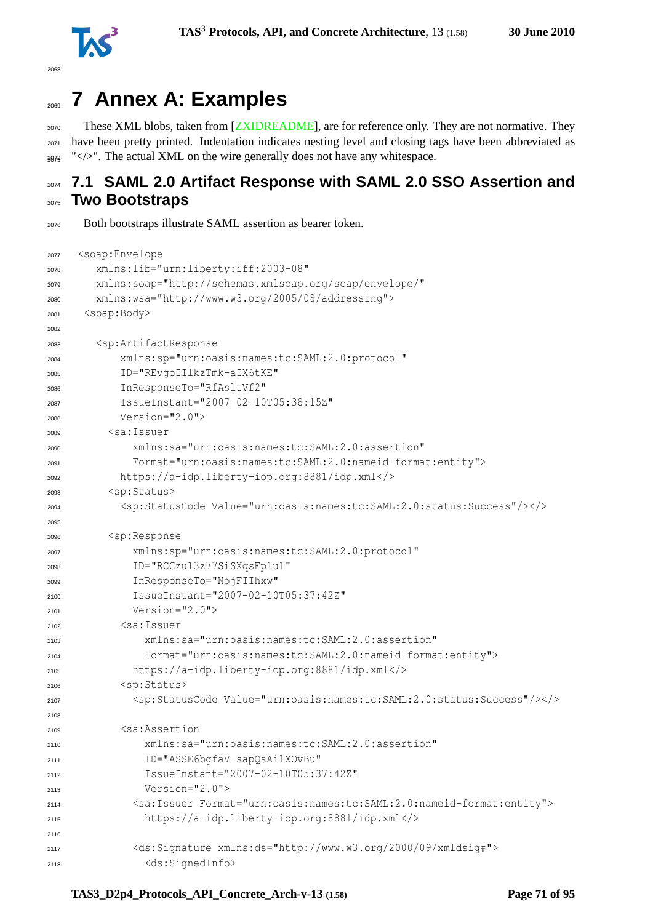

# **7 Annex A: Examples**

<sub>2070</sub> These XML blobs, taken from [\[ZXIDREADME\]](#page-94-1), are for reference only. They are not normative. They have been pretty printed. Indentation indicates nesting level and closing tags have been abbreviated as  $_{2073}$  " $\lt$ />". The actual XML on the wire generally does not have any whitespace.

# **7.1 SAML 2.0 Artifact Response with SAML 2.0 SSO Assertion and Two Bootstraps**

Both bootstraps illustrate SAML assertion as bearer token.

```
2077 <soap:Envelope
2078 xmlns:lib="urn:liberty:iff:2003-08"
2079 xmlns:soap="http://schemas.xmlsoap.org/soap/envelope/"
2080 xmlns:wsa="http://www.w3.org/2005/08/addressing">
2081 <soap:Body>
2082
       2083 <sp:ArtifactResponse
2084 xmlns:sp="urn:oasis:names:tc:SAML:2.0:protocol"
2085 ID="REvgoIIlkzTmk-aIX6tKE"
2086 InResponseTo="RfAsltVf2"
2087 IssueInstant="2007-02-10T05:38:15Z"
          Version="2.0">
2089 <sa:Issuer
2090 xmlns:sa="urn:oasis:names:tc:SAML:2.0:assertion"
2091 Format="urn:oasis:names:tc:SAML:2.0:nameid-format:entity">
2092 https://a-idp.liberty-iop.org:8881/idp.xml</>
2093 <sp:Status>
2094 <sp:StatusCode Value="urn:oasis:names:tc:SAML:2.0:status:Success"/></>
2095
2096 <sp:Response
2097 xmlns:sp="urn:oasis:names:tc:SAML:2.0:protocol"
2098 ID="RCCzu13z77SiSXqsFp1u1"
2099 InResponseTo="NojFIIhxw"
2100 IssueInstant="2007-02-10T05:37:42Z"
2101 Version="2.0">
2102 <sa:Issuer
2103 xmlns:sa="urn:oasis:names:tc:SAML:2.0:assertion"
2104 Format="urn:oasis:names:tc:SAML:2.0:nameid-format:entity">
2105 https://a-idp.liberty-iop.org:8881/idp.xml</>
2106 <sp:Status>
2107 <sp:StatusCode Value="urn:oasis:names:tc:SAML:2.0:status:Success"/></>
2108
2109 <sa:Assertion
2110 xmlns:sa="urn:oasis:names:tc:SAML:2.0:assertion"
2111 ID="ASSE6bgfaV-sapQsAilXOvBu"
2112 IssueInstant="2007-02-10T05:37:42Z"
2113 Version="2.0">
2114 <sa:Issuer Format="urn:oasis:names:tc:SAML:2.0:nameid-format:entity">
2115 https://a-idp.liberty-iop.org:8881/idp.xml</>
2116
2117 <ds:Signature xmlns:ds="http://www.w3.org/2000/09/xmldsig#">
2118 <ds:SignedInfo>
```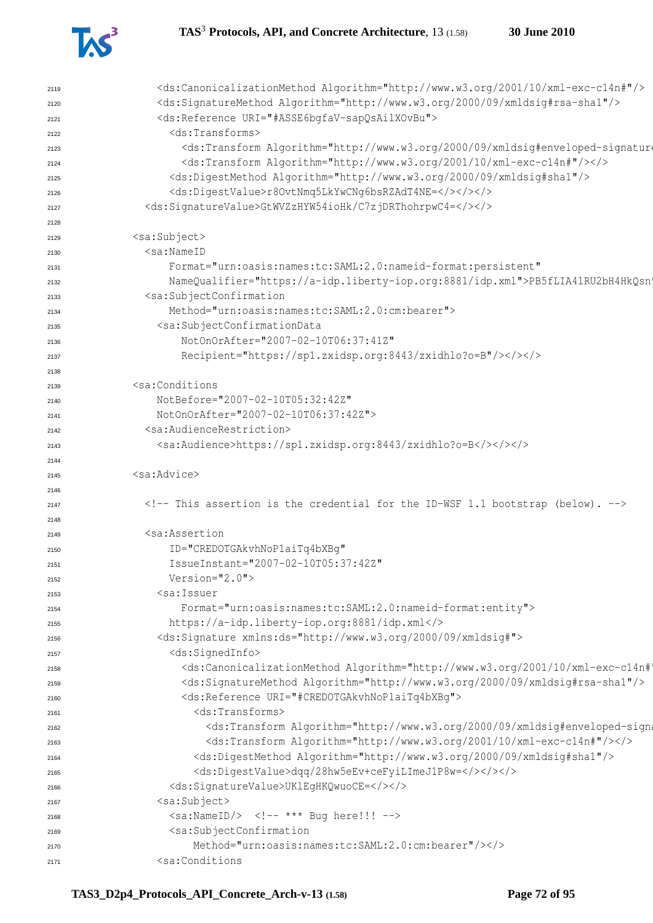

| 2119         | <ds:canonicalizationmethod algorithm="http://www.w3.org/2001/10/xml-exc-c14n#"></ds:canonicalizationmethod>                                                                                                                                                                              |
|--------------|------------------------------------------------------------------------------------------------------------------------------------------------------------------------------------------------------------------------------------------------------------------------------------------|
| 2120         | <ds:signaturemethod algorithm="http://www.w3.org/2000/09/xmldsig#rsa-shal"></ds:signaturemethod>                                                                                                                                                                                         |
| 2121         | <ds:reference uri="#ASSE6bqfaV-sapQsAilXOvBu"></ds:reference>                                                                                                                                                                                                                            |
| 2122         | <ds:transforms><br/><ds:transform 10="" 2001="" algorithm="http://www.w3.org/2000/09/xmldsig#enveloped-signature&lt;/td&gt;&lt;/tr&gt;&lt;tr&gt;&lt;td&gt;2123&lt;/td&gt;&lt;td&gt;&lt;ds:Transform Algorithm=" http:="" www.w3.org="" xml-exc-c14n#"=""></ds:transform></ds:transforms> |
| 2124         | <ds:digestmethod algorithm="http://www.w3.org/2000/09/xmldsig#shal"></ds:digestmethod>                                                                                                                                                                                                   |
| 2125         | <ds:digestvalue>r8OvtNmq5LkYwCNg6bsRZAdT4NE=&gt;&gt;&gt;</ds:digestvalue>                                                                                                                                                                                                                |
| 2126         | <ds:signaturevalue>GtWVZzHYW54ioHk/C7zjDRThohrpwC4=</ds:signaturevalue>                                                                                                                                                                                                                  |
| 2127         |                                                                                                                                                                                                                                                                                          |
| 2128         | <sa:subject></sa:subject>                                                                                                                                                                                                                                                                |
| 2129         | <sa:nameid< td=""></sa:nameid<>                                                                                                                                                                                                                                                          |
| 2130         | Format="urn:oasis:names:tc:SAML:2.0:nameid-format:persistent"                                                                                                                                                                                                                            |
| 2131         |                                                                                                                                                                                                                                                                                          |
| 2132         | NameQualifier="https://a-idp.liberty-iop.org:8881/idp.xml">PB5fLIA41RU2bH4HkQsn'<br><sa:subjectconfirmation< td=""></sa:subjectconfirmation<>                                                                                                                                            |
| 2133         | Method="urn:oasis:names:tc:SAML:2.0:cm:bearer">                                                                                                                                                                                                                                          |
| 2134         | <sa:subjectconfirmationdata< td=""></sa:subjectconfirmationdata<>                                                                                                                                                                                                                        |
| 2135         | NotOnOrAfter="2007-02-10T06:37:41Z"                                                                                                                                                                                                                                                      |
| 2136         | Recipient="https://sp1.zxidsp.org:8443/zxidhlo?o=B"/>                                                                                                                                                                                                                                    |
| 2137         |                                                                                                                                                                                                                                                                                          |
| 2138         | <sa:conditions< td=""></sa:conditions<>                                                                                                                                                                                                                                                  |
| 2139         | NotBefore="2007-02-10T05:32:42Z"                                                                                                                                                                                                                                                         |
| 2140         | NotOnOrAfter="2007-02-10T06:37:42Z">                                                                                                                                                                                                                                                     |
| 2141         | <sa:audiencerestriction></sa:audiencerestriction>                                                                                                                                                                                                                                        |
| 2142         | <sa:audience>https://sp1.zxidsp.org:8443/zxidhlo?o=B</sa:audience>                                                                                                                                                                                                                       |
| 2143         |                                                                                                                                                                                                                                                                                          |
| 2144         | <sa:advice></sa:advice>                                                                                                                                                                                                                                                                  |
| 2145         |                                                                                                                                                                                                                                                                                          |
| 2146         | This assertion is the credential for the ID-WSF 1.1 bootstrap (below).                                                                                                                                                                                                                   |
| 2147         |                                                                                                                                                                                                                                                                                          |
| 2148         | <sa:assertion< td=""></sa:assertion<>                                                                                                                                                                                                                                                    |
| 2149         | ID="CREDOTGAkvhNoPlaiTq4bXBq"                                                                                                                                                                                                                                                            |
| 2150<br>2151 | IssueInstant="2007-02-10T05:37:42Z"                                                                                                                                                                                                                                                      |
| 2152         | $Version="2.0"$                                                                                                                                                                                                                                                                          |
| 2153         | <sa:issuer< td=""></sa:issuer<>                                                                                                                                                                                                                                                          |
| 2154         | Format="urn:oasis:names:tc:SAML:2.0:nameid-format:entity">                                                                                                                                                                                                                               |
| 2155         | https://a-idp.liberty-iop.org:8881/idp.xml                                                                                                                                                                                                                                               |
| 2156         | <ds:signature xmlns:ds="http://www.w3.org/2000/09/xmldsig#"></ds:signature>                                                                                                                                                                                                              |
| 2157         | <ds:signedinfo></ds:signedinfo>                                                                                                                                                                                                                                                          |
| 2158         | <ds:canonicalizationmethod 09="" 2000="" algorithm="http://www.w3.org/2001/10/xml-exc-c14n#&lt;/td&gt;&lt;/tr&gt;&lt;tr&gt;&lt;td&gt;&lt;/td&gt;&lt;td&gt;&lt;ds:SignatureMethod Algorithm=" http:="" www.w3.org="" xmldsig#rsa-shal"=""></ds:canonicalizationmethod>                    |
| 2159         | <ds:reference uri="#CREDOTGAkvhNoPlaiTq4bXBq"></ds:reference>                                                                                                                                                                                                                            |
| 2160         | <ds:transforms></ds:transforms>                                                                                                                                                                                                                                                          |
| 2161         | <ds:transform 10="" 2001="" algorithm="http://www.w3.org/2000/09/xmldsig#enveloped-sign&lt;/td&gt;&lt;/tr&gt;&lt;tr&gt;&lt;td&gt;2162&lt;/td&gt;&lt;td&gt;&lt;ds:Transform Algorithm=" http:="" www.w3.org="" xml-exc-c14n#"=""></ds:transform>                                          |
| 2163         | <ds:digestmethod algorithm="http://www.w3.org/2000/09/xmldsig#shal"></ds:digestmethod>                                                                                                                                                                                                   |
| 2164         | <ds:digestvalue>dqq/28hw5eEv+ceFyiLImeJ1P8w=</ds:digestvalue>                                                                                                                                                                                                                            |
| 2165         | <ds:signaturevalue>UKlEgHKQwuoCE=</ds:signaturevalue>                                                                                                                                                                                                                                    |
| 2166         | <sa:subject></sa:subject>                                                                                                                                                                                                                                                                |
| 2167         | <sa:nameid></sa:nameid> *** Bug here!!!                                                                                                                                                                                                                                                  |
| 2168         | <sa:subjectconfirmation< td=""></sa:subjectconfirmation<>                                                                                                                                                                                                                                |
| 2169         | Method="urn:oasis:names:tc:SAML:2.0:cm:bearer"/>                                                                                                                                                                                                                                         |
| 2170<br>2171 | <sa:conditions< td=""></sa:conditions<>                                                                                                                                                                                                                                                  |
|              |                                                                                                                                                                                                                                                                                          |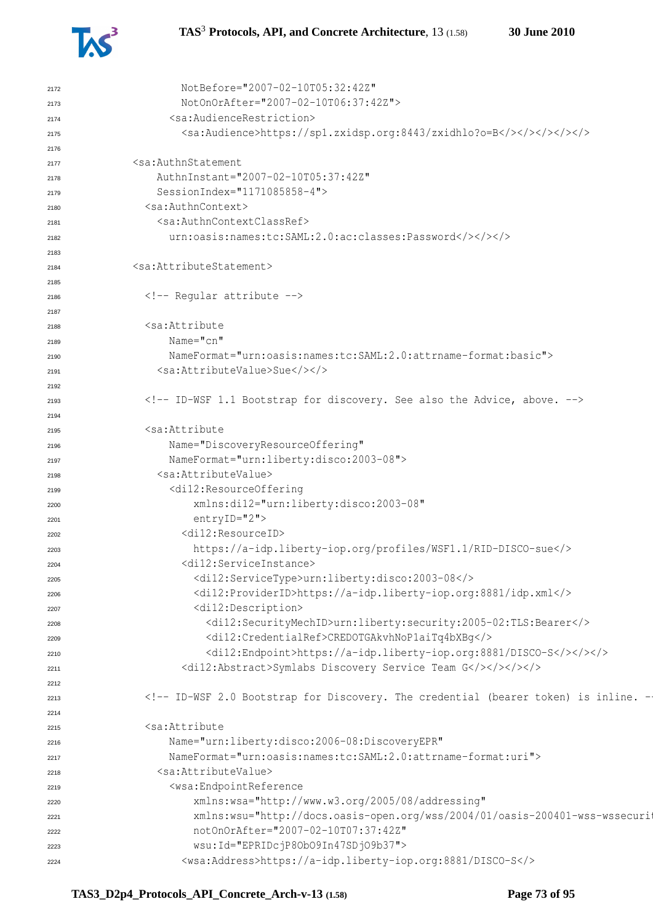

```
2172 NotBefore="2007-02-10T05:32:42Z"
2173 NotOnOrAfter="2007-02-10T06:37:42Z">
2174 <sa:AudienceRestriction>
2175 <sa:Audience>https://sp1.zxidsp.org:8443/zxidhlo?o=B</></></></></>
2176
2177 <sa:AuthnStatement
2178 AuthnInstant="2007-02-10T05:37:42Z"
2179 SessionIndex="1171085858-4">
2180 <sa:AuthnContext>
2181 <sa:AuthnContextClassRef>
2182 urn:oasis:names:tc:SAML:2.0:ac:classes:Password</></></>
2183
2184 <sa:AttributeStatement>
2185
2186 \leq!-- Regular attribute -->
2187
2188 <sa:Attribute
2189 Name="cn"
2190 NameFormat="urn:oasis:names:tc:SAML:2.0:attrname-format:basic">
2191 <sa:AttributeValue>Sue</></>
2192
2193 <!-- ID-WSF 1.1 Bootstrap for discovery. See also the Advice, above. -->
2194
2195 <sa:Attribute
2196 Name="DiscoveryResourceOffering"
2197 NameFormat="urn:liberty:disco:2003-08">
2198 <sa:AttributeValue>
2199 <di12:ResourceOffering
2200 xmlns:di12="urn:liberty:disco:2003-08"
2201 entryID="2">
2202 <di12:ResourceID>
2203 https://a-idp.liberty-iop.org/profiles/WSF1.1/RID-DISCO-sue</>
2204 <di12:ServiceInstance>
2205 <di12:ServiceType>urn:liberty:disco:2003-08</>
2206 <di12:ProviderID>https://a-idp.liberty-iop.org:8881/idp.xml</>
2207 <di12:Description>
2208 <di12:SecurityMechID>urn:liberty:security:2005-02:TLS:Bearer</>
2209 <di12:CredentialRef>CREDOTGAkvhNoP1aiTq4bXBg</>
2210 <di12:Endpoint>https://a-idp.liberty-iop.org:8881/DISCO-S</></></>
2211 <di12:Abstract>Symlabs Discovery Service Team G</></></></>
2212
2213 <!-- ID-WSF 2.0 Bootstrap for Discovery. The credential (bearer token) is inline. -->
2214
2215 <sa:Attribute
2216 Name="urn:liberty:disco:2006-08:DiscoveryEPR"
2217 NameFormat="urn:oasis:names:tc:SAML:2.0:attrname-format:uri">
2218 <sa:AttributeValue>
2219 <wsa:EndpointReference
2220 xmlns:wsa="http://www.w3.org/2005/08/addressing"
zz1 xmlns:wsu="http://docs.oasis-open.org/wss/2004/01/oasis-200401-wss-wssecuri
2222 notOnOrAfter="2007-02-10T07:37:42Z"
2223 wsu:Id="EPRIDcjP8ObO9In47SDjO9b37">
2224 <wsa:Address>https://a-idp.liberty-iop.org:8881/DISCO-S</>
```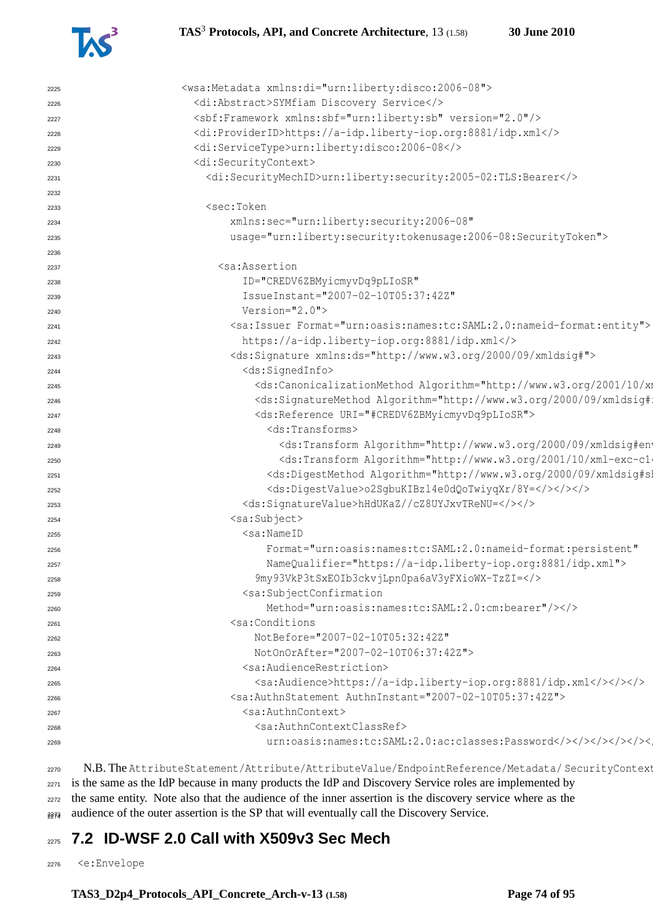

| 2225 | <wsa:metadata xmlns:di="urn:liberty:disco:2006-08"></wsa:metadata>                                                                                                                                                                                                                                                                                                                                                                                                                                                                                                                                                                                                                                       |
|------|----------------------------------------------------------------------------------------------------------------------------------------------------------------------------------------------------------------------------------------------------------------------------------------------------------------------------------------------------------------------------------------------------------------------------------------------------------------------------------------------------------------------------------------------------------------------------------------------------------------------------------------------------------------------------------------------------------|
| 2226 | <di:abstract>SYMfiam Discovery Service</di:abstract>                                                                                                                                                                                                                                                                                                                                                                                                                                                                                                                                                                                                                                                     |
| 2227 | <sbf:framework version="2.0" xmlns:sbf="urn:liberty:sb"></sbf:framework>                                                                                                                                                                                                                                                                                                                                                                                                                                                                                                                                                                                                                                 |
| 2228 | <di:providerid>https://a-idp.liberty-iop.org:8881/idp.xml</di:providerid>                                                                                                                                                                                                                                                                                                                                                                                                                                                                                                                                                                                                                                |
| 2229 | <di:servicetype>urn:liberty:disco:2006-08</di:servicetype>                                                                                                                                                                                                                                                                                                                                                                                                                                                                                                                                                                                                                                               |
| 2230 | <di:securitycontext></di:securitycontext>                                                                                                                                                                                                                                                                                                                                                                                                                                                                                                                                                                                                                                                                |
| 2231 | <di:securitymechid>urn:liberty:security:2005-02:TLS:Bearer</di:securitymechid>                                                                                                                                                                                                                                                                                                                                                                                                                                                                                                                                                                                                                           |
| 2232 |                                                                                                                                                                                                                                                                                                                                                                                                                                                                                                                                                                                                                                                                                                          |
| 2233 | <sec:token< td=""></sec:token<>                                                                                                                                                                                                                                                                                                                                                                                                                                                                                                                                                                                                                                                                          |
| 2234 | xmlns:sec="urn:liberty:security:2006-08"                                                                                                                                                                                                                                                                                                                                                                                                                                                                                                                                                                                                                                                                 |
| 2235 | usage="urn:liberty:security:tokenusage:2006-08:SecurityToken">                                                                                                                                                                                                                                                                                                                                                                                                                                                                                                                                                                                                                                           |
| 2236 |                                                                                                                                                                                                                                                                                                                                                                                                                                                                                                                                                                                                                                                                                                          |
| 2237 | <sa:assertion< td=""></sa:assertion<>                                                                                                                                                                                                                                                                                                                                                                                                                                                                                                                                                                                                                                                                    |
| 2238 | ID="CREDV6ZBMyicmyvDq9pLIoSR"                                                                                                                                                                                                                                                                                                                                                                                                                                                                                                                                                                                                                                                                            |
| 2239 | IssueInstant="2007-02-10T05:37:42Z"                                                                                                                                                                                                                                                                                                                                                                                                                                                                                                                                                                                                                                                                      |
| 2240 | Version="2.0">                                                                                                                                                                                                                                                                                                                                                                                                                                                                                                                                                                                                                                                                                           |
| 2241 | <sa:issuer format="urn:oasis:names:tc:SAML:2.0:nameid-format:entity"></sa:issuer>                                                                                                                                                                                                                                                                                                                                                                                                                                                                                                                                                                                                                        |
| 2242 | https://a-idp.liberty-iop.org:8881/idp.xml                                                                                                                                                                                                                                                                                                                                                                                                                                                                                                                                                                                                                                                               |
| 2243 | <ds:signature xmlns:ds="http://www.w3.org/2000/09/xmldsig#"></ds:signature>                                                                                                                                                                                                                                                                                                                                                                                                                                                                                                                                                                                                                              |
| 2244 | <ds:signedinfo></ds:signedinfo>                                                                                                                                                                                                                                                                                                                                                                                                                                                                                                                                                                                                                                                                          |
| 2245 | <ds:canonicalizationmethod 09="" 2000="" algorithm="http://www.w3.org/2001/10/xm&lt;/td&gt;&lt;/tr&gt;&lt;tr&gt;&lt;td&gt;2246&lt;/td&gt;&lt;td&gt;&lt;ds:SignatureMethod Algorithm=" http:="" td="" www.w3.org="" xmldsig#<=""></ds:canonicalizationmethod>                                                                                                                                                                                                                                                                                                                                                                                                                                             |
| 2247 | <ds:reference uri="#CREDV6ZBMyicmyvDq9pLIoSR"></ds:reference>                                                                                                                                                                                                                                                                                                                                                                                                                                                                                                                                                                                                                                            |
| 2248 | <ds:transforms></ds:transforms>                                                                                                                                                                                                                                                                                                                                                                                                                                                                                                                                                                                                                                                                          |
| 2249 | <ds:transform 10="" 2001="" algorithm="http://www.w3.org/2000/09/xmldsig#ent&lt;/td&gt;&lt;/tr&gt;&lt;tr&gt;&lt;td&gt;2250&lt;/td&gt;&lt;td&gt;&lt;ds:Transform Algorithm=" http:="" td="" www.w3.org="" xml-exc-cl<=""></ds:transform>                                                                                                                                                                                                                                                                                                                                                                                                                                                                  |
| 2251 | <ds:digestmethod algorithm="http://www.w3.org/2000/09/xmldsig#sl&lt;/td&gt;&lt;/tr&gt;&lt;tr&gt;&lt;td&gt;2252&lt;/td&gt;&lt;td&gt;&lt;ds:DigestValue&gt;o2SgbuKIBzl4e0dQoTwiyqXr/8Y=&lt;/&gt;&lt;/&gt;&lt;/td&gt;&lt;/tr&gt;&lt;tr&gt;&lt;td&gt;2253&lt;/td&gt;&lt;td&gt;&lt;ds:SignatureValue&gt;hHdUKaZ//cZ8UYJxvTReNU=&lt;/&gt;&lt;/&gt;&lt;/td&gt;&lt;/tr&gt;&lt;tr&gt;&lt;td&gt;2254&lt;/td&gt;&lt;td&gt;&lt;sa:Subject&gt;&lt;/td&gt;&lt;/tr&gt;&lt;tr&gt;&lt;td&gt;2255&lt;/td&gt;&lt;td&gt;&lt;math&gt;\leq&lt;/math&gt;sa:NameID&lt;/td&gt;&lt;/tr&gt;&lt;tr&gt;&lt;td&gt;2256&lt;/td&gt;&lt;td&gt;Format=" td="" urn:oasis:names:tc:saml:2.0:nameid-format:persistent"<=""></ds:digestmethod> |
| 2257 | NameQualifier="https://a-idp.liberty-iop.org:8881/idp.xml">                                                                                                                                                                                                                                                                                                                                                                                                                                                                                                                                                                                                                                              |
| 2258 | 9my93VkP3tSxEOIb3ckvjLpn0pa6aV3yFXioWX-TzZI=                                                                                                                                                                                                                                                                                                                                                                                                                                                                                                                                                                                                                                                             |
| 2259 | <sa:subjectconfirmation< td=""></sa:subjectconfirmation<>                                                                                                                                                                                                                                                                                                                                                                                                                                                                                                                                                                                                                                                |
| 2260 | Method="urn:oasis:names:tc:SAML:2.0:cm:bearer"/>                                                                                                                                                                                                                                                                                                                                                                                                                                                                                                                                                                                                                                                         |
| 2261 | <sa:conditions< td=""></sa:conditions<>                                                                                                                                                                                                                                                                                                                                                                                                                                                                                                                                                                                                                                                                  |
| 2262 | NotBefore="2007-02-10T05:32:42Z"                                                                                                                                                                                                                                                                                                                                                                                                                                                                                                                                                                                                                                                                         |
| 2263 | NotOnOrAfter="2007-02-10T06:37:42Z">                                                                                                                                                                                                                                                                                                                                                                                                                                                                                                                                                                                                                                                                     |
| 2264 | <sa:audiencerestriction></sa:audiencerestriction>                                                                                                                                                                                                                                                                                                                                                                                                                                                                                                                                                                                                                                                        |
| 2265 | <sa:audience>https://a-idp.liberty-iop.org:8881/idp.xml&gt;&gt;&gt;&gt;&gt;</sa:audience>                                                                                                                                                                                                                                                                                                                                                                                                                                                                                                                                                                                                                |
| 2266 | <sa:authnstatement authninstant="2007-02-10T05:37:42Z"></sa:authnstatement>                                                                                                                                                                                                                                                                                                                                                                                                                                                                                                                                                                                                                              |
| 2267 | <sa:authncontext></sa:authncontext>                                                                                                                                                                                                                                                                                                                                                                                                                                                                                                                                                                                                                                                                      |
| 2268 | <sa:authncontextclassref></sa:authncontextclassref>                                                                                                                                                                                                                                                                                                                                                                                                                                                                                                                                                                                                                                                      |
| 2269 |                                                                                                                                                                                                                                                                                                                                                                                                                                                                                                                                                                                                                                                                                                          |
|      |                                                                                                                                                                                                                                                                                                                                                                                                                                                                                                                                                                                                                                                                                                          |

2270 N.B. The AttributeStatement/Attribute/AttributeValue/EndpointReference/Metadata/ SecurityContext is the same as the IdP because in many products the IdP and Discovery Service roles are implemented by the same entity. Note also that the audience of the inner assertion is the discovery service where as the  $_{2273}$  audience of the outer assertion is the SP that will eventually call the Discovery Service.

# **7.2 ID-WSF 2.0 Call with X509v3 Sec Mech**

<e:Envelope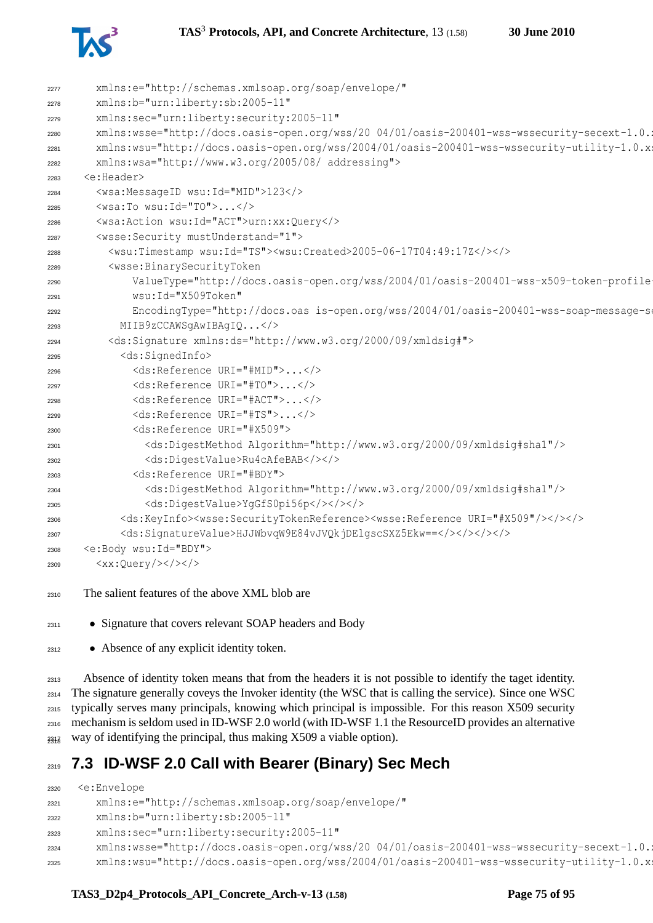



| 2277 | xmlns:e="http://schemas.xmlsoap.org/soap/envelope/"                                                                                       |
|------|-------------------------------------------------------------------------------------------------------------------------------------------|
| 2278 | xmlns:b="urn:liberty:sb:2005-11"                                                                                                          |
| 2279 | xmlns:sec="urn:liberty:security:2005-11"                                                                                                  |
| 2280 | xmlns:wsse="http://docs.oasis-open.org/wss/20 04/01/oasis-200401-wss-wssecurity-secext-1.0.;                                              |
| 2281 | xmlns:wsu="http://docs.oasis-open.org/wss/2004/01/oasis-200401-wss-wssecurity-utility-1.0.x;                                              |
| 2282 | xmlns:wsa="http://www.w3.org/2005/08/ addressing">                                                                                        |
| 2283 | <e:header></e:header>                                                                                                                     |
| 2284 | <wsa:messageid wsu:id="MID">123</wsa:messageid>                                                                                           |
| 2285 | $\langle$ wsa:To wsu:Id="TO"> $\langle$ >                                                                                                 |
| 2286 | <wsa:action wsu:id="ACT">urn:xx:Query</wsa:action>                                                                                        |
| 2287 | <wsse: mustunderstand="1" security=""></wsse:>                                                                                            |
| 2288 | <wsu:timestamp wsu:id="TS"><wsu:created>2005-06-17T04:49:17Z&gt;&gt;<!--</td--></wsu:created></wsu:timestamp>                             |
| 2289 | <wsse:binarysecuritytoken< td=""></wsse:binarysecuritytoken<>                                                                             |
| 2290 | ValueType="http://docs.oasis-open.org/wss/2004/01/oasis-200401-wss-x509-token-profile-                                                    |
| 2291 | wsu: Id="X509Token"                                                                                                                       |
| 2292 | EncodingType="http://docs.oas is-open.org/wss/2004/01/oasis-200401-wss-soap-message-som                                                   |
| 2293 | MIIB9zCCAWSqAwIBAqIQ                                                                                                                      |
| 2294 | <ds:signature xmlns:ds="http://www.w3.org/2000/09/xmldsig#"></ds:signature>                                                               |
| 2295 | <ds:signedinfo></ds:signedinfo>                                                                                                           |
| 2296 | <ds:reference uri="#MID"></ds:reference>                                                                                                  |
| 2297 | <ds:reference uri="#TO"></ds:reference>                                                                                                   |
| 2298 | <ds:reference uri="#ACT"></ds:reference>                                                                                                  |
| 2299 | <ds:reference uri="#TS"></ds:reference>                                                                                                   |
| 2300 | <ds:reference uri="#X509"></ds:reference>                                                                                                 |
| 2301 | <ds:digestmethod algorithm="http://www.w3.org/2000/09/xmldsig#sha1"></ds:digestmethod>                                                    |
| 2302 | <ds:digestvalue>Ru4cAfeBAB</ds:digestvalue>                                                                                               |
| 2303 | <ds:reference uri="#BDY"></ds:reference>                                                                                                  |
| 2304 | <ds:digestmethod algorithm="http://www.w3.org/2000/09/xmldsig#shal"></ds:digestmethod>                                                    |
| 2305 | <ds:digestvalue>YgGfS0pi56p</ds:digestvalue>                                                                                              |
| 2306 | <ds:keyinfo><wsse:securitytokenreference><wsse:reference uri="#X509"></wsse:reference>&gt;&gt;</wsse:securitytokenreference></ds:keyinfo> |
| 2307 |                                                                                                                                           |
| 2308 | <e:body wsu:id="BDY"></e:body>                                                                                                            |
| 2309 | $\langle xx:\mathit{Query}/\rangle\langle\rangle\langle\rangle$                                                                           |
|      |                                                                                                                                           |

- The salient features of the above XML blob are
- Signature that covers relevant SOAP headers and Body
- Absence of any explicit identity token.

 Absence of identity token means that from the headers it is not possible to identify the taget identity. The signature generally coveys the Invoker identity (the WSC that is calling the service). Since one WSC typically serves many principals, knowing which principal is impossible. For this reason X509 security mechanism is seldom used in ID-WSF 2.0 world (with ID-WSF 1.1 the ResourceID provides an alternative  $_{231\overline{8}}$  way of identifying the principal, thus making X509 a viable option).

# **7.3 ID-WSF 2.0 Call with Bearer (Binary) Sec Mech**

```
2320 <e:Envelope
2321 xmlns:e="http://schemas.xmlsoap.org/soap/envelope/"
2322 xmlns:b="urn:liberty:sb:2005-11"
2323 xmlns:sec="urn:liberty:security:2005-11"
2324 xmlns:wsse="http://docs.oasis-open.org/wss/20 04/01/oasis-200401-wss-wssecurity-secext-1.0.
2325 xmlns:wsu="http://docs.oasis-open.org/wss/2004/01/oasis-200401-wss-wssecurity-utility-1.0.xsd"
```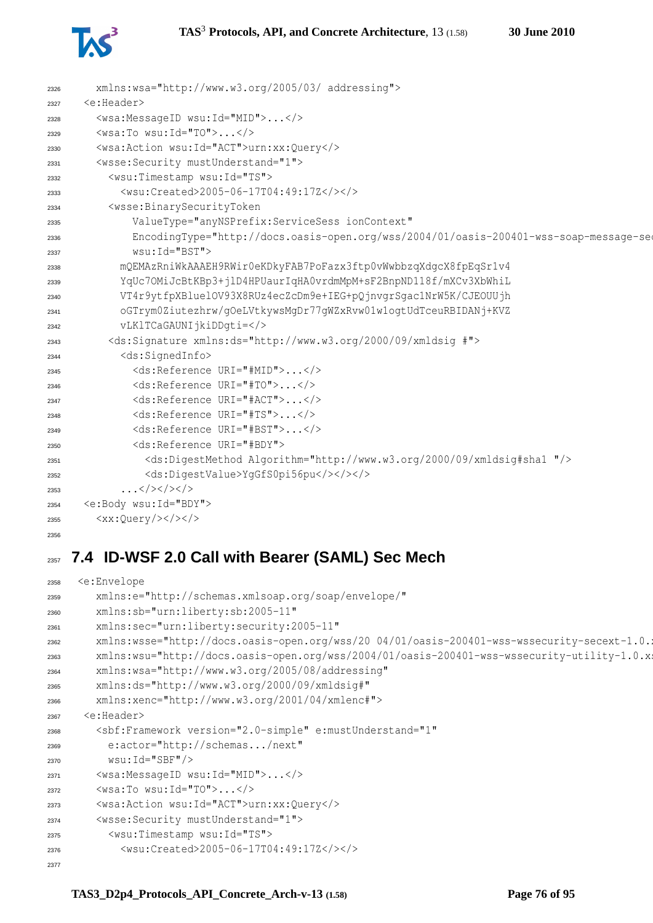

| 2326 | xmlns:wsa="http://www.w3.org/2005/03/ addressing">                                      |
|------|-----------------------------------------------------------------------------------------|
| 2327 | <e:header></e:header>                                                                   |
| 2328 | <wsa:messageid wsu:id="MID"></wsa:messageid>                                            |
| 2329 | $\langle$ wsa:To wsu:Id="TO"> $\langle$ />                                              |
| 2330 | <wsa:action wsu:id="ACT">urn:xx:Query</wsa:action>                                      |
| 2331 | <wsse: mustunderstand="1" security=""></wsse:>                                          |
| 2332 | <wsu:timestamp wsu:id="TS"></wsu:timestamp>                                             |
| 2333 | <wsu:created>2005-06-17T04:49:17Z</wsu:created>                                         |
| 2334 | <wsse:binarysecuritytoken< td=""></wsse:binarysecuritytoken<>                           |
| 2335 | ValueType="anyNSPrefix:ServiceSess_ionContext"                                          |
| 2336 | EncodingType="http://docs.oasis-open.org/wss/2004/01/oasis-200401-wss-soap-message-see  |
| 2337 | wsu: Id="BST">                                                                          |
| 2338 | mQEMAzRniWkAAAEH9RWir0eKDkyFAB7PoFazx3ftp0vWwbbzqXdqcX8fpEqSr1v4                        |
| 2339 | YqUc7OMiJcBtKBp3+jlD4HPUaurIqHA0vrdmMpM+sF2BnpND118f/mXCv3XbWhiL                        |
| 2340 | VT4r9ytfpXBluelOV93X8RUz4ecZcDm9e+IEG+pQjnvqrSqac1NrW5K/CJEOUUjh                        |
| 2341 | oGTrym0Ziutezhrw/qOeLVtkywsMqDr77qWZxRvw01w1oqtUdTceuRBIDANj+KVZ                        |
| 2342 | vLKlTCaGAUNIjkiDDqti=                                                                   |
| 2343 | <ds:signature xmlns:ds="http://www.w3.org/2000/09/xmldsig #"></ds:signature>            |
| 2344 | <ds:signedinfo></ds:signedinfo>                                                         |
| 2345 | <ds:reference uri="#MID"></ds:reference>                                                |
| 2346 | <ds:reference uri="#TO"></ds:reference>                                                 |
| 2347 | <ds:reference uri="#ACT"></ds:reference>                                                |
| 2348 | <ds:reference uri="#TS"></ds:reference>                                                 |
| 2349 | <ds:reference uri="#BST"></ds:reference>                                                |
| 2350 | <ds:reference uri="#BDY"></ds:reference>                                                |
| 2351 | <ds:digestmethod algorithm="http://www.w3.org/2000/09/xmldsig#shal "></ds:digestmethod> |
| 2352 | <ds:digestvalue>YgGfS0pi56pu</ds:digestvalue>                                           |
| 2353 | $\ldots$ >                                                                              |
| 2354 | <e:body wsu:id="BDY"></e:body>                                                          |
| 2355 | <xx:query <="" td=""></xx:query>                                                        |
| 2356 |                                                                                         |

# **7.4 ID-WSF 2.0 Call with Bearer (SAML) Sec Mech**

```
2358 <e:Envelope
2359 xmlns:e="http://schemas.xmlsoap.org/soap/envelope/"
2360 xmlns:sb="urn:liberty:sb:2005-11"
2361 xmlns:sec="urn:liberty:security:2005-11"
2362 xmlns:wsse="http://docs.oasis-open.org/wss/20 04/01/oasis-200401-wss-wssecurity-secext-1.0.
2363 xmlns:wsu="http://docs.oasis-open.org/wss/2004/01/oasis-200401-wss-wssecurity-utility-1.0.xsd"
2364 xmlns:wsa="http://www.w3.org/2005/08/addressing"
2365 xmlns:ds="http://www.w3.org/2000/09/xmldsig#"
2366 xmlns:xenc="http://www.w3.org/2001/04/xmlenc#">
2367 <e:Header>
2368 <sbf:Framework version="2.0-simple" e:mustUnderstand="1"
2369 e:actor="http://schemas.../next"
2370 wsu:Id="SBF"/>
2371 <wsa:MessageID wsu:Id="MID">...</>
2372 <wsa:To wsu:Id="TO">...</>
2373 <wsa:Action wsu:Id="ACT">urn:xx:Query</>
2374 <wsse:Security mustUnderstand="1">
2375 <wsu:Timestamp wsu:Id="TS">
2376 <wsu:Created>2005-06-17T04:49:17Z</></>
2377
```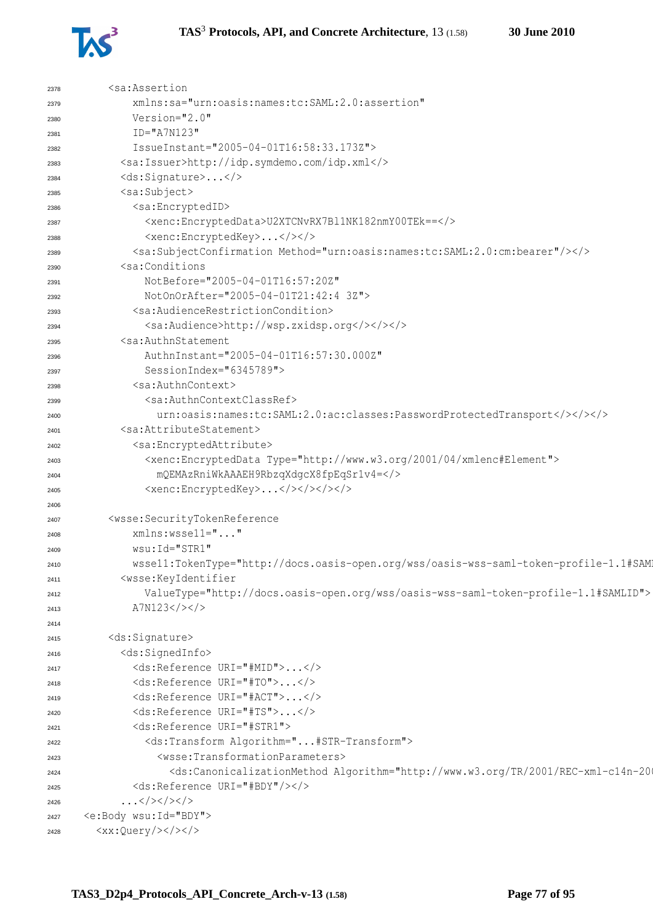

| 2378 | <sa:assertion< th=""></sa:assertion<>                                                                                                                                                                                                                                             |
|------|-----------------------------------------------------------------------------------------------------------------------------------------------------------------------------------------------------------------------------------------------------------------------------------|
| 2379 | xmlns:sa="urn:oasis:names:tc:SAML:2.0:assertion"                                                                                                                                                                                                                                  |
| 2380 | Version="2.0"                                                                                                                                                                                                                                                                     |
| 2381 | $ID="A7N123"$                                                                                                                                                                                                                                                                     |
| 2382 | IssueInstant="2005-04-01T16:58:33.173Z">                                                                                                                                                                                                                                          |
| 2383 | <sa:issuer>http://idp.symdemo.com/idp.xml</sa:issuer>                                                                                                                                                                                                                             |
| 2384 | <ds:signature></ds:signature>                                                                                                                                                                                                                                                     |
| 2385 | <sa:subject></sa:subject>                                                                                                                                                                                                                                                         |
| 2386 | <sa:encryptedid></sa:encryptedid>                                                                                                                                                                                                                                                 |
| 2387 | <xenc:encrypteddata>U2XTCNvRX7Bl1NK182nmY00TEk ==</xenc:encrypteddata>                                                                                                                                                                                                            |
| 2388 | <xenc:encryptedkey></xenc:encryptedkey>                                                                                                                                                                                                                                           |
| 2389 | <sa:subjectconfirmation method="urn:oasis:names:tc:SAML:2.0:cm:bearer"></sa:subjectconfirmation>                                                                                                                                                                                  |
| 2390 | <sa:conditions< th=""></sa:conditions<>                                                                                                                                                                                                                                           |
| 2391 | NotBefore="2005-04-01T16:57:20Z"                                                                                                                                                                                                                                                  |
| 2392 | NotOnOrAfter="2005-04-01T21:42:4 3Z">                                                                                                                                                                                                                                             |
| 2393 | <sa:audiencerestrictioncondition></sa:audiencerestrictioncondition>                                                                                                                                                                                                               |
| 2394 | <sa:audience>http://wsp.zxidsp.org</sa:audience>                                                                                                                                                                                                                                  |
| 2395 | <sa:authnstatement< th=""></sa:authnstatement<>                                                                                                                                                                                                                                   |
| 2396 | AuthnInstant="2005-04-01T16:57:30.000Z"                                                                                                                                                                                                                                           |
| 2397 | SessionIndex="6345789">                                                                                                                                                                                                                                                           |
| 2398 | <sa:authncontext></sa:authncontext>                                                                                                                                                                                                                                               |
| 2399 | <sa:authncontextclassref></sa:authncontextclassref>                                                                                                                                                                                                                               |
| 2400 | urn:oasis:names:tc:SAML:2.0:ac:classes:PasswordProtectedTransport>>>>                                                                                                                                                                                                             |
| 2401 | <sa:attributestatement></sa:attributestatement>                                                                                                                                                                                                                                   |
| 2402 | <sa:encryptedattribute></sa:encryptedattribute>                                                                                                                                                                                                                                   |
| 2403 | <xenc:encrypteddata type="http://www.w3.org/2001/04/xmlenc#Element"></xenc:encrypteddata>                                                                                                                                                                                         |
| 2404 | mQEMAzRniWkAAAEH9RbzqXdgcX8fpEqSr1v4=                                                                                                                                                                                                                                             |
| 2405 | <xenc:encryptedkey></xenc:encryptedkey>                                                                                                                                                                                                                                           |
| 2406 |                                                                                                                                                                                                                                                                                   |
|      | <wsse:securitytokenreference< th=""></wsse:securitytokenreference<>                                                                                                                                                                                                               |
| 2407 | xmlns:wssell=""                                                                                                                                                                                                                                                                   |
| 2408 | wsu: Id="STR1"                                                                                                                                                                                                                                                                    |
| 2409 | wssell:TokenType="http://docs.oasis-open.org/wss/oasis-wss-saml-token-profile-1.1#SAM                                                                                                                                                                                             |
| 2410 | <wsse:keyidentifier< th=""></wsse:keyidentifier<>                                                                                                                                                                                                                                 |
| 2411 | ValueType="http://docs.oasis-open.org/wss/oasis-wss-saml-token-profile-1.1#SAMLID">                                                                                                                                                                                               |
| 2412 | A7N123                                                                                                                                                                                                                                                                            |
| 2413 |                                                                                                                                                                                                                                                                                   |
| 2414 | <ds:signature></ds:signature>                                                                                                                                                                                                                                                     |
| 2415 | <ds:signedinfo></ds:signedinfo>                                                                                                                                                                                                                                                   |
| 2416 | <ds:reference uri="#MID"></ds:reference>                                                                                                                                                                                                                                          |
| 2417 | <ds:reference uri="#TO"></ds:reference>                                                                                                                                                                                                                                           |
| 2418 | <ds:reference uri="#ACT"></ds:reference>                                                                                                                                                                                                                                          |
| 2419 | <ds:reference uri="#TS"></ds:reference>                                                                                                                                                                                                                                           |
| 2420 | <ds:reference uri="#STR1"></ds:reference>                                                                                                                                                                                                                                         |
| 2421 | <ds:transform algorithm="#STR-Transform"></ds:transform>                                                                                                                                                                                                                          |
| 2422 | <wsse:transformationparameters></wsse:transformationparameters>                                                                                                                                                                                                                   |
| 2423 | <ds:canonicalizationmethod #bdy"="" algorithm="http://www.w3.org/TR/2001/REC-xml-c14n-20&lt;/th&gt;&lt;/tr&gt;&lt;tr&gt;&lt;th&gt;2424&lt;/th&gt;&lt;th&gt;&lt;/th&gt;&lt;/tr&gt;&lt;tr&gt;&lt;th&gt;2425&lt;/th&gt;&lt;td&gt;&lt;ds:Reference URI="></ds:canonicalizationmethod> |
| 2426 | $\ldots$                                                                                                                                                                                                                                                                          |
| 2427 | <e:body wsu:id="BDY"></e:body>                                                                                                                                                                                                                                                    |
| 2428 | $$                                                                                                                                                                                                                                                                                |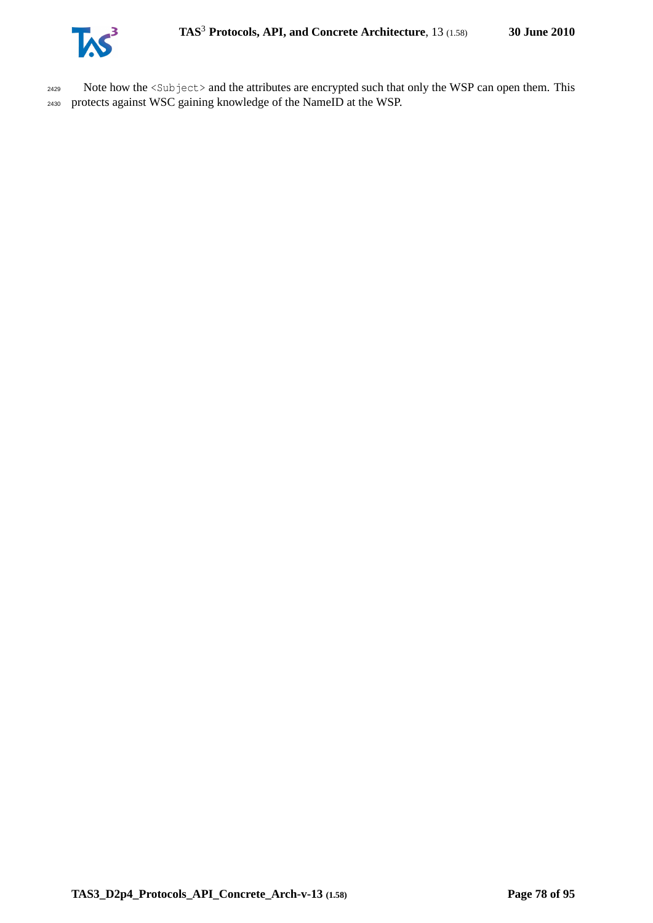

2429 Note how the <Subject> and the attributes are encrypted such that only the WSP can open them. This <sup>2430</sup> protects against WSC gaining knowledge of the NameID at the WSP.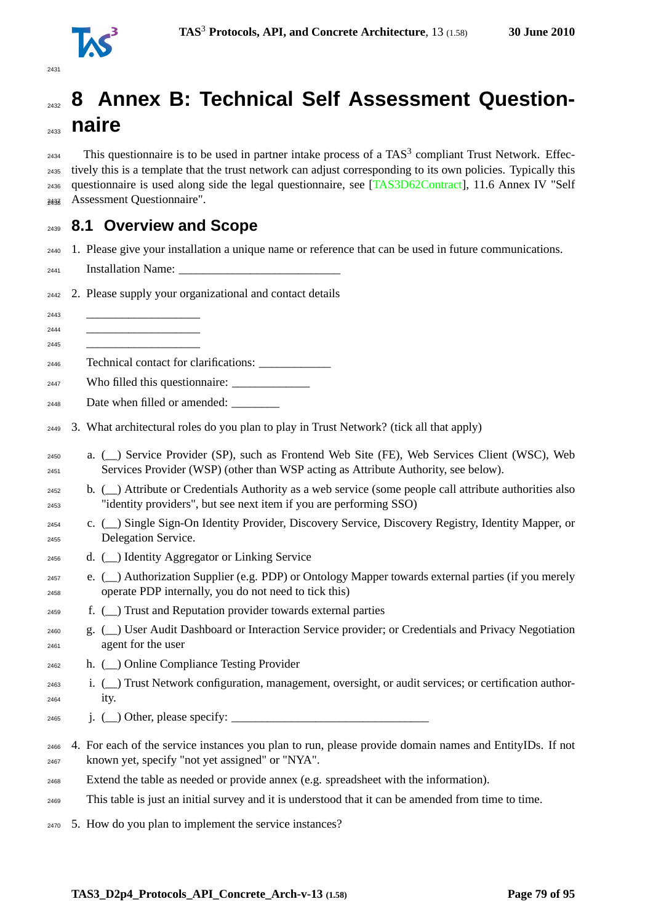

# **8 Annex B: Technical Self Assessment Question- naire**  $_{2434}$  This questionnaire is to be used in partner intake process of a TAS<sup>3</sup> compliant Trust Network. Effec- tively this is a template that the trust network can adjust corresponding to its own policies. Typically this questionnaire is used along side the legal questionnaire, see [\[TAS3D62Contract\]](#page-93-0), 11.6 Annex IV "Self Assessment Questionnaire". <sup>2438</sup> **8.1 Overview and Scope** 1. Please give your installation a unique name or reference that can be used in future communications. 2441 Installation Name: 2. Please supply your organizational and contact details \_\_\_\_\_\_\_\_\_\_\_\_\_\_\_\_\_\_\_ \_\_\_\_\_\_\_\_\_\_\_\_\_\_\_\_\_\_\_ \_\_\_\_\_\_\_\_\_\_\_\_\_\_\_\_\_\_\_ Technical contact for clarifications: \_\_\_\_\_\_\_\_\_\_\_\_ <sup>2447</sup> Who filled this questionnaire: 2448 Date when filled or amended: 3. What architectural roles do you plan to play in Trust Network? (tick all that apply) a. (\_\_) Service Provider (SP), such as Frontend Web Site (FE), Web Services Client (WSC), Web Services Provider (WSP) (other than WSP acting as Attribute Authority, see below). b. (\_\_) Attribute or Credentials Authority as a web service (some people call attribute authorities also "identity providers", but see next item if you are performing SSO)

- c. (\_\_) Single Sign-On Identity Provider, Discovery Service, Discovery Registry, Identity Mapper, or Delegation Service.
- d. (\_\_) Identity Aggregator or Linking Service
- 2457 e.  $(\_)$  Authorization Supplier (e.g. PDP) or Ontology Mapper towards external parties (if you merely operate PDP internally, you do not need to tick this)
- f. (\_\_) Trust and Reputation provider towards external parties
- g. (\_\_) User Audit Dashboard or Interaction Service provider; or Credentials and Privacy Negotiation agent for the user
- h. (\_\_) Online Compliance Testing Provider
- i. (\_\_) Trust Network configuration, management, oversight, or audit services; or certification author-ity.
- $\begin{array}{ccc} \n\text{2465} \\
\text{j.} \quad & \text{()}\n\end{array}$  Other, please specify:
- 4. For each of the service instances you plan to run, please provide domain names and EntityIDs. If not known yet, specify "not yet assigned" or "NYA".
- Extend the table as needed or provide annex (e.g. spreadsheet with the information).
- This table is just an initial survey and it is understood that it can be amended from time to time.
- 5. How do you plan to implement the service instances?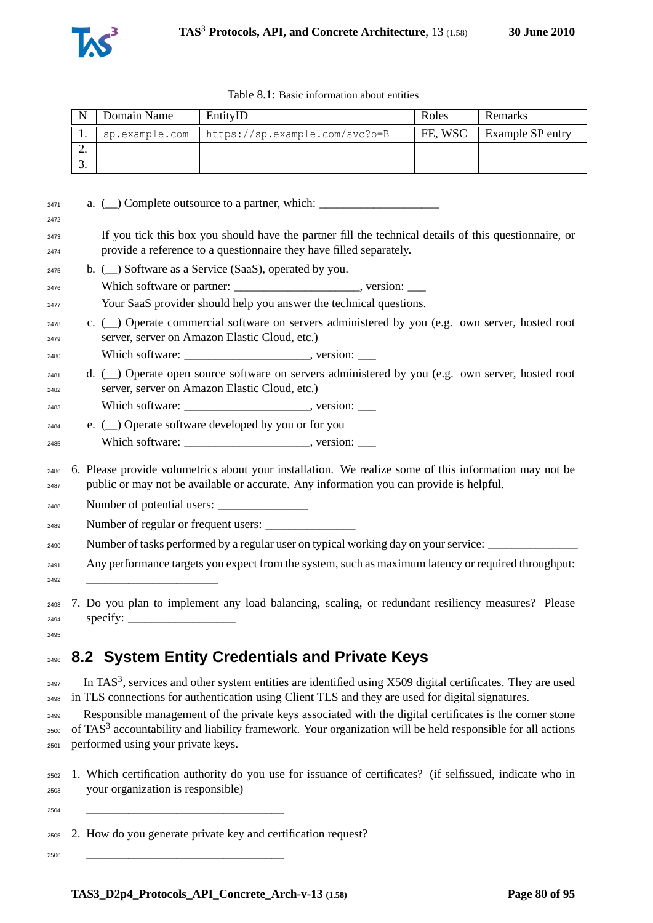

|          | Domain Name | EntityID                                        | Roles   | <b>Remarks</b>          |
|----------|-------------|-------------------------------------------------|---------|-------------------------|
| . .      |             | sp.example.com   https://sp.example.com/svc?o=B | FE. WSC | <b>Example SP entry</b> |
| <u>.</u> |             |                                                 |         |                         |
|          |             |                                                 |         |                         |

| 2471         |  | a. ( ) Complete outsource to a partner, which: __________________________________                                                                                                                |
|--------------|--|--------------------------------------------------------------------------------------------------------------------------------------------------------------------------------------------------|
| 2472         |  |                                                                                                                                                                                                  |
| 2473<br>2474 |  | If you tick this box you should have the partner fill the technical details of this questionnaire, or<br>provide a reference to a questionnaire they have filled separately.                     |
| 2475         |  | b. (_) Software as a Service (SaaS), operated by you.                                                                                                                                            |
| 2476         |  |                                                                                                                                                                                                  |
| 2477         |  | Your SaaS provider should help you answer the technical questions.                                                                                                                               |
| 2478<br>2479 |  | c. (_) Operate commercial software on servers administered by you (e.g. own server, hosted root<br>server, server on Amazon Elastic Cloud, etc.)                                                 |
| 2480         |  |                                                                                                                                                                                                  |
| 2481<br>2482 |  | d. (_) Operate open source software on servers administered by you (e.g. own server, hosted root<br>server, server on Amazon Elastic Cloud, etc.)                                                |
| 2483         |  |                                                                                                                                                                                                  |
| 2484         |  | e. ( ) Operate software developed by you or for you                                                                                                                                              |
| 2485         |  |                                                                                                                                                                                                  |
| 2486<br>2487 |  | 6. Please provide volumetrics about your installation. We realize some of this information may not be<br>public or may not be available or accurate. Any information you can provide is helpful. |
| 2488         |  | Number of potential users:                                                                                                                                                                       |
| 2489         |  |                                                                                                                                                                                                  |
| 2490         |  | Number of tasks performed by a regular user on typical working day on your service: _______________                                                                                              |
| 2491         |  | Any performance targets you expect from the system, such as maximum latency or required throughput:                                                                                              |
| 2492         |  |                                                                                                                                                                                                  |
| 2493         |  | 7. Do you plan to implement any load balancing, scaling, or redundant resiliency measures? Please                                                                                                |

specify:

## **8.2 System Entity Credentials and Private Keys**

 $_{2497}$  In TAS<sup>3</sup>, services and other system entities are identified using X509 digital certificates. They are used in TLS connections for authentication using Client TLS and they are used for digital signatures.

 Responsible management of the private keys associated with the digital certificates is the corner stone  $_{2500}$  of TAS<sup>3</sup> accountability and liability framework. Your organization will be held responsible for all actions performed using your private keys.

 1. Which certification authority do you use for issuance of certificates? (if selfissued, indicate who in your organization is responsible)

\_\_\_\_\_\_\_\_\_\_\_\_\_\_\_\_\_\_\_\_\_\_\_\_\_\_\_\_\_\_\_\_\_

\_\_\_\_\_\_\_\_\_\_\_\_\_\_\_\_\_\_\_\_\_\_\_\_\_\_\_\_\_\_\_\_\_

2. How do you generate private key and certification request?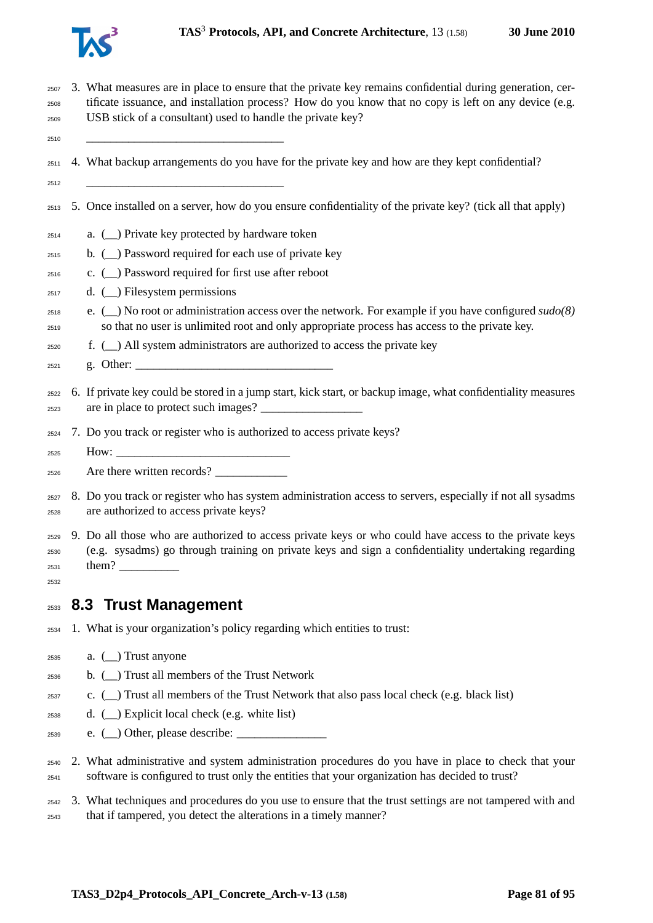

 3. What measures are in place to ensure that the private key remains confidential during generation, cer- tificate issuance, and installation process? How do you know that no copy is left on any device (e.g. USB stick of a consultant) used to handle the private key?

\_\_\_\_\_\_\_\_\_\_\_\_\_\_\_\_\_\_\_\_\_\_\_\_\_\_\_\_\_\_\_\_\_

- 4. What backup arrangements do you have for the private key and how are they kept confidential?
- \_\_\_\_\_\_\_\_\_\_\_\_\_\_\_\_\_\_\_\_\_\_\_\_\_\_\_\_\_\_\_\_\_
- 5. Once installed on a server, how do you ensure confidentiality of the private key? (tick all that apply)
- a. (\_\_) Private key protected by hardware token
- b. (\_\_) Password required for each use of private key
- c. (\_\_) Password required for first use after reboot
- $_{2517}$  d. ( ) Filesystem permissions
- e. (\_\_) No root or administration access over the network. For example if you have configured *sudo(8)* so that no user is unlimited root and only appropriate process has access to the private key.
- f. (  $\Box$ ) All system administrators are authorized to access the private key
- g. Other: \_\_\_\_\_\_\_\_\_\_\_\_\_\_\_\_\_\_\_\_\_\_\_\_\_\_\_\_\_\_\_\_\_
- 6. If private key could be stored in a jump start, kick start, or backup image, what confidentiality measures are in place to protect such images? \_\_\_\_\_\_\_\_\_\_\_\_\_\_\_\_\_
- 7. Do you track or register who is authorized to access private keys?
- How:
- $_{2526}$  Are there written records?
- 8. Do you track or register who has system administration access to servers, especially if not all sysadms are authorized to access private keys?
- 9. Do all those who are authorized to access private keys or who could have access to the private keys (e.g. sysadms) go through training on private keys and sign a confidentiality undertaking regarding  $_{2531}$  them?
- 

#### **8.3 Trust Management**

- 1. What is your organization's policy regarding which entities to trust:
- a. ( $\overline{\phantom{a}}$ ) Trust anyone
- b. (\_\_) Trust all members of the Trust Network
- c. () Trust all members of the Trust Network that also pass local check (e.g. black list)
- $_{2538}$  d. (  $\Box$ ) Explicit local check (e.g. white list)
- e. (\_\_) Other, please describe: \_\_\_\_\_\_\_\_\_\_\_\_\_\_\_
- 2. What administrative and system administration procedures do you have in place to check that your software is configured to trust only the entities that your organization has decided to trust?
- 3. What techniques and procedures do you use to ensure that the trust settings are not tampered with and that if tampered, you detect the alterations in a timely manner?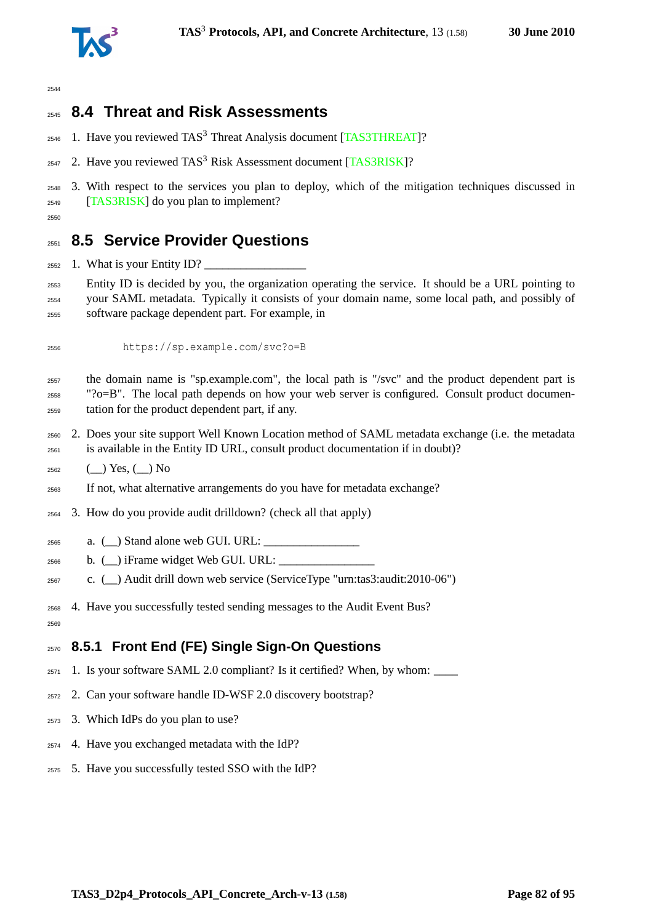

## **8.4 Threat and Risk Assessments**

- $_{2546}$  1. Have you reviewed TAS<sup>3</sup> Threat Analysis document [\[TAS3THREAT\]](#page-93-1)?
- 2547 2. Have you reviewed TAS<sup>3</sup> Risk Assessment document [\[TAS3RISK\]](#page-93-2)?
- 3. With respect to the services you plan to deploy, which of the mitigation techniques discussed in [\[TAS3RISK\]](#page-93-2) do you plan to implement?
- 

## **8.5 Service Provider Questions**

- $_{2552}$  1. What is your Entity ID?
- Entity ID is decided by you, the organization operating the service. It should be a URL pointing to your SAML metadata. Typically it consists of your domain name, some local path, and possibly of software package dependent part. For example, in
- https://sp.example.com/svc?o=B
- the domain name is "sp.example.com", the local path is "/svc" and the product dependent part is " $?o=B$ ". The local path depends on how your web server is configured. Consult product documen-tation for the product dependent part, if any.
- 2. Does your site support Well Known Location method of SAML metadata exchange (i.e. the metadata is available in the Entity ID URL, consult product documentation if in doubt)?
- $_{2562}$  (\_) Yes, (\_) No
- If not, what alternative arrangements do you have for metadata exchange?
- 3. How do you provide audit drilldown? (check all that apply)
- a.  $\qquad)$  Stand alone web GUI. URL:
- $_{2566}$  b. () iFrame widget Web GUI. URL:
- c. (\_\_) Audit drill down web service (ServiceType "urn:tas3:audit:2010-06")
- 4. Have you successfully tested sending messages to the Audit Event Bus?
- 

### **8.5.1 Front End (FE) Single Sign-On Questions**

- 1. Is your software SAML 2.0 compliant? Is it certified? When, by whom: \_\_\_\_
- 2. Can your software handle ID-WSF 2.0 discovery bootstrap?
- 3. Which IdPs do you plan to use?
- 4. Have you exchanged metadata with the IdP?
- 5. Have you successfully tested SSO with the IdP?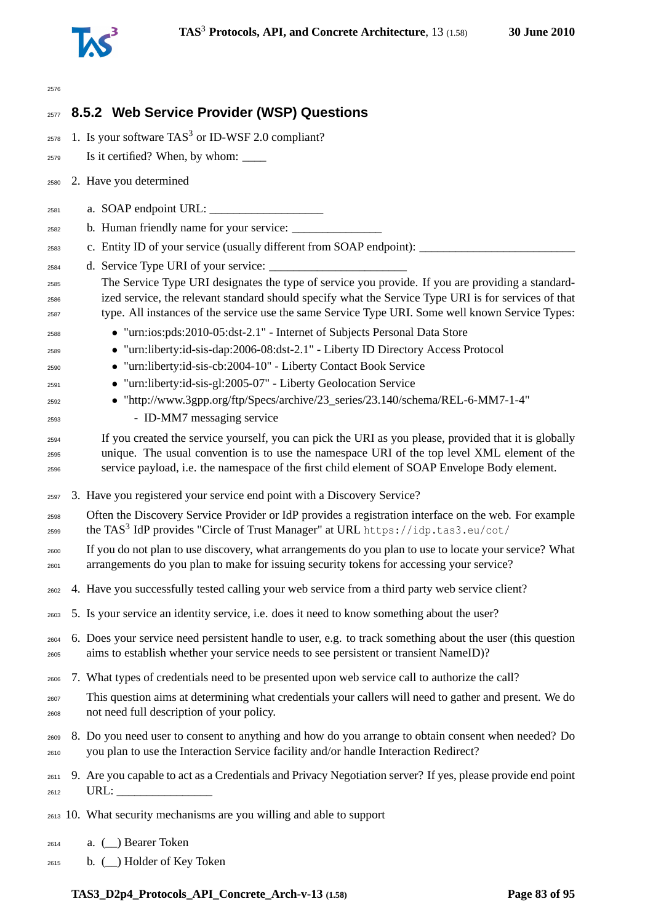

| 2576                 |                                                                                                                                                                                                                                                                                                               |
|----------------------|---------------------------------------------------------------------------------------------------------------------------------------------------------------------------------------------------------------------------------------------------------------------------------------------------------------|
| 2577                 | 8.5.2 Web Service Provider (WSP) Questions                                                                                                                                                                                                                                                                    |
| 2578                 | 1. Is your software $TAS3$ or ID-WSF 2.0 compliant?                                                                                                                                                                                                                                                           |
| 2579                 | Is it certified? When, by whom: ________                                                                                                                                                                                                                                                                      |
| 2580                 | 2. Have you determined                                                                                                                                                                                                                                                                                        |
| 2581                 |                                                                                                                                                                                                                                                                                                               |
| 2582                 |                                                                                                                                                                                                                                                                                                               |
| 2583                 | c. Entity ID of your service (usually different from SOAP endpoint): ________                                                                                                                                                                                                                                 |
| 2584                 | d. Service Type URI of your service: __________                                                                                                                                                                                                                                                               |
| 2585<br>2586<br>2587 | The Service Type URI designates the type of service you provide. If you are providing a standard-<br>ized service, the relevant standard should specify what the Service Type URI is for services of that<br>type. All instances of the service use the same Service Type URI. Some well known Service Types: |
| 2588                 | • "urn:ios:pds:2010-05:dst-2.1" - Internet of Subjects Personal Data Store                                                                                                                                                                                                                                    |
| 2589                 | • "urn:liberty:id-sis-dap:2006-08:dst-2.1" - Liberty ID Directory Access Protocol                                                                                                                                                                                                                             |
| 2590                 | • "urn:liberty:id-sis-cb:2004-10" - Liberty Contact Book Service                                                                                                                                                                                                                                              |
| 2591                 | • "urn:liberty:id-sis-gl:2005-07" - Liberty Geolocation Service                                                                                                                                                                                                                                               |
| 2592                 | • "http://www.3gpp.org/ftp/Specs/archive/23_series/23.140/schema/REL-6-MM7-1-4"                                                                                                                                                                                                                               |
| 2593                 | - ID-MM7 messaging service                                                                                                                                                                                                                                                                                    |
| 2594<br>2595<br>2596 | If you created the service yourself, you can pick the URI as you please, provided that it is globally<br>unique. The usual convention is to use the namespace URI of the top level XML element of the<br>service payload, i.e. the namespace of the first child element of SOAP Envelope Body element.        |
| 2597                 | 3. Have you registered your service end point with a Discovery Service?                                                                                                                                                                                                                                       |
| 2598<br>2599         | Often the Discovery Service Provider or IdP provides a registration interface on the web. For example<br>the TAS <sup>3</sup> IdP provides "Circle of Trust Manager" at URL https://idp.tas3.eu/cot/                                                                                                          |
| 2600<br>2601         | If you do not plan to use discovery, what arrangements do you plan to use to locate your service? What<br>arrangements do you plan to make for issuing security tokens for accessing your service?                                                                                                            |
| 2602                 | 4. Have you successfully tested calling your web service from a third party web service client?                                                                                                                                                                                                               |
| 2603                 | 5. Is your service an identity service, i.e. does it need to know something about the user?                                                                                                                                                                                                                   |
| 2604<br>2605         | 6. Does your service need persistent handle to user, e.g. to track something about the user (this question<br>aims to establish whether your service needs to see persistent or transient NameID)?                                                                                                            |
| 2606                 | 7. What types of credentials need to be presented upon web service call to authorize the call?                                                                                                                                                                                                                |
| 2607<br>2608         | This question aims at determining what credentials your callers will need to gather and present. We do<br>not need full description of your policy.                                                                                                                                                           |
| 2609<br>2610         | 8. Do you need user to consent to anything and how do you arrange to obtain consent when needed? Do<br>you plan to use the Interaction Service facility and/or handle Interaction Redirect?                                                                                                                   |
| 2611<br>2612         | 9. Are you capable to act as a Credentials and Privacy Negotiation server? If yes, please provide end point<br>URL:                                                                                                                                                                                           |
|                      | 2613 10. What security mechanisms are you willing and able to support                                                                                                                                                                                                                                         |
| 2614                 | a. (_) Bearer Token                                                                                                                                                                                                                                                                                           |

b. (\_\_) Holder of Key Token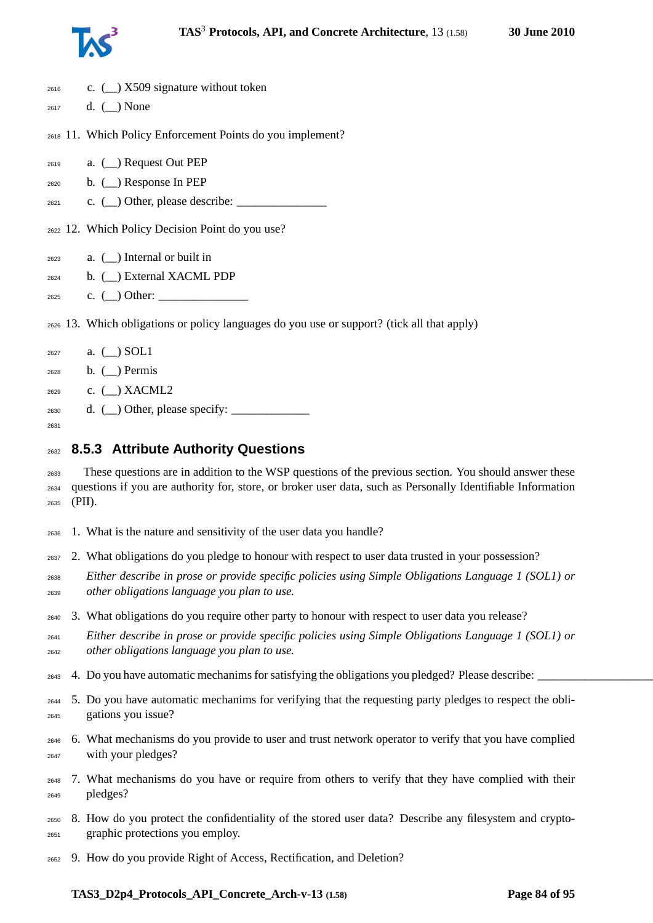

| 2616         | c. $($ $)$ X509 signature without token                                                                                                            |
|--------------|----------------------------------------------------------------------------------------------------------------------------------------------------|
| 2617         | d. $(\_)$ None                                                                                                                                     |
|              | 2618 11. Which Policy Enforcement Points do you implement?                                                                                         |
| 2619         | a. (_) Request Out PEP                                                                                                                             |
| 2620         | b. $(\_)$ Response In PEP                                                                                                                          |
| 2621         | c. $\qquad)$ Other, please describe: $\qquad \qquad$                                                                                               |
|              | 2622 12. Which Policy Decision Point do you use?                                                                                                   |
| 2623         | a. $(\_)$ Internal or built in                                                                                                                     |
| 2624         | b. (_) External XACML PDP                                                                                                                          |
| 2625         | c. $\qquad)$ Other:                                                                                                                                |
|              | 2626 13. Which obligations or policy languages do you use or support? (tick all that apply)                                                        |
| 2627         | a. $(\_)$ SOL1                                                                                                                                     |
| 2628         | $b.$ ( $\Box$ ) Permis                                                                                                                             |
| 2629         | c. $(\_)$ XACML2                                                                                                                                   |
| 2630         | d. $(\_)$ Other, please specify: $\_$                                                                                                              |
| 2631         |                                                                                                                                                    |
| 2632         | 8.5.3 Attribute Authority Questions                                                                                                                |
| 2633         | These questions are in addition to the WSP questions of the previous section. You should answer these                                              |
| 2634         | questions if you are authority for, store, or broker user data, such as Personally Identifiable Information                                        |
| 2635         | (PII).                                                                                                                                             |
| 2636         | 1. What is the nature and sensitivity of the user data you handle?                                                                                 |
| 2637         | 2. What obligations do you pledge to honour with respect to user data trusted in your possession?                                                  |
| 2638<br>2639 | Either describe in prose or provide specific policies using Simple Obligations Language 1 (SOL1) or<br>other obligations language you plan to use. |
| 2640         | 3. What obligations do you require other party to honour with respect to user data you release?                                                    |
|              |                                                                                                                                                    |

- *Either describe in prose or provide specific policies using Simple Obligations Language 1 (SOL1) or other obligations language you plan to use.*
- 2643 4. Do you have automatic mechanims for satisfying the obligations you pledged? Please describe:
- 5. Do you have automatic mechanims for verifying that the requesting party pledges to respect the obli-gations you issue?
- 6. What mechanisms do you provide to user and trust network operator to verify that you have complied with your pledges?
- 7. What mechanisms do you have or require from others to verify that they have complied with their pledges?
- 8. How do you protect the confidentiality of the stored user data? Describe any filesystem and crypto-graphic protections you employ.
- 9. How do you provide Right of Access, Rectification, and Deletion?

#### **TAS3\_D2p4\_Protocols\_API\_Concrete\_Arch-v-13 (1.58) Page 84 of [95](#page-94-0)**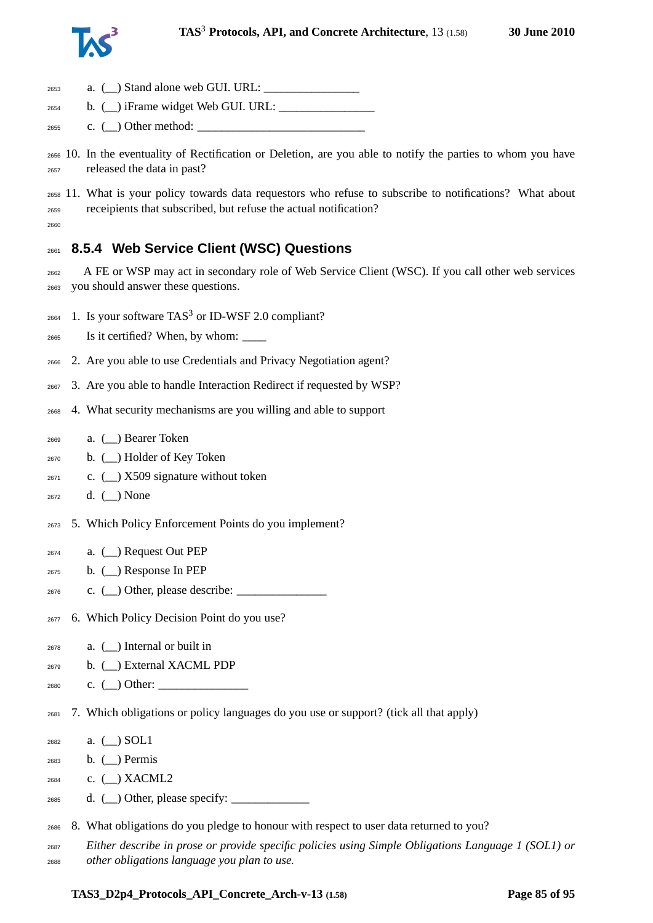

| 2653                 |                                                                                                                                                                          |
|----------------------|--------------------------------------------------------------------------------------------------------------------------------------------------------------------------|
| 2654                 | b. $(\_)$ iFrame widget Web GUI. URL: $\_$                                                                                                                               |
| 2655                 | c. $(\_)$ Other method: $\_$                                                                                                                                             |
| 2656<br>2657         | 10. In the eventuality of Rectification or Deletion, are you able to notify the parties to whom you have<br>released the data in past?                                   |
| 2658<br>2659<br>2660 | 11. What is your policy towards data requestors who refuse to subscribe to notifications? What about<br>receipients that subscribed, but refuse the actual notification? |
| 2661                 | 8.5.4 Web Service Client (WSC) Questions                                                                                                                                 |
| 2662<br>2663         | A FE or WSP may act in secondary role of Web Service Client (WSC). If you call other web services<br>you should answer these questions.                                  |
| 2664                 | 1. Is your software $TAS3$ or ID-WSF 2.0 compliant?                                                                                                                      |
| 2665                 |                                                                                                                                                                          |
| 2666                 | 2. Are you able to use Credentials and Privacy Negotiation agent?                                                                                                        |
| 2667                 | 3. Are you able to handle Interaction Redirect if requested by WSP?                                                                                                      |
| 2668                 | 4. What security mechanisms are you willing and able to support                                                                                                          |
| 2669                 | a. (_) Bearer Token                                                                                                                                                      |
| 2670                 | b. $(\_)$ Holder of Key Token                                                                                                                                            |
| 2671                 | c. $\left(\_\right)$ X509 signature without token                                                                                                                        |
| 2672                 | d. $(\_)$ None                                                                                                                                                           |
| 2673                 | 5. Which Policy Enforcement Points do you implement?                                                                                                                     |
| 2674                 | a. $(\_)$ Request Out PEP                                                                                                                                                |
| 2675                 | b. $(\_)$ Response In PEP                                                                                                                                                |
| 2676                 | c. $(\_)$ Other, please describe: $\_$                                                                                                                                   |
| 2677                 | 6. Which Policy Decision Point do you use?                                                                                                                               |
| 2678                 | a. $(\_)$ Internal or built in                                                                                                                                           |
| 2679                 | b. (_) External XACML PDP                                                                                                                                                |
| 2680                 | c. $\qquad)$ Other:                                                                                                                                                      |
| 2681                 | 7. Which obligations or policy languages do you use or support? (tick all that apply)                                                                                    |
| 2682                 | a. $(\_)$ SOL1                                                                                                                                                           |
| 2683                 | b. $\Box$ Permis                                                                                                                                                         |
| 2684                 | c. $(\_)$ XACML2                                                                                                                                                         |
| 2685                 | d. $(\_)$ Other, please specify: $\_$                                                                                                                                    |
| 2686                 | 8. What obligations do you pledge to honour with respect to user data returned to you?                                                                                   |
| 2687                 | Either describe in prose or provide specific policies using Simple Obligations Language 1 (SOL1) or                                                                      |
|                      |                                                                                                                                                                          |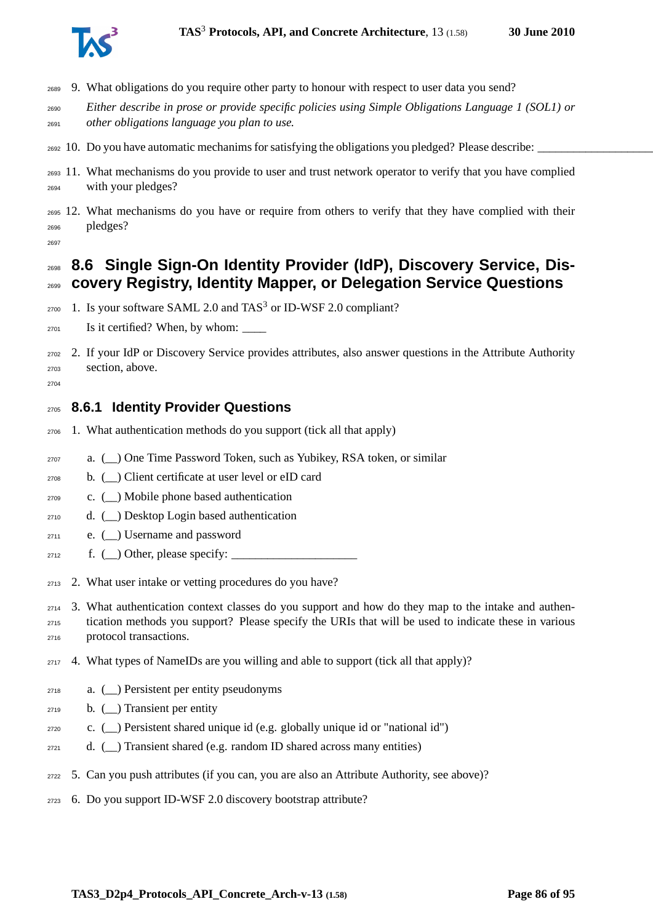

- 9. What obligations do you require other party to honour with respect to user data you send?
- *Either describe in prose or provide specific policies using Simple Obligations Language 1 (SOL1) or other obligations language you plan to use.*
- $_{2692}$  10. Do you have automatic mechanims for satisfying the obligations you pledged? Please describe:
- 11. What mechanisms do you provide to user and trust network operator to verify that you have complied with your pledges?
- 12. What mechanisms do you have or require from others to verify that they have complied with their pledges?
- 

## **8.6 Single Sign-On Identity Provider (IdP), Discovery Service, Dis-covery Registry, Identity Mapper, or Delegation Service Questions**

- 1. Is your software SAML 2.0 and TAS<sup>3</sup> or ID-WSF 2.0 compliant?
- $_{2701}$  Is it certified? When, by whom:
- 2. If your IdP or Discovery Service provides attributes, also answer questions in the Attribute Authority section, above.
- 

#### **8.6.1 Identity Provider Questions**

- 1. What authentication methods do you support (tick all that apply)
- a. (\_\_) One Time Password Token, such as Yubikey, RSA token, or similar
- b. (\_\_) Client certificate at user level or eID card
- c. (\_\_) Mobile phone based authentication
- d. (\_\_) Desktop Login based authentication
- e. (\_\_) Username and password
- $\text{2712} \quad \text{f. } (\_) \text{Other, please specify: } \_$
- 2. What user intake or vetting procedures do you have?
- 3. What authentication context classes do you support and how do they map to the intake and authen- tication methods you support? Please specify the URIs that will be used to indicate these in various protocol transactions.
- 4. What types of NameIDs are you willing and able to support (tick all that apply)?
- a. (\_\_) Persistent per entity pseudonyms
- b.  $\Box$ ) Transient per entity
- c. (\_\_) Persistent shared unique id (e.g. globally unique id or "national id")
- $_{2721}$  d. () Transient shared (e.g. random ID shared across many entities)
- 5. Can you push attributes (if you can, you are also an Attribute Authority, see above)?
- 6. Do you support ID-WSF 2.0 discovery bootstrap attribute?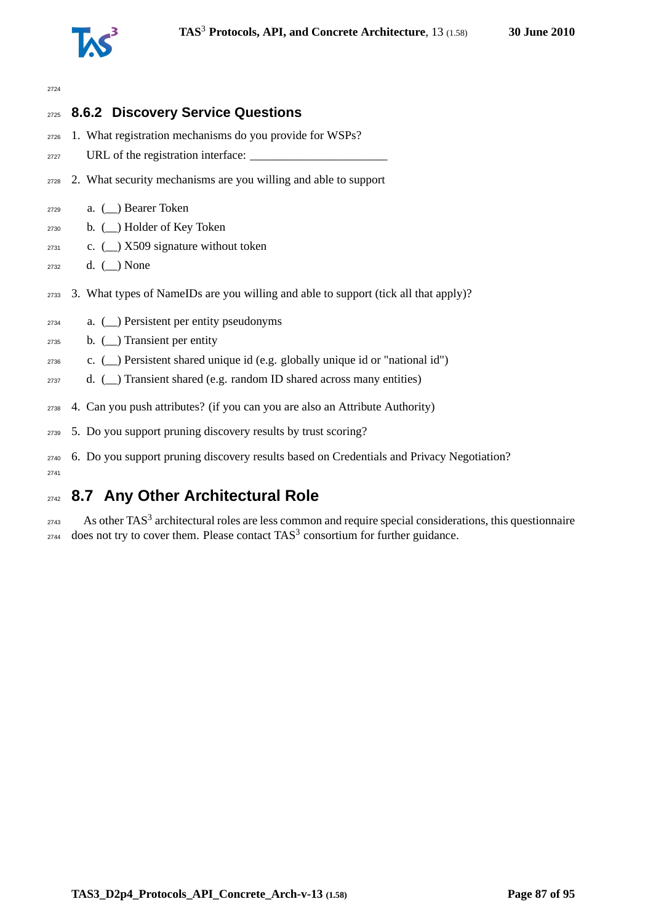

#### 

|      | 2725 8.6.2 Discovery Service Questions                                                    |
|------|-------------------------------------------------------------------------------------------|
| 2726 | 1. What registration mechanisms do you provide for WSPs?                                  |
| 2727 | URL of the registration interface:                                                        |
| 2728 | 2. What security mechanisms are you willing and able to support                           |
| 2729 | a. $\Box$ ) Bearer Token                                                                  |
| 2730 | b. (_) Holder of Key Token                                                                |
| 2731 | c. $($ $)$ X509 signature without token                                                   |
| 2732 | d. $(\_)$ None                                                                            |
| 2733 | 3. What types of NameIDs are you willing and able to support (tick all that apply)?       |
| 2734 | a. $(\_)$ Persistent per entity pseudonyms                                                |
| 2735 | b. $($ ) Transient per entity                                                             |
| 2736 | c. $(\_)$ Persistent shared unique id (e.g. globally unique id or "national id")          |
| 2737 | d. $(\_)$ Transient shared (e.g. random ID shared across many entities)                   |
| 2738 | 4. Can you push attributes? (if you can you are also an Attribute Authority)              |
| 2739 | 5. Do you support pruning discovery results by trust scoring?                             |
| 2740 | 6. Do you support pruning discovery results based on Credentials and Privacy Negotiation? |

<sup>2</sup>

# **8.7 Any Other Architectural Role**

 As other TAS<sup>3</sup> architectural roles are less common and require special considerations, this questionnaire does not try to cover them. Please contact TAS<sup>3</sup> consortium for further guidance.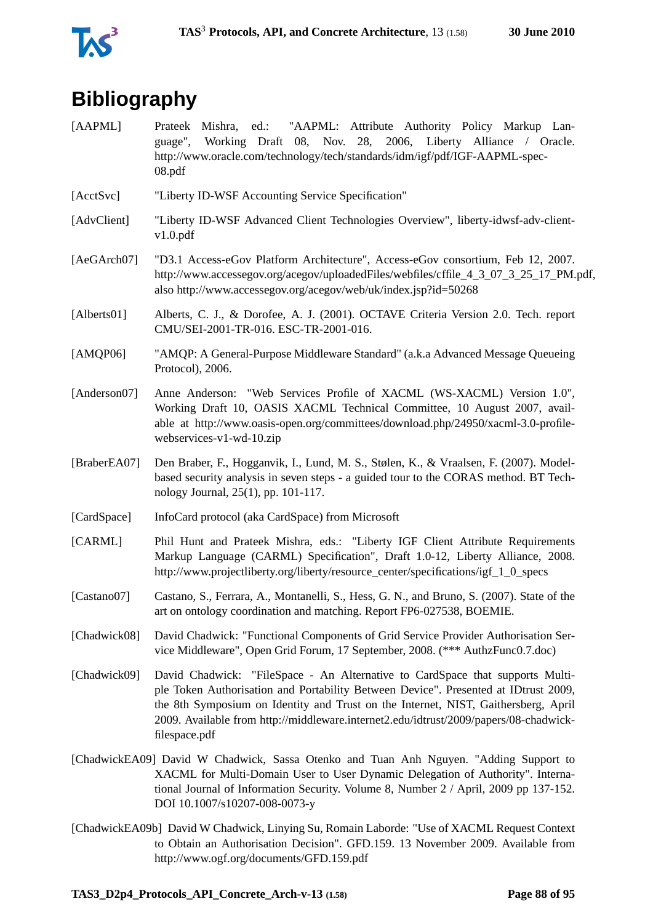



# **Bibliography**

- [AAPML] Prateek Mishra, ed.: "AAPML: Attribute Authority Policy Markup Language", Working Draft 08, Nov. 28, 2006, Liberty Alliance / Oracle. http://www.oracle.com/technology/tech/standards/idm/igf/pdf/IGF-AAPML-spec-08.pdf
- [AcctSvc] "Liberty ID-WSF Accounting Service Specification"
- [AdvClient] "Liberty ID-WSF Advanced Client Technologies Overview", liberty-idwsf-adv-clientv1.0.pdf
- [AeGArch07] "D3.1 Access-eGov Platform Architecture", Access-eGov consortium, Feb 12, 2007. http://www.accessegov.org/acegov/uploadedFiles/webfiles/cffile\_4\_3\_07\_3\_25\_17\_PM.pdf, also http://www.accessegov.org/acegov/web/uk/index.jsp?id=50268
- [Alberts01] Alberts, C. J., & Dorofee, A. J. (2001). OCTAVE Criteria Version 2.0. Tech. report CMU/SEI-2001-TR-016. ESC-TR-2001-016.
- [AMQP06] "AMQP: A General-Purpose Middleware Standard" (a.k.a Advanced Message Queueing Protocol), 2006.
- [Anderson07] Anne Anderson: "Web Services Profile of XACML (WS-XACML) Version 1.0", Working Draft 10, OASIS XACML Technical Committee, 10 August 2007, available at http://www.oasis-open.org/committees/download.php/24950/xacml-3.0-profilewebservices-v1-wd-10.zip
- [BraberEA07] Den Braber, F., Hogganvik, I., Lund, M. S., Stølen, K., & Vraalsen, F. (2007). Modelbased security analysis in seven steps - a guided tour to the CORAS method. BT Technology Journal, 25(1), pp. 101-117.
- [CardSpace] InfoCard protocol (aka CardSpace) from Microsoft
- [CARML] Phil Hunt and Prateek Mishra, eds.: "Liberty IGF Client Attribute Requirements Markup Language (CARML) Specification", Draft 1.0-12, Liberty Alliance, 2008. http://www.projectliberty.org/liberty/resource\_center/specifications/igf\_1\_0\_specs
- [Castano07] Castano, S., Ferrara, A., Montanelli, S., Hess, G. N., and Bruno, S. (2007). State of the art on ontology coordination and matching. Report FP6-027538, BOEMIE.
- [Chadwick08] David Chadwick: "Functional Components of Grid Service Provider Authorisation Service Middleware", Open Grid Forum, 17 September, 2008. (\*\*\* AuthzFunc0.7.doc)
- [Chadwick09] David Chadwick: "FileSpace An Alternative to CardSpace that supports Multiple Token Authorisation and Portability Between Device". Presented at IDtrust 2009, the 8th Symposium on Identity and Trust on the Internet, NIST, Gaithersberg, April 2009. Available from http://middleware.internet2.edu/idtrust/2009/papers/08-chadwickfilespace.pdf
- [ChadwickEA09] David W Chadwick, Sassa Otenko and Tuan Anh Nguyen. "Adding Support to XACML for Multi-Domain User to User Dynamic Delegation of Authority". International Journal of Information Security. Volume 8, Number 2 / April, 2009 pp 137-152. DOI 10.1007/s10207-008-0073-y
- [ChadwickEA09b] David W Chadwick, Linying Su, Romain Laborde: "Use of XACML Request Context to Obtain an Authorisation Decision". GFD.159. 13 November 2009. Available from http://www.ogf.org/documents/GFD.159.pdf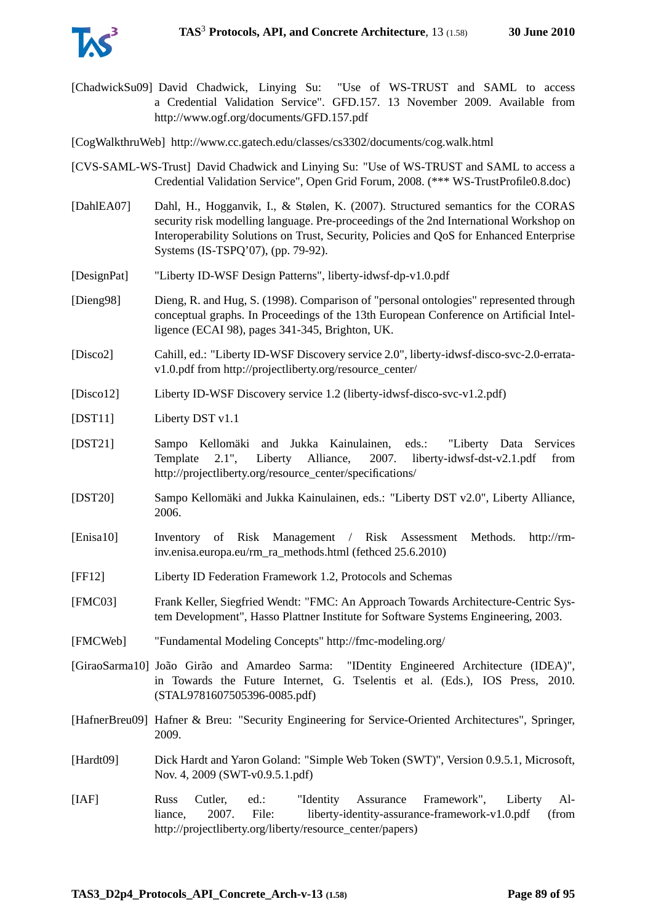[ChadwickSu09] David Chadwick, Linying Su: "Use of WS-TRUST and SAML to access a Credential Validation Service". GFD.157. 13 November 2009. Available from http://www.ogf.org/documents/GFD.157.pdf

[CogWalkthruWeb] http://www.cc.gatech.edu/classes/cs3302/documents/cog.walk.html

- [CVS-SAML-WS-Trust] David Chadwick and Linying Su: "Use of WS-TRUST and SAML to access a Credential Validation Service", Open Grid Forum, 2008. (\*\*\* WS-TrustProfile0.8.doc)
- [DahlEA07] Dahl, H., Hogganvik, I., & Stølen, K. (2007). Structured semantics for the CORAS security risk modelling language. Pre-proceedings of the 2nd International Workshop on Interoperability Solutions on Trust, Security, Policies and QoS for Enhanced Enterprise Systems (IS-TSPQ'07), (pp. 79-92).
- [DesignPat] "Liberty ID-WSF Design Patterns", liberty-idwsf-dp-v1.0.pdf
- [Dieng98] Dieng, R. and Hug, S. (1998). Comparison of "personal ontologies" represented through conceptual graphs. In Proceedings of the 13th European Conference on Artificial Intelligence (ECAI 98), pages 341-345, Brighton, UK.
- [Disco2] Cahill, ed.: "Liberty ID-WSF Discovery service 2.0", liberty-idwsf-disco-svc-2.0-erratav1.0.pdf from http://projectliberty.org/resource\_center/
- [Disco12] Liberty ID-WSF Discovery service 1.2 (liberty-idwsf-disco-svc-v1.2.pdf)
- [DST11] Liberty DST v1.1
- [DST21] Sampo Kellomäki and Jukka Kainulainen, eds.: "Liberty Data Services Template 2.1", Liberty Alliance, 2007. liberty-idwsf-dst-v2.1.pdf from http://projectliberty.org/resource\_center/specifications/
- [DST20] Sampo Kellomäki and Jukka Kainulainen, eds.: "Liberty DST v2.0", Liberty Alliance, 2006.
- [Enisa10] Inventory of Risk Management / Risk Assessment Methods. http://rminv.enisa.europa.eu/rm\_ra\_methods.html (fethced 25.6.2010)
- [FF12] Liberty ID Federation Framework 1.2, Protocols and Schemas
- [FMC03] Frank Keller, Siegfried Wendt: "FMC: An Approach Towards Architecture-Centric System Development", Hasso Plattner Institute for Software Systems Engineering, 2003.
- [FMCWeb] "Fundamental Modeling Concepts" http://fmc-modeling.org/

[GiraoSarma10] João Girão and Amardeo Sarma: "IDentity Engineered Architecture (IDEA)", in Towards the Future Internet, G. Tselentis et al. (Eds.), IOS Press, 2010. (STAL9781607505396-0085.pdf)

- [HafnerBreu09] Hafner & Breu: "Security Engineering for Service-Oriented Architectures", Springer, 2009.
- [Hardt09] Dick Hardt and Yaron Goland: "Simple Web Token (SWT)", Version 0.9.5.1, Microsoft, Nov. 4, 2009 (SWT-v0.9.5.1.pdf)
- [IAF] Russ Cutler, ed.: "Identity Assurance Framework", Liberty Alliance, 2007. File: liberty-identity-assurance-framework-v1.0.pdf (from http://projectliberty.org/liberty/resource\_center/papers)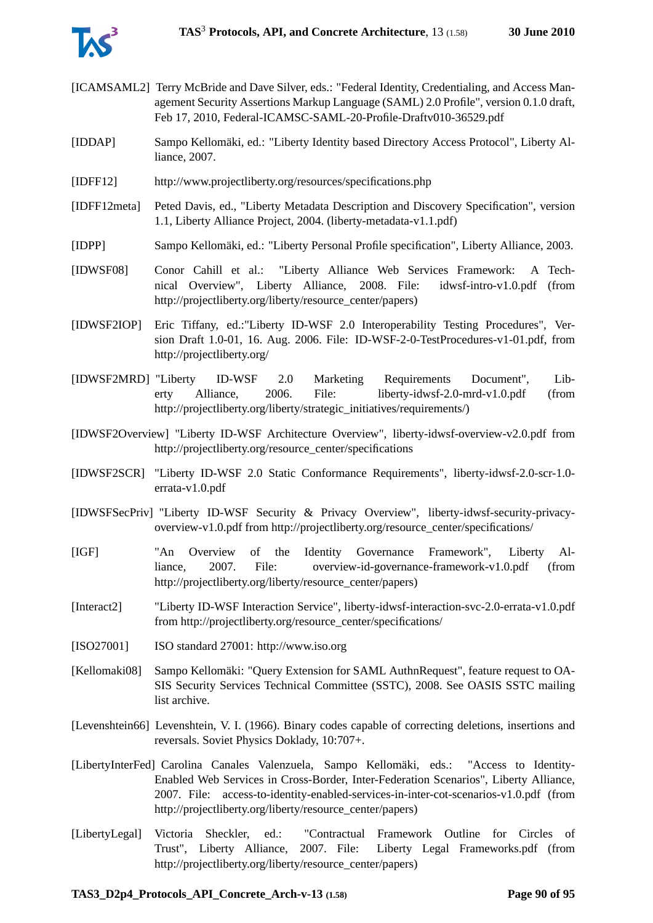

- [ICAMSAML2] Terry McBride and Dave Silver, eds.: "Federal Identity, Credentialing, and Access Management Security Assertions Markup Language (SAML) 2.0 Profile", version 0.1.0 draft, Feb 17, 2010, Federal-ICAMSC-SAML-20-Profile-Draftv010-36529.pdf
- [IDDAP] Sampo Kellomäki, ed.: "Liberty Identity based Directory Access Protocol", Liberty Alliance, 2007.
- [IDFF12] http://www.projectliberty.org/resources/specifications.php
- [IDFF12meta] Peted Davis, ed., "Liberty Metadata Description and Discovery Specification", version 1.1, Liberty Alliance Project, 2004. (liberty-metadata-v1.1.pdf)
- [IDPP] Sampo Kellomäki, ed.: "Liberty Personal Profile specification", Liberty Alliance, 2003.
- [IDWSF08] Conor Cahill et al.: "Liberty Alliance Web Services Framework: A Technical Overview", Liberty Alliance, 2008. File: idwsf-intro-v1.0.pdf (from http://projectliberty.org/liberty/resource\_center/papers)
- [IDWSF2IOP] Eric Tiffany, ed.:"Liberty ID-WSF 2.0 Interoperability Testing Procedures", Version Draft 1.0-01, 16. Aug. 2006. File: ID-WSF-2-0-TestProcedures-v1-01.pdf, from http://projectliberty.org/
- [IDWSF2MRD] "Liberty ID-WSF 2.0 Marketing Requirements Document", Liberty Alliance, 2006. File: liberty-idwsf-2.0-mrd-v1.0.pdf (from http://projectliberty.org/liberty/strategic\_initiatives/requirements/)
- [IDWSF2Overview] "Liberty ID-WSF Architecture Overview", liberty-idwsf-overview-v2.0.pdf from http://projectliberty.org/resource\_center/specifications
- [IDWSF2SCR] "Liberty ID-WSF 2.0 Static Conformance Requirements", liberty-idwsf-2.0-scr-1.0 errata-v1.0.pdf
- [IDWSFSecPriv] "Liberty ID-WSF Security & Privacy Overview", liberty-idwsf-security-privacyoverview-v1.0.pdf from http://projectliberty.org/resource\_center/specifications/
- [IGF] "An Overview of the Identity Governance Framework", Liberty Alliance, 2007. File: overview-id-governance-framework-v1.0.pdf (from http://projectliberty.org/liberty/resource\_center/papers)
- [Interact2] "Liberty ID-WSF Interaction Service", liberty-idwsf-interaction-svc-2.0-errata-v1.0.pdf from http://projectliberty.org/resource\_center/specifications/
- [ISO27001] ISO standard 27001: http://www.iso.org
- [Kellomaki08] Sampo Kellomäki: "Query Extension for SAML AuthnRequest", feature request to OA-SIS Security Services Technical Committee (SSTC), 2008. See OASIS SSTC mailing list archive.
- [Levenshtein66] Levenshtein, V. I. (1966). Binary codes capable of correcting deletions, insertions and reversals. Soviet Physics Doklady, 10:707+.
- [LibertyInterFed] Carolina Canales Valenzuela, Sampo Kellomäki, eds.: "Access to Identity-Enabled Web Services in Cross-Border, Inter-Federation Scenarios", Liberty Alliance, 2007. File: access-to-identity-enabled-services-in-inter-cot-scenarios-v1.0.pdf (from http://projectliberty.org/liberty/resource\_center/papers)
- [LibertyLegal] Victoria Sheckler, ed.: "Contractual Framework Outline for Circles of Trust", Liberty Alliance, 2007. File: Liberty Legal Frameworks.pdf (from http://projectliberty.org/liberty/resource\_center/papers)

#### **TAS3\_D2p4\_Protocols\_API\_Concrete\_Arch-v-13 (1.58) Page 90 of [95](#page-94-0)**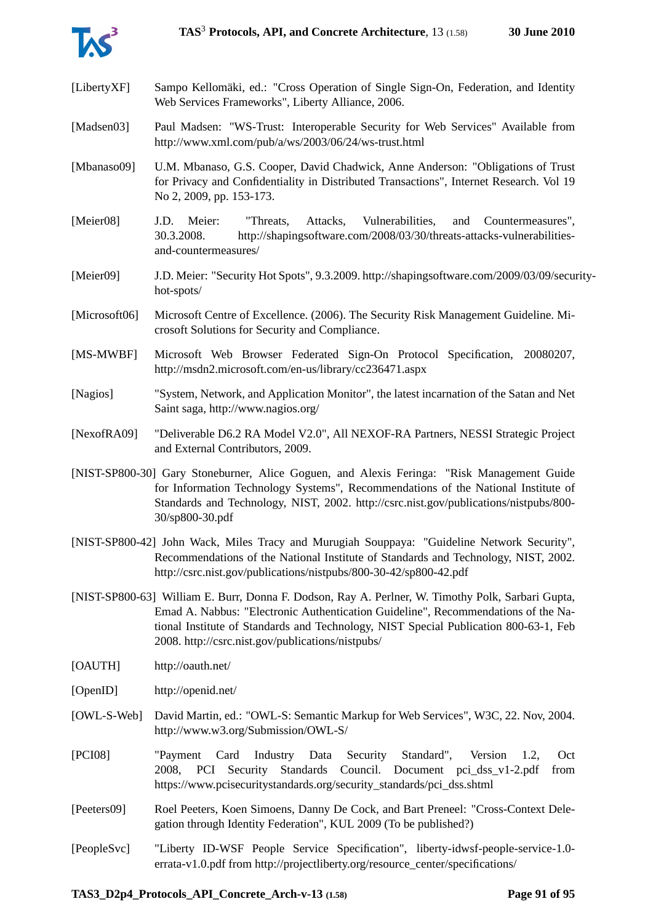

| [LibertyXF]   | Sampo Kellomäki, ed.: "Cross Operation of Single Sign-On, Federation, and Identity<br>Web Services Frameworks", Liberty Alliance, 2006.                                                                                                                                                                                             |
|---------------|-------------------------------------------------------------------------------------------------------------------------------------------------------------------------------------------------------------------------------------------------------------------------------------------------------------------------------------|
| [Madsen03]    | Paul Madsen: "WS-Trust: Interoperable Security for Web Services" Available from<br>http://www.xml.com/pub/a/ws/2003/06/24/ws-trust.html                                                                                                                                                                                             |
| [Mbanaso09]   | U.M. Mbanaso, G.S. Cooper, David Chadwick, Anne Anderson: "Obligations of Trust<br>for Privacy and Confidentiality in Distributed Transactions", Internet Research. Vol 19<br>No 2, 2009, pp. 153-173.                                                                                                                              |
| [Meier08]     | J.D.<br>Meier:<br>Vulnerabilities,<br>"Threats,<br>Attacks,<br>and<br>Countermeasures",<br>http://shapingsoftware.com/2008/03/30/threats-attacks-vulnerabilities-<br>30.3.2008.<br>and-countermeasures/                                                                                                                             |
| [Meier09]     | J.D. Meier: "Security Hot Spots", 9.3.2009. http://shapingsoftware.com/2009/03/09/security-<br>hot-spots/                                                                                                                                                                                                                           |
| [Microsoft06] | Microsoft Centre of Excellence. (2006). The Security Risk Management Guideline. Mi-<br>crosoft Solutions for Security and Compliance.                                                                                                                                                                                               |
| [MS-MWBF]     | Microsoft Web Browser Federated Sign-On Protocol Specification, 20080207,<br>http://msdn2.microsoft.com/en-us/library/cc236471.aspx                                                                                                                                                                                                 |
| [Nagios]      | "System, Network, and Application Monitor", the latest incarnation of the Satan and Net<br>Saint saga, http://www.nagios.org/                                                                                                                                                                                                       |
| [NexofRA09]   | "Deliverable D6.2 RA Model V2.0", All NEXOF-RA Partners, NESSI Strategic Project<br>and External Contributors, 2009.                                                                                                                                                                                                                |
|               | [NIST-SP800-30] Gary Stoneburner, Alice Goguen, and Alexis Feringa: "Risk Management Guide<br>for Information Technology Systems", Recommendations of the National Institute of<br>Standards and Technology, NIST, 2002. http://csrc.nist.gov/publications/nistpubs/800-<br>30/sp800-30.pdf                                         |
|               | [NIST-SP800-42] John Wack, Miles Tracy and Murugiah Souppaya: "Guideline Network Security",<br>Recommendations of the National Institute of Standards and Technology, NIST, 2002.<br>http://csrc.nist.gov/publications/nistpubs/800-30-42/sp800-42.pdf                                                                              |
|               | [NIST-SP800-63] William E. Burr, Donna F. Dodson, Ray A. Perlner, W. Timothy Polk, Sarbari Gupta,<br>Emad A. Nabbus: "Electronic Authentication Guideline", Recommendations of the Na-<br>tional Institute of Standards and Technology, NIST Special Publication 800-63-1, Feb<br>2008. http://csrc.nist.gov/publications/nistpubs/ |
| [OAUTH]       | http://oauth.net/                                                                                                                                                                                                                                                                                                                   |
| [OpenID]      | http://openid.net/                                                                                                                                                                                                                                                                                                                  |
| $[OWL-S-Web]$ | David Martin, ed.: "OWL-S: Semantic Markup for Web Services", W3C, 22. Nov, 2004.<br>http://www.w3.org/Submission/OWL-S/                                                                                                                                                                                                            |
| [PCI08]       | Card<br>Industry<br>Data<br>Security<br>Standard",<br>"Payment<br>Version<br>Oct<br>1.2,<br>Security Standards<br>Council. Document pci_dss_v1-2.pdf<br>PCI<br>2008,<br>from<br>https://www.pcisecuritystandards.org/security_standards/pci_dss.shtml                                                                               |
| [Peeters09]   | Roel Peeters, Koen Simoens, Danny De Cock, and Bart Preneel: "Cross-Context Dele-<br>gation through Identity Federation", KUL 2009 (To be published?)                                                                                                                                                                               |
| [PeopleSvc]   | "Liberty ID-WSF People Service Specification", liberty-idwsf-people-service-1.0-<br>errata-v1.0.pdf from http://projectliberty.org/resource_center/specifications/                                                                                                                                                                  |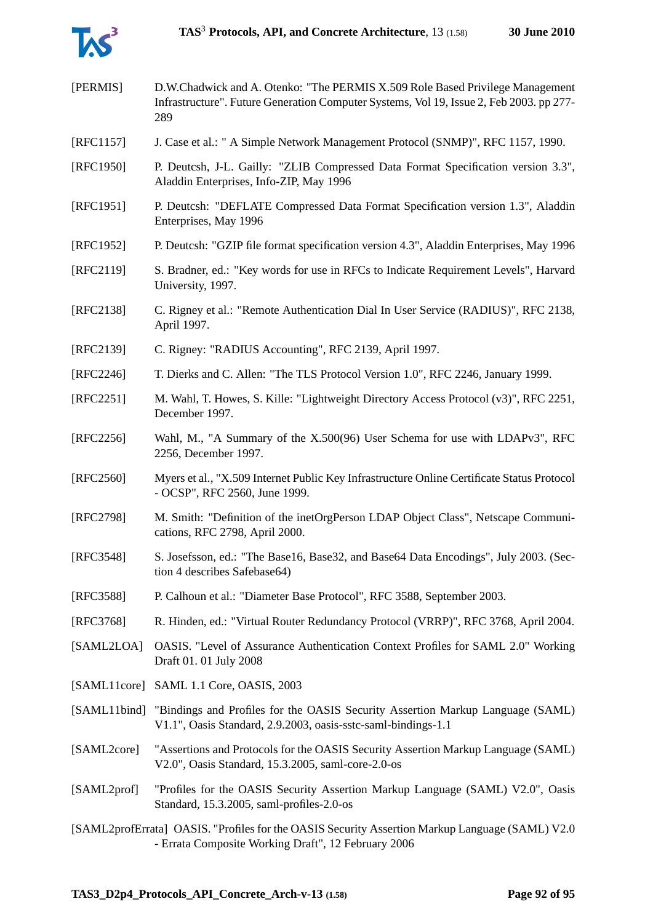

| [PERMIS]                                                                                                                                               | D.W.Chadwick and A. Otenko: "The PERMIS X.509 Role Based Privilege Management<br>Infrastructure". Future Generation Computer Systems, Vol 19, Issue 2, Feb 2003. pp 277-<br>289 |
|--------------------------------------------------------------------------------------------------------------------------------------------------------|---------------------------------------------------------------------------------------------------------------------------------------------------------------------------------|
| [RFC1157]                                                                                                                                              | J. Case et al.: " A Simple Network Management Protocol (SNMP)", RFC 1157, 1990.                                                                                                 |
| [RFC1950]                                                                                                                                              | P. Deutcsh, J-L. Gailly: "ZLIB Compressed Data Format Specification version 3.3",<br>Aladdin Enterprises, Info-ZIP, May 1996                                                    |
| [RFC1951]                                                                                                                                              | P. Deutcsh: "DEFLATE Compressed Data Format Specification version 1.3", Aladdin<br>Enterprises, May 1996                                                                        |
| [RFC1952]                                                                                                                                              | P. Deutcsh: "GZIP file format specification version 4.3", Aladdin Enterprises, May 1996                                                                                         |
| [RFC2119]                                                                                                                                              | S. Bradner, ed.: "Key words for use in RFCs to Indicate Requirement Levels", Harvard<br>University, 1997.                                                                       |
| [RFC2138]                                                                                                                                              | C. Rigney et al.: "Remote Authentication Dial In User Service (RADIUS)", RFC 2138,<br>April 1997.                                                                               |
| [RFC2139]                                                                                                                                              | C. Rigney: "RADIUS Accounting", RFC 2139, April 1997.                                                                                                                           |
| [RFC2246]                                                                                                                                              | T. Dierks and C. Allen: "The TLS Protocol Version 1.0", RFC 2246, January 1999.                                                                                                 |
| $[RFC2251]$                                                                                                                                            | M. Wahl, T. Howes, S. Kille: "Lightweight Directory Access Protocol (v3)", RFC 2251,<br>December 1997.                                                                          |
| $[RFC2256]$                                                                                                                                            | Wahl, M., "A Summary of the X.500(96) User Schema for use with LDAPv3", RFC<br>2256, December 1997.                                                                             |
| [RFC2560]                                                                                                                                              | Myers et al., "X.509 Internet Public Key Infrastructure Online Certificate Status Protocol<br>- OCSP", RFC 2560, June 1999.                                                     |
| [RFC2798]                                                                                                                                              | M. Smith: "Definition of the inetOrgPerson LDAP Object Class", Netscape Communi-<br>cations, RFC 2798, April 2000.                                                              |
| [RFC3548]                                                                                                                                              | S. Josefsson, ed.: "The Base16, Base32, and Base64 Data Encodings", July 2003. (Sec-<br>tion 4 describes Safebase 64)                                                           |
| [RFC3588]                                                                                                                                              | P. Calhoun et al.: "Diameter Base Protocol", RFC 3588, September 2003.                                                                                                          |
| [RFC3768]                                                                                                                                              | R. Hinden, ed.: "Virtual Router Redundancy Protocol (VRRP)", RFC 3768, April 2004.                                                                                              |
| [SAML2LOA]                                                                                                                                             | OASIS. "Level of Assurance Authentication Context Profiles for SAML 2.0" Working<br>Draft 01.01 July 2008                                                                       |
| [SAML11core]                                                                                                                                           | SAML 1.1 Core, OASIS, 2003                                                                                                                                                      |
| [SAML11bind]                                                                                                                                           | "Bindings and Profiles for the OASIS Security Assertion Markup Language (SAML)<br>V1.1", Oasis Standard, 2.9.2003, oasis-sstc-saml-bindings-1.1                                 |
| [SAML2core]                                                                                                                                            | "Assertions and Protocols for the OASIS Security Assertion Markup Language (SAML)<br>V2.0", Oasis Standard, 15.3.2005, saml-core-2.0-os                                         |
| [SAML2prof]                                                                                                                                            | "Profiles for the OASIS Security Assertion Markup Language (SAML) V2.0", Oasis<br>Standard, 15.3.2005, saml-profiles-2.0-os                                                     |
| [SAML2profErrata] OASIS. "Profiles for the OASIS Security Assertion Markup Language (SAML) V2.0<br>- Errata Composite Working Draft", 12 February 2006 |                                                                                                                                                                                 |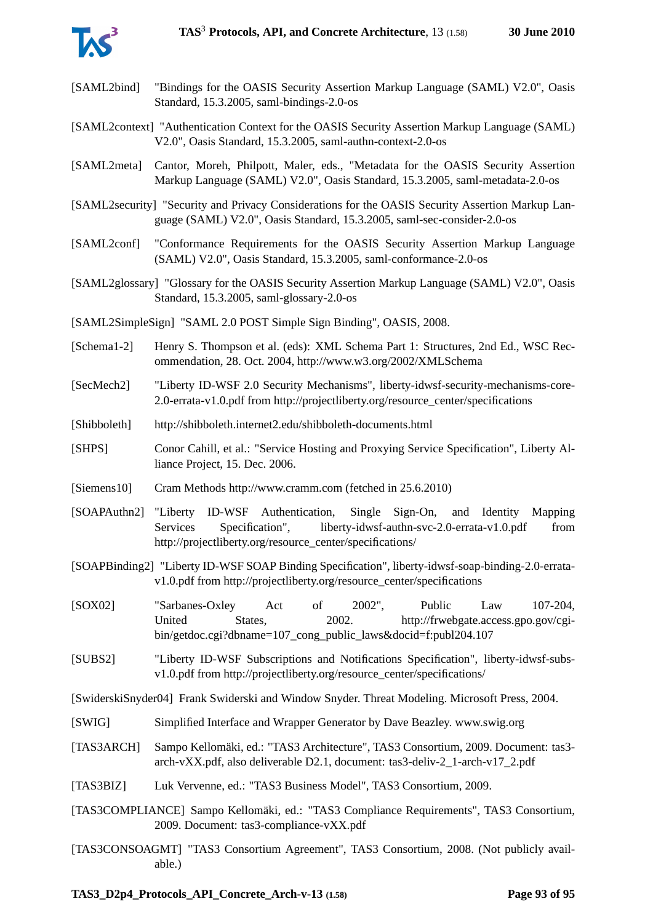

- [SAML2bind] "Bindings for the OASIS Security Assertion Markup Language (SAML) V2.0", Oasis Standard, 15.3.2005, saml-bindings-2.0-os
- [SAML2context] "Authentication Context for the OASIS Security Assertion Markup Language (SAML) V2.0", Oasis Standard, 15.3.2005, saml-authn-context-2.0-os
- [SAML2meta] Cantor, Moreh, Philpott, Maler, eds., "Metadata for the OASIS Security Assertion Markup Language (SAML) V2.0", Oasis Standard, 15.3.2005, saml-metadata-2.0-os
- [SAML2security] "Security and Privacy Considerations for the OASIS Security Assertion Markup Language (SAML) V2.0", Oasis Standard, 15.3.2005, saml-sec-consider-2.0-os
- [SAML2conf] "Conformance Requirements for the OASIS Security Assertion Markup Language (SAML) V2.0", Oasis Standard, 15.3.2005, saml-conformance-2.0-os
- [SAML2glossary] "Glossary for the OASIS Security Assertion Markup Language (SAML) V2.0", Oasis Standard, 15.3.2005, saml-glossary-2.0-os
- [SAML2SimpleSign] "SAML 2.0 POST Simple Sign Binding", OASIS, 2008.
- [Schema1-2] Henry S. Thompson et al. (eds): XML Schema Part 1: Structures, 2nd Ed., WSC Recommendation, 28. Oct. 2004, http://www.w3.org/2002/XMLSchema
- [SecMech2] "Liberty ID-WSF 2.0 Security Mechanisms", liberty-idwsf-security-mechanisms-core-2.0-errata-v1.0.pdf from http://projectliberty.org/resource\_center/specifications
- [Shibboleth] http://shibboleth.internet2.edu/shibboleth-documents.html
- [SHPS] Conor Cahill, et al.: "Service Hosting and Proxying Service Specification", Liberty Alliance Project, 15. Dec. 2006.
- [Siemens10] Cram Methods http://www.cramm.com (fetched in 25.6.2010)
- [SOAPAuthn2] "Liberty ID-WSF Authentication, Single Sign-On, and Identity Mapping Services Specification", liberty-idwsf-authn-svc-2.0-errata-v1.0.pdf from http://projectliberty.org/resource\_center/specifications/
- [SOAPBinding2] "Liberty ID-WSF SOAP Binding Specification", liberty-idwsf-soap-binding-2.0-erratav1.0.pdf from http://projectliberty.org/resource\_center/specifications
- [SOX02] "Sarbanes-Oxley Act of 2002", Public Law 107-204, United States, 2002. http://frwebgate.access.gpo.gov/cgibin/getdoc.cgi?dbname=107 cong\_public\_laws&docid=f:publ204.107
- [SUBS2] "Liberty ID-WSF Subscriptions and Notifications Specification", liberty-idwsf-subsv1.0.pdf from http://projectliberty.org/resource\_center/specifications/

[SwiderskiSnyder04] Frank Swiderski and Window Snyder. Threat Modeling. Microsoft Press, 2004.

- [SWIG] Simplified Interface and Wrapper Generator by Dave Beazley. www.swig.org
- [TAS3ARCH] Sampo Kellomäki, ed.: "TAS3 Architecture", TAS3 Consortium, 2009. Document: tas3 arch-vXX.pdf, also deliverable D2.1, document: tas3-deliv-2\_1-arch-v17\_2.pdf
- [TAS3BIZ] Luk Vervenne, ed.: "TAS3 Business Model", TAS3 Consortium, 2009.
- [TAS3COMPLIANCE] Sampo Kellomäki, ed.: "TAS3 Compliance Requirements", TAS3 Consortium, 2009. Document: tas3-compliance-vXX.pdf
- [TAS3CONSOAGMT] "TAS3 Consortium Agreement", TAS3 Consortium, 2008. (Not publicly available.)

**TAS3\_D2p4\_Protocols\_API\_Concrete\_Arch-v-13 (1.58) Page 93 of [95](#page-94-0)**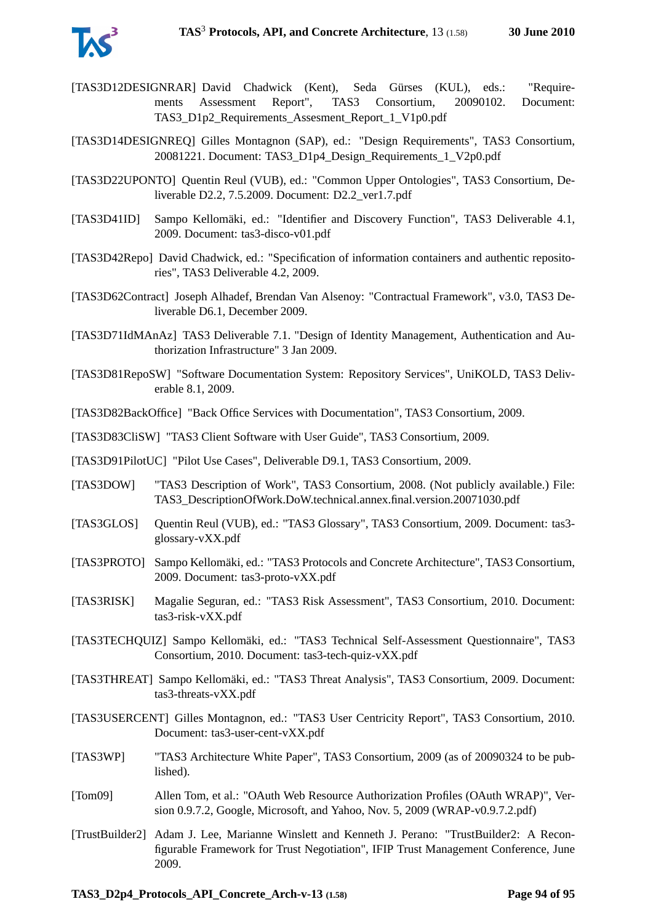

- [TAS3D12DESIGNRAR] David Chadwick (Kent), Seda Gürses (KUL), eds.: "Requirements Assessment Report", TAS3 Consortium, 20090102. Document: TAS3\_D1p2\_Requirements\_Assesment\_Report\_1\_V1p0.pdf
- [TAS3D14DESIGNREQ] Gilles Montagnon (SAP), ed.: "Design Requirements", TAS3 Consortium, 20081221. Document: TAS3\_D1p4\_Design\_Requirements\_1\_V2p0.pdf
- [TAS3D22UPONTO] Quentin Reul (VUB), ed.: "Common Upper Ontologies", TAS3 Consortium, Deliverable D2.2, 7.5.2009. Document: D2.2\_ver1.7.pdf
- [TAS3D41ID] Sampo Kellomäki, ed.: "Identifier and Discovery Function", TAS3 Deliverable 4.1, 2009. Document: tas3-disco-v01.pdf
- [TAS3D42Repo] David Chadwick, ed.: "Specification of information containers and authentic repositories", TAS3 Deliverable 4.2, 2009.
- <span id="page-93-0"></span>[TAS3D62Contract] Joseph Alhadef, Brendan Van Alsenoy: "Contractual Framework", v3.0, TAS3 Deliverable D6.1, December 2009.
- [TAS3D71IdMAnAz] TAS3 Deliverable 7.1. "Design of Identity Management, Authentication and Authorization Infrastructure" 3 Jan 2009.
- [TAS3D81RepoSW] "Software Documentation System: Repository Services", UniKOLD, TAS3 Deliverable 8.1, 2009.
- [TAS3D82BackOffice] "Back Office Services with Documentation", TAS3 Consortium, 2009.
- [TAS3D83CliSW] "TAS3 Client Software with User Guide", TAS3 Consortium, 2009.
- [TAS3D91PilotUC] "Pilot Use Cases", Deliverable D9.1, TAS3 Consortium, 2009.
- [TAS3DOW] "TAS3 Description of Work", TAS3 Consortium, 2008. (Not publicly available.) File: TAS3\_DescriptionOfWork.DoW.technical.annex.final.version.20071030.pdf
- [TAS3GLOS] Quentin Reul (VUB), ed.: "TAS3 Glossary", TAS3 Consortium, 2009. Document: tas3 glossary-vXX.pdf
- [TAS3PROTO] Sampo Kellomäki, ed.: "TAS3 Protocols and Concrete Architecture", TAS3 Consortium, 2009. Document: tas3-proto-vXX.pdf
- <span id="page-93-2"></span>[TAS3RISK] Magalie Seguran, ed.: "TAS3 Risk Assessment", TAS3 Consortium, 2010. Document: tas3-risk-vXX.pdf
- [TAS3TECHQUIZ] Sampo Kellomäki, ed.: "TAS3 Technical Self-Assessment Questionnaire", TAS3 Consortium, 2010. Document: tas3-tech-quiz-vXX.pdf
- <span id="page-93-1"></span>[TAS3THREAT] Sampo Kellomäki, ed.: "TAS3 Threat Analysis", TAS3 Consortium, 2009. Document: tas3-threats-vXX.pdf
- [TAS3USERCENT] Gilles Montagnon, ed.: "TAS3 User Centricity Report", TAS3 Consortium, 2010. Document: tas3-user-cent-vXX.pdf
- [TAS3WP] "TAS3 Architecture White Paper", TAS3 Consortium, 2009 (as of 20090324 to be published).
- [Tom09] Allen Tom, et al.: "OAuth Web Resource Authorization Profiles (OAuth WRAP)", Version 0.9.7.2, Google, Microsoft, and Yahoo, Nov. 5, 2009 (WRAP-v0.9.7.2.pdf)
- [TrustBuilder2] Adam J. Lee, Marianne Winslett and Kenneth J. Perano: "TrustBuilder2: A Reconfigurable Framework for Trust Negotiation", IFIP Trust Management Conference, June 2009.